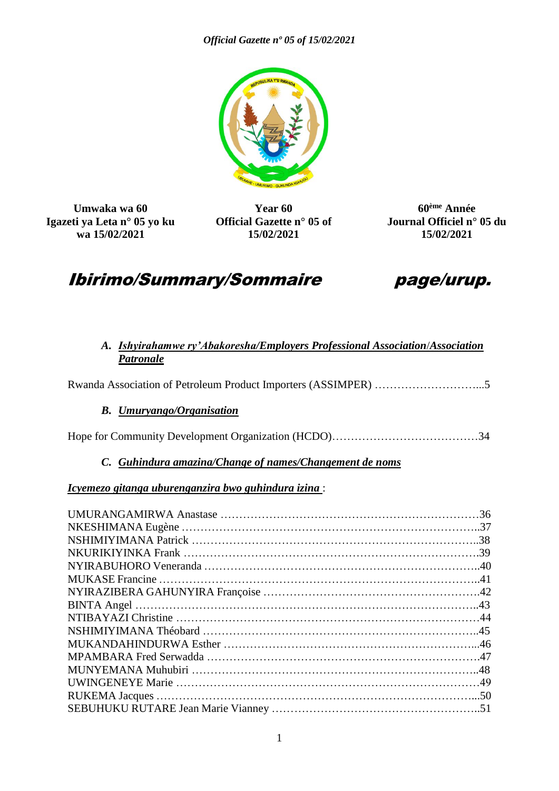

**Umwaka wa 60 Igazeti ya Leta n° 05 yo ku wa 15/02/2021**

**Year 60 Official Gazette n° 05 of 15/02/2021**

**60ème Année Journal Officiel n° 05 du 15/02/2021**

# Ibirimo/Summary/Sommaire page/urup.



#### *A. Ishyirahamwe ry'Abakoresha/Employers Professional Association*/*Association Patronale*

Rwanda Association of Petroleum Product Importers (ASSIMPER) ………………………...5

#### *B. Umuryango/Organisation*

Hope for Community Development Organization (HCDO)…………………………………34

### *C. Guhindura amazina/Change of names/Changement de noms*

#### *Icyemezo gitanga uburenganzira bwo guhindura izina* :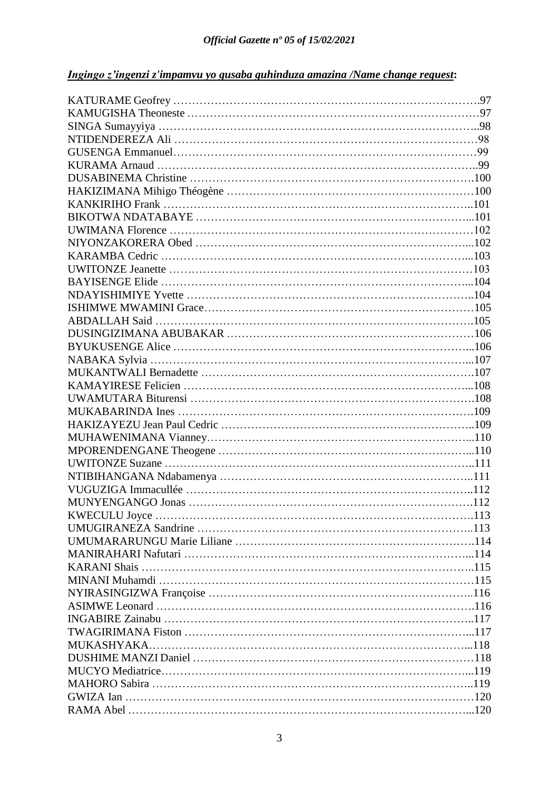## *Ingingo z'ingenzi z'impamvu yo gusaba guhinduza amazina /Name change request***:**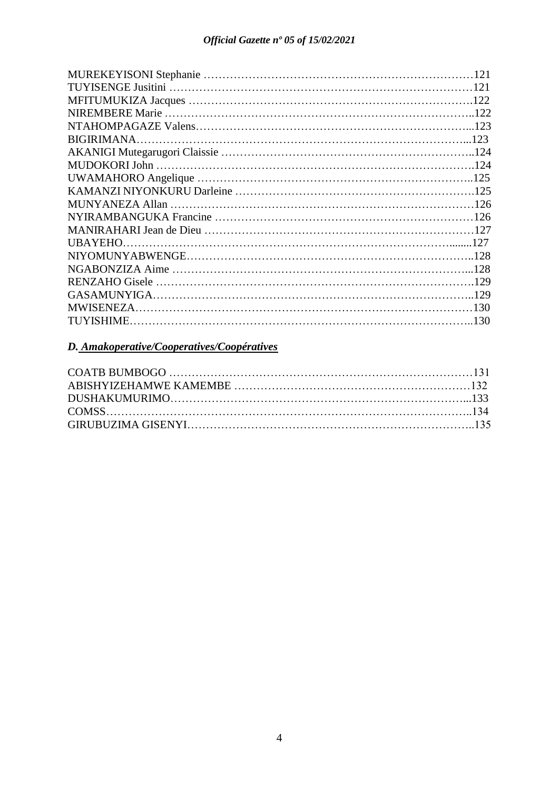## *D. Amakoperative/Cooperatives/Coopératives*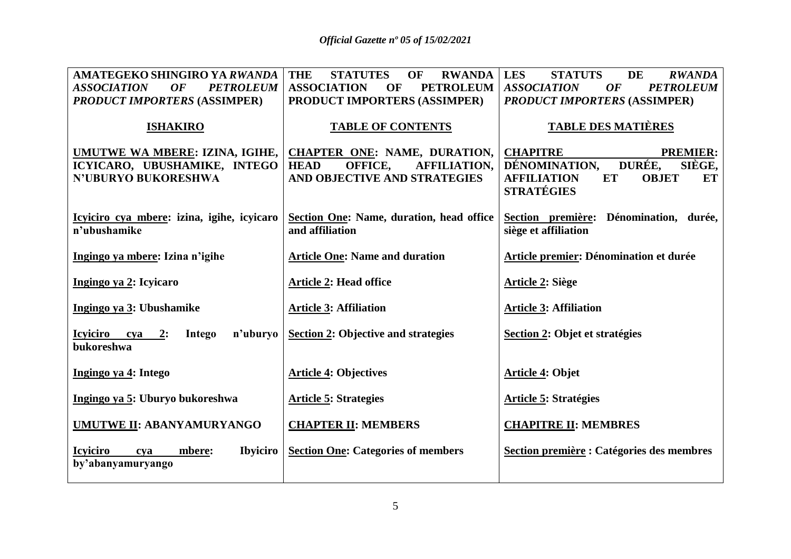| AMATEGEKO SHINGIRO YA RWANDA                                    | <b>THE</b><br><b>STATUTES</b><br>OF<br><b>RWANDA</b> | <b>LES</b><br><b>STATUTS</b><br><b>DE</b><br><b>RWANDA</b> |
|-----------------------------------------------------------------|------------------------------------------------------|------------------------------------------------------------|
| <b>ASSOCIATION</b><br>OF<br><b>PETROLEUM</b>                    | <b>ASSOCIATION</b><br><b>PETROLEUM</b><br>OF         | <b>ASSOCIATION</b><br>OF<br><b>PETROLEUM</b>               |
| <b>PRODUCT IMPORTERS (ASSIMPER)</b>                             | PRODUCT IMPORTERS (ASSIMPER)                         | <b>PRODUCT IMPORTERS (ASSIMPER)</b>                        |
| <b>ISHAKIRO</b>                                                 | <b>TABLE OF CONTENTS</b>                             | <b>TABLE DES MATIÈRES</b>                                  |
| UMUTWE WA MBERE: IZINA, IGIHE,                                  | CHAPTER ONE: NAME, DURATION,                         | <b>CHAPITRE</b><br><b>PREMIER:</b>                         |
| ICYICARO, UBUSHAMIKE, INTEGO                                    | OFFICE,<br><b>HEAD</b><br><b>AFFILIATION,</b>        | DURÉE,<br>DÉNOMINATION,<br>SIÈGE,                          |
| <b>N'UBURYO BUKORESHWA</b>                                      | AND OBJECTIVE AND STRATEGIES                         | <b>AFFILIATION</b><br><b>ET</b><br><b>OBJET</b><br>ET      |
|                                                                 |                                                      | <b>STRATÉGIES</b>                                          |
|                                                                 |                                                      |                                                            |
| Icyiciro cya mbere: izina, igihe, icyicaro                      | Section One: Name, duration, head office             | Section première: Dénomination, durée,                     |
| n'ubushamike                                                    | and affiliation                                      | siège et affiliation                                       |
|                                                                 |                                                      |                                                            |
| Ingingo ya mbere: Izina n'igihe                                 | <b>Article One: Name and duration</b>                | Article premier: Dénomination et durée                     |
|                                                                 |                                                      |                                                            |
| Ingingo ya 2: Icyicaro                                          | <b>Article 2: Head office</b>                        | Article 2: Siège                                           |
|                                                                 |                                                      |                                                            |
| Ingingo ya 3: Ubushamike                                        | <b>Article 3: Affiliation</b>                        | <b>Article 3: Affiliation</b>                              |
|                                                                 |                                                      |                                                            |
| n'uburyo<br><b>Icyiciro</b><br>Intego<br>$cya$ 2:<br>bukoreshwa | <b>Section 2: Objective and strategies</b>           | Section 2: Objet et stratégies                             |
|                                                                 |                                                      |                                                            |
| Ingingo ya 4: Intego                                            | <b>Article 4: Objectives</b>                         | <b>Article 4: Objet</b>                                    |
|                                                                 |                                                      |                                                            |
| Ingingo ya 5: Uburyo bukoreshwa                                 | <b>Article 5: Strategies</b>                         | <b>Article 5: Stratégies</b>                               |
|                                                                 |                                                      |                                                            |
| UMUTWE II: ABANYAMURYANGO                                       | <b>CHAPTER II: MEMBERS</b>                           | <b>CHAPITRE II: MEMBRES</b>                                |
|                                                                 |                                                      |                                                            |
| <b>Ibyiciro</b><br><b>Icviciro</b><br>mbere:<br>cya             | <b>Section One: Categories of members</b>            | Section première : Catégories des membres                  |
| by'abanyamuryango                                               |                                                      |                                                            |
|                                                                 |                                                      |                                                            |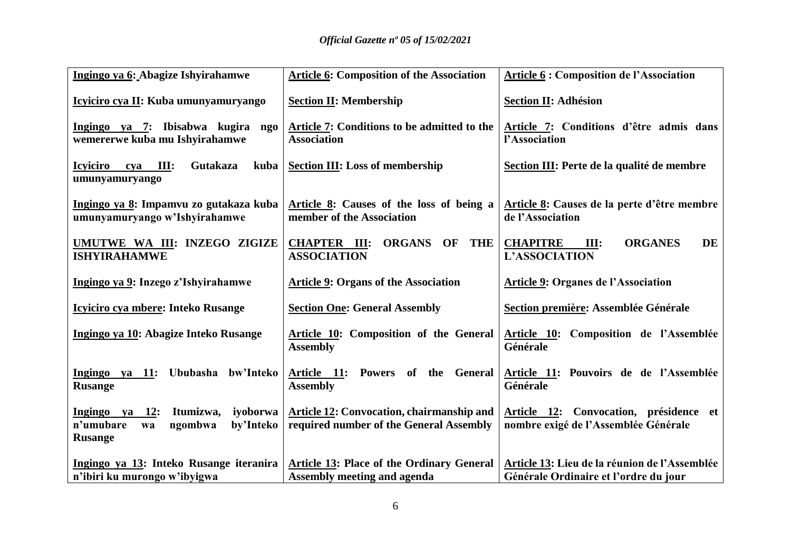| Ingingo ya 6: Abagize Ishyirahamwe                                                                | <b>Article 6: Composition of the Association</b>                                     | <b>Article 6: Composition de l'Association</b>                                         |
|---------------------------------------------------------------------------------------------------|--------------------------------------------------------------------------------------|----------------------------------------------------------------------------------------|
| Icyiciro cya II: Kuba umunyamuryango                                                              | <b>Section II: Membership</b>                                                        | <b>Section II: Adhésion</b>                                                            |
| Ingingo ya 7: Ibisabwa kugira<br>ngo<br>wemererwe kuba mu Ishyirahamwe                            | Article 7: Conditions to be admitted to the<br><b>Association</b>                    | Article 7: Conditions d'être admis dans<br>l'Association                               |
| <b>Icviciro</b><br>III:<br><b>Gutakaza</b><br>cva<br>kuba<br>umunyamuryango                       | <b>Section III: Loss of membership</b>                                               | Section III: Perte de la qualité de membre                                             |
| Ingingo ya 8: Impamvu zo gutakaza kuba<br>umunyamuryango w'Ishyirahamwe                           | Article 8: Causes of the loss of being a<br>member of the Association                | Article 8: Causes de la perte d'être membre<br>de l'Association                        |
| UMUTWE WA III: INZEGO ZIGIZE<br><b>ISHYIRAHAMWE</b>                                               | <b>CHAPTER III:</b><br><b>ORGANS</b><br>OF THE<br><b>ASSOCIATION</b>                 | <b>CHAPITRE</b><br><b>ORGANES</b><br><b>DE</b><br>III:<br>L'ASSOCIATION                |
| Ingingo ya 9: Inzego z'Ishyirahamwe                                                               | <b>Article 9: Organs of the Association</b>                                          | <b>Article 9: Organes de l'Association</b>                                             |
| <b>Icyliciro cya mbere: Inteko Rusange</b>                                                        | <b>Section One: General Assembly</b>                                                 | Section première: Assemblée Générale                                                   |
| Ingingo ya 10: Abagize Inteko Rusange                                                             | Article 10: Composition of the General<br><b>Assembly</b>                            | Article 10: Composition de l'Assemblée<br>Générale                                     |
| Ingingo ya 11: Ububasha bw'Inteko<br><b>Rusange</b>                                               | Article 11:<br><b>Powers</b><br>of the General<br><b>Assembly</b>                    | Article 11: Pouvoirs de de l'Assemblée<br>Générale                                     |
| Ingingo ya 12: Itumizwa,<br>iyoborwa<br>n'umubare<br>by'Inteko<br>ngombwa<br>wa<br><b>Rusange</b> | Article 12: Convocation, chairmanship and<br>required number of the General Assembly | Article 12: Convocation, présidence et<br>nombre exigé de l'Assemblée Générale         |
| Ingingo ya 13: Inteko Rusange iteranira<br>n'ibiri ku murongo w'ibyigwa                           | Article 13: Place of the Ordinary General<br><b>Assembly meeting and agenda</b>      | Article 13: Lieu de la réunion de l'Assemblée<br>Générale Ordinaire et l'ordre du jour |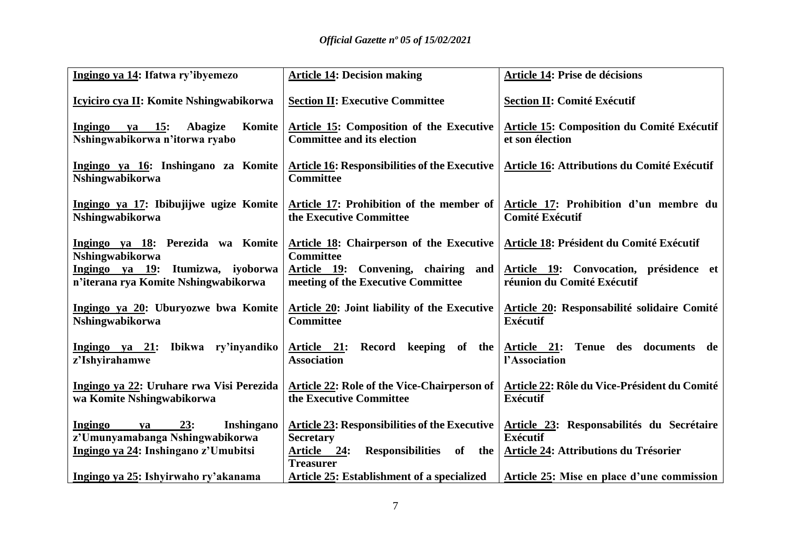| Ingingo ya 14: Ifatwa ry'ibyemezo                                               | <b>Article 14: Decision making</b>                                            | <b>Article 14: Prise de décisions</b>                                |
|---------------------------------------------------------------------------------|-------------------------------------------------------------------------------|----------------------------------------------------------------------|
| Icyiciro cya II: Komite Nshingwabikorwa                                         | <b>Section II: Executive Committee</b>                                        | <b>Section II: Comité Exécutif</b>                                   |
| ya 15:<br>Ingingo<br><b>Abagize</b><br>Komite<br>Nshingwabikorwa n'itorwa ryabo | Article 15: Composition of the Executive<br><b>Committee and its election</b> | Article 15: Composition du Comité Exécutif<br>et son élection        |
| Ingingo ya 16: Inshingano za Komite<br>Nshingwabikorwa                          | <b>Article 16: Responsibilities of the Executive</b><br><b>Committee</b>      | Article 16: Attributions du Comité Exécutif                          |
| Ingingo ya 17: Ibibujijwe ugize Komite<br>Nshingwabikorwa                       | Article 17: Prohibition of the member of<br>the Executive Committee           | Article 17: Prohibition d'un membre du<br><b>Comité Exécutif</b>     |
| Ingingo ya 18: Perezida wa Komite<br>Nshingwabikorwa                            | Article 18: Chairperson of the Executive<br><b>Committee</b>                  | Article 18: Président du Comité Exécutif                             |
| Itumizwa, iyoborwa<br>Ingingo ya 19:<br>n'iterana rya Komite Nshingwabikorwa    | Article 19: Convening, chairing and<br>meeting of the Executive Committee     | Article 19: Convocation, présidence et<br>réunion du Comité Exécutif |
| Ingingo ya 20: Uburyozwe bwa Komite<br>Nshingwabikorwa                          | Article 20: Joint liability of the Executive<br><b>Committee</b>              | Article 20: Responsabilité solidaire Comité<br><b>Exécutif</b>       |
| Ingingo ya 21: Ibikwa ry'inyandiko<br>z'Ishyirahamwe                            | Article 21: Record keeping of the<br><b>Association</b>                       | Article 21: Tenue des documents de<br>l'Association                  |
| Ingingo ya 22: Uruhare rwa Visi Perezida<br>wa Komite Nshingwabikorwa           | <b>Article 22: Role of the Vice-Chairperson of</b><br>the Executive Committee | Article 22: Rôle du Vice-Président du Comité<br><b>Exécutif</b>      |
| 23:<br>Ingingo<br><b>Inshingano</b><br>ya<br>z'Umunyamabanga Nshingwabikorwa    | <b>Article 23: Responsibilities of the Executive</b><br><b>Secretary</b>      | Article 23: Responsabilités du Secrétaire<br><b>Exécutif</b>         |
| Ingingo ya 24: Inshingano z'Umubitsi                                            | Responsibilities of the<br><u>Article 24:</u><br><b>Treasurer</b>             | <b>Article 24: Attributions du Trésorier</b>                         |
| Ingingo ya 25: Ishyirwaho ry'akanama                                            | <b>Article 25: Establishment of a specialized</b>                             | <b>Article 25:</b> Mise en place d'une commission                    |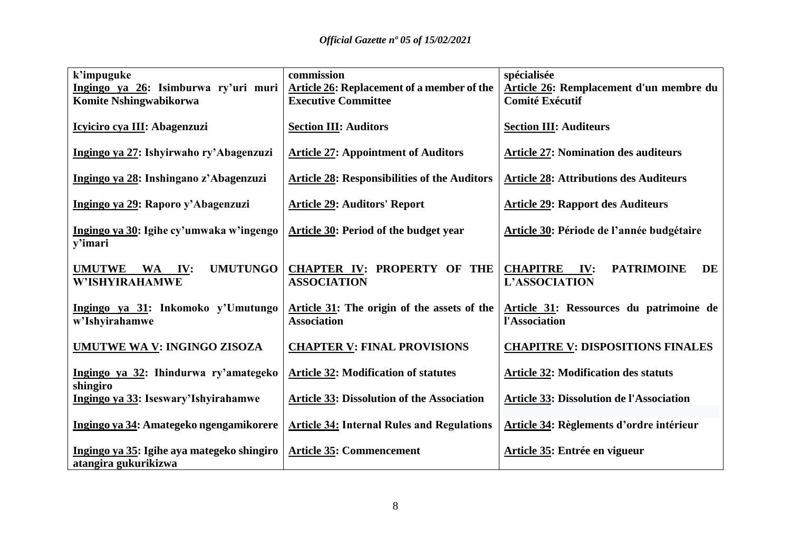| k'impuguke                                    | commission                                          | spécialisée                                       |
|-----------------------------------------------|-----------------------------------------------------|---------------------------------------------------|
| Ingingo ya 26: Isimburwa ry'uri muri          | <b>Article 26: Replacement of a member of the</b>   | Article 26: Remplacement d'un membre du           |
| <b>Komite Nshingwabikorwa</b>                 | <b>Executive Committee</b>                          | <b>Comité Exécutif</b>                            |
|                                               |                                                     |                                                   |
| Icyiciro cya III: Abagenzuzi                  | <b>Section III: Auditors</b>                        | <b>Section III: Auditeurs</b>                     |
|                                               |                                                     |                                                   |
| Ingingo ya 27: Ishyirwaho ry'Abagenzuzi       | <b>Article 27: Appointment of Auditors</b>          | <b>Article 27: Nomination des auditeurs</b>       |
|                                               |                                                     |                                                   |
|                                               |                                                     |                                                   |
| Ingingo ya 28: Inshingano z'Abagenzuzi        | <b>Article 28: Responsibilities of the Auditors</b> | <b>Article 28: Attributions des Auditeurs</b>     |
|                                               |                                                     |                                                   |
| Ingingo ya 29: Raporo y'Abagenzuzi            | <b>Article 29: Auditors' Report</b>                 | <b>Article 29: Rapport des Auditeurs</b>          |
|                                               |                                                     |                                                   |
| Ingingo ya 30: Igihe cy'umwaka w'ingengo      | Article 30: Period of the budget year               | Article 30: Période de l'année budgétaire         |
| y'imari                                       |                                                     |                                                   |
|                                               |                                                     |                                                   |
| <b>UMUTUNGO</b><br><b>UMUTWE</b><br>WA<br>IV: | <b>CHAPTER IV: PROPERTY OF THE</b>                  | <b>CHAPITRE</b><br>IV:<br><b>PATRIMOINE</b><br>DE |
| W'ISHYIRAHAMWE                                | <b>ASSOCIATION</b>                                  | <b>L'ASSOCIATION</b>                              |
|                                               |                                                     |                                                   |
| Ingingo ya 31: Inkomoko y'Umutungo            | Article 31: The origin of the assets of the         | Article 31: Ressources du patrimoine de           |
| w'Ishyirahamwe                                | <b>Association</b>                                  | l'Association                                     |
|                                               |                                                     |                                                   |
| UMUTWE WA V: INGINGO ZISOZA                   | <b>CHAPTER V: FINAL PROVISIONS</b>                  | <b>CHAPITRE V: DISPOSITIONS FINALES</b>           |
|                                               |                                                     |                                                   |
| Ingingo ya 32: Ihindurwa ry'amategeko         | <b>Article 32: Modification of statutes</b>         | <b>Article 32: Modification des statuts</b>       |
| shingiro                                      |                                                     |                                                   |
|                                               | <b>Article 33: Dissolution of the Association</b>   | <b>Article 33: Dissolution de l'Association</b>   |
| Ingingo ya 33: Iseswary'Ishyirahamwe          |                                                     |                                                   |
|                                               |                                                     |                                                   |
| Ingingo ya 34: Amategeko ngengamikorere       | <b>Article 34: Internal Rules and Regulations</b>   | Article 34: Règlements d'ordre intérieur          |
|                                               |                                                     |                                                   |
| Ingingo ya 35: Igihe aya mategeko shingiro    | <b>Article 35: Commencement</b>                     | Article 35: Entrée en vigueur                     |
| atangira gukurikizwa                          |                                                     |                                                   |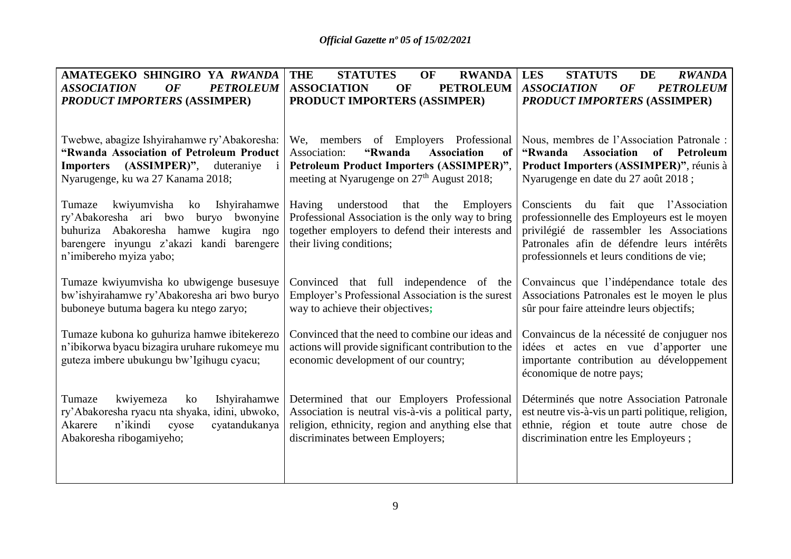| AMATEGEKO SHINGIRO YA RWANDA                                                              | <b>THE</b><br><b>STATUTES</b><br>OF<br><b>RWANDA</b>                                         | <b>LES</b><br><b>STATUTS</b><br>DE<br><b>RWANDA</b>                                     |
|-------------------------------------------------------------------------------------------|----------------------------------------------------------------------------------------------|-----------------------------------------------------------------------------------------|
| <b>PETROLEUM</b><br><b>ASSOCIATION</b><br><b>OF</b>                                       | <b>PETROLEUM</b><br><b>ASSOCIATION</b><br>OF                                                 | <b>ASSOCIATION</b><br><b>OF</b><br><b>PETROLEUM</b>                                     |
| <b>PRODUCT IMPORTERS (ASSIMPER)</b>                                                       | PRODUCT IMPORTERS (ASSIMPER)                                                                 | <b>PRODUCT IMPORTERS (ASSIMPER)</b>                                                     |
|                                                                                           |                                                                                              |                                                                                         |
| Twebwe, abagize Ishyirahamwe ry'Abakoresha:                                               | We, members of Employers Professional                                                        | Nous, membres de l'Association Patronale :                                              |
| "Rwanda Association of Petroleum Product                                                  | "Rwanda<br><b>Association</b><br>Association:<br>of                                          | "Rwanda<br>Association<br>of Petroleum                                                  |
| $(ASSIMPER)$ ",<br><b>Importers</b><br>duteraniye<br>i.                                   | Petroleum Product Importers (ASSIMPER)",                                                     | Product Importers (ASSIMPER)", réunis à                                                 |
| Nyarugenge, ku wa 27 Kanama 2018;                                                         | meeting at Nyarugenge on 27 <sup>th</sup> August 2018;                                       | Nyarugenge en date du 27 août 2018 ;                                                    |
|                                                                                           |                                                                                              |                                                                                         |
| kwiyumvisha<br>Tumaze<br>Ishyirahamwe<br>ko                                               | understood<br>that<br>Employers<br>Having<br>the                                             | du fait que l'Association<br>Conscients                                                 |
| ry'Abakoresha ari bwo<br>buryo bwonyine                                                   | Professional Association is the only way to bring                                            | professionnelle des Employeurs est le moyen                                             |
| buhuriza Abakoresha hamwe kugira ngo<br>barengere inyungu z'akazi kandi barengere         | together employers to defend their interests and<br>their living conditions;                 | privilégié de rassembler les Associations<br>Patronales afin de défendre leurs intérêts |
| n'imibereho myiza yabo;                                                                   |                                                                                              | professionnels et leurs conditions de vie;                                              |
|                                                                                           |                                                                                              |                                                                                         |
| Tumaze kwiyumvisha ko ubwigenge busesuye                                                  | Convinced that full independence of the                                                      | Convaincus que l'indépendance totale des                                                |
| bw'ishyirahamwe ry'Abakoresha ari bwo buryo                                               | Employer's Professional Association is the surest                                            | Associations Patronales est le moyen le plus                                            |
| buboneye butuma bagera ku ntego zaryo;                                                    | way to achieve their objectives;                                                             | sûr pour faire atteindre leurs objectifs;                                               |
|                                                                                           |                                                                                              |                                                                                         |
| Tumaze kubona ko guhuriza hamwe ibitekerezo                                               | Convinced that the need to combine our ideas and                                             | Convaincus de la nécessité de conjuguer nos                                             |
| n'ibikorwa byacu bizagira uruhare rukomeye mu<br>guteza imbere ubukungu bw'lgihugu cyacu; | actions will provide significant contribution to the<br>economic development of our country; | idées et actes en vue d'apporter une<br>importante contribution au développement        |
|                                                                                           |                                                                                              | économique de notre pays;                                                               |
|                                                                                           |                                                                                              |                                                                                         |
| kwiyemeza<br>Ishyirahamwe<br>Tumaze<br>ko                                                 | Determined that our Employers Professional                                                   | Déterminés que notre Association Patronale                                              |
| ry'Abakoresha ryacu nta shyaka, idini, ubwoko,                                            | Association is neutral vis-à-vis a political party,                                          | est neutre vis-à-vis un parti politique, religion,                                      |
| n'ikindi<br>Akarere<br>cyatandukanya<br>cyose                                             | religion, ethnicity, region and anything else that                                           | ethnie, région et toute autre chose de                                                  |
| Abakoresha ribogamiyeho;                                                                  | discriminates between Employers;                                                             | discrimination entre les Employeurs;                                                    |
|                                                                                           |                                                                                              |                                                                                         |
|                                                                                           |                                                                                              |                                                                                         |
|                                                                                           |                                                                                              |                                                                                         |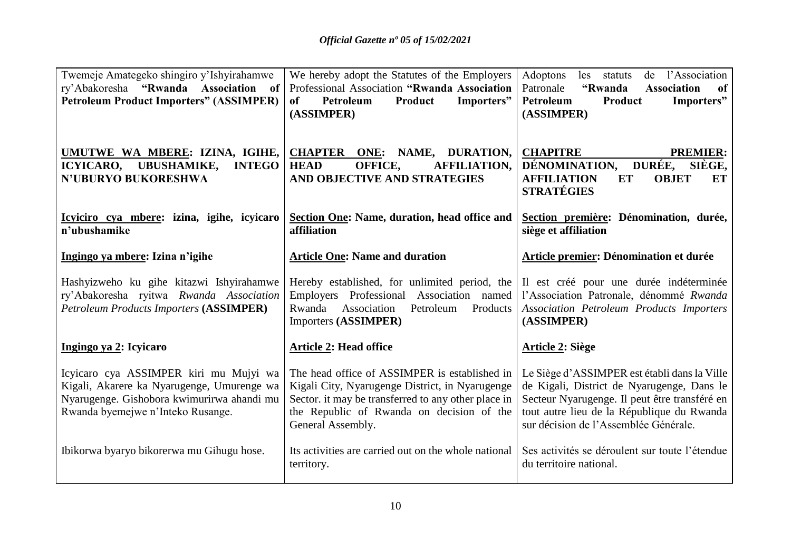| Twemeje Amategeko shingiro y'Ishyirahamwe<br>ry'Abakoresha "Rwanda Association of<br><b>Petroleum Product Importers" (ASSIMPER)</b>                                     | We hereby adopt the Statutes of the Employers<br>Professional Association "Rwanda Association<br>Petroleum<br>Product<br>Importers"<br><sub>of</sub><br>(ASSIMPER)                                                        | Adoptons<br>de l'Association<br>les statuts<br>"Rwanda<br>Patronale<br><b>Association</b><br>of<br>Importers"<br>Petroleum<br>Product<br>(ASSIMPER)                                                                                |
|-------------------------------------------------------------------------------------------------------------------------------------------------------------------------|---------------------------------------------------------------------------------------------------------------------------------------------------------------------------------------------------------------------------|------------------------------------------------------------------------------------------------------------------------------------------------------------------------------------------------------------------------------------|
| <b>UMUTWE WA MBERE: IZINA, IGIHE,</b><br>ICYICARO, UBUSHAMIKE,<br><b>INTEGO</b><br><b>N'UBURYO BUKORESHWA</b>                                                           | <b>CHAPTER ONE: NAME, DURATION,</b><br>OFFICE,<br><b>AFFILIATION,</b><br><b>HEAD</b><br>AND OBJECTIVE AND STRATEGIES                                                                                                      | <b>CHAPITRE</b><br><b>PREMIER:</b><br>DÉNOMINATION,<br><b>DURÉE,</b><br>SIÈGE,<br><b>AFFILIATION</b><br><b>OBJET</b><br>ET<br>ET<br><b>STRATÉGIES</b>                                                                              |
| Icyiciro cya mbere: izina, igihe, icyicaro<br>n'ubushamike                                                                                                              | Section One: Name, duration, head office and<br>affiliation                                                                                                                                                               | Section première: Dénomination, durée,<br>siège et affiliation                                                                                                                                                                     |
| Ingingo ya mbere: Izina n'igihe                                                                                                                                         | <b>Article One: Name and duration</b>                                                                                                                                                                                     | Article premier: Dénomination et durée                                                                                                                                                                                             |
| Hashyizweho ku gihe kitazwi Ishyirahamwe<br>ry'Abakoresha ryitwa Rwanda Association<br><b>Petroleum Products Importers (ASSIMPER)</b>                                   | Hereby established, for unlimited period, the<br>Employers Professional Association named<br>Rwanda<br>Association<br>Petroleum<br>Products<br>Importers (ASSIMPER)                                                       | Il est créé pour une durée indéterminée<br>l'Association Patronale, dénommé Rwanda<br><b>Association Petroleum Products Importers</b><br>(ASSIMPER)                                                                                |
| Ingingo ya 2: Icyicaro                                                                                                                                                  | <b>Article 2: Head office</b>                                                                                                                                                                                             | <b>Article 2: Siège</b>                                                                                                                                                                                                            |
| Icyicaro cya ASSIMPER kiri mu Mujyi wa<br>Kigali, Akarere ka Nyarugenge, Umurenge wa<br>Nyarugenge. Gishobora kwimurirwa ahandi mu<br>Rwanda byemejwe n'Inteko Rusange. | The head office of ASSIMPER is established in<br>Kigali City, Nyarugenge District, in Nyarugenge<br>Sector. it may be transferred to any other place in<br>the Republic of Rwanda on decision of the<br>General Assembly. | Le Siège d'ASSIMPER est établi dans la Ville<br>de Kigali, District de Nyarugenge, Dans le<br>Secteur Nyarugenge. Il peut être transféré en<br>tout autre lieu de la République du Rwanda<br>sur décision de l'Assemblée Générale. |
| Ibikorwa byaryo bikorerwa mu Gihugu hose.                                                                                                                               | Its activities are carried out on the whole national<br>territory.                                                                                                                                                        | Ses activités se déroulent sur toute l'étendue<br>du territoire national.                                                                                                                                                          |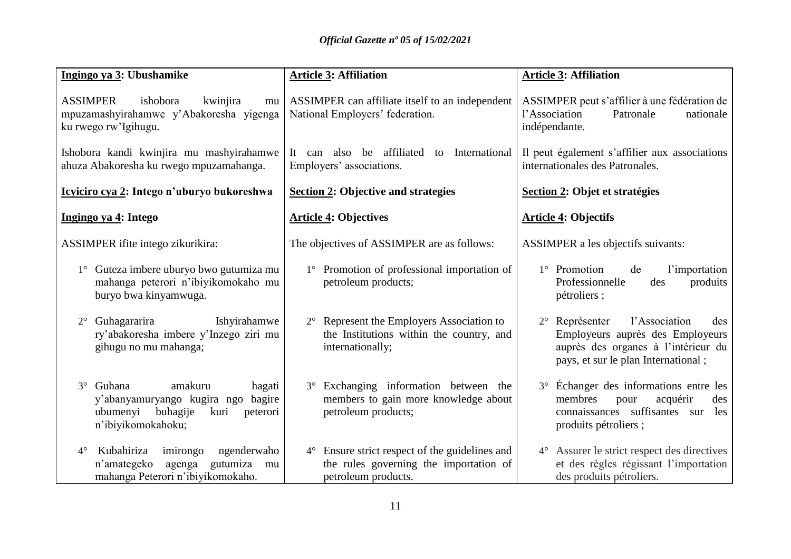| Ingingo ya 3: Ubushamike                                                                                                               | <b>Article 3: Affiliation</b>                                                                                               | <b>Article 3: Affiliation</b>                                                                                                                                     |
|----------------------------------------------------------------------------------------------------------------------------------------|-----------------------------------------------------------------------------------------------------------------------------|-------------------------------------------------------------------------------------------------------------------------------------------------------------------|
| <b>ASSIMPER</b><br>ishobora<br>kwinjira<br>mu<br>mpuzamashyirahamwe y'Abakoresha yigenga<br>ku rwego rw'Igihugu.                       | ASSIMPER can affiliate itself to an independent<br>National Employers' federation.                                          | ASSIMPER peut s'affilier à une fédération de<br>l'Association<br>Patronale<br>nationale<br>indépendante.                                                          |
| Ishobora kandi kwinjira mu mashyirahamwe<br>ahuza Abakoresha ku rwego mpuzamahanga.                                                    | also be affiliated to<br>International<br>It<br>can<br>Employers' associations.                                             | Il peut également s'affilier aux associations<br>internationales des Patronales.                                                                                  |
| Icyiciro cya 2: Intego n'uburyo bukoreshwa                                                                                             | <b>Section 2: Objective and strategies</b>                                                                                  | Section 2: Objet et stratégies                                                                                                                                    |
| Ingingo ya 4: Intego                                                                                                                   | <b>Article 4: Objectives</b>                                                                                                | <b>Article 4: Objectifs</b>                                                                                                                                       |
| ASSIMPER ifite intego zikurikira:                                                                                                      | The objectives of ASSIMPER are as follows:                                                                                  | ASSIMPER a les objectifs suivants:                                                                                                                                |
| 1° Guteza imbere uburyo bwo gutumiza mu<br>mahanga peterori n'ibiyikomokaho mu<br>buryo bwa kinyamwuga.                                | 1° Promotion of professional importation of<br>petroleum products;                                                          | 1° Promotion<br>de<br>l'importation<br>Professionnelle<br>des<br>produits<br>pétroliers;                                                                          |
| Guhagararira<br>Ishyirahamwe<br>$2^{\circ}$<br>ry'abakoresha imbere y'Inzego ziri mu<br>gihugu no mu mahanga;                          | Represent the Employers Association to<br>$2^{\circ}$<br>the Institutions within the country, and<br>internationally;       | l'Association<br>$2^{\circ}$ Représenter<br>des<br>Employeurs auprès des Employeurs<br>auprès des organes à l'intérieur du<br>pays, et sur le plan International; |
| amakuru<br>3° Guhana<br>hagati<br>y'abanyamuryango kugira ngo bagire<br>buhagije<br>ubumenyi<br>kuri<br>peterori<br>n'ibiyikomokahoku; | Exchanging information between the<br>$3^{\circ}$<br>members to gain more knowledge about<br>petroleum products;            | 3° Échanger des informations entre les<br>membres<br>acquérir<br>pour<br>des<br>connaissances suffisantes sur<br>les<br>produits pétroliers ;                     |
| Kubahiriza<br>imirongo<br>ngenderwaho<br>$4^\circ$<br>agenga gutumiza mu<br>n'amategeko<br>mahanga Peterori n'ibiyikomokaho.           | Ensure strict respect of the guidelines and<br>$4^{\circ}$<br>the rules governing the importation of<br>petroleum products. | 4° Assurer le strict respect des directives<br>et des règles régissant l'importation<br>des produits pétroliers.                                                  |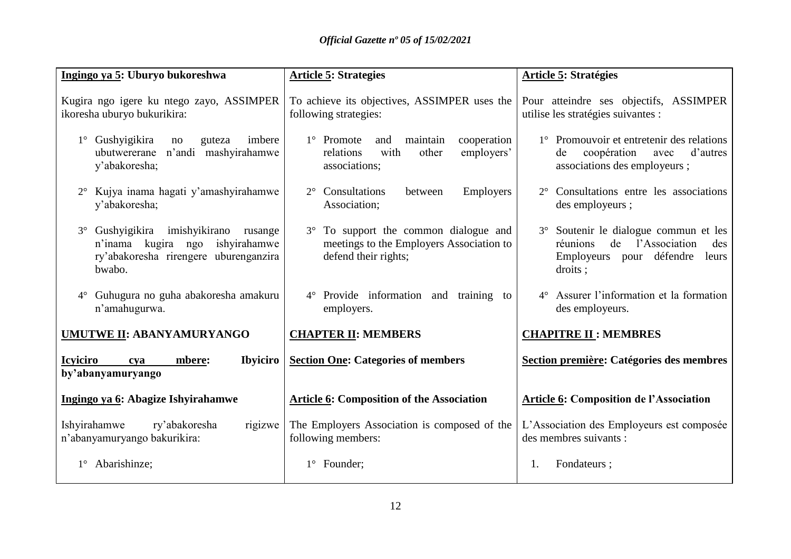| Ingingo ya 5: Uburyo bukoreshwa                                                                                                          | <b>Article 5: Strategies</b>                                                                                        | <b>Article 5: Stratégies</b>                                                                                                    |
|------------------------------------------------------------------------------------------------------------------------------------------|---------------------------------------------------------------------------------------------------------------------|---------------------------------------------------------------------------------------------------------------------------------|
| Kugira ngo igere ku ntego zayo, ASSIMPER<br>ikoresha uburyo bukurikira:                                                                  | To achieve its objectives, ASSIMPER uses the<br>following strategies:                                               | Pour atteindre ses objectifs, ASSIMPER<br>utilise les stratégies suivantes :                                                    |
| 1° Gushyigikira<br>imbere<br>guteza<br>no<br>n'andi mashyirahamwe<br>ubutwererane<br>y'abakoresha;                                       | maintain<br>cooperation<br>$1^\circ$ Promote<br>and<br>employers'<br>relations<br>with<br>other<br>associations;    | 1° Promouvoir et entretenir des relations<br>coopération<br>d'autres<br>de<br>avec<br>associations des employeurs ;             |
| Kujya inama hagati y'amashyirahamwe<br>y'abakoresha;                                                                                     | Consultations<br><b>Employers</b><br>$2^{\circ}$<br>between<br>Association;                                         | 2° Consultations entre les associations<br>des employeurs ;                                                                     |
| Gushyigikira imishyikirano<br>$3^\circ$<br>rusange<br>n'inama kugira ngo ishyirahamwe<br>ry'abakoresha rirengere uburenganzira<br>bwabo. | To support the common dialogue and<br>$3^\circ$<br>meetings to the Employers Association to<br>defend their rights; | 3° Soutenir le dialogue commun et les<br>de l'Association<br>réunions<br>des<br>défendre<br>Employeurs pour<br>leurs<br>droits; |
| 4° Guhugura no guha abakoresha amakuru<br>n'amahugurwa.                                                                                  | $4^{\circ}$ Provide information and training to<br>employers.                                                       | 4° Assurer l'information et la formation<br>des employeurs.                                                                     |
| <b>UMUTWE II: ABANYAMURYANGO</b>                                                                                                         | <b>CHAPTER II: MEMBERS</b>                                                                                          | <b>CHAPITRE II: MEMBRES</b>                                                                                                     |
| <b>Icviciro</b><br><b>Ibyiciro</b><br>mbere:<br>cya<br>by'abanyamuryango                                                                 | <b>Section One: Categories of members</b>                                                                           | Section première: Catégories des membres                                                                                        |
| Ingingo ya 6: Abagize Ishyirahamwe                                                                                                       | <b>Article 6: Composition of the Association</b>                                                                    | <b>Article 6: Composition de l'Association</b>                                                                                  |
| Ishyirahamwe<br>ry'abakoresha<br>rigizwe<br>n'abanyamuryango bakurikira:                                                                 | The Employers Association is composed of the<br>following members:                                                  | L'Association des Employeurs est composée<br>des membres suivants :                                                             |
| Abarishinze;                                                                                                                             | 1° Founder;                                                                                                         | Fondateurs;<br>1.                                                                                                               |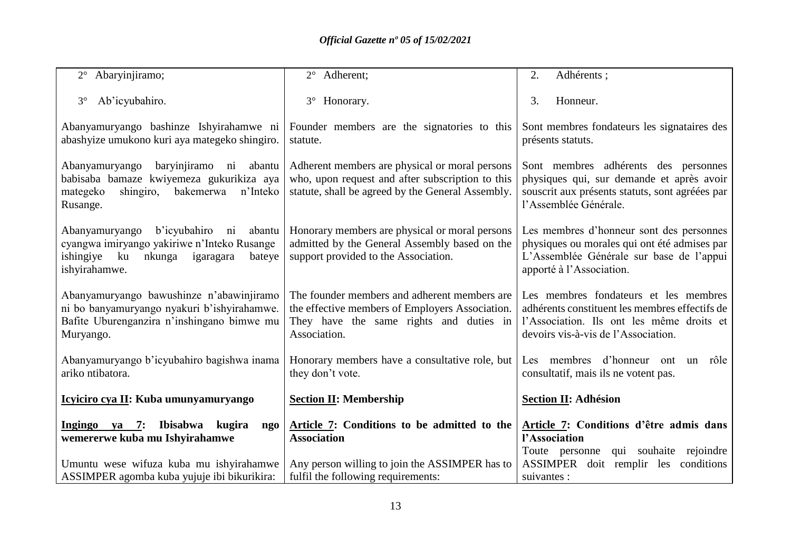| 2° Abaryinjiramo;                                                                                                                                                                      | 2° Adherent;                                                                                                                                               | 2.<br>Adhérents ;                                                                                                                                                           |
|----------------------------------------------------------------------------------------------------------------------------------------------------------------------------------------|------------------------------------------------------------------------------------------------------------------------------------------------------------|-----------------------------------------------------------------------------------------------------------------------------------------------------------------------------|
| Ab'icyubahiro.<br>$3^\circ$                                                                                                                                                            | Honorary.<br>$3^\circ$                                                                                                                                     | 3.<br>Honneur.                                                                                                                                                              |
| Abanyamuryango bashinze Ishyirahamwe ni<br>abashyize umukono kuri aya mategeko shingiro.                                                                                               | Founder members are the signatories to this<br>statute.                                                                                                    | Sont membres fondateurs les signataires des<br>présents statuts.                                                                                                            |
| baryinjiramo ni<br>Abanyamuryango<br>abantu<br>babisaba bamaze kwiyemeza gukurikiza aya<br>mategeko<br>shingiro,<br>bakemerwa<br>n'Inteko<br>Rusange.                                  | Adherent members are physical or moral persons<br>who, upon request and after subscription to this<br>statute, shall be agreed by the General Assembly.    | Sont membres adhérents des personnes<br>physiques qui, sur demande et après avoir<br>souscrit aux présents statuts, sont agréées par<br>l'Assemblée Générale.               |
| b'icyubahiro<br>Abanyamuryango<br>$\overline{\text{ni}}$<br>abantu<br>cyangwa imiryango yakiriwe n'Inteko Rusange<br>ishingiye<br>ku<br>nkunga<br>igaragara<br>bateye<br>ishyirahamwe. | Honorary members are physical or moral persons<br>admitted by the General Assembly based on the<br>support provided to the Association.                    | Les membres d'honneur sont des personnes<br>physiques ou morales qui ont été admises par<br>L'Assemblée Générale sur base de l'appui<br>apporté à l'Association.            |
| Abanyamuryango bawushinze n'abawinjiramo<br>ni bo banyamuryango nyakuri b'ishyirahamwe.<br>Bafite Uburenganzira n'inshingano bimwe mu<br>Muryango.                                     | The founder members and adherent members are<br>the effective members of Employers Association.<br>They have the same rights and duties in<br>Association. | Les membres fondateurs et les membres<br>adhérents constituent les membres effectifs de<br>l'Association. Ils ont les même droits et<br>devoirs vis-à-vis de l'Association. |
| Abanyamuryango b'icyubahiro bagishwa inama<br>ariko ntibatora.                                                                                                                         | Honorary members have a consultative role, but<br>they don't vote.                                                                                         | Les membres d'honneur ont<br>un rôle<br>consultatif, mais ils ne votent pas.                                                                                                |
| Icyiciro cya II: Kuba umunyamuryango                                                                                                                                                   | <b>Section II: Membership</b>                                                                                                                              | <b>Section II: Adhésion</b>                                                                                                                                                 |
| Ibisabwa<br>Ingingo ya $7:$<br>kugira<br>ngo<br>wemererwe kuba mu Ishyirahamwe                                                                                                         | Article 7: Conditions to be admitted to the<br><b>Association</b>                                                                                          | Article 7: Conditions d'être admis dans<br>l'Association<br>Toute personne qui souhaite rejoindre                                                                           |
| Umuntu wese wifuza kuba mu ishyirahamwe<br>ASSIMPER agomba kuba yujuje ibi bikurikira:                                                                                                 | Any person willing to join the ASSIMPER has to<br>fulfil the following requirements:                                                                       | ASSIMPER doit remplir les conditions<br>suivantes :                                                                                                                         |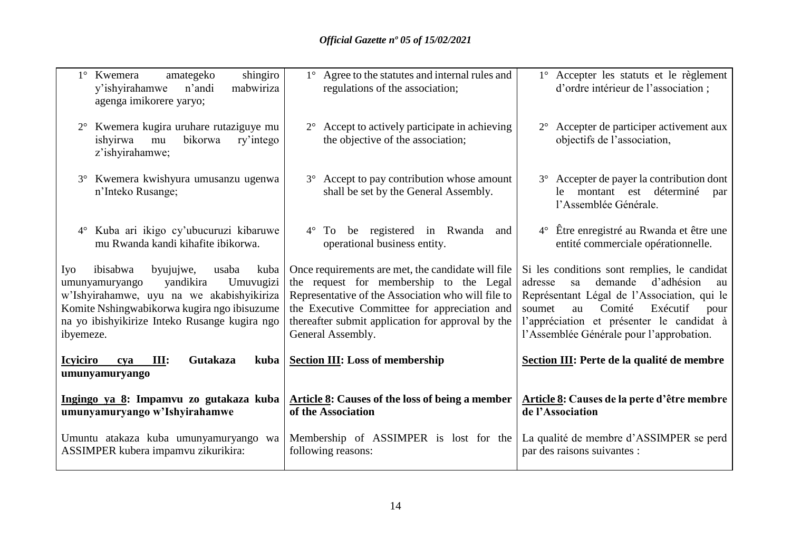| shingiro<br>amategeko<br>$1^{\circ}$ Kwemera<br>y'ishyirahamwe<br>n'andi<br>mabwiriza<br>agenga imikorere yaryo;                                                                                                                                    | 1° Agree to the statutes and internal rules and<br>regulations of the association;                                                                                                                                                                                            | 1° Accepter les statuts et le règlement<br>d'ordre intérieur de l'association;                                                                                                                                                                                                     |
|-----------------------------------------------------------------------------------------------------------------------------------------------------------------------------------------------------------------------------------------------------|-------------------------------------------------------------------------------------------------------------------------------------------------------------------------------------------------------------------------------------------------------------------------------|------------------------------------------------------------------------------------------------------------------------------------------------------------------------------------------------------------------------------------------------------------------------------------|
| Kwemera kugira uruhare rutaziguye mu<br>ishyirwa<br>bikorwa<br>ry'intego<br>mu<br>z'ishyirahamwe;                                                                                                                                                   | 2° Accept to actively participate in achieving<br>the objective of the association;                                                                                                                                                                                           | 2° Accepter de participer activement aux<br>objectifs de l'association,                                                                                                                                                                                                            |
| Kwemera kwishyura umusanzu ugenwa<br>$3^\circ$<br>n'Inteko Rusange;                                                                                                                                                                                 | 3° Accept to pay contribution whose amount<br>shall be set by the General Assembly.                                                                                                                                                                                           | 3° Accepter de payer la contribution dont<br>le montant est déterminé<br>par<br>l'Assemblée Générale.                                                                                                                                                                              |
| Kuba ari ikigo cy'ubucuruzi kibaruwe<br>$4^{\circ}$<br>mu Rwanda kandi kihafite ibikorwa.                                                                                                                                                           | be registered in Rwanda<br>$4^{\circ}$<br>To<br>and<br>operational business entity.                                                                                                                                                                                           | 4° Être enregistré au Rwanda et être une<br>entité commerciale opérationnelle.                                                                                                                                                                                                     |
| ibisabwa<br>byujujwe,<br>usaba<br>Iyo<br>kuba<br>Umuvugizi<br>yandikira<br>umunyamuryango<br>w'Ishyirahamwe, uyu na we akabishyikiriza<br>Komite Nshingwabikorwa kugira ngo ibisuzume<br>na yo ibishyikirize Inteko Rusange kugira ngo<br>ibyemeze. | Once requirements are met, the candidate will file<br>the request for membership to the Legal<br>Representative of the Association who will file to<br>the Executive Committee for appreciation and<br>thereafter submit application for approval by the<br>General Assembly. | Si les conditions sont remplies, le candidat<br>demande<br>d'adhésion<br>adresse<br>sa<br>au<br>Représentant Légal de l'Association, qui le<br>Comité<br>Exécutif<br>soumet<br>au<br>pour<br>l'appréciation et présenter le candidat à<br>l'Assemblée Générale pour l'approbation. |
| <b>Icyiciro</b><br>III:<br>Gutakaza<br>kuba<br>cva<br>umunyamuryango                                                                                                                                                                                | <b>Section III: Loss of membership</b>                                                                                                                                                                                                                                        | Section III: Perte de la qualité de membre                                                                                                                                                                                                                                         |
| Ingingo ya 8: Impamvu zo gutakaza kuba<br>umunyamuryango w'Ishyirahamwe                                                                                                                                                                             | <b>Article 8:</b> Causes of the loss of being a member<br>of the Association                                                                                                                                                                                                  | Article 8: Causes de la perte d'être membre<br>de l'Association                                                                                                                                                                                                                    |
| Umuntu atakaza kuba umunyamuryango wa<br>ASSIMPER kubera impamvu zikurikira:                                                                                                                                                                        | Membership of ASSIMPER is lost for the<br>following reasons:                                                                                                                                                                                                                  | La qualité de membre d'ASSIMPER se perd<br>par des raisons suivantes :                                                                                                                                                                                                             |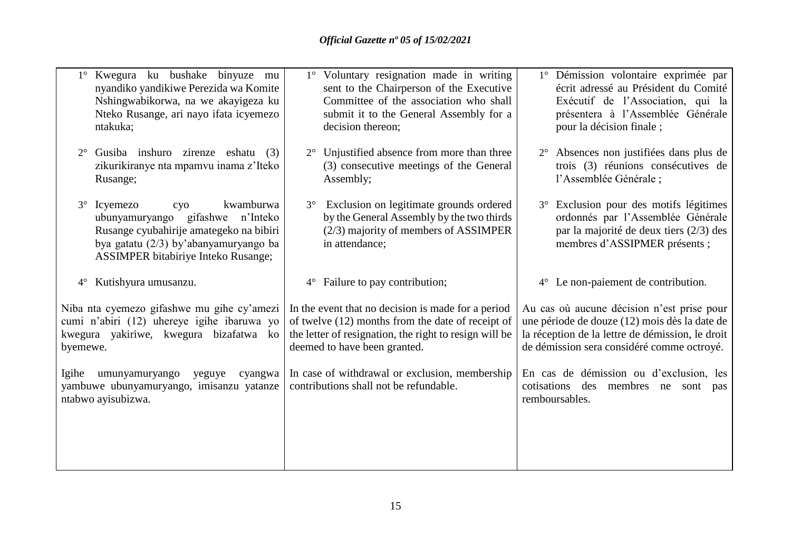| 1° Kwegura ku bushake binyuze mu<br>nyandiko yandikiwe Perezida wa Komite<br>Nshingwabikorwa, na we akayigeza ku<br>Nteko Rusange, ari nayo ifata icyemezo<br>ntakuka;                                      | 1° Voluntary resignation made in writing<br>sent to the Chairperson of the Executive<br>Committee of the association who shall<br>submit it to the General Assembly for a<br>decision thereon;    | 1° Démission volontaire exprimée par<br>écrit adressé au Président du Comité<br>Exécutif de l'Association, qui la<br>présentera à l'Assemblée Générale<br>pour la décision finale;            |
|-------------------------------------------------------------------------------------------------------------------------------------------------------------------------------------------------------------|---------------------------------------------------------------------------------------------------------------------------------------------------------------------------------------------------|-----------------------------------------------------------------------------------------------------------------------------------------------------------------------------------------------|
| Gusiba inshuro zirenze eshatu<br>$2^{\circ}$<br>(3)<br>zikurikiranye nta mpamvu inama z'Iteko<br>Rusange;                                                                                                   | Unjustified absence from more than three<br>$2^{\circ}$<br>(3) consecutive meetings of the General<br>Assembly;                                                                                   | 2° Absences non justifiées dans plus de<br>trois (3) réunions consécutives de<br>l'Assemblée Générale ;                                                                                       |
| 3° Icyemezo<br>kwamburwa<br>cyo<br>gifashwe<br>n'Inteko<br>ubunyamuryango<br>Rusange cyubahirije amategeko na bibiri<br>bya gatatu (2/3) by'abanyamuryango ba<br><b>ASSIMPER</b> bitabiriye Inteko Rusange; | Exclusion on legitimate grounds ordered<br>$3^\circ$<br>by the General Assembly by the two thirds<br>(2/3) majority of members of ASSIMPER<br>in attendance;                                      | 3° Exclusion pour des motifs légitimes<br>ordonnés par l'Assemblée Générale<br>par la majorité de deux tiers (2/3) des<br>membres d'ASSIPMER présents ;                                       |
| Kutishyura umusanzu.<br>$4^{\circ}$                                                                                                                                                                         | Failure to pay contribution;<br>$4^{\circ}$                                                                                                                                                       | 4° Le non-paiement de contribution.                                                                                                                                                           |
| Niba nta cyemezo gifashwe mu gihe cy'amezi<br>cumi n'abiri (12) uhereye igihe ibaruwa yo<br>kwegura yakiriwe, kwegura bizafatwa ko<br>byemewe.                                                              | In the event that no decision is made for a period<br>of twelve (12) months from the date of receipt of<br>the letter of resignation, the right to resign will be<br>deemed to have been granted. | Au cas où aucune décision n'est prise pour<br>une période de douze (12) mois dès la date de<br>la réception de la lettre de démission, le droit<br>de démission sera considéré comme octroyé. |
| umunyamuryango<br>Igihe<br>yeguye<br>cyangwa<br>yambuwe ubunyamuryango, imisanzu yatanze<br>ntabwo ayisubizwa.                                                                                              | In case of withdrawal or exclusion, membership<br>contributions shall not be refundable.                                                                                                          | En cas de démission ou d'exclusion, les<br>cotisations des<br>membres ne sont<br>pas<br>remboursables.                                                                                        |
|                                                                                                                                                                                                             |                                                                                                                                                                                                   |                                                                                                                                                                                               |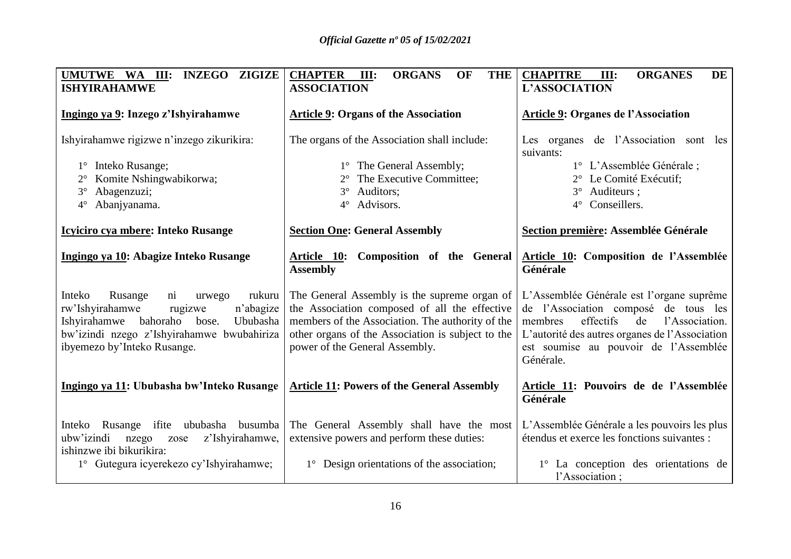| <b>ZIGIZE</b><br>UMUTWE WA III:<br><b>INZEGO</b><br><b>ISHYIRAHAMWE</b>                                                                                                                                                               | <b>CHAPTER</b><br><b>ORGANS</b><br>OF<br><b>THE</b><br>III:<br><b>ASSOCIATION</b>                                                                                                                                                        | <b>CHAPITRE</b><br><b>ORGANES</b><br><b>DE</b><br>III:<br><b>L'ASSOCIATION</b>                                                                                                                                                            |
|---------------------------------------------------------------------------------------------------------------------------------------------------------------------------------------------------------------------------------------|------------------------------------------------------------------------------------------------------------------------------------------------------------------------------------------------------------------------------------------|-------------------------------------------------------------------------------------------------------------------------------------------------------------------------------------------------------------------------------------------|
| Ingingo ya 9: Inzego z'Ishyirahamwe                                                                                                                                                                                                   | <b>Article 9: Organs of the Association</b>                                                                                                                                                                                              | <b>Article 9: Organes de l'Association</b>                                                                                                                                                                                                |
| Ishyirahamwe rigizwe n'inzego zikurikira:                                                                                                                                                                                             | The organs of the Association shall include:                                                                                                                                                                                             | Les organes de l'Association sont les<br>suivants:                                                                                                                                                                                        |
| 1° Inteko Rusange;                                                                                                                                                                                                                    | 1° The General Assembly;                                                                                                                                                                                                                 | 1° L'Assemblée Générale;                                                                                                                                                                                                                  |
| Komite Nshingwabikorwa;                                                                                                                                                                                                               | The Executive Committee;                                                                                                                                                                                                                 | 2° Le Comité Exécutif:                                                                                                                                                                                                                    |
| Abagenzuzi;<br>$3^\circ$                                                                                                                                                                                                              | Auditors;<br>$3^\circ$                                                                                                                                                                                                                   | Auditeurs ;<br>$3^\circ$                                                                                                                                                                                                                  |
| Abanjyanama.<br>$4^\circ$                                                                                                                                                                                                             | Advisors.<br>$4^\circ$                                                                                                                                                                                                                   | Conseillers.<br>$4^\circ$                                                                                                                                                                                                                 |
| <b>Icyliciro cya mbere: Inteko Rusange</b>                                                                                                                                                                                            | <b>Section One: General Assembly</b>                                                                                                                                                                                                     | Section première: Assemblée Générale                                                                                                                                                                                                      |
| Ingingo ya 10: Abagize Inteko Rusange                                                                                                                                                                                                 | <u>Article 10</u> :<br>Composition of the General<br><b>Assembly</b>                                                                                                                                                                     | Article 10: Composition de l'Assemblée<br>Générale                                                                                                                                                                                        |
| Inteko<br>Rusange<br>$\overline{\text{ni}}$<br>rukuru<br>urwego<br>rw'Ishyirahamwe<br>n'abagize<br>rugizwe<br>bahoraho bose.<br>Ishyirahamwe<br>Ububasha<br>bw'izindi nzego z'Ishyirahamwe bwubahiriza<br>ibyemezo by'Inteko Rusange. | The General Assembly is the supreme organ of<br>the Association composed of all the effective<br>members of the Association. The authority of the<br>other organs of the Association is subject to the<br>power of the General Assembly. | L'Assemblée Générale est l'organe suprême<br>de l'Association composé de tous les<br>effectifs<br>membres<br>de<br>l'Association.<br>L'autorité des autres organes de l'Association<br>est soumise au pouvoir de l'Assemblée<br>Générale. |
| Ingingo ya 11: Ububasha bw'Inteko Rusange                                                                                                                                                                                             | <b>Article 11: Powers of the General Assembly</b>                                                                                                                                                                                        | Article 11: Pouvoirs de de l'Assemblée<br>Générale                                                                                                                                                                                        |
| busumba<br>Inteko<br>Rusange ifite<br>ububasha<br>ubw'izindi<br>z'Ishyirahamwe,<br>nzego<br>zose<br>ishinzwe ibi bikurikira:                                                                                                          | The General Assembly shall have the most<br>extensive powers and perform these duties:                                                                                                                                                   | L'Assemblée Générale a les pouvoirs les plus<br>étendus et exerce les fonctions suivantes :                                                                                                                                               |
| 1° Gutegura icyerekezo cy'Ishyirahamwe;                                                                                                                                                                                               | 1° Design orientations of the association;                                                                                                                                                                                               | 1° La conception des orientations de<br>l'Association;                                                                                                                                                                                    |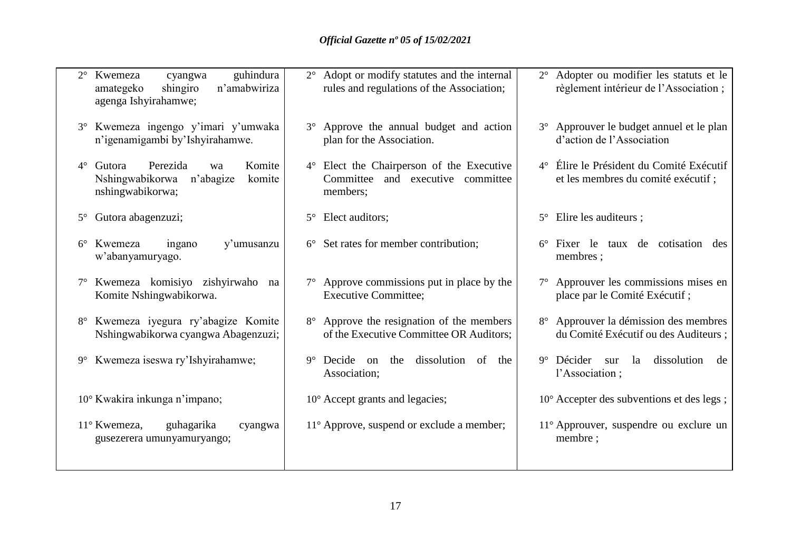| guhindura<br>Kwemeza<br>$2^{\circ}$<br>cyangwa<br>shingiro<br>n'amabwiriza<br>amategeko<br>agenga Ishyirahamwe; | 2° Adopt or modify statutes and the internal<br>rules and regulations of the Association;     | 2° Adopter ou modifier les statuts et le<br>règlement intérieur de l'Association; |
|-----------------------------------------------------------------------------------------------------------------|-----------------------------------------------------------------------------------------------|-----------------------------------------------------------------------------------|
| Kwemeza ingengo y'imari y'umwaka<br>$3^\circ$<br>n'igenamigambi by'Ishyirahamwe.                                | 3° Approve the annual budget and action<br>plan for the Association.                          | 3° Approuver le budget annuel et le plan<br>d'action de l'Association             |
| Perezida<br>Komite<br>$4^{\circ}$<br>Gutora<br>wa<br>Nshingwabikorwa<br>n'abagize<br>komite<br>nshingwabikorwa; | 4° Elect the Chairperson of the Executive<br>Committee<br>and executive committee<br>members; | 4° Élire le Président du Comité Exécutif<br>et les membres du comité exécutif ;   |
| Gutora abagenzuzi;<br>$5^{\circ}$                                                                               | Elect auditors;<br>$5^{\circ}$                                                                | Elire les auditeurs ;<br>$5^{\circ}$                                              |
| Kwemeza<br>y'umusanzu<br>$6^{\circ}$<br>ingano<br>w'abanyamuryago.                                              | $6^{\circ}$ Set rates for member contribution;                                                | 6° Fixer le taux de cotisation des<br>membres;                                    |
| Kwemeza komisiyo zishyirwaho<br>na<br>Komite Nshingwabikorwa.                                                   | $7^\circ$ Approve commissions put in place by the<br><b>Executive Committee;</b>              | 7° Approuver les commissions mises en<br>place par le Comité Exécutif ;           |
| Kwemeza iyegura ry'abagize Komite<br>Nshingwabikorwa cyangwa Abagenzuzi;                                        | 8° Approve the resignation of the members<br>of the Executive Committee OR Auditors;          | 8° Approuver la démission des membres<br>du Comité Exécutif ou des Auditeurs ;    |
| Kwemeza iseswa ry'Ishyirahamwe;<br>$9^{\circ}$                                                                  | dissolution<br>$9^{\circ}$ Decide on<br>the<br>of<br>the<br>Association;                      | $9°$ Décider<br>la<br>dissolution<br>sur<br>de<br>l'Association;                  |
| 10° Kwakira inkunga n'impano;                                                                                   | $10^{\circ}$ Accept grants and legacies;                                                      | 10° Accepter des subventions et des legs;                                         |
| 11° Kwemeza,<br>guhagarika<br>cyangwa<br>gusezerera umunyamuryango;                                             | 11° Approve, suspend or exclude a member;                                                     | 11° Approuver, suspendre ou exclure un<br>membre;                                 |
|                                                                                                                 |                                                                                               |                                                                                   |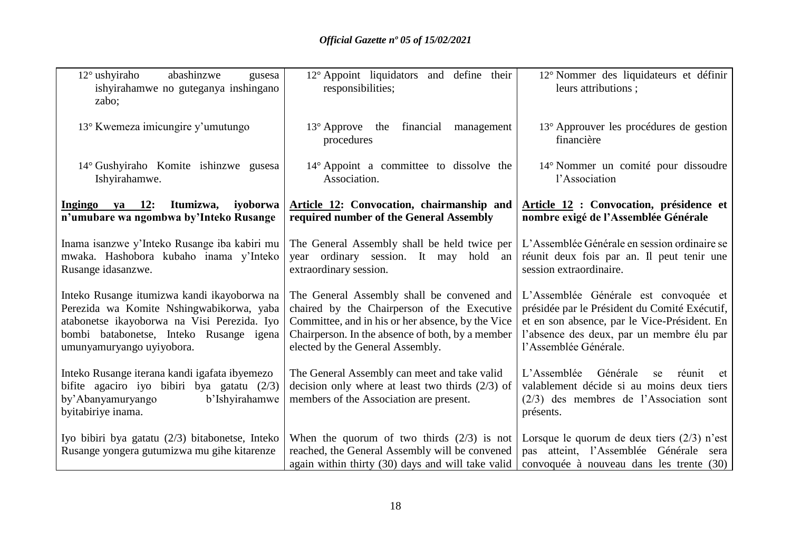| $12^{\circ}$ ushyiraho<br>abashinzwe<br>gusesa<br>ishyirahamwe no guteganya inshingano<br>zabo;                                                                                                                | 12° Appoint liquidators and define their<br>responsibilities;                                                                                                                                                                          | 12° Nommer des liquidateurs et définir<br>leurs attributions ;                                                                                                                                               |
|----------------------------------------------------------------------------------------------------------------------------------------------------------------------------------------------------------------|----------------------------------------------------------------------------------------------------------------------------------------------------------------------------------------------------------------------------------------|--------------------------------------------------------------------------------------------------------------------------------------------------------------------------------------------------------------|
| 13° Kwemeza imicungire y'umutungo                                                                                                                                                                              | $13^{\circ}$ Approve the<br>financial<br>management<br>procedures                                                                                                                                                                      | 13° Approuver les procédures de gestion<br>financière                                                                                                                                                        |
| 14° Gushyiraho Komite ishinzwe gusesa<br>Ishyirahamwe.                                                                                                                                                         | $14^{\circ}$ Appoint a committee to dissolve the<br>Association.                                                                                                                                                                       | 14° Nommer un comité pour dissoudre<br>l'Association                                                                                                                                                         |
| Ingingo ya 12: Itumizwa,<br>iyoborwa<br>n'umubare wa ngombwa by'Inteko Rusange                                                                                                                                 | <b>Article 12: Convocation, chairmanship and</b><br>required number of the General Assembly                                                                                                                                            | Article 12 : Convocation, présidence et<br>nombre exigé de l'Assemblée Générale                                                                                                                              |
| Inama isanzwe y'Inteko Rusange iba kabiri mu<br>mwaka. Hashobora kubaho inama y'Inteko<br>Rusange idasanzwe.                                                                                                   | The General Assembly shall be held twice per<br>year ordinary session. It may hold<br>an<br>extraordinary session.                                                                                                                     | L'Assemblée Générale en session ordinaire se<br>réunit deux fois par an. Il peut tenir une<br>session extraordinaire.                                                                                        |
| Inteko Rusange itumizwa kandi ikayoborwa na<br>Perezida wa Komite Nshingwabikorwa, yaba<br>atabonetse ikayoborwa na Visi Perezida. Iyo<br>bombi batabonetse, Inteko Rusange igena<br>umunyamuryango uyiyobora. | The General Assembly shall be convened and<br>chaired by the Chairperson of the Executive<br>Committee, and in his or her absence, by the Vice<br>Chairperson. In the absence of both, by a member<br>elected by the General Assembly. | L'Assemblée Générale est convoquée et<br>présidée par le Président du Comité Exécutif,<br>et en son absence, par le Vice-Président. En<br>l'absence des deux, par un membre élu par<br>l'Assemblée Générale. |
| Inteko Rusange iterana kandi igafata ibyemezo<br>bifite agaciro iyo bibiri bya gatatu $(2/3)$<br>by' Abanyamuryango<br>b'Ishyirahamwe<br>byitabiriye inama.                                                    | The General Assembly can meet and take valid<br>decision only where at least two thirds $(2/3)$ of<br>members of the Association are present.                                                                                          | L'Assemblée<br>Générale<br>se<br>réunit<br>et<br>valablement décide si au moins deux tiers<br>$(2/3)$ des membres de l'Association sont<br>présents.                                                         |
| Iyo bibiri bya gatatu (2/3) bitabonetse, Inteko<br>Rusange yongera gutumizwa mu gihe kitarenze                                                                                                                 | When the quorum of two thirds (2/3) is not Lorsque le quorum de deux tiers (2/3) n'est<br>reached, the General Assembly will be convened<br>again within thirty (30) days and will take valid                                          | pas atteint, l'Assemblée Générale<br>sera<br>convoquée à nouveau dans les trente (30)                                                                                                                        |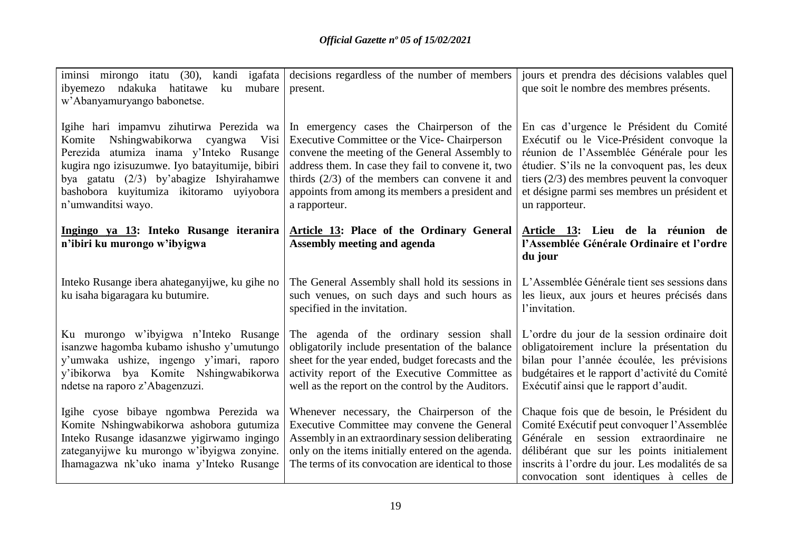| iminsi mirongo itatu (30), kandi igafata<br>ndakuka hatitawe<br>ku<br>mubare<br>ibyemezo<br>w'Abanyamuryango babonetse.                                                                                                                                                                           | decisions regardless of the number of members<br>present.                                                                                                                                                                                                                                                                | jours et prendra des décisions valables quel<br>que soit le nombre des membres présents.                                                                                                                                                                                                              |
|---------------------------------------------------------------------------------------------------------------------------------------------------------------------------------------------------------------------------------------------------------------------------------------------------|--------------------------------------------------------------------------------------------------------------------------------------------------------------------------------------------------------------------------------------------------------------------------------------------------------------------------|-------------------------------------------------------------------------------------------------------------------------------------------------------------------------------------------------------------------------------------------------------------------------------------------------------|
| Igihe hari impamvu zihutirwa Perezida wa<br>Nshingwabikorwa cyangwa<br>Visi<br>Komite<br>Perezida atumiza inama y'Inteko Rusange<br>kugira ngo izisuzumwe. Iyo batayitumije, bibiri<br>bya gatatu (2/3) by'abagize Ishyirahamwe<br>bashobora kuyitumiza ikitoramo uyiyobora<br>n'umwanditsi wayo. | In emergency cases the Chairperson of the<br>Executive Committee or the Vice-Chairperson<br>convene the meeting of the General Assembly to<br>address them. In case they fail to convene it, two<br>thirds $(2/3)$ of the members can convene it and<br>appoints from among its members a president and<br>a rapporteur. | En cas d'urgence le Président du Comité<br>Exécutif ou le Vice-Président convoque la<br>réunion de l'Assemblée Générale pour les<br>étudier. S'ils ne la convoquent pas, les deux<br>tiers $(2/3)$ des membres peuvent la convoquer<br>et désigne parmi ses membres un président et<br>un rapporteur. |
| Ingingo ya 13: Inteko Rusange iteranira<br>n'ibiri ku murongo w'ibyigwa                                                                                                                                                                                                                           | Article 13: Place of the Ordinary General<br>Assembly meeting and agenda                                                                                                                                                                                                                                                 | Article 13: Lieu de la réunion de<br>l'Assemblée Générale Ordinaire et l'ordre<br>du jour                                                                                                                                                                                                             |
| Inteko Rusange ibera ahateganyijwe, ku gihe no<br>ku isaha bigaragara ku butumire.                                                                                                                                                                                                                | The General Assembly shall hold its sessions in<br>such venues, on such days and such hours as<br>specified in the invitation.                                                                                                                                                                                           | L'Assemblée Générale tient ses sessions dans<br>les lieux, aux jours et heures précisés dans<br>l'invitation.                                                                                                                                                                                         |
| Ku murongo w'ibyigwa n'Inteko Rusange<br>isanzwe hagomba kubamo ishusho y'umutungo<br>y'umwaka ushize, ingengo y'imari, raporo<br>y'ibikorwa bya Komite Nshingwabikorwa<br>ndetse na raporo z'Abagenzuzi.                                                                                         | The agenda of the ordinary session shall<br>obligatorily include presentation of the balance<br>sheet for the year ended, budget forecasts and the<br>activity report of the Executive Committee as<br>well as the report on the control by the Auditors.                                                                | L'ordre du jour de la session ordinaire doit<br>obligatoirement inclure la présentation du<br>bilan pour l'année écoulée, les prévisions<br>budgétaires et le rapport d'activité du Comité<br>Exécutif ainsi que le rapport d'audit.                                                                  |
| Igihe cyose bibaye ngombwa Perezida wa<br>Komite Nshingwabikorwa ashobora gutumiza<br>Inteko Rusange idasanzwe yigirwamo ingingo<br>zateganyijwe ku murongo w'ibyigwa zonyine.<br>Ihamagazwa nk'uko inama y'Inteko Rusange                                                                        | Whenever necessary, the Chairperson of the<br>Executive Committee may convene the General<br>Assembly in an extraordinary session deliberating<br>only on the items initially entered on the agenda.<br>The terms of its convocation are identical to those                                                              | Chaque fois que de besoin, le Président du<br>Comité Exécutif peut convoquer l'Assemblée<br>Générale en session extraordinaire ne<br>délibérant que sur les points initialement<br>inscrits à l'ordre du jour. Les modalités de sa<br>convocation sont identiques à celles de                         |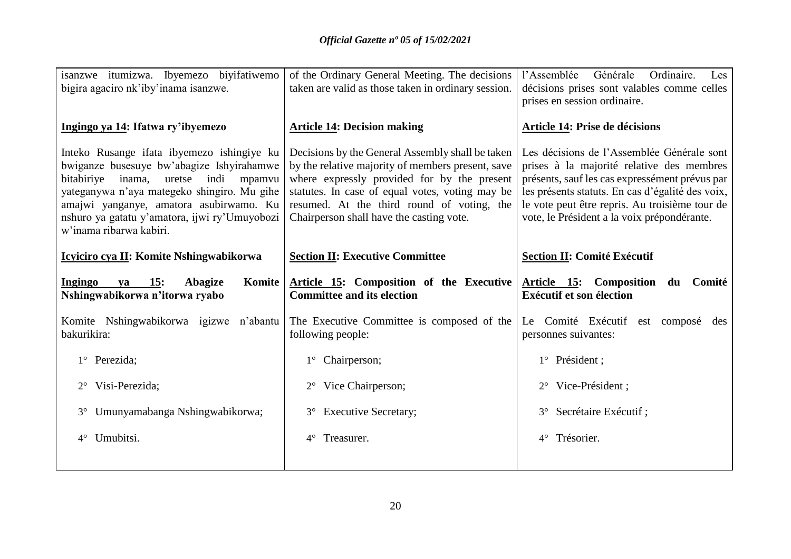| isanzwe itumizwa. Ibyemezo biyifatiwemo<br>bigira agaciro nk'iby'inama isanzwe.                                                                                                                                                                                                                                   | of the Ordinary General Meeting. The decisions<br>taken are valid as those taken in ordinary session.                                                                                                                                                                                             | l'Assemblée<br>Générale<br>Ordinaire.<br>Les<br>décisions prises sont valables comme celles<br>prises en session ordinaire.                                                                                                                                                                    |
|-------------------------------------------------------------------------------------------------------------------------------------------------------------------------------------------------------------------------------------------------------------------------------------------------------------------|---------------------------------------------------------------------------------------------------------------------------------------------------------------------------------------------------------------------------------------------------------------------------------------------------|------------------------------------------------------------------------------------------------------------------------------------------------------------------------------------------------------------------------------------------------------------------------------------------------|
| Ingingo ya 14: Ifatwa ry'ibyemezo                                                                                                                                                                                                                                                                                 | <b>Article 14: Decision making</b>                                                                                                                                                                                                                                                                | <b>Article 14: Prise de décisions</b>                                                                                                                                                                                                                                                          |
| Inteko Rusange ifata ibyemezo ishingiye ku<br>bwiganze busesuye bw'abagize Ishyirahamwe<br>bitabiriye<br>inama,<br>indi<br>mpamvu<br>uretse<br>yateganywa n'aya mategeko shingiro. Mu gihe<br>amajwi yanganye, amatora asubirwamo. Ku<br>nshuro ya gatatu y'amatora, ijwi ry'Umuyobozi<br>w'inama ribarwa kabiri. | Decisions by the General Assembly shall be taken<br>by the relative majority of members present, save<br>where expressly provided for by the present<br>statutes. In case of equal votes, voting may be<br>resumed. At the third round of voting, the<br>Chairperson shall have the casting vote. | Les décisions de l'Assemblée Générale sont<br>prises à la majorité relative des membres<br>présents, sauf les cas expressément prévus par<br>les présents statuts. En cas d'égalité des voix,<br>le vote peut être repris. Au troisième tour de<br>vote, le Président a la voix prépondérante. |
| Icyiciro cya II: Komite Nshingwabikorwa                                                                                                                                                                                                                                                                           | <b>Section II: Executive Committee</b>                                                                                                                                                                                                                                                            | <b>Section II: Comité Exécutif</b>                                                                                                                                                                                                                                                             |
| 15:<br><b>Ingingo</b><br>Abagize<br>Komite<br>va<br>Nshingwabikorwa n'itorwa ryabo                                                                                                                                                                                                                                | Article 15: Composition of the Executive<br><b>Committee and its election</b>                                                                                                                                                                                                                     | Article 15: Composition<br>Comité<br>du<br><b>Exécutif et son élection</b>                                                                                                                                                                                                                     |
| Komite Nshingwabikorwa igizwe n'abantu<br>bakurikira:                                                                                                                                                                                                                                                             | The Executive Committee is composed of the<br>following people:                                                                                                                                                                                                                                   | Le Comité Exécutif est composé<br>des<br>personnes suivantes:                                                                                                                                                                                                                                  |
| 1° Perezida;                                                                                                                                                                                                                                                                                                      | Chairperson;<br>$1^{\circ}$                                                                                                                                                                                                                                                                       | 1° Président;                                                                                                                                                                                                                                                                                  |
| Visi-Perezida;                                                                                                                                                                                                                                                                                                    | Vice Chairperson;                                                                                                                                                                                                                                                                                 | Vice-Président ;<br>$2^{\circ}$                                                                                                                                                                                                                                                                |
| Umunyamabanga Nshingwabikorwa;<br>$3^\circ$                                                                                                                                                                                                                                                                       | <b>Executive Secretary;</b><br>$3^{\circ}$                                                                                                                                                                                                                                                        | Secrétaire Exécutif ;<br>$3^\circ$                                                                                                                                                                                                                                                             |
| Umubitsi.<br>$4^{\circ}$                                                                                                                                                                                                                                                                                          | Treasurer.<br>$4^{\circ}$                                                                                                                                                                                                                                                                         | Trésorier.<br>$4^\circ$                                                                                                                                                                                                                                                                        |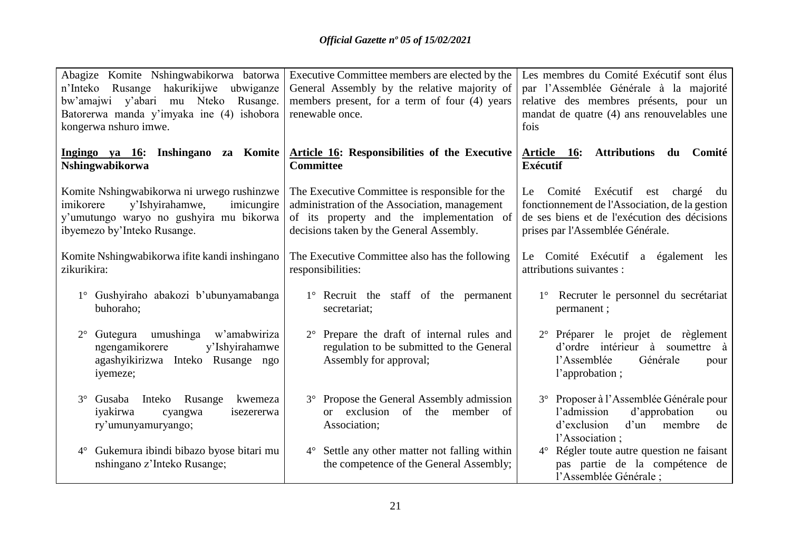| Abagize Komite Nshingwabikorwa batorwa<br>hakurikijwe<br>n'Inteko<br>Rusange<br>ubwiganze<br>bw'amajwi y'abari mu Nteko<br>Rusange.<br>Batorerwa manda y'imyaka ine (4) ishobora<br>kongerwa nshuro imwe. | Executive Committee members are elected by the<br>General Assembly by the relative majority of<br>members present, for a term of four (4) years<br>renewable once.                       | Les membres du Comité Exécutif sont élus<br>par l'Assemblée Générale à la majorité<br>relative des membres présents, pour un<br>mandat de quatre (4) ans renouvelables une<br>fois    |
|-----------------------------------------------------------------------------------------------------------------------------------------------------------------------------------------------------------|------------------------------------------------------------------------------------------------------------------------------------------------------------------------------------------|---------------------------------------------------------------------------------------------------------------------------------------------------------------------------------------|
| Ingingo ya 16: Inshingano za Komite<br>Nshingwabikorwa                                                                                                                                                    | <b>Article 16: Responsibilities of the Executive</b><br><b>Committee</b>                                                                                                                 | <b>Attributions</b><br>Article<br><b>16:</b><br>du<br>Comité<br><b>Exécutif</b>                                                                                                       |
| Komite Nshingwabikorwa ni urwego rushinzwe<br>imikorere<br>y'Ishyirahamwe,<br>imicungire<br>y'umutungo waryo no gushyira mu bikorwa<br>ibyemezo by'Inteko Rusange.                                        | The Executive Committee is responsible for the<br>administration of the Association, management<br>of its property and the implementation of<br>decisions taken by the General Assembly. | Exécutif<br>Comité<br>chargé<br>Le<br>est<br>du<br>fonctionnement de l'Association, de la gestion<br>de ses biens et de l'exécution des décisions<br>prises par l'Assemblée Générale. |
| Komite Nshingwabikorwa ifite kandi inshingano<br>zikurikira:                                                                                                                                              | The Executive Committee also has the following<br>responsibilities:                                                                                                                      | Comité Exécutif a également<br>Le<br>les<br>attributions suivantes :                                                                                                                  |
| 1° Gushyiraho abakozi b'ubunyamabanga<br>buhoraho;                                                                                                                                                        | 1° Recruit the staff of the permanent<br>secretariat;                                                                                                                                    | 1° Recruter le personnel du secrétariat<br>permanent;                                                                                                                                 |
| umushinga w'amabwiriza<br>Gutegura<br>$2^{\circ}$<br>ngengamikorere<br>y'Ishyirahamwe<br>agashyikirizwa Inteko Rusange ngo<br>iyemeze;                                                                    | Prepare the draft of internal rules and<br>$2^{\circ}$<br>regulation to be submitted to the General<br>Assembly for approval;                                                            | 2° Préparer le projet de règlement<br>d'ordre intérieur à soumettre à<br>l'Assemblée<br>Générale<br>pour<br>l'approbation;                                                            |
| Rusange<br>3° Gusaba<br>Inteko<br>kwemeza<br>iyakirwa<br>cyangwa<br>isezererwa<br>ry'umunyamuryango;                                                                                                      | Propose the General Assembly admission<br>$3^\circ$<br>exclusion<br>of<br>the<br>of<br>member<br>$\alpha$<br>Association;                                                                | 3° Proposer à l'Assemblée Générale pour<br>d'approbation<br>l'admission<br>ou<br>d'exclusion<br>d'un<br>membre<br>de<br>l'Association;                                                |
| 4° Gukemura ibindi bibazo byose bitari mu<br>nshingano z'Inteko Rusange;                                                                                                                                  | Settle any other matter not falling within<br>$4^{\circ}$<br>the competence of the General Assembly;                                                                                     | 4° Régler toute autre question ne faisant<br>pas partie de la compétence de<br>l'Assemblée Générale;                                                                                  |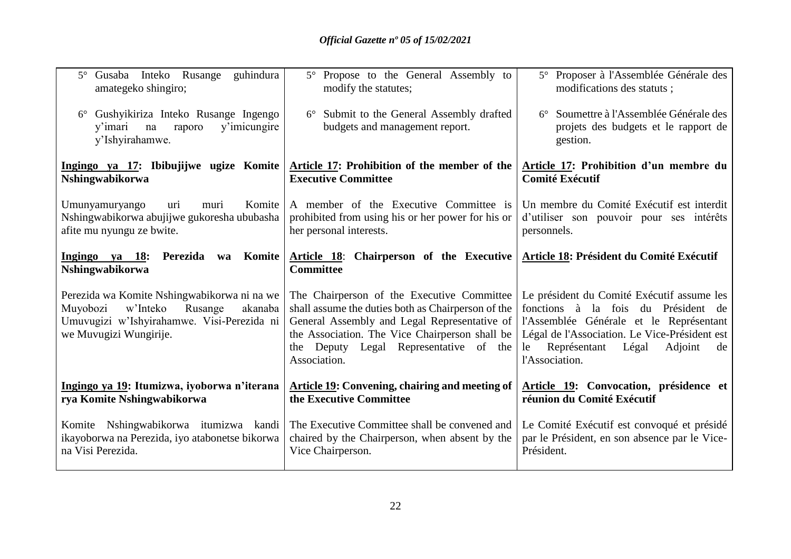| Gusaba Inteko Rusange guhindura<br>$5^\circ$<br>amategeko shingiro;                                                                                               | 5° Propose to the General Assembly to<br>modify the statutes;                                                                                                                                                                                                   | 5° Proposer à l'Assemblée Générale des<br>modifications des statuts;                                                                                                                                                                            |
|-------------------------------------------------------------------------------------------------------------------------------------------------------------------|-----------------------------------------------------------------------------------------------------------------------------------------------------------------------------------------------------------------------------------------------------------------|-------------------------------------------------------------------------------------------------------------------------------------------------------------------------------------------------------------------------------------------------|
| Gushyikiriza Inteko Rusange Ingengo<br>$6^{\circ}$<br>y'imicungire<br>y'imari<br>na<br>raporo<br>y'Ishyirahamwe.                                                  | 6° Submit to the General Assembly drafted<br>budgets and management report.                                                                                                                                                                                     | 6° Soumettre à l'Assemblée Générale des<br>projets des budgets et le rapport de<br>gestion.                                                                                                                                                     |
| Ingingo ya 17: Ibibujijwe ugize Komite<br>Nshingwabikorwa                                                                                                         | Article 17: Prohibition of the member of the<br><b>Executive Committee</b>                                                                                                                                                                                      | Article 17: Prohibition d'un membre du<br><b>Comité Exécutif</b>                                                                                                                                                                                |
| Umunyamuryango<br>Komite<br>uri<br>muri<br>Nshingwabikorwa abujijwe gukoresha ububasha<br>afite mu nyungu ze bwite.                                               | A member of the Executive Committee is<br>prohibited from using his or her power for his or<br>her personal interests.                                                                                                                                          | Un membre du Comité Exécutif est interdit<br>d'utiliser son pouvoir pour ses intérêts<br>personnels.                                                                                                                                            |
| Ingingo ya 18: Perezida<br>Komite<br>wa<br>Nshingwabikorwa                                                                                                        | Article 18: Chairperson of the Executive<br><b>Committee</b>                                                                                                                                                                                                    | Article 18: Président du Comité Exécutif                                                                                                                                                                                                        |
| Perezida wa Komite Nshingwabikorwa ni na we<br>Muyobozi<br>w'Inteko<br>Rusange<br>akanaba<br>Umuvugizi w'Ishyirahamwe. Visi-Perezida ni<br>we Muvugizi Wungirije. | The Chairperson of the Executive Committee<br>shall assume the duties both as Chairperson of the<br>General Assembly and Legal Representative of<br>the Association. The Vice Chairperson shall be<br>Deputy Legal Representative of the<br>the<br>Association. | Le président du Comité Exécutif assume les<br>fonctions à la fois du Président de<br>l'Assemblée Générale et le Représentant<br>Légal de l'Association. Le Vice-Président est<br>Représentant<br>Légal<br>Adjoint<br>le<br>de<br>l'Association. |
| Ingingo ya 19: Itumizwa, iyoborwa n'iterana<br>rya Komite Nshingwabikorwa                                                                                         | Article 19: Convening, chairing and meeting of<br>the Executive Committee                                                                                                                                                                                       | Article 19: Convocation, présidence et<br>réunion du Comité Exécutif                                                                                                                                                                            |
| Komite Nshingwabikorwa itumizwa kandi<br>ikayoborwa na Perezida, iyo atabonetse bikorwa<br>na Visi Perezida.                                                      | The Executive Committee shall be convened and<br>chaired by the Chairperson, when absent by the<br>Vice Chairperson.                                                                                                                                            | Le Comité Exécutif est convoqué et présidé<br>par le Président, en son absence par le Vice-<br>Président.                                                                                                                                       |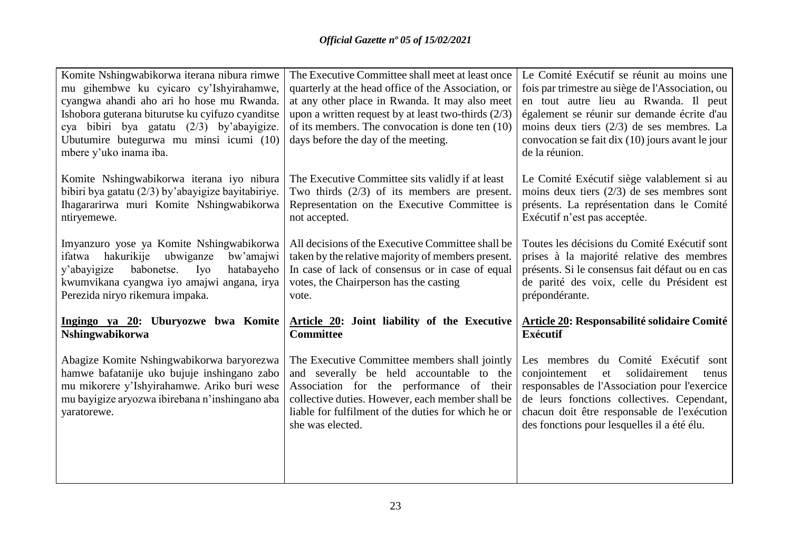| Komite Nshingwabikorwa iterana nibura rimwe<br>mu gihembwe ku cyicaro cy'Ishyirahamwe,<br>cyangwa ahandi aho ari ho hose mu Rwanda.<br>Ishobora guterana biturutse ku cyifuzo cyanditse<br>cya bibiri bya gatatu (2/3) by'abayigize.<br>Ubutumire butegurwa mu minsi icumi (10)<br>mbere y'uko inama iba. | The Executive Committee shall meet at least once<br>quarterly at the head office of the Association, or<br>at any other place in Rwanda. It may also meet<br>upon a written request by at least two-thirds $(2/3)$<br>of its members. The convocation is done ten (10)<br>days before the day of the meeting. | Le Comité Exécutif se réunit au moins une<br>fois par trimestre au siège de l'Association, ou<br>en tout autre lieu au Rwanda. Il peut<br>également se réunir sur demande écrite d'au<br>moins deux tiers $(2/3)$ de ses membres. La<br>convocation se fait dix (10) jours avant le jour<br>de la réunion. |
|-----------------------------------------------------------------------------------------------------------------------------------------------------------------------------------------------------------------------------------------------------------------------------------------------------------|---------------------------------------------------------------------------------------------------------------------------------------------------------------------------------------------------------------------------------------------------------------------------------------------------------------|------------------------------------------------------------------------------------------------------------------------------------------------------------------------------------------------------------------------------------------------------------------------------------------------------------|
| Komite Nshingwabikorwa iterana iyo nibura<br>bibiri bya gatatu $(2/3)$ by'abayigize bayitabiriye.<br>Ihagararirwa muri Komite Nshingwabikorwa<br>ntiryemewe.                                                                                                                                              | The Executive Committee sits validly if at least<br>Two thirds $(2/3)$ of its members are present.<br>Representation on the Executive Committee is<br>not accepted.                                                                                                                                           | Le Comité Exécutif siège valablement si au<br>moins deux tiers $(2/3)$ de ses membres sont<br>présents. La représentation dans le Comité<br>Exécutif n'est pas acceptée.                                                                                                                                   |
| Imyanzuro yose ya Komite Nshingwabikorwa<br>hakurikije<br>ubwiganze<br>ifatwa<br>bw'amajwi<br>babonetse.<br>y'abayigize<br>Iyo<br>hatabayeho<br>kwumvikana cyangwa iyo amajwi angana, irya<br>Perezida niryo rikemura impaka.                                                                             | All decisions of the Executive Committee shall be<br>taken by the relative majority of members present.<br>In case of lack of consensus or in case of equal<br>votes, the Chairperson has the casting<br>vote.                                                                                                | Toutes les décisions du Comité Exécutif sont<br>prises à la majorité relative des membres<br>présents. Si le consensus fait défaut ou en cas<br>de parité des voix, celle du Président est<br>prépondérante.                                                                                               |
| Ingingo ya 20: Uburyozwe bwa Komite<br>Nshingwabikorwa                                                                                                                                                                                                                                                    | Article 20: Joint liability of the Executive<br><b>Committee</b>                                                                                                                                                                                                                                              | <b>Article 20: Responsabilité solidaire Comité</b><br><b>Exécutif</b>                                                                                                                                                                                                                                      |
| Abagize Komite Nshingwabikorwa baryorezwa<br>hamwe bafatanije uko bujuje inshingano zabo<br>mu mikorere y'Ishyirahamwe. Ariko buri wese<br>mu bayigize aryozwa ibirebana n'inshingano aba<br>yaratorewe.                                                                                                  | The Executive Committee members shall jointly<br>and severally be held accountable to the<br>Association for the performance of their<br>collective duties. However, each member shall be<br>liable for fulfilment of the duties for which he or<br>she was elected.                                          | Les membres du Comité Exécutif sont<br>solidairement<br>conjointement<br>et<br>tenus<br>responsables de l'Association pour l'exercice<br>de leurs fonctions collectives. Cependant,<br>chacun doit être responsable de l'exécution<br>des fonctions pour lesquelles il a été élu.                          |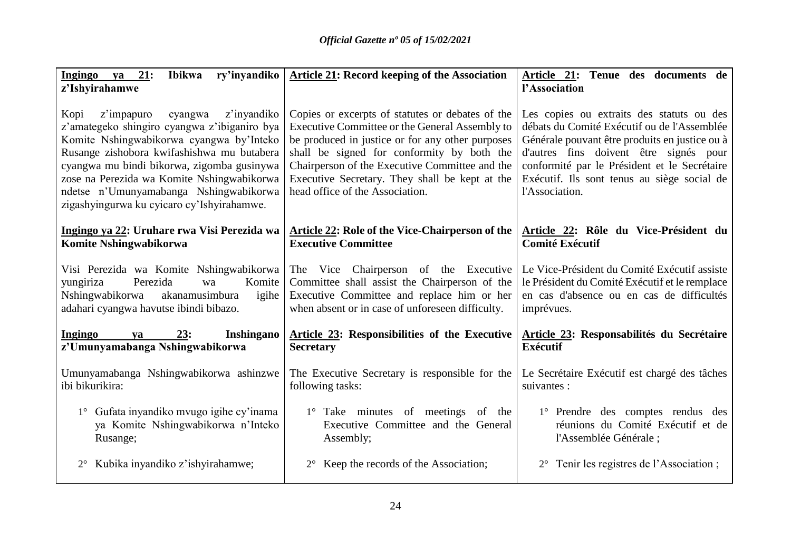| Ibikwa ry'inyandiko<br>Ingingo ya 21:<br>z'Ishyirahamwe                                                                                                                                                                                                                                                                                                                    | <b>Article 21: Record keeping of the Association</b>                                                                                                                                                                                                                                                                                        | Article 21: Tenue des documents de<br>l'Association                                                                                                                                                                                                                                                   |
|----------------------------------------------------------------------------------------------------------------------------------------------------------------------------------------------------------------------------------------------------------------------------------------------------------------------------------------------------------------------------|---------------------------------------------------------------------------------------------------------------------------------------------------------------------------------------------------------------------------------------------------------------------------------------------------------------------------------------------|-------------------------------------------------------------------------------------------------------------------------------------------------------------------------------------------------------------------------------------------------------------------------------------------------------|
| z'impapuro<br>z'inyandiko<br>Kopi<br>cyangwa<br>z'amategeko shingiro cyangwa z'ibiganiro bya<br>Komite Nshingwabikorwa cyangwa by'Inteko<br>Rusange zishobora kwifashishwa mu butabera<br>cyangwa mu bindi bikorwa, zigomba gusinywa<br>zose na Perezida wa Komite Nshingwabikorwa<br>ndetse n'Umunyamabanga Nshingwabikorwa<br>zigashyingurwa ku cyicaro cy'Ishyirahamwe. | Copies or excerpts of statutes or debates of the<br>Executive Committee or the General Assembly to<br>be produced in justice or for any other purposes<br>shall be signed for conformity by both the<br>Chairperson of the Executive Committee and the<br>Executive Secretary. They shall be kept at the<br>head office of the Association. | Les copies ou extraits des statuts ou des<br>débats du Comité Exécutif ou de l'Assemblée<br>Générale pouvant être produits en justice ou à<br>d'autres fins doivent être signés pour<br>conformité par le Président et le Secrétaire<br>Exécutif. Ils sont tenus au siège social de<br>l'Association. |
| Ingingo ya 22: Uruhare rwa Visi Perezida wa                                                                                                                                                                                                                                                                                                                                | <b>Article 22: Role of the Vice-Chairperson of the</b>                                                                                                                                                                                                                                                                                      | Article 22: Rôle du Vice-Président du                                                                                                                                                                                                                                                                 |
| Komite Nshingwabikorwa                                                                                                                                                                                                                                                                                                                                                     | <b>Executive Committee</b>                                                                                                                                                                                                                                                                                                                  | <b>Comité Exécutif</b>                                                                                                                                                                                                                                                                                |
| Visi Perezida wa Komite Nshingwabikorwa<br>Perezida<br>yungiriza<br>Komite<br>wa<br>Nshingwabikorwa<br>akanamusimbura<br>igihe<br>adahari cyangwa havutse ibindi bibazo.                                                                                                                                                                                                   | The Vice Chairperson of the Executive<br>Committee shall assist the Chairperson of the<br>Executive Committee and replace him or her<br>when absent or in case of unforeseen difficulty.                                                                                                                                                    | Le Vice-Président du Comité Exécutif assiste<br>le Président du Comité Exécutif et le remplace<br>en cas d'absence ou en cas de difficultés<br>imprévues.                                                                                                                                             |
| Ingingo<br>23:<br>Inshingano<br>ya<br>z'Umunyamabanga Nshingwabikorwa                                                                                                                                                                                                                                                                                                      | <b>Article 23: Responsibilities of the Executive</b><br><b>Secretary</b>                                                                                                                                                                                                                                                                    | Article 23: Responsabilités du Secrétaire<br><b>Exécutif</b>                                                                                                                                                                                                                                          |
| Umunyamabanga Nshingwabikorwa ashinzwe                                                                                                                                                                                                                                                                                                                                     | The Executive Secretary is responsible for the                                                                                                                                                                                                                                                                                              | Le Secrétaire Exécutif est chargé des tâches                                                                                                                                                                                                                                                          |
| ibi bikurikira:                                                                                                                                                                                                                                                                                                                                                            | following tasks:                                                                                                                                                                                                                                                                                                                            | suivantes :                                                                                                                                                                                                                                                                                           |
| 1° Gufata inyandiko mvugo igihe cy'inama                                                                                                                                                                                                                                                                                                                                   | 1° Take minutes of meetings of the                                                                                                                                                                                                                                                                                                          | 1° Prendre des comptes rendus des                                                                                                                                                                                                                                                                     |
| ya Komite Nshingwabikorwa n'Inteko                                                                                                                                                                                                                                                                                                                                         | Executive Committee and the General                                                                                                                                                                                                                                                                                                         | réunions du Comité Exécutif et de                                                                                                                                                                                                                                                                     |
| Rusange;                                                                                                                                                                                                                                                                                                                                                                   | Assembly;                                                                                                                                                                                                                                                                                                                                   | l'Assemblée Générale;                                                                                                                                                                                                                                                                                 |
| Kubika inyandiko z'ishyirahamwe;                                                                                                                                                                                                                                                                                                                                           | Keep the records of the Association;                                                                                                                                                                                                                                                                                                        | Tenir les registres de l'Association;                                                                                                                                                                                                                                                                 |
| $2^{\circ}$                                                                                                                                                                                                                                                                                                                                                                | $2^{\circ}$                                                                                                                                                                                                                                                                                                                                 | $2^{\circ}$                                                                                                                                                                                                                                                                                           |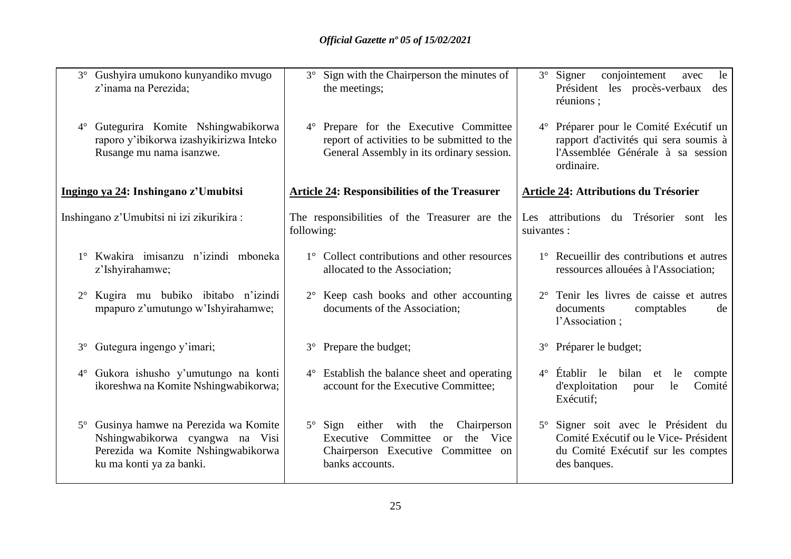| 3° Gushyira umukono kunyandiko mvugo<br>z'inama na Perezida;                                                                                          | 3° Sign with the Chairperson the minutes of<br>the meetings;                                                                                            | conjointement<br>$3^{\circ}$ Signer<br>le<br>avec<br>Président les procès-verbaux<br>des<br>réunions ;                             |
|-------------------------------------------------------------------------------------------------------------------------------------------------------|---------------------------------------------------------------------------------------------------------------------------------------------------------|------------------------------------------------------------------------------------------------------------------------------------|
| Gutegurira Komite Nshingwabikorwa<br>$4^{\circ}$<br>raporo y'ibikorwa izashyikirizwa Inteko<br>Rusange mu nama isanzwe.                               | 4° Prepare for the Executive Committee<br>report of activities to be submitted to the<br>General Assembly in its ordinary session.                      | 4° Préparer pour le Comité Exécutif un<br>rapport d'activités qui sera soumis à<br>l'Assemblée Générale à sa session<br>ordinaire. |
| Ingingo ya 24: Inshingano z'Umubitsi                                                                                                                  | <b>Article 24: Responsibilities of the Treasurer</b>                                                                                                    | <b>Article 24: Attributions du Trésorier</b>                                                                                       |
| Inshingano z'Umubitsi ni izi zikurikira :                                                                                                             | The responsibilities of the Treasurer are the<br>following:                                                                                             | Les attributions du Trésorier sont les<br>suivantes :                                                                              |
| 1° Kwakira imisanzu n'izindi mboneka<br>z'Ishyirahamwe;                                                                                               | 1° Collect contributions and other resources<br>allocated to the Association;                                                                           | 1° Recueillir des contributions et autres<br>ressources allouées à l'Association;                                                  |
| Kugira mu bubiko ibitabo n'izindi<br>$2^{\circ}$<br>mpapuro z'umutungo w'Ishyirahamwe;                                                                | 2° Keep cash books and other accounting<br>documents of the Association;                                                                                | 2° Tenir les livres de caisse et autres<br>documents<br>comptables<br>de<br>l'Association;                                         |
| Gutegura ingengo y'imari;<br>$3^\circ$                                                                                                                | Prepare the budget;<br>$3^\circ$                                                                                                                        | 3° Préparer le budget;                                                                                                             |
| 4° Gukora ishusho y'umutungo na konti<br>ikoreshwa na Komite Nshingwabikorwa;                                                                         | $4^{\circ}$ Establish the balance sheet and operating<br>account for the Executive Committee;                                                           | $4^{\circ}$ Établir le<br>bilan et<br>le<br>compte<br>d'exploitation<br>Comité<br>le<br>pour<br>Exécutif;                          |
| Gusinya hamwe na Perezida wa Komite<br>$5^\circ$<br>Nshingwabikorwa cyangwa na Visi<br>Perezida wa Komite Nshingwabikorwa<br>ku ma konti ya za banki. | with<br>$5^{\circ}$ Sign<br>either<br>the<br>Chairperson<br>Executive Committee<br>or the Vice<br>Chairperson Executive Committee on<br>banks accounts. | 5° Signer soit avec le Président du<br>Comité Exécutif ou le Vice-Président<br>du Comité Exécutif sur les comptes<br>des banques.  |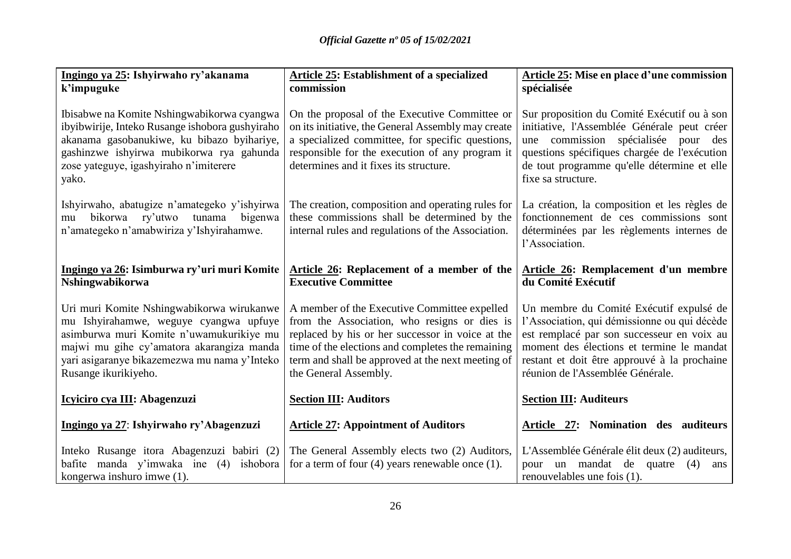| Ingingo ya 25: Ishyirwaho ry'akanama<br>k'impuguke                                                                                                                                                                                                   | <b>Article 25: Establishment of a specialized</b><br>commission                                                                                                                                                                                                                     | Article 25: Mise en place d'une commission<br>spécialisée                                                                                                                                                                                                              |  |
|------------------------------------------------------------------------------------------------------------------------------------------------------------------------------------------------------------------------------------------------------|-------------------------------------------------------------------------------------------------------------------------------------------------------------------------------------------------------------------------------------------------------------------------------------|------------------------------------------------------------------------------------------------------------------------------------------------------------------------------------------------------------------------------------------------------------------------|--|
| Ibisabwe na Komite Nshingwabikorwa cyangwa<br>ibyibwirije, Inteko Rusange ishobora gushyiraho<br>akanama gasobanukiwe, ku bibazo byihariye,<br>gashinzwe ishyirwa mubikorwa rya gahunda<br>zose yateguye, igashyiraho n'imiterere<br>yako.           | On the proposal of the Executive Committee or<br>on its initiative, the General Assembly may create<br>a specialized committee, for specific questions,<br>responsible for the execution of any program it<br>determines and it fixes its structure.                                | Sur proposition du Comité Exécutif ou à son<br>initiative, l'Assemblée Générale peut créer<br>une commission spécialisée pour des<br>questions spécifiques chargée de l'exécution<br>de tout programme qu'elle détermine et elle<br>fixe sa structure.                 |  |
| Ishyirwaho, abatugize n'amategeko y'ishyirwa<br>bikorwa ry'utwo tunama bigenwa<br>mu<br>n'amategeko n'amabwiriza y'Ishyirahamwe.                                                                                                                     | The creation, composition and operating rules for<br>these commissions shall be determined by the<br>internal rules and regulations of the Association.                                                                                                                             | La création, la composition et les règles de<br>fonctionnement de ces commissions sont<br>déterminées par les règlements internes de<br>l'Association.                                                                                                                 |  |
| Ingingo ya 26: Isimburwa ry'uri muri Komite<br>Nshingwabikorwa                                                                                                                                                                                       | Article 26: Replacement of a member of the<br><b>Executive Committee</b>                                                                                                                                                                                                            | Article 26: Remplacement d'un membre<br>du Comité Exécutif                                                                                                                                                                                                             |  |
| Uri muri Komite Nshingwabikorwa wirukanwe<br>mu Ishyirahamwe, weguye cyangwa upfuye<br>asimburwa muri Komite n'uwamukurikiye mu<br>majwi mu gihe cy'amatora akarangiza manda<br>yari asigaranye bikazemezwa mu nama y'Inteko<br>Rusange ikurikiyeho. | A member of the Executive Committee expelled<br>from the Association, who resigns or dies is<br>replaced by his or her successor in voice at the<br>time of the elections and completes the remaining<br>term and shall be approved at the next meeting of<br>the General Assembly. | Un membre du Comité Exécutif expulsé de<br>l'Association, qui démissionne ou qui décède<br>est remplacé par son successeur en voix au<br>moment des élections et termine le mandat<br>restant et doit être approuvé à la prochaine<br>réunion de l'Assemblée Générale. |  |
| Icyiciro cya III: Abagenzuzi                                                                                                                                                                                                                         | <b>Section III: Auditors</b>                                                                                                                                                                                                                                                        | <b>Section III: Auditeurs</b>                                                                                                                                                                                                                                          |  |
| Ingingo ya 27: Ishyirwaho ry'Abagenzuzi                                                                                                                                                                                                              | <b>Article 27: Appointment of Auditors</b>                                                                                                                                                                                                                                          | Article 27: Nomination des auditeurs                                                                                                                                                                                                                                   |  |
| Inteko Rusange itora Abagenzuzi babiri (2)<br>bafite manda y'imwaka ine (4) ishobora<br>kongerwa inshuro imwe (1).                                                                                                                                   | The General Assembly elects two (2) Auditors,<br>for a term of four $(4)$ years renewable once $(1)$ .                                                                                                                                                                              | L'Assemblée Générale élit deux (2) auditeurs,<br>pour un mandat de quatre<br>(4)<br>ans<br>renouvelables une fois (1).                                                                                                                                                 |  |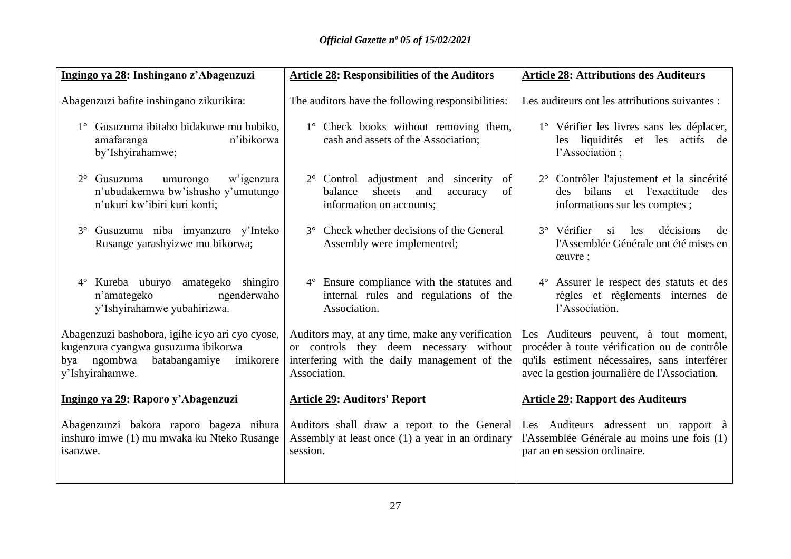| Ingingo ya 28: Inshingano z'Abagenzuzi                                                                                                                    | <b>Article 28: Responsibilities of the Auditors</b>                                                                                                         | <b>Article 28: Attributions des Auditeurs</b>                                                                                                                                          |
|-----------------------------------------------------------------------------------------------------------------------------------------------------------|-------------------------------------------------------------------------------------------------------------------------------------------------------------|----------------------------------------------------------------------------------------------------------------------------------------------------------------------------------------|
| Abagenzuzi bafite inshingano zikurikira:                                                                                                                  | The auditors have the following responsibilities:                                                                                                           | Les auditeurs ont les attributions suivantes :                                                                                                                                         |
| 1° Gusuzuma ibitabo bidakuwe mu bubiko,<br>n'ibikorwa<br>amafaranga<br>by'Ishyirahamwe;                                                                   | 1° Check books without removing them,<br>cash and assets of the Association;                                                                                | 1° Vérifier les livres sans les déplacer,<br>les liquidités et les actifs de<br>l'Association;                                                                                         |
| Gusuzuma<br>umurongo<br>w'igenzura<br>$2^{\circ}$<br>n'ubudakemwa bw'ishusho y'umutungo<br>n'ukuri kw'ibiri kuri konti;                                   | Control adjustment and sincerity<br>$2^{\circ}$<br>of<br>sheets<br>and<br>of<br>balance<br>accuracy<br>information on accounts;                             | 2° Contrôler l'ajustement et la sincérité<br>bilans et l'exactitude<br>des<br>des.<br>informations sur les comptes;                                                                    |
| Gusuzuma niba imyanzuro y'Inteko<br>Rusange yarashyizwe mu bikorwa;                                                                                       | Check whether decisions of the General<br>$3^\circ$<br>Assembly were implemented;                                                                           | 3° Vérifier<br>si<br>décisions<br>les<br>de<br>l'Assemblée Générale ont été mises en<br>ceuvre;                                                                                        |
| Kureba uburyo amategeko shingiro<br>$4^{\circ}$<br>n'amategeko<br>ngenderwaho<br>y'Ishyirahamwe yubahirizwa.                                              | Ensure compliance with the statutes and<br>$4^{\circ}$<br>internal rules and regulations of the<br>Association.                                             | 4° Assurer le respect des statuts et des<br>règles et règlements internes de<br>l'Association.                                                                                         |
| Abagenzuzi bashobora, igihe icyo ari cyo cyose,<br>kugenzura cyangwa gusuzuma ibikorwa<br>ngombwa<br>batabangamiye<br>imikorere<br>bya<br>y'Ishyirahamwe. | Auditors may, at any time, make any verification<br>or controls they deem necessary without<br>interfering with the daily management of the<br>Association. | Les Auditeurs peuvent, à tout moment,<br>procéder à toute vérification ou de contrôle<br>qu'ils estiment nécessaires, sans interférer<br>avec la gestion journalière de l'Association. |
| Ingingo ya 29: Raporo y'Abagenzuzi                                                                                                                        | <b>Article 29: Auditors' Report</b>                                                                                                                         | <b>Article 29: Rapport des Auditeurs</b>                                                                                                                                               |
| Abagenzunzi bakora raporo bageza nibura<br>inshuro imwe (1) mu mwaka ku Nteko Rusange<br>isanzwe.                                                         | Auditors shall draw a report to the General<br>Assembly at least once (1) a year in an ordinary<br>session.                                                 | Les Auditeurs adressent un rapport à<br>l'Assemblée Générale au moins une fois (1)<br>par an en session ordinaire.                                                                     |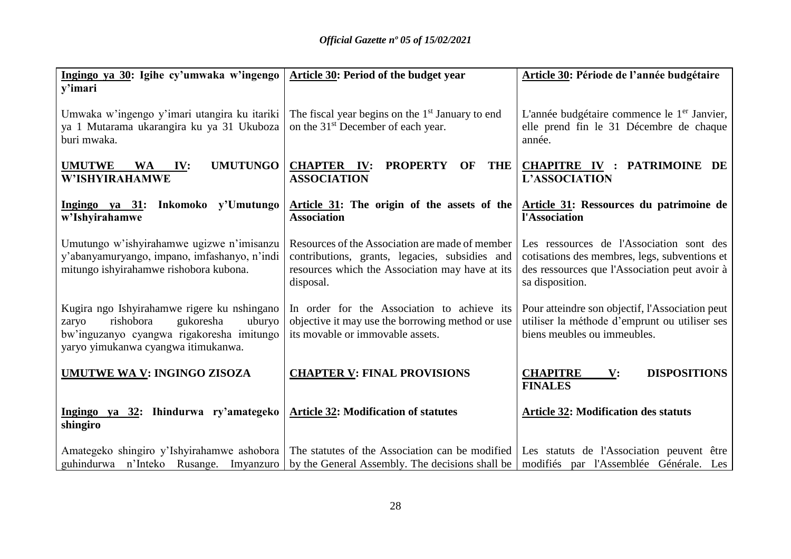| Ingingo ya 30: Igihe cy'umwaka w'ingengo<br>y'imari                                                                                                                          | <b>Article 30: Period of the budget year</b>                                                                                                                      | Article 30: Période de l'année budgétaire                                                                                                                     |  |
|------------------------------------------------------------------------------------------------------------------------------------------------------------------------------|-------------------------------------------------------------------------------------------------------------------------------------------------------------------|---------------------------------------------------------------------------------------------------------------------------------------------------------------|--|
| Umwaka w'ingengo y'imari utangira ku itariki<br>ya 1 Mutarama ukarangira ku ya 31 Ukuboza<br>buri mwaka.                                                                     | The fiscal year begins on the $1st$ January to end<br>on the 31 <sup>st</sup> December of each year.                                                              | L'année budgétaire commence le 1 <sup>er</sup> Janvier,<br>elle prend fin le 31 Décembre de chaque<br>année.                                                  |  |
| <b>UMUTUNGO</b><br><b>UMUTWE</b><br><b>WA</b><br>IV:<br>W'ISHYIRAHAMWE                                                                                                       | <b>CHAPTER IV:</b><br><b>PROPERTY</b><br><b>THE</b><br><b>OF</b><br><b>ASSOCIATION</b>                                                                            | <b>CHAPITRE IV : PATRIMOINE DE</b><br><b>L'ASSOCIATION</b>                                                                                                    |  |
| Ingingo ya 31: Inkomoko y'Umutungo<br>w'Ishyirahamwe                                                                                                                         | Article 31: The origin of the assets of the<br><b>Association</b>                                                                                                 | Article 31: Ressources du patrimoine de<br>l'Association                                                                                                      |  |
| Umutungo w'ishyirahamwe ugizwe n'imisanzu<br>y'abanyamuryango, impano, imfashanyo, n'indi<br>mitungo ishyirahamwe rishobora kubona.                                          | Resources of the Association are made of member<br>contributions, grants, legacies, subsidies and<br>resources which the Association may have at its<br>disposal. | Les ressources de l'Association sont des<br>cotisations des membres, legs, subventions et<br>des ressources que l'Association peut avoir à<br>sa disposition. |  |
| Kugira ngo Ishyirahamwe rigere ku nshingano<br>rishobora<br>gukoresha<br>uburyo<br>zaryo<br>bw'inguzanyo cyangwa rigakoresha imitungo<br>yaryo yimukanwa cyangwa itimukanwa. | In order for the Association to achieve its<br>objective it may use the borrowing method or use<br>its movable or immovable assets.                               | Pour atteindre son objectif, l'Association peut<br>utiliser la méthode d'emprunt ou utiliser ses<br>biens meubles ou immeubles.                               |  |
| UMUTWE WA V: INGINGO ZISOZA                                                                                                                                                  | <b>CHAPTER V: FINAL PROVISIONS</b>                                                                                                                                | <b>CHAPITRE</b><br><b>DISPOSITIONS</b><br>$\mathbf{V}$ :<br><b>FINALES</b>                                                                                    |  |
| Ingingo ya 32: Ihindurwa ry'amategeko<br>shingiro                                                                                                                            | <b>Article 32: Modification of statutes</b>                                                                                                                       | <b>Article 32: Modification des statuts</b>                                                                                                                   |  |
| Amategeko shingiro y'Ishyirahamwe ashobora<br>guhindurwa n'Inteko Rusange. Imyanzuro                                                                                         | The statutes of the Association can be modified<br>by the General Assembly. The decisions shall be                                                                | Les statuts de l'Association peuvent être<br>modifiés par l'Assemblée Générale. Les                                                                           |  |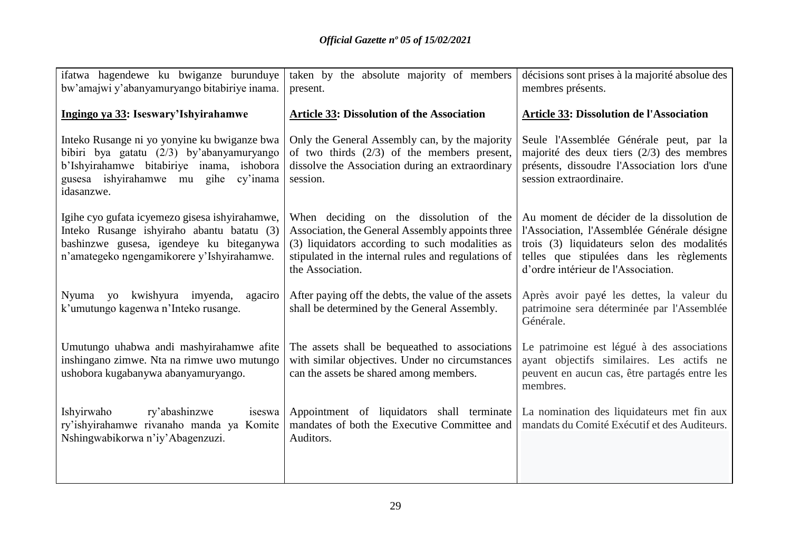| ifatwa hagendewe ku bwiganze burunduye<br>bw'amajwi y'abanyamuryango bitabiriye inama.                                                                                                          | taken by the absolute majority of members<br>present.                                                                                                                                                                     | décisions sont prises à la majorité absolue des<br>membres présents.                                                                                                                                                      |
|-------------------------------------------------------------------------------------------------------------------------------------------------------------------------------------------------|---------------------------------------------------------------------------------------------------------------------------------------------------------------------------------------------------------------------------|---------------------------------------------------------------------------------------------------------------------------------------------------------------------------------------------------------------------------|
| Ingingo ya 33: Iseswary'Ishyirahamwe                                                                                                                                                            | <b>Article 33: Dissolution of the Association</b>                                                                                                                                                                         | <b>Article 33: Dissolution de l'Association</b>                                                                                                                                                                           |
| Inteko Rusange ni yo yonyine ku bwiganze bwa<br>bibiri bya gatatu (2/3) by'abanyamuryango<br>b'Ishyirahamwe bitabiriye inama, ishobora<br>gusesa ishyirahamwe mu gihe<br>cy'inama<br>idasanzwe. | Only the General Assembly can, by the majority<br>of two thirds $(2/3)$ of the members present,<br>dissolve the Association during an extraordinary<br>session.                                                           | Seule l'Assemblée Générale peut, par la<br>majorité des deux tiers $(2/3)$ des membres<br>présents, dissoudre l'Association lors d'une<br>session extraordinaire.                                                         |
| Igihe cyo gufata icyemezo gisesa ishyirahamwe,<br>Inteko Rusange ishyiraho abantu batatu (3)<br>bashinzwe gusesa, igendeye ku biteganywa<br>n'amategeko ngengamikorere y'Ishyirahamwe.          | When deciding on the dissolution of the<br>Association, the General Assembly appoints three<br>(3) liquidators according to such modalities as<br>stipulated in the internal rules and regulations of<br>the Association. | Au moment de décider de la dissolution de<br>l'Association, l'Assemblée Générale désigne<br>trois (3) liquidateurs selon des modalités<br>telles que stipulées dans les règlements<br>d'ordre intérieur de l'Association. |
| Nyuma yo kwishyura imyenda,<br>agaciro<br>k'umutungo kagenwa n'Inteko rusange.                                                                                                                  | After paying off the debts, the value of the assets<br>shall be determined by the General Assembly.                                                                                                                       | Après avoir payé les dettes, la valeur du<br>patrimoine sera déterminée par l'Assemblée<br>Générale.                                                                                                                      |
| Umutungo uhabwa andi mashyirahamwe afite<br>inshingano zimwe. Nta na rimwe uwo mutungo<br>ushobora kugabanywa abanyamuryango.                                                                   | The assets shall be bequeathed to associations<br>with similar objectives. Under no circumstances<br>can the assets be shared among members.                                                                              | Le patrimoine est légué à des associations<br>ayant objectifs similaires. Les actifs ne<br>peuvent en aucun cas, être partagés entre les<br>membres.                                                                      |
| Ishyirwaho<br>ry'abashinzwe<br>iseswa<br>ry'ishyirahamwe rivanaho manda ya Komite                                                                                                               | Appointment of liquidators shall terminate<br>mandates of both the Executive Committee and                                                                                                                                | La nomination des liquidateurs met fin aux<br>mandats du Comité Exécutif et des Auditeurs.                                                                                                                                |
| Nshingwabikorwa n'iy'Abagenzuzi.                                                                                                                                                                | Auditors.                                                                                                                                                                                                                 |                                                                                                                                                                                                                           |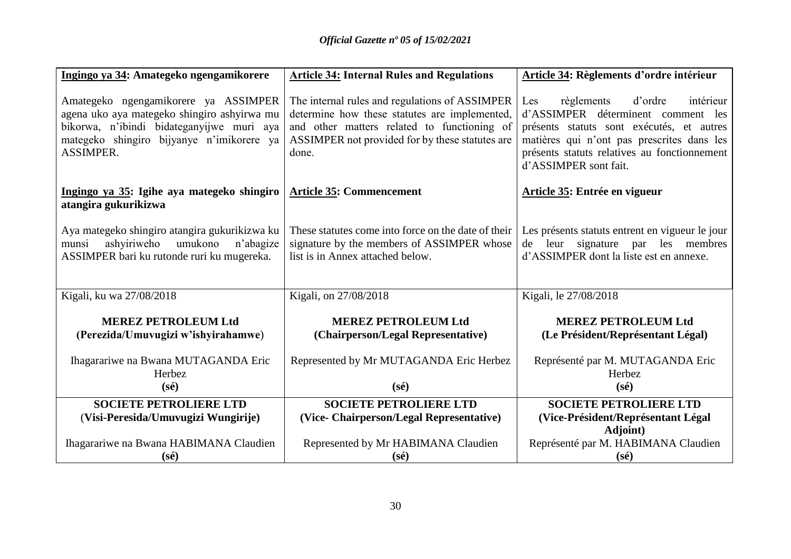| Ingingo ya 34: Amategeko ngengamikorere                                                                                                                                                           | <b>Article 34: Internal Rules and Regulations</b>                                                                                                                                                          | Article 34: Règlements d'ordre intérieur                                                                                                                                                                                                            |
|---------------------------------------------------------------------------------------------------------------------------------------------------------------------------------------------------|------------------------------------------------------------------------------------------------------------------------------------------------------------------------------------------------------------|-----------------------------------------------------------------------------------------------------------------------------------------------------------------------------------------------------------------------------------------------------|
| Amategeko ngengamikorere ya ASSIMPER<br>agena uko aya mategeko shingiro ashyirwa mu<br>bikorwa, n'ibindi bidateganyijwe muri aya<br>mategeko shingiro bijyanye n'imikorere ya<br><b>ASSIMPER.</b> | The internal rules and regulations of ASSIMPER<br>determine how these statutes are implemented,<br>and other matters related to functioning of<br>ASSIMPER not provided for by these statutes are<br>done. | d'ordre<br>Les<br>règlements<br>intérieur<br>d'ASSIMPER déterminent comment les<br>présents statuts sont exécutés, et autres<br>matières qui n'ont pas prescrites dans les<br>présents statuts relatives au fonctionnement<br>d'ASSIMPER sont fait. |
| Ingingo ya 35: Igihe aya mategeko shingiro<br>atangira gukurikizwa                                                                                                                                | <b>Article 35: Commencement</b>                                                                                                                                                                            | Article 35: Entrée en vigueur                                                                                                                                                                                                                       |
| Aya mategeko shingiro atangira gukurikizwa ku<br>umukono<br>ashyiriweho<br>n'abagize<br>munsi<br>ASSIMPER bari ku rutonde ruri ku mugereka.                                                       | These statutes come into force on the date of their<br>signature by the members of ASSIMPER whose<br>list is in Annex attached below.                                                                      | Les présents statuts entrent en vigueur le jour<br>leur signature par les membres<br>de<br>d'ASSIMPER dont la liste est en annexe.                                                                                                                  |
| Kigali, ku wa 27/08/2018                                                                                                                                                                          | Kigali, on 27/08/2018                                                                                                                                                                                      | Kigali, le 27/08/2018                                                                                                                                                                                                                               |
| <b>MEREZ PETROLEUM Ltd</b><br>(Perezida/Umuvugizi w'ishyirahamwe)                                                                                                                                 | <b>MEREZ PETROLEUM Ltd</b><br>(Chairperson/Legal Representative)                                                                                                                                           | <b>MEREZ PETROLEUM Ltd</b><br>(Le Président/Représentant Légal)                                                                                                                                                                                     |
| Ihagarariwe na Bwana MUTAGANDA Eric<br>Herbez<br>$(s\acute{e})$                                                                                                                                   | Represented by Mr MUTAGANDA Eric Herbez<br>$(s\acute{e})$                                                                                                                                                  | Représenté par M. MUTAGANDA Eric<br>Herbez<br>$(s\acute{e})$                                                                                                                                                                                        |
| <b>SOCIETE PETROLIERE LTD</b><br>(Visi-Peresida/Umuvugizi Wungirije)                                                                                                                              | <b>SOCIETE PETROLIERE LTD</b><br>(Vice- Chairperson/Legal Representative)                                                                                                                                  | <b>SOCIETE PETROLIERE LTD</b><br>(Vice-Président/Représentant Légal<br><b>Adjoint</b> )                                                                                                                                                             |
| Ihagarariwe na Bwana HABIMANA Claudien<br>$(s\acute{e})$                                                                                                                                          | Represented by Mr HABIMANA Claudien<br>$(s\acute{e})$                                                                                                                                                      | Représenté par M. HABIMANA Claudien<br>$(s\acute{e})$                                                                                                                                                                                               |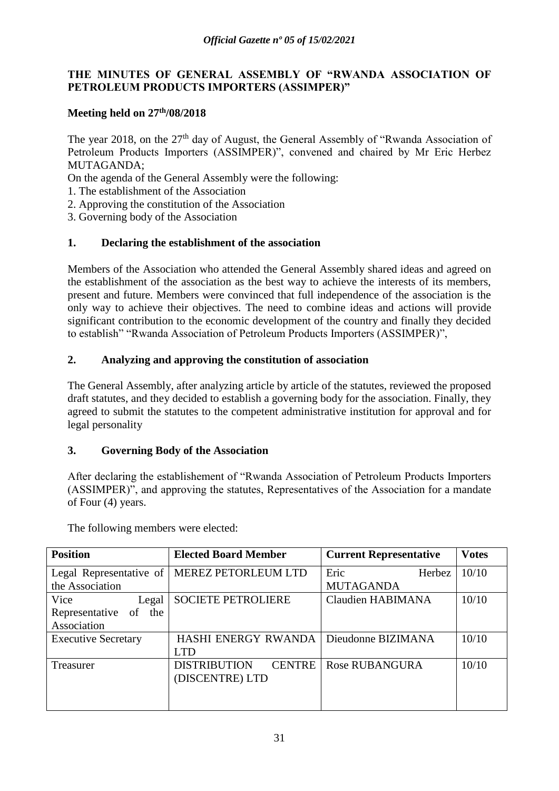#### **THE MINUTES OF GENERAL ASSEMBLY OF "RWANDA ASSOCIATION OF PETROLEUM PRODUCTS IMPORTERS (ASSIMPER)"**

#### **Meeting held on 27th/08/2018**

The year 2018, on the 27<sup>th</sup> day of August, the General Assembly of "Rwanda Association of Petroleum Products Importers (ASSIMPER)", convened and chaired by Mr Eric Herbez MUTAGANDA;

On the agenda of the General Assembly were the following:

- 1. The establishment of the Association
- 2. Approving the constitution of the Association
- 3. Governing body of the Association

#### **1. Declaring the establishment of the association**

Members of the Association who attended the General Assembly shared ideas and agreed on the establishment of the association as the best way to achieve the interests of its members, present and future. Members were convinced that full independence of the association is the only way to achieve their objectives. The need to combine ideas and actions will provide significant contribution to the economic development of the country and finally they decided to establish" "Rwanda Association of Petroleum Products Importers (ASSIMPER)",

#### **2. Analyzing and approving the constitution of association**

The General Assembly, after analyzing article by article of the statutes, reviewed the proposed draft statutes, and they decided to establish a governing body for the association. Finally, they agreed to submit the statutes to the competent administrative institution for approval and for legal personality

#### **3. Governing Body of the Association**

After declaring the establishement of "Rwanda Association of Petroleum Products Importers (ASSIMPER)", and approving the statutes, Representatives of the Association for a mandate of Four (4) years.

| <b>Position</b>             | <b>Elected Board Member</b>          | <b>Current Representative</b> | <b>Votes</b> |
|-----------------------------|--------------------------------------|-------------------------------|--------------|
| Legal Representative of     | <b>MEREZ PETORLEUM LTD</b>           | Eric<br>Herbez                | 10/10        |
| the Association             |                                      | <b>MUTAGANDA</b>              |              |
| Vice<br>Legal               | <b>SOCIETE PETROLIERE</b>            | <b>Claudien HABIMANA</b>      | 10/10        |
| Representative<br>of<br>the |                                      |                               |              |
| Association                 |                                      |                               |              |
| <b>Executive Secretary</b>  | <b>HASHI ENERGY RWANDA</b>           | Dieudonne BIZIMANA            | 10/10        |
|                             | <b>LTD</b>                           |                               |              |
| Treasurer                   | <b>DISTRIBUTION</b><br><b>CENTRE</b> | <b>Rose RUBANGURA</b>         | 10/10        |
|                             | (DISCENTRE) LTD                      |                               |              |
|                             |                                      |                               |              |
|                             |                                      |                               |              |

The following members were elected: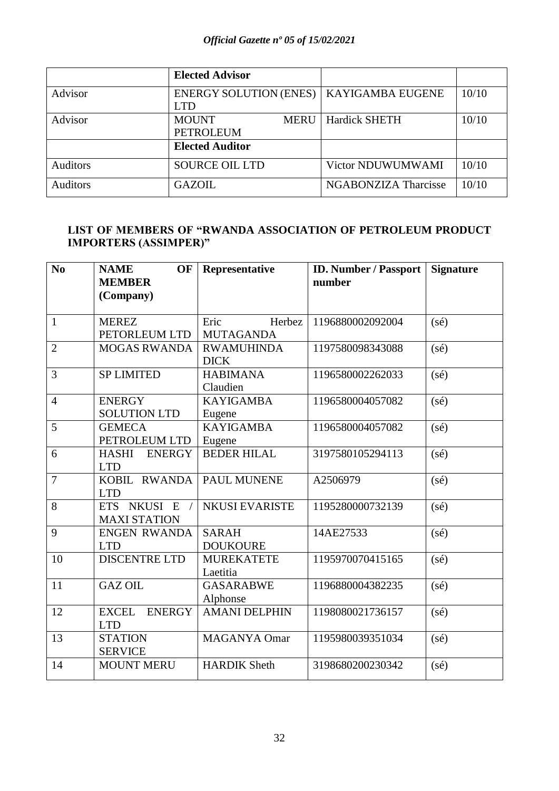|                 | <b>Elected Advisor</b>                          |                             |       |
|-----------------|-------------------------------------------------|-----------------------------|-------|
| Advisor         | <b>ENERGY SOLUTION (ENES)</b><br><b>LTD</b>     | KAYIGAMBA EUGENE            | 10/10 |
| Advisor         | <b>MOUNT</b><br><b>MERU</b><br><b>PETROLEUM</b> | <b>Hardick SHETH</b>        | 10/10 |
|                 | <b>Elected Auditor</b>                          |                             |       |
| <b>Auditors</b> | <b>SOURCE OIL LTD</b>                           | Victor NDUWUMWAMI           | 10/10 |
| <b>Auditors</b> | <b>GAZOIL</b>                                   | <b>NGABONZIZA Tharcisse</b> | 10/10 |

#### **LIST OF MEMBERS OF "RWANDA ASSOCIATION OF PETROLEUM PRODUCT IMPORTERS (ASSIMPER)"**

| $\bf No$       | <b>NAME</b><br>OF<br><b>MEMBER</b><br>(Company)        | Representative                     | <b>ID. Number / Passport</b><br>number | <b>Signature</b> |
|----------------|--------------------------------------------------------|------------------------------------|----------------------------------------|------------------|
| $\mathbf{1}$   | <b>MEREZ</b><br>PETORLEUM LTD                          | Eric<br>Herbez<br><b>MUTAGANDA</b> | 1196880002092004                       | $(s\acute{e})$   |
| $\overline{2}$ | <b>MOGAS RWANDA</b>                                    | <b>RWAMUHINDA</b><br><b>DICK</b>   | 1197580098343088                       | (sé)             |
| 3              | <b>SP LIMITED</b>                                      | <b>HABIMANA</b><br>Claudien        | 1196580002262033                       | (sé)             |
| $\overline{4}$ | <b>ENERGY</b><br><b>SOLUTION LTD</b>                   | <b>KAYIGAMBA</b><br>Eugene         | 1196580004057082                       | $(s\acute{e})$   |
| 5              | <b>GEMECA</b><br>PETROLEUM LTD                         | <b>KAYIGAMBA</b><br>Eugene         | 1196580004057082                       | $(s\acute{e})$   |
| 6              | <b>HASHI</b><br><b>ENERGY</b><br><b>LTD</b>            | <b>BEDER HILAL</b>                 | 3197580105294113                       | $(s\acute{e})$   |
| $\overline{7}$ | KOBIL RWANDA<br><b>LTD</b>                             | PAUL MUNENE                        | A2506979                               | $(s\acute{e})$   |
| 8              | <b>NKUSI</b><br><b>ETS</b><br>E<br><b>MAXI STATION</b> | <b>NKUSI EVARISTE</b>              | 1195280000732139                       | (sé)             |
| 9              | <b>ENGEN RWANDA</b><br><b>LTD</b>                      | <b>SARAH</b><br><b>DOUKOURE</b>    | 14AE27533                              | $(s\acute{e})$   |
| 10             | <b>DISCENTRE LTD</b>                                   | <b>MUREKATETE</b><br>Laetitia      | 1195970070415165                       | $(s\acute{e})$   |
| 11             | <b>GAZ OIL</b>                                         | <b>GASARABWE</b><br>Alphonse       | 1196880004382235                       | $(s\acute{e})$   |
| 12             | <b>EXCEL</b><br><b>ENERGY</b><br><b>LTD</b>            | <b>AMANI DELPHIN</b>               | 1198080021736157                       | $(s\acute{e})$   |
| 13             | <b>STATION</b><br><b>SERVICE</b>                       | <b>MAGANYA Omar</b>                | 1195980039351034                       | $(s\acute{e})$   |
| 14             | <b>MOUNT MERU</b>                                      | <b>HARDIK Sheth</b>                | 3198680200230342                       | $(s\acute{e})$   |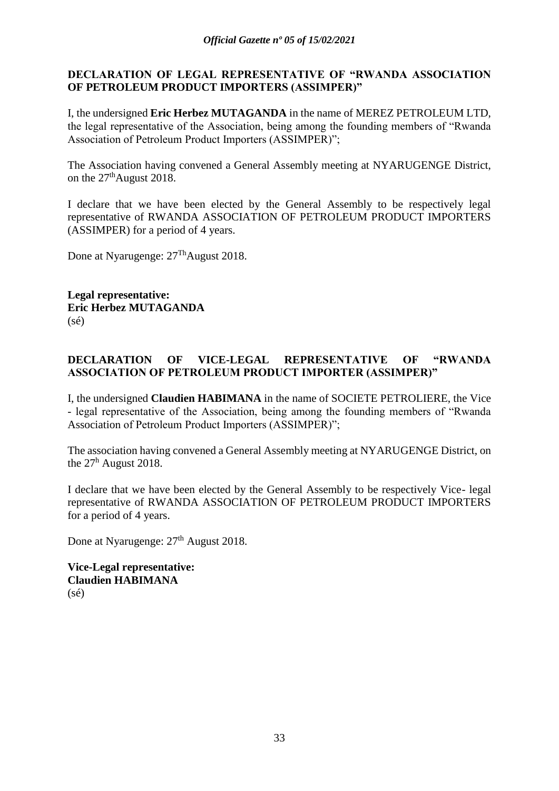#### **DECLARATION OF LEGAL REPRESENTATIVE OF "RWANDA ASSOCIATION OF PETROLEUM PRODUCT IMPORTERS (ASSIMPER)"**

I, the undersigned **Eric Herbez MUTAGANDA** in the name of MEREZ PETROLEUM LTD, the legal representative of the Association, being among the founding members of "Rwanda Association of Petroleum Product Importers (ASSIMPER)";

The Association having convened a General Assembly meeting at NYARUGENGE District, on the 27<sup>th</sup>August 2018.

I declare that we have been elected by the General Assembly to be respectively legal representative of RWANDA ASSOCIATION OF PETROLEUM PRODUCT IMPORTERS (ASSIMPER) for a period of 4 years.

Done at Nyarugenge:  $27<sup>Th</sup>$ August 2018.

**Legal representative: Eric Herbez MUTAGANDA**  $(s\acute{e})$ 

#### **DECLARATION OF VICE-LEGAL REPRESENTATIVE OF "RWANDA ASSOCIATION OF PETROLEUM PRODUCT IMPORTER (ASSIMPER)"**

I, the undersigned **Claudien HABIMANA** in the name of SOCIETE PETROLIERE, the Vice - legal representative of the Association, being among the founding members of "Rwanda Association of Petroleum Product Importers (ASSIMPER)";

The association having convened a General Assembly meeting at NYARUGENGE District, on the 27<sup>h</sup> August 2018.

I declare that we have been elected by the General Assembly to be respectively Vice- legal representative of RWANDA ASSOCIATION OF PETROLEUM PRODUCT IMPORTERS for a period of 4 years.

Done at Nyarugenge:  $27<sup>th</sup>$  August 2018.

**Vice-Legal representative: Claudien HABIMANA** (sé)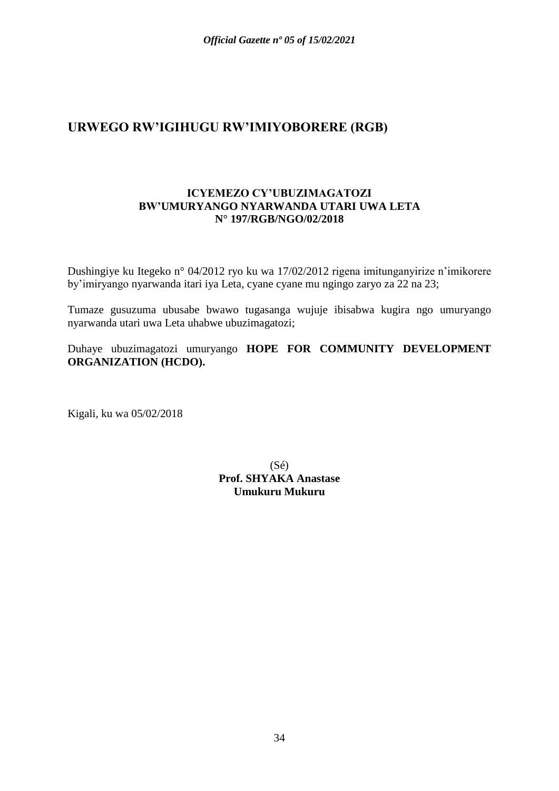## **URWEGO RW'IGIHUGU RW'IMIYOBORERE (RGB)**

#### **ICYEMEZO CY'UBUZIMAGATOZI BW'UMURYANGO NYARWANDA UTARI UWA LETA N° 197/RGB/NGO/02/2018**

Dushingiye ku Itegeko n° 04/2012 ryo ku wa 17/02/2012 rigena imitunganyirize n'imikorere by'imiryango nyarwanda itari iya Leta, cyane cyane mu ngingo zaryo za 22 na 23;

Tumaze gusuzuma ubusabe bwawo tugasanga wujuje ibisabwa kugira ngo umuryango nyarwanda utari uwa Leta uhabwe ubuzimagatozi;

Duhaye ubuzimagatozi umuryango **HOPE FOR COMMUNITY DEVELOPMENT ORGANIZATION (HCDO).**

Kigali, ku wa 05/02/2018

(Sé) **Prof. SHYAKA Anastase Umukuru Mukuru**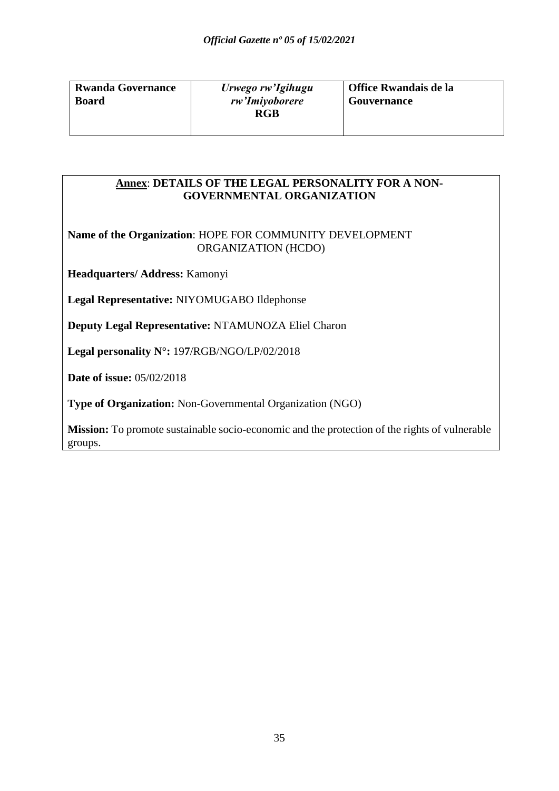| <b>Rwanda Governance</b> | Urwego rw'Igihugu | Office Rwandais de la |
|--------------------------|-------------------|-----------------------|
| <b>Board</b>             | rw'Imiyoborere    | Gouvernance           |
|                          | RGB               |                       |
|                          |                   |                       |

#### **Annex**: **DETAILS OF THE LEGAL PERSONALITY FOR A NON-GOVERNMENTAL ORGANIZATION**

**Name of the Organization**: HOPE FOR COMMUNITY DEVELOPMENT ORGANIZATION (HCDO)

**Headquarters/ Address:** Kamonyi

**Legal Representative:** NIYOMUGABO Ildephonse

**Deputy Legal Representative:** NTAMUNOZA Eliel Charon

**Legal personality N°:** 19**7**/RGB/NGO/LP/02/2018

**Date of issue:** 05/02/2018

**Type of Organization:** Non-Governmental Organization (NGO)

**Mission:** To promote sustainable socio-economic and the protection of the rights of vulnerable groups.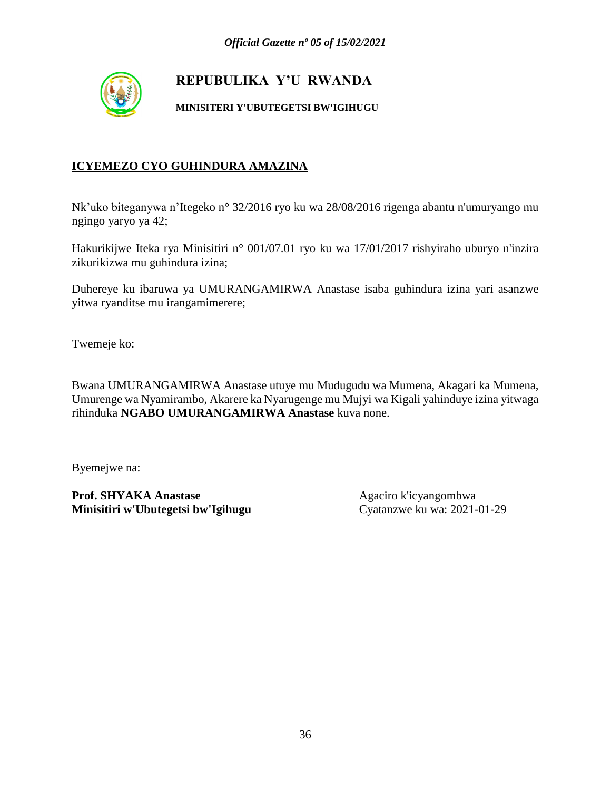

## **REPUBULIKA Y'U RWANDA**

**MINISITERI Y'UBUTEGETSI BW'IGIHUGU**

#### **ICYEMEZO CYO GUHINDURA AMAZINA**

Nk'uko biteganywa n'Itegeko n° 32/2016 ryo ku wa 28/08/2016 rigenga abantu n'umuryango mu ngingo yaryo ya 42;

Hakurikijwe Iteka rya Minisitiri n° 001/07.01 ryo ku wa 17/01/2017 rishyiraho uburyo n'inzira zikurikizwa mu guhindura izina;

Duhereye ku ibaruwa ya UMURANGAMIRWA Anastase isaba guhindura izina yari asanzwe yitwa ryanditse mu irangamimerere;

Twemeje ko:

Bwana UMURANGAMIRWA Anastase utuye mu Mudugudu wa Mumena, Akagari ka Mumena, Umurenge wa Nyamirambo, Akarere ka Nyarugenge mu Mujyi wa Kigali yahinduye izina yitwaga rihinduka **NGABO UMURANGAMIRWA Anastase** kuva none.

Byemejwe na:

Prof. SHYAKA Anastase Agaciro k'icyangombwa **Minisitiri w'Ubutegetsi bw'Igihugu** Cyatanzwe ku wa: 2021-01-29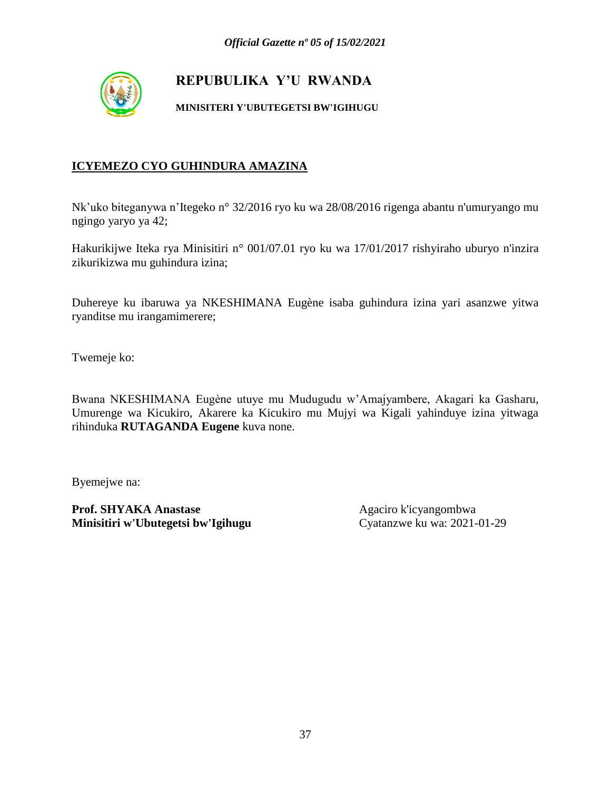

**MINISITERI Y'UBUTEGETSI BW'IGIHUGU**

### **ICYEMEZO CYO GUHINDURA AMAZINA**

Nk'uko biteganywa n'Itegeko n° 32/2016 ryo ku wa 28/08/2016 rigenga abantu n'umuryango mu ngingo yaryo ya 42;

Hakurikijwe Iteka rya Minisitiri n° 001/07.01 ryo ku wa 17/01/2017 rishyiraho uburyo n'inzira zikurikizwa mu guhindura izina;

Duhereye ku ibaruwa ya NKESHIMANA Eugène isaba guhindura izina yari asanzwe yitwa ryanditse mu irangamimerere;

Twemeje ko:

Bwana NKESHIMANA Eugène utuye mu Mudugudu w'Amajyambere, Akagari ka Gasharu, Umurenge wa Kicukiro, Akarere ka Kicukiro mu Mujyi wa Kigali yahinduye izina yitwaga rihinduka **RUTAGANDA Eugene** kuva none.

Byemejwe na: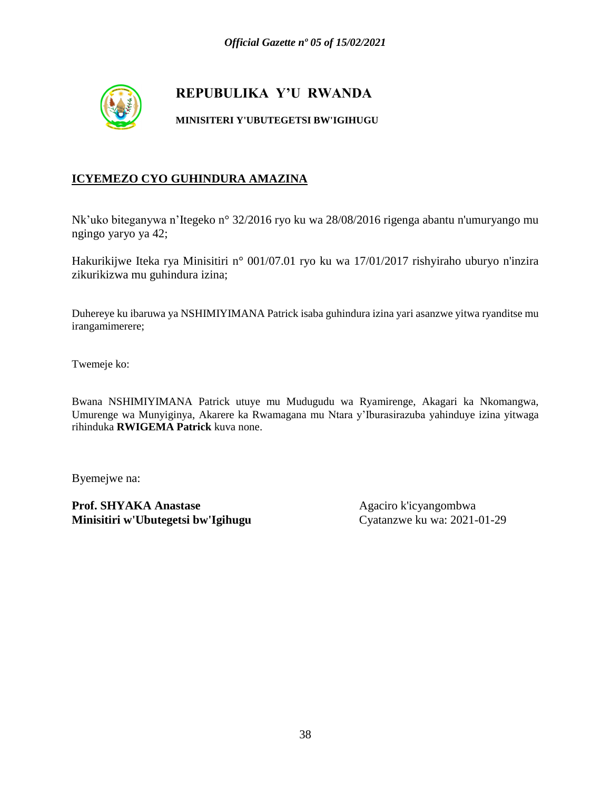

#### **MINISITERI Y'UBUTEGETSI BW'IGIHUGU**

#### **ICYEMEZO CYO GUHINDURA AMAZINA**

Nk'uko biteganywa n'Itegeko n° 32/2016 ryo ku wa 28/08/2016 rigenga abantu n'umuryango mu ngingo yaryo ya 42;

Hakurikijwe Iteka rya Minisitiri n° 001/07.01 ryo ku wa 17/01/2017 rishyiraho uburyo n'inzira zikurikizwa mu guhindura izina;

Duhereye ku ibaruwa ya NSHIMIYIMANA Patrick isaba guhindura izina yari asanzwe yitwa ryanditse mu irangamimerere;

Twemeje ko:

Bwana NSHIMIYIMANA Patrick utuye mu Mudugudu wa Ryamirenge, Akagari ka Nkomangwa, Umurenge wa Munyiginya, Akarere ka Rwamagana mu Ntara y'Iburasirazuba yahinduye izina yitwaga rihinduka **RWIGEMA Patrick** kuva none.

Byemejwe na: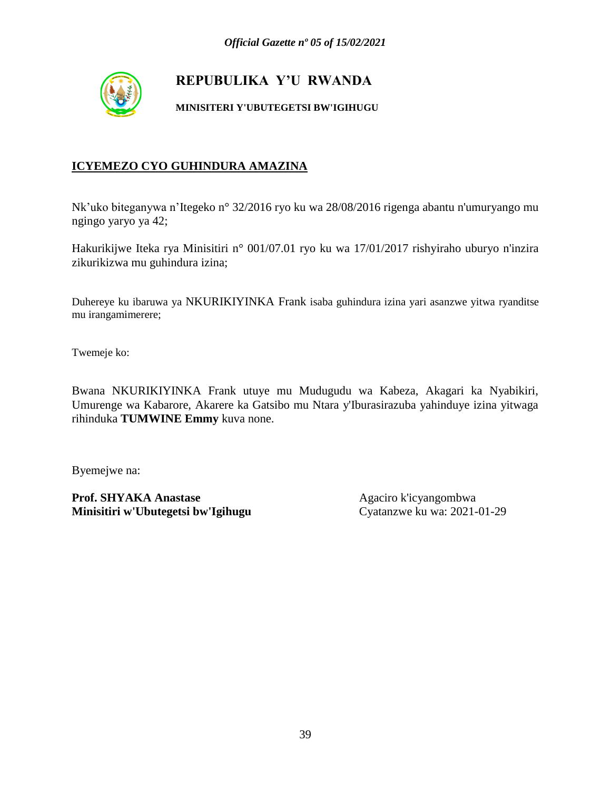

#### **MINISITERI Y'UBUTEGETSI BW'IGIHUGU**

#### **ICYEMEZO CYO GUHINDURA AMAZINA**

Nk'uko biteganywa n'Itegeko n° 32/2016 ryo ku wa 28/08/2016 rigenga abantu n'umuryango mu ngingo yaryo ya 42;

Hakurikijwe Iteka rya Minisitiri n° 001/07.01 ryo ku wa 17/01/2017 rishyiraho uburyo n'inzira zikurikizwa mu guhindura izina;

Duhereye ku ibaruwa ya NKURIKIYINKA Frank isaba guhindura izina yari asanzwe yitwa ryanditse mu irangamimerere;

Twemeje ko:

Bwana NKURIKIYINKA Frank utuye mu Mudugudu wa Kabeza, Akagari ka Nyabikiri, Umurenge wa Kabarore, Akarere ka Gatsibo mu Ntara y'Iburasirazuba yahinduye izina yitwaga rihinduka **TUMWINE Emmy** kuva none.

Byemejwe na: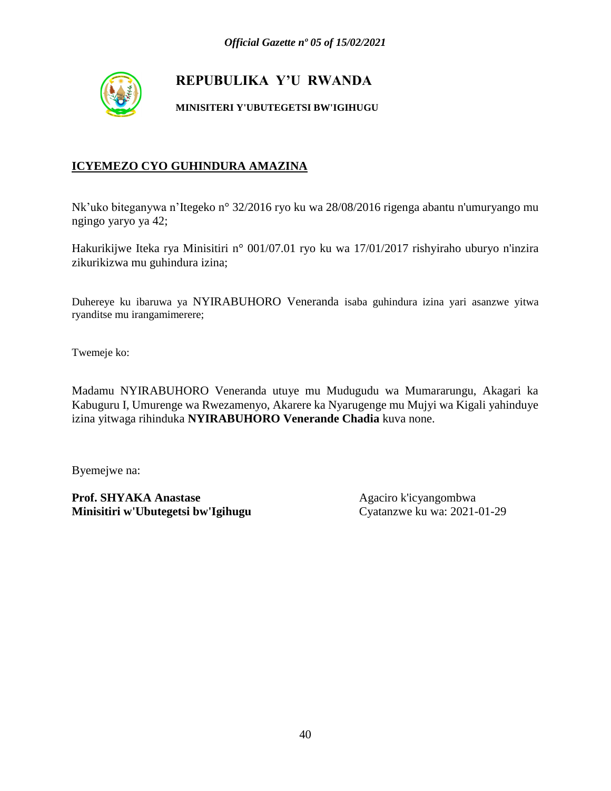

**MINISITERI Y'UBUTEGETSI BW'IGIHUGU**

### **ICYEMEZO CYO GUHINDURA AMAZINA**

Nk'uko biteganywa n'Itegeko n° 32/2016 ryo ku wa 28/08/2016 rigenga abantu n'umuryango mu ngingo yaryo ya 42;

Hakurikijwe Iteka rya Minisitiri n° 001/07.01 ryo ku wa 17/01/2017 rishyiraho uburyo n'inzira zikurikizwa mu guhindura izina;

Duhereye ku ibaruwa ya NYIRABUHORO Veneranda isaba guhindura izina yari asanzwe yitwa ryanditse mu irangamimerere;

Twemeje ko:

Madamu NYIRABUHORO Veneranda utuye mu Mudugudu wa Mumararungu, Akagari ka Kabuguru I, Umurenge wa Rwezamenyo, Akarere ka Nyarugenge mu Mujyi wa Kigali yahinduye izina yitwaga rihinduka **NYIRABUHORO Venerande Chadia** kuva none.

Byemejwe na: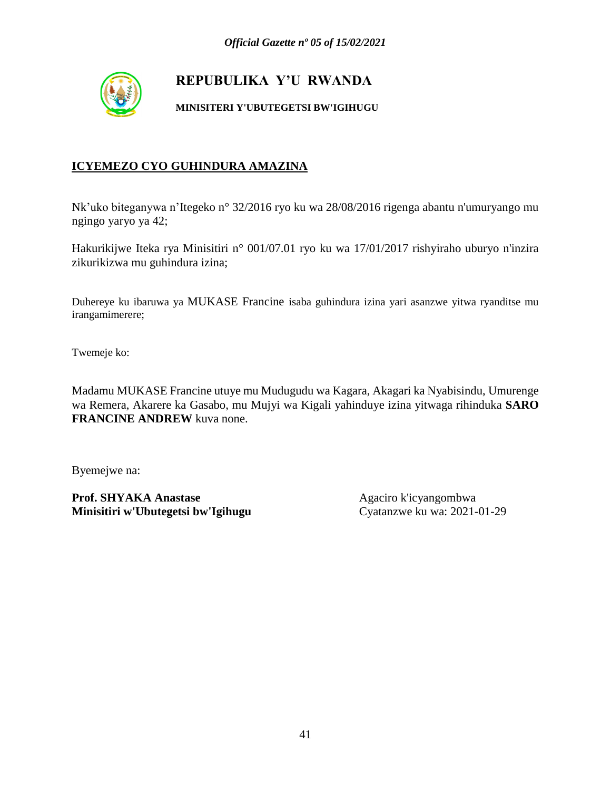

#### **MINISITERI Y'UBUTEGETSI BW'IGIHUGU**

#### **ICYEMEZO CYO GUHINDURA AMAZINA**

Nk'uko biteganywa n'Itegeko n° 32/2016 ryo ku wa 28/08/2016 rigenga abantu n'umuryango mu ngingo yaryo ya 42;

Hakurikijwe Iteka rya Minisitiri n° 001/07.01 ryo ku wa 17/01/2017 rishyiraho uburyo n'inzira zikurikizwa mu guhindura izina;

Duhereye ku ibaruwa ya MUKASE Francine isaba guhindura izina yari asanzwe yitwa ryanditse mu irangamimerere;

Twemeje ko:

Madamu MUKASE Francine utuye mu Mudugudu wa Kagara, Akagari ka Nyabisindu, Umurenge wa Remera, Akarere ka Gasabo, mu Mujyi wa Kigali yahinduye izina yitwaga rihinduka **SARO FRANCINE ANDREW** kuva none.

Byemejwe na: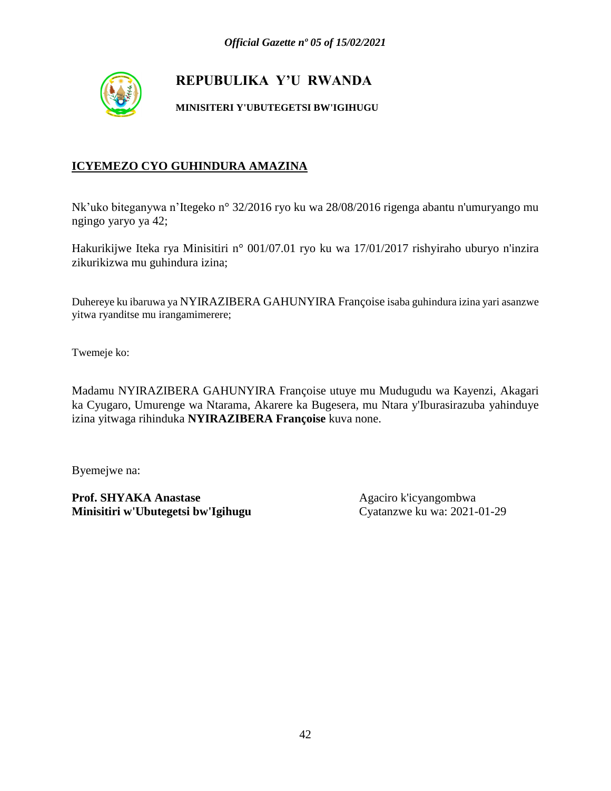

**MINISITERI Y'UBUTEGETSI BW'IGIHUGU**

### **ICYEMEZO CYO GUHINDURA AMAZINA**

Nk'uko biteganywa n'Itegeko n° 32/2016 ryo ku wa 28/08/2016 rigenga abantu n'umuryango mu ngingo yaryo ya 42;

Hakurikijwe Iteka rya Minisitiri n° 001/07.01 ryo ku wa 17/01/2017 rishyiraho uburyo n'inzira zikurikizwa mu guhindura izina;

Duhereye ku ibaruwa ya NYIRAZIBERA GAHUNYIRA Françoise isaba guhindura izina yari asanzwe yitwa ryanditse mu irangamimerere;

Twemeje ko:

Madamu NYIRAZIBERA GAHUNYIRA Françoise utuye mu Mudugudu wa Kayenzi, Akagari ka Cyugaro, Umurenge wa Ntarama, Akarere ka Bugesera, mu Ntara y'Iburasirazuba yahinduye izina yitwaga rihinduka **NYIRAZIBERA Françoise** kuva none.

Byemejwe na: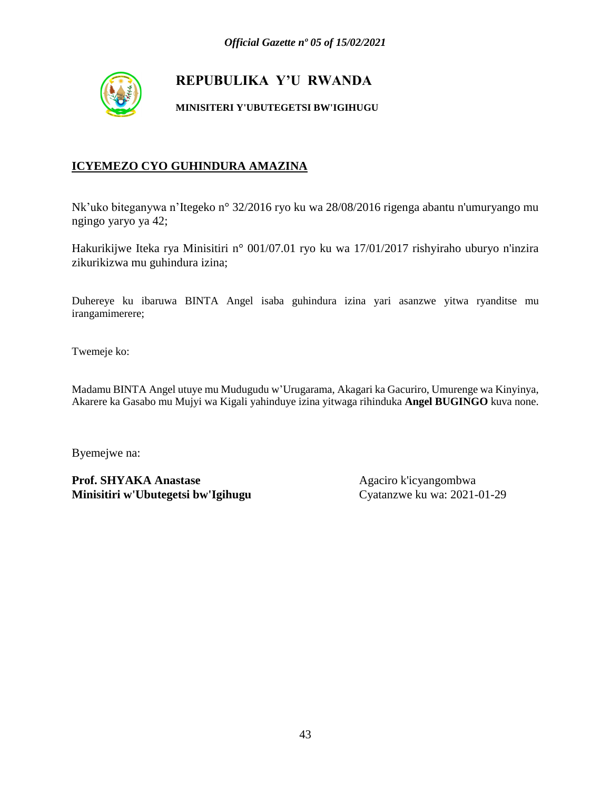

#### **MINISITERI Y'UBUTEGETSI BW'IGIHUGU**

#### **ICYEMEZO CYO GUHINDURA AMAZINA**

Nk'uko biteganywa n'Itegeko n° 32/2016 ryo ku wa 28/08/2016 rigenga abantu n'umuryango mu ngingo yaryo ya 42;

Hakurikijwe Iteka rya Minisitiri n° 001/07.01 ryo ku wa 17/01/2017 rishyiraho uburyo n'inzira zikurikizwa mu guhindura izina;

Duhereye ku ibaruwa BINTA Angel isaba guhindura izina yari asanzwe yitwa ryanditse mu irangamimerere;

Twemeje ko:

Madamu BINTA Angel utuye mu Mudugudu w'Urugarama, Akagari ka Gacuriro, Umurenge wa Kinyinya, Akarere ka Gasabo mu Mujyi wa Kigali yahinduye izina yitwaga rihinduka **Angel BUGINGO** kuva none.

Byemejwe na: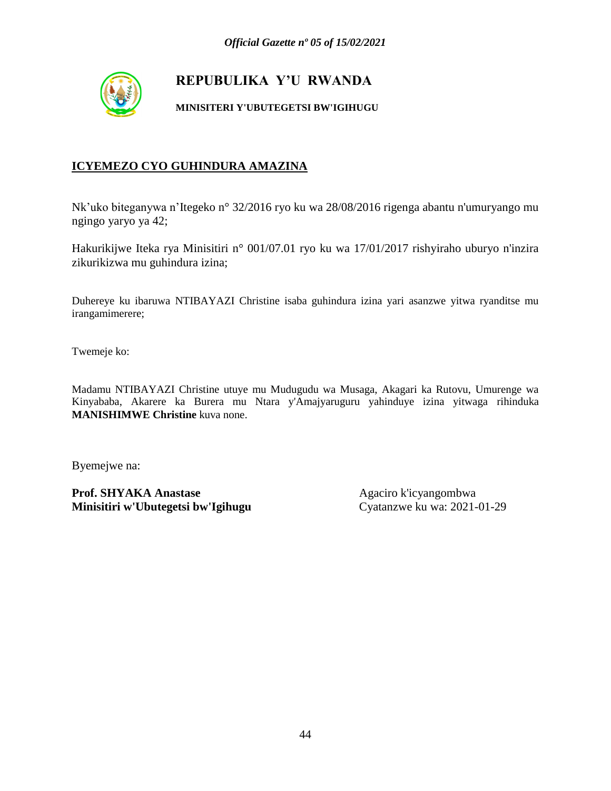

#### **MINISITERI Y'UBUTEGETSI BW'IGIHUGU**

#### **ICYEMEZO CYO GUHINDURA AMAZINA**

Nk'uko biteganywa n'Itegeko n° 32/2016 ryo ku wa 28/08/2016 rigenga abantu n'umuryango mu ngingo yaryo ya 42;

Hakurikijwe Iteka rya Minisitiri n° 001/07.01 ryo ku wa 17/01/2017 rishyiraho uburyo n'inzira zikurikizwa mu guhindura izina;

Duhereye ku ibaruwa NTIBAYAZI Christine isaba guhindura izina yari asanzwe yitwa ryanditse mu irangamimerere;

Twemeje ko:

Madamu NTIBAYAZI Christine utuye mu Mudugudu wa Musaga, Akagari ka Rutovu, Umurenge wa Kinyababa, Akarere ka Burera mu Ntara y'Amajyaruguru yahinduye izina yitwaga rihinduka **MANISHIMWE Christine** kuva none.

Byemejwe na: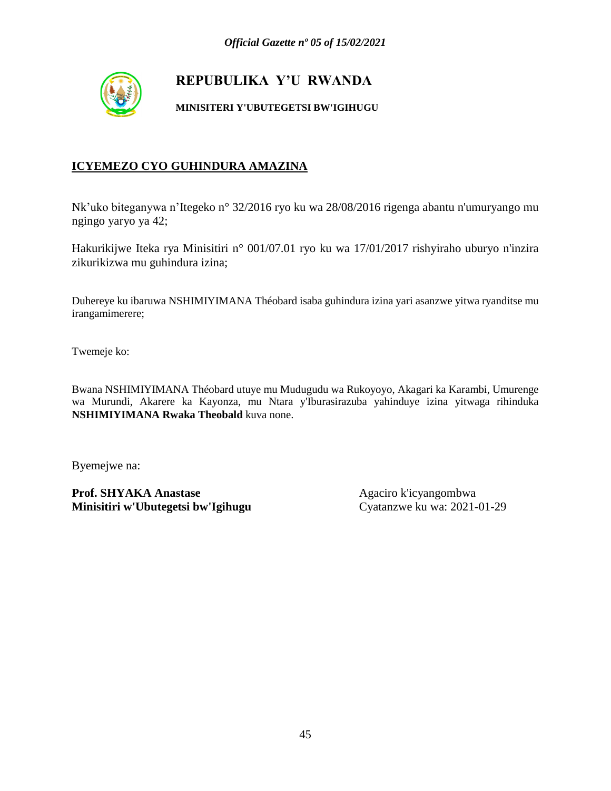

**MINISITERI Y'UBUTEGETSI BW'IGIHUGU**

### **ICYEMEZO CYO GUHINDURA AMAZINA**

Nk'uko biteganywa n'Itegeko n° 32/2016 ryo ku wa 28/08/2016 rigenga abantu n'umuryango mu ngingo yaryo ya 42;

Hakurikijwe Iteka rya Minisitiri n° 001/07.01 ryo ku wa 17/01/2017 rishyiraho uburyo n'inzira zikurikizwa mu guhindura izina;

Duhereye ku ibaruwa NSHIMIYIMANA Théobard isaba guhindura izina yari asanzwe yitwa ryanditse mu irangamimerere;

Twemeje ko:

Bwana NSHIMIYIMANA Théobard utuye mu Mudugudu wa Rukoyoyo, Akagari ka Karambi, Umurenge wa Murundi, Akarere ka Kayonza, mu Ntara y'Iburasirazuba yahinduye izina yitwaga rihinduka **NSHIMIYIMANA Rwaka Theobald** kuva none.

Byemejwe na: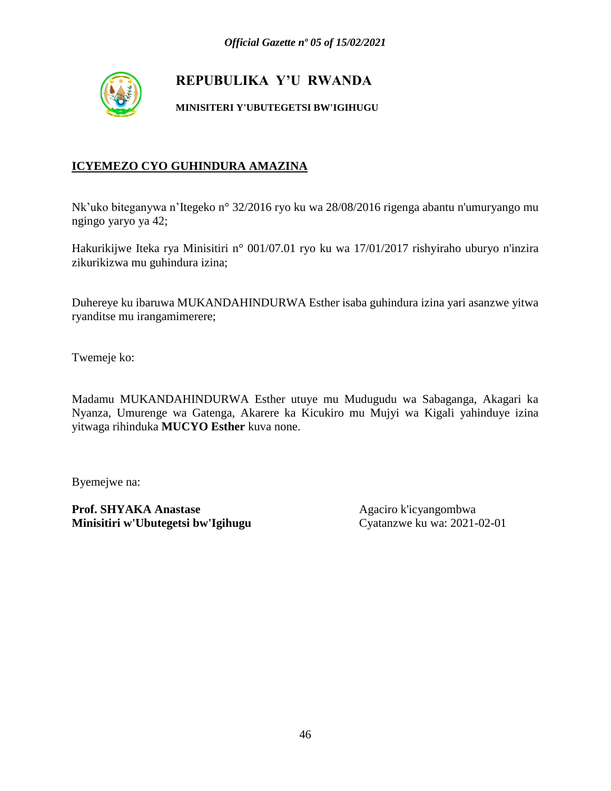

**MINISITERI Y'UBUTEGETSI BW'IGIHUGU**

### **ICYEMEZO CYO GUHINDURA AMAZINA**

Nk'uko biteganywa n'Itegeko n° 32/2016 ryo ku wa 28/08/2016 rigenga abantu n'umuryango mu ngingo yaryo ya 42;

Hakurikijwe Iteka rya Minisitiri n° 001/07.01 ryo ku wa 17/01/2017 rishyiraho uburyo n'inzira zikurikizwa mu guhindura izina;

Duhereye ku ibaruwa MUKANDAHINDURWA Esther isaba guhindura izina yari asanzwe yitwa ryanditse mu irangamimerere;

Twemeje ko:

Madamu MUKANDAHINDURWA Esther utuye mu Mudugudu wa Sabaganga, Akagari ka Nyanza, Umurenge wa Gatenga, Akarere ka Kicukiro mu Mujyi wa Kigali yahinduye izina yitwaga rihinduka **MUCYO Esther** kuva none.

Byemejwe na: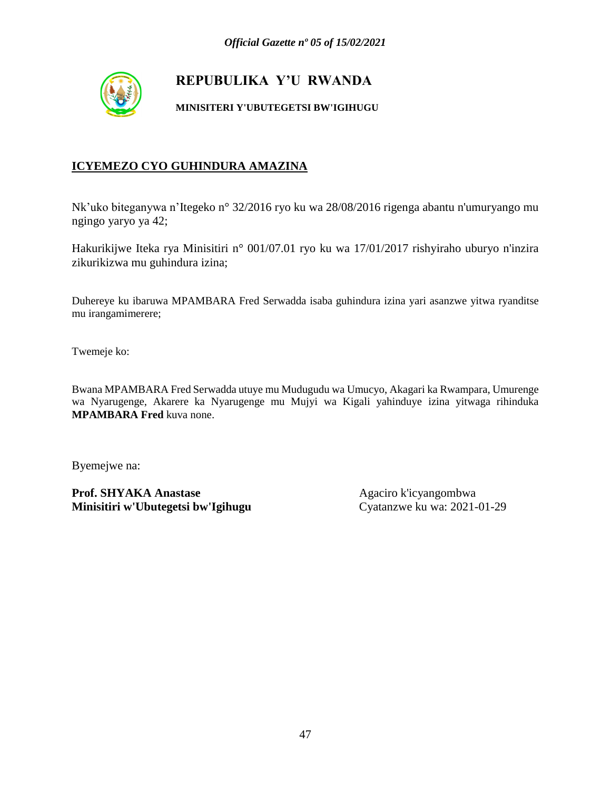

#### **MINISITERI Y'UBUTEGETSI BW'IGIHUGU**

#### **ICYEMEZO CYO GUHINDURA AMAZINA**

Nk'uko biteganywa n'Itegeko n° 32/2016 ryo ku wa 28/08/2016 rigenga abantu n'umuryango mu ngingo yaryo ya 42;

Hakurikijwe Iteka rya Minisitiri n° 001/07.01 ryo ku wa 17/01/2017 rishyiraho uburyo n'inzira zikurikizwa mu guhindura izina;

Duhereye ku ibaruwa MPAMBARA Fred Serwadda isaba guhindura izina yari asanzwe yitwa ryanditse mu irangamimerere;

Twemeje ko:

Bwana MPAMBARA Fred Serwadda utuye mu Mudugudu wa Umucyo, Akagari ka Rwampara, Umurenge wa Nyarugenge, Akarere ka Nyarugenge mu Mujyi wa Kigali yahinduye izina yitwaga rihinduka **MPAMBARA Fred** kuva none.

Byemejwe na: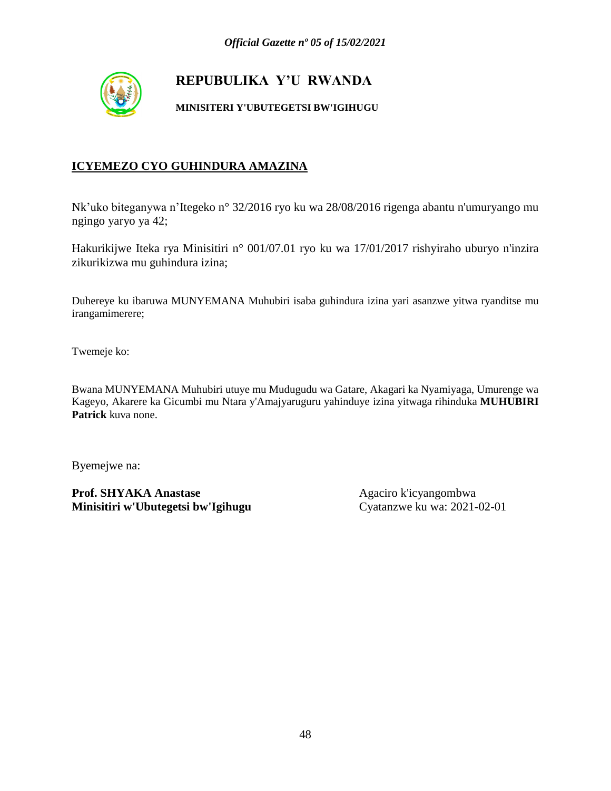

**MINISITERI Y'UBUTEGETSI BW'IGIHUGU**

#### **ICYEMEZO CYO GUHINDURA AMAZINA**

Nk'uko biteganywa n'Itegeko n° 32/2016 ryo ku wa 28/08/2016 rigenga abantu n'umuryango mu ngingo yaryo ya 42;

Hakurikijwe Iteka rya Minisitiri n° 001/07.01 ryo ku wa 17/01/2017 rishyiraho uburyo n'inzira zikurikizwa mu guhindura izina;

Duhereye ku ibaruwa MUNYEMANA Muhubiri isaba guhindura izina yari asanzwe yitwa ryanditse mu irangamimerere;

Twemeje ko:

Bwana MUNYEMANA Muhubiri utuye mu Mudugudu wa Gatare, Akagari ka Nyamiyaga, Umurenge wa Kageyo, Akarere ka Gicumbi mu Ntara y'Amajyaruguru yahinduye izina yitwaga rihinduka **MUHUBIRI Patrick** kuva none.

Byemejwe na: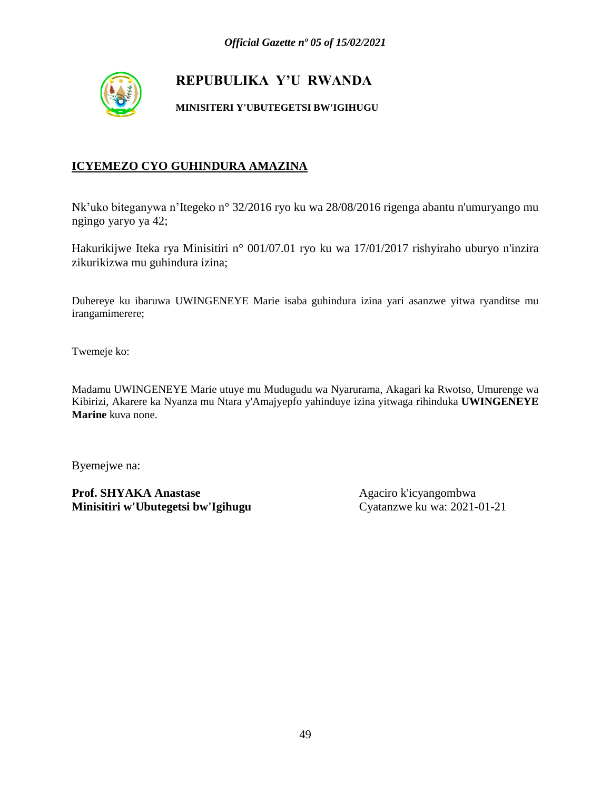

#### **MINISITERI Y'UBUTEGETSI BW'IGIHUGU**

#### **ICYEMEZO CYO GUHINDURA AMAZINA**

Nk'uko biteganywa n'Itegeko n° 32/2016 ryo ku wa 28/08/2016 rigenga abantu n'umuryango mu ngingo yaryo ya 42;

Hakurikijwe Iteka rya Minisitiri n° 001/07.01 ryo ku wa 17/01/2017 rishyiraho uburyo n'inzira zikurikizwa mu guhindura izina;

Duhereye ku ibaruwa UWINGENEYE Marie isaba guhindura izina yari asanzwe yitwa ryanditse mu irangamimerere;

Twemeje ko:

Madamu UWINGENEYE Marie utuye mu Mudugudu wa Nyarurama, Akagari ka Rwotso, Umurenge wa Kibirizi, Akarere ka Nyanza mu Ntara y'Amajyepfo yahinduye izina yitwaga rihinduka **UWINGENEYE Marine** kuva none.

Byemejwe na: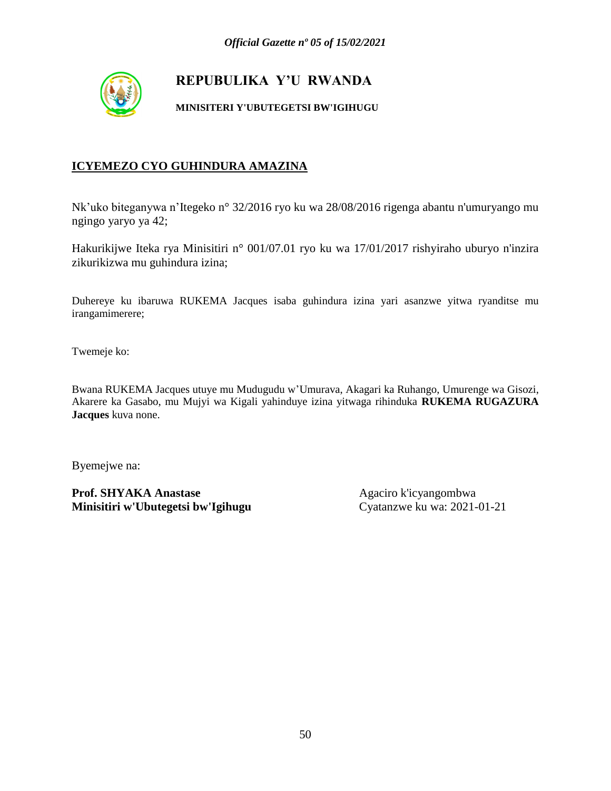

#### **MINISITERI Y'UBUTEGETSI BW'IGIHUGU**

#### **ICYEMEZO CYO GUHINDURA AMAZINA**

Nk'uko biteganywa n'Itegeko n° 32/2016 ryo ku wa 28/08/2016 rigenga abantu n'umuryango mu ngingo yaryo ya 42;

Hakurikijwe Iteka rya Minisitiri n° 001/07.01 ryo ku wa 17/01/2017 rishyiraho uburyo n'inzira zikurikizwa mu guhindura izina;

Duhereye ku ibaruwa RUKEMA Jacques isaba guhindura izina yari asanzwe yitwa ryanditse mu irangamimerere;

Twemeje ko:

Bwana RUKEMA Jacques utuye mu Mudugudu w'Umurava, Akagari ka Ruhango, Umurenge wa Gisozi, Akarere ka Gasabo, mu Mujyi wa Kigali yahinduye izina yitwaga rihinduka **RUKEMA RUGAZURA Jacques** kuva none.

Byemejwe na: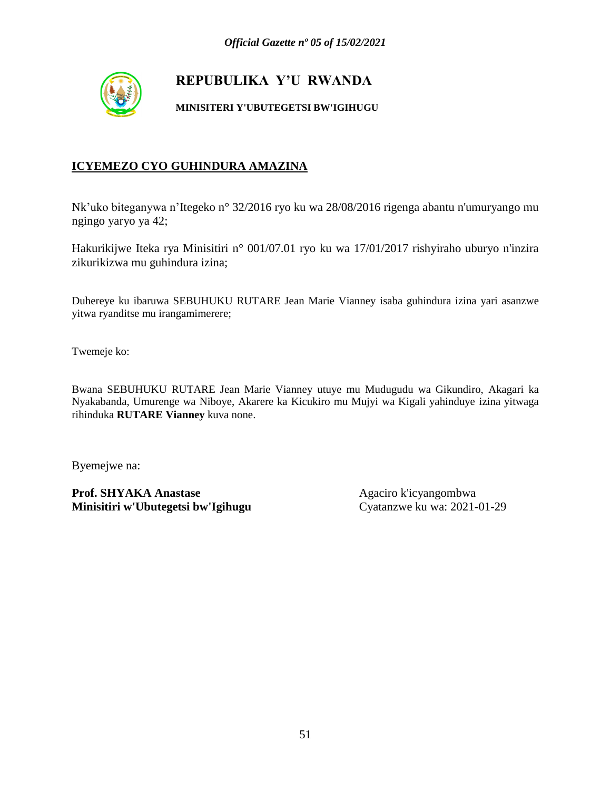

**MINISITERI Y'UBUTEGETSI BW'IGIHUGU**

### **ICYEMEZO CYO GUHINDURA AMAZINA**

Nk'uko biteganywa n'Itegeko n° 32/2016 ryo ku wa 28/08/2016 rigenga abantu n'umuryango mu ngingo yaryo ya 42;

Hakurikijwe Iteka rya Minisitiri n° 001/07.01 ryo ku wa 17/01/2017 rishyiraho uburyo n'inzira zikurikizwa mu guhindura izina;

Duhereye ku ibaruwa SEBUHUKU RUTARE Jean Marie Vianney isaba guhindura izina yari asanzwe yitwa ryanditse mu irangamimerere;

Twemeje ko:

Bwana SEBUHUKU RUTARE Jean Marie Vianney utuye mu Mudugudu wa Gikundiro, Akagari ka Nyakabanda, Umurenge wa Niboye, Akarere ka Kicukiro mu Mujyi wa Kigali yahinduye izina yitwaga rihinduka **RUTARE Vianney** kuva none.

Byemejwe na: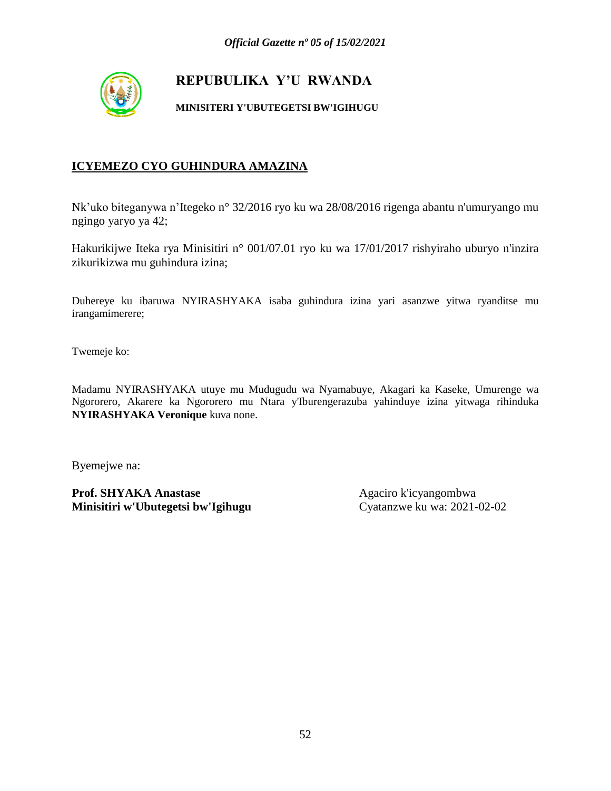

#### **MINISITERI Y'UBUTEGETSI BW'IGIHUGU**

#### **ICYEMEZO CYO GUHINDURA AMAZINA**

Nk'uko biteganywa n'Itegeko n° 32/2016 ryo ku wa 28/08/2016 rigenga abantu n'umuryango mu ngingo yaryo ya 42;

Hakurikijwe Iteka rya Minisitiri n° 001/07.01 ryo ku wa 17/01/2017 rishyiraho uburyo n'inzira zikurikizwa mu guhindura izina;

Duhereye ku ibaruwa NYIRASHYAKA isaba guhindura izina yari asanzwe yitwa ryanditse mu irangamimerere;

Twemeje ko:

Madamu NYIRASHYAKA utuye mu Mudugudu wa Nyamabuye, Akagari ka Kaseke, Umurenge wa Ngororero, Akarere ka Ngororero mu Ntara y'Iburengerazuba yahinduye izina yitwaga rihinduka **NYIRASHYAKA Veronique** kuva none.

Byemejwe na: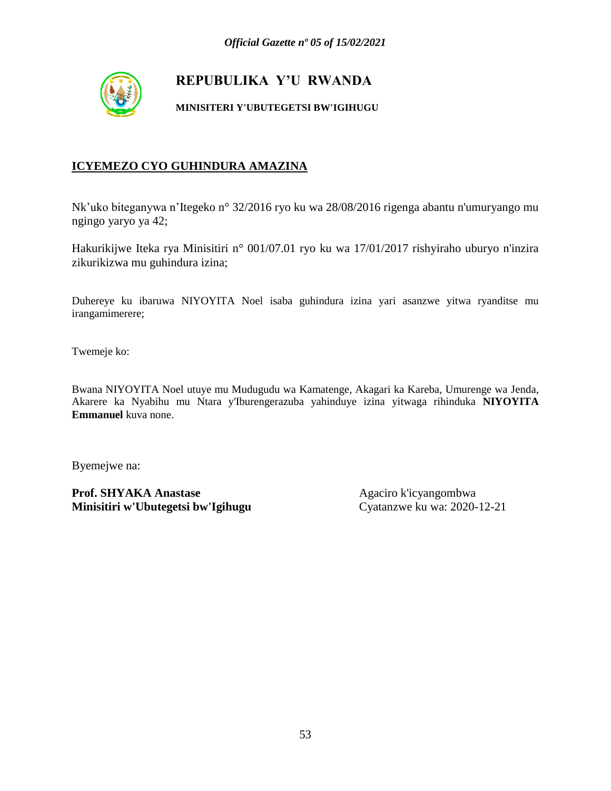

#### **MINISITERI Y'UBUTEGETSI BW'IGIHUGU**

#### **ICYEMEZO CYO GUHINDURA AMAZINA**

Nk'uko biteganywa n'Itegeko n° 32/2016 ryo ku wa 28/08/2016 rigenga abantu n'umuryango mu ngingo yaryo ya 42;

Hakurikijwe Iteka rya Minisitiri n° 001/07.01 ryo ku wa 17/01/2017 rishyiraho uburyo n'inzira zikurikizwa mu guhindura izina;

Duhereye ku ibaruwa NIYOYITA Noel isaba guhindura izina yari asanzwe yitwa ryanditse mu irangamimerere;

Twemeje ko:

Bwana NIYOYITA Noel utuye mu Mudugudu wa Kamatenge, Akagari ka Kareba, Umurenge wa Jenda, Akarere ka Nyabihu mu Ntara y'Iburengerazuba yahinduye izina yitwaga rihinduka **NIYOYITA Emmanuel** kuva none.

Byemejwe na: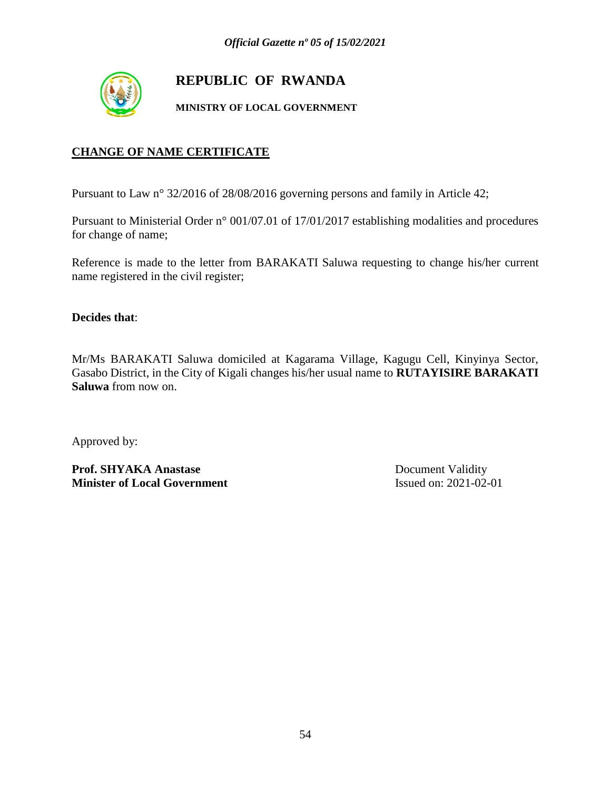

# **REPUBLIC OF RWANDA**

**MINISTRY OF LOCAL GOVERNMENT**

### **CHANGE OF NAME CERTIFICATE**

Pursuant to Law n° 32/2016 of 28/08/2016 governing persons and family in Article 42;

Pursuant to Ministerial Order n° 001/07.01 of 17/01/2017 establishing modalities and procedures for change of name;

Reference is made to the letter from BARAKATI Saluwa requesting to change his/her current name registered in the civil register;

**Decides that**:

Mr/Ms BARAKATI Saluwa domiciled at Kagarama Village, Kagugu Cell, Kinyinya Sector, Gasabo District, in the City of Kigali changes his/her usual name to **RUTAYISIRE BARAKATI Saluwa** from now on.

Approved by:

Prof. SHYAKA Anastase Document Validity **Minister of Local Government** Issued on: 2021-02-01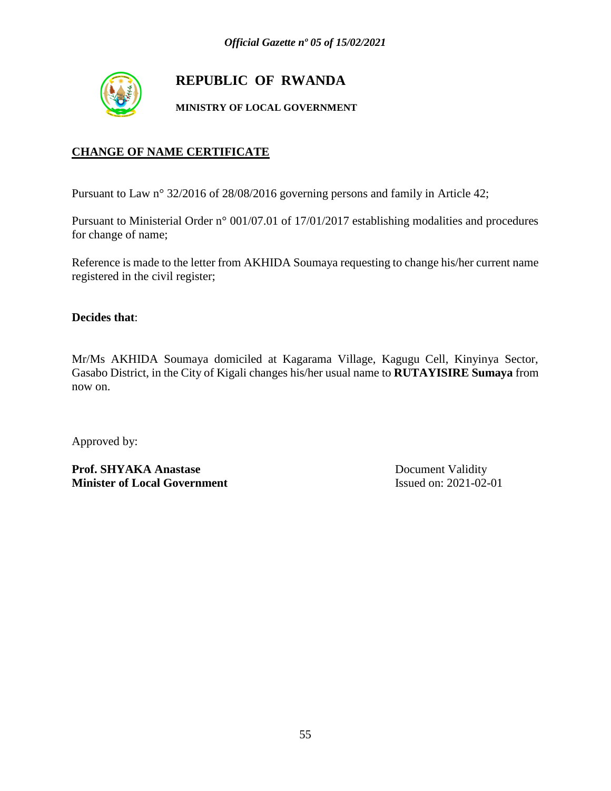

# **REPUBLIC OF RWANDA**

**MINISTRY OF LOCAL GOVERNMENT**

### **CHANGE OF NAME CERTIFICATE**

Pursuant to Law n° 32/2016 of 28/08/2016 governing persons and family in Article 42;

Pursuant to Ministerial Order n° 001/07.01 of 17/01/2017 establishing modalities and procedures for change of name;

Reference is made to the letter from AKHIDA Soumaya requesting to change his/her current name registered in the civil register;

**Decides that**:

Mr/Ms AKHIDA Soumaya domiciled at Kagarama Village, Kagugu Cell, Kinyinya Sector, Gasabo District, in the City of Kigali changes his/her usual name to **RUTAYISIRE Sumaya** from now on.

Approved by:

Prof. SHYAKA Anastase Document Validity **Minister of Local Government** Issued on: 2021-02-01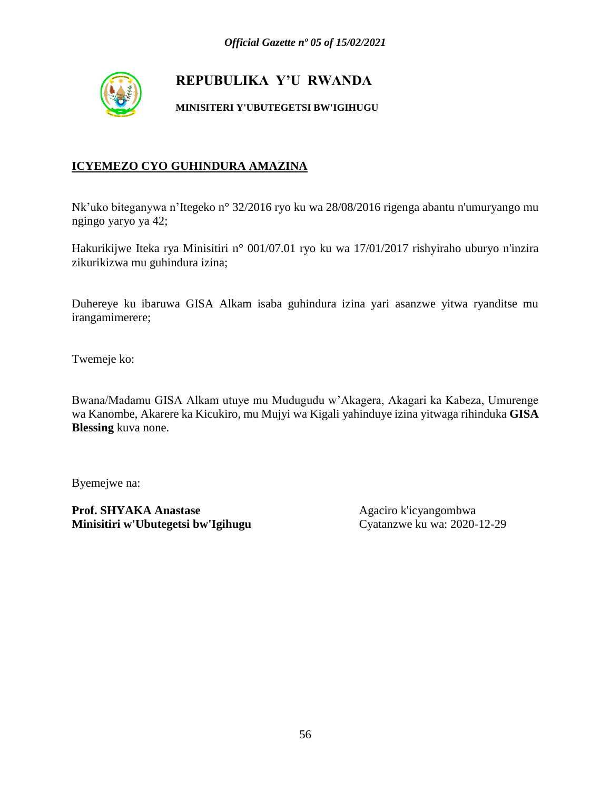

**MINISITERI Y'UBUTEGETSI BW'IGIHUGU**

### **ICYEMEZO CYO GUHINDURA AMAZINA**

Nk'uko biteganywa n'Itegeko n° 32/2016 ryo ku wa 28/08/2016 rigenga abantu n'umuryango mu ngingo yaryo ya 42;

Hakurikijwe Iteka rya Minisitiri n° 001/07.01 ryo ku wa 17/01/2017 rishyiraho uburyo n'inzira zikurikizwa mu guhindura izina;

Duhereye ku ibaruwa GISA Alkam isaba guhindura izina yari asanzwe yitwa ryanditse mu irangamimerere;

Twemeje ko:

Bwana/Madamu GISA Alkam utuye mu Mudugudu w'Akagera, Akagari ka Kabeza, Umurenge wa Kanombe, Akarere ka Kicukiro, mu Mujyi wa Kigali yahinduye izina yitwaga rihinduka **GISA Blessing** kuva none.

Byemejwe na: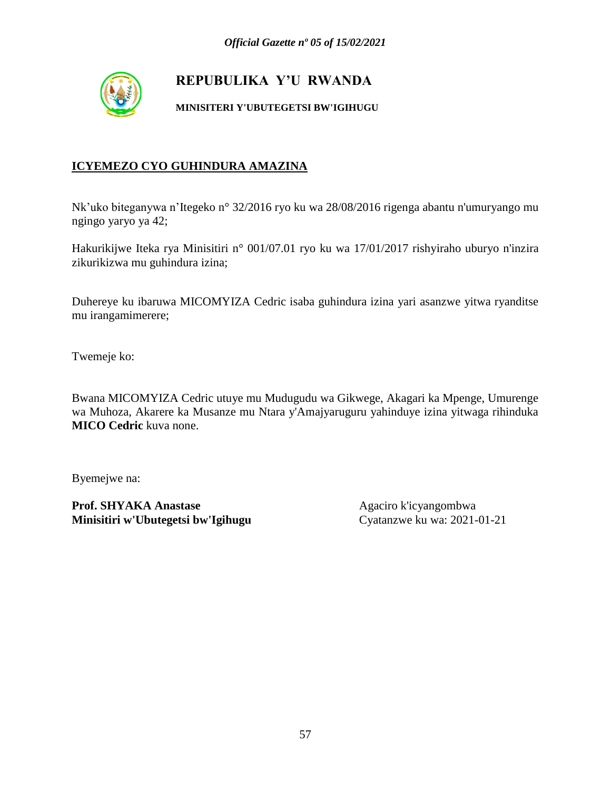

**MINISITERI Y'UBUTEGETSI BW'IGIHUGU**

### **ICYEMEZO CYO GUHINDURA AMAZINA**

Nk'uko biteganywa n'Itegeko n° 32/2016 ryo ku wa 28/08/2016 rigenga abantu n'umuryango mu ngingo yaryo ya 42;

Hakurikijwe Iteka rya Minisitiri n° 001/07.01 ryo ku wa 17/01/2017 rishyiraho uburyo n'inzira zikurikizwa mu guhindura izina;

Duhereye ku ibaruwa MICOMYIZA Cedric isaba guhindura izina yari asanzwe yitwa ryanditse mu irangamimerere;

Twemeje ko:

Bwana MICOMYIZA Cedric utuye mu Mudugudu wa Gikwege, Akagari ka Mpenge, Umurenge wa Muhoza, Akarere ka Musanze mu Ntara y'Amajyaruguru yahinduye izina yitwaga rihinduka **MICO Cedric** kuva none.

Byemejwe na: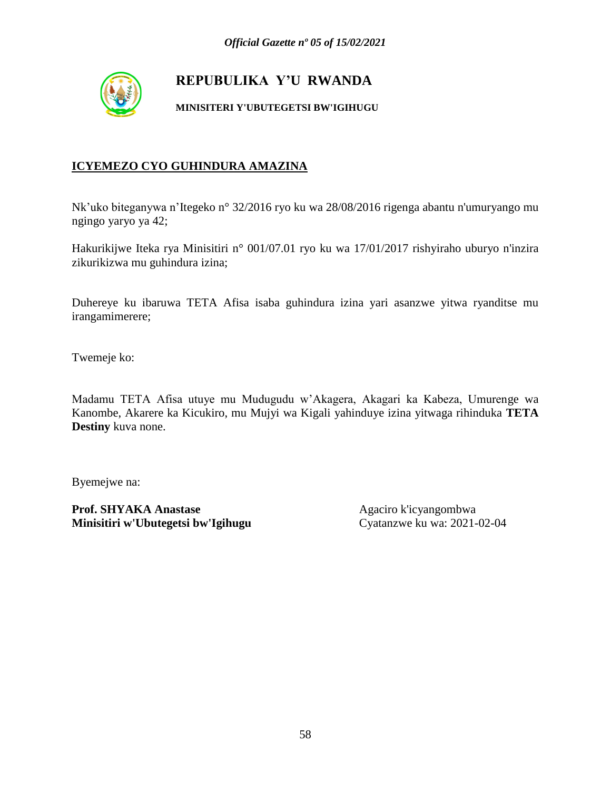

**MINISITERI Y'UBUTEGETSI BW'IGIHUGU**

### **ICYEMEZO CYO GUHINDURA AMAZINA**

Nk'uko biteganywa n'Itegeko n° 32/2016 ryo ku wa 28/08/2016 rigenga abantu n'umuryango mu ngingo yaryo ya 42;

Hakurikijwe Iteka rya Minisitiri n° 001/07.01 ryo ku wa 17/01/2017 rishyiraho uburyo n'inzira zikurikizwa mu guhindura izina;

Duhereye ku ibaruwa TETA Afisa isaba guhindura izina yari asanzwe yitwa ryanditse mu irangamimerere;

Twemeje ko:

Madamu TETA Afisa utuye mu Mudugudu w'Akagera, Akagari ka Kabeza, Umurenge wa Kanombe, Akarere ka Kicukiro, mu Mujyi wa Kigali yahinduye izina yitwaga rihinduka **TETA Destiny** kuva none.

Byemejwe na: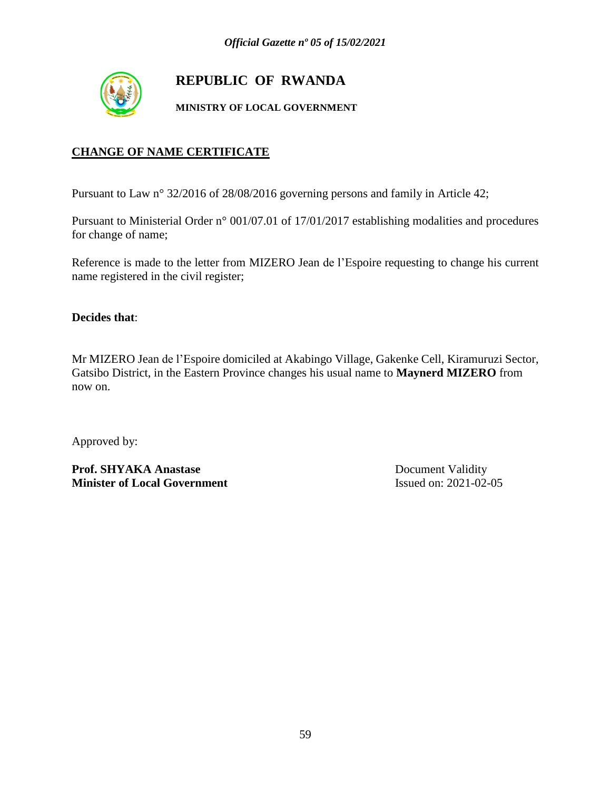

# **REPUBLIC OF RWANDA**

**MINISTRY OF LOCAL GOVERNMENT**

### **CHANGE OF NAME CERTIFICATE**

Pursuant to Law n° 32/2016 of 28/08/2016 governing persons and family in Article 42;

Pursuant to Ministerial Order n° 001/07.01 of 17/01/2017 establishing modalities and procedures for change of name;

Reference is made to the letter from MIZERO Jean de l'Espoire requesting to change his current name registered in the civil register;

**Decides that**:

Mr MIZERO Jean de l'Espoire domiciled at Akabingo Village, Gakenke Cell, Kiramuruzi Sector, Gatsibo District, in the Eastern Province changes his usual name to **Maynerd MIZERO** from now on.

Approved by:

Prof. SHYAKA Anastase Document Validity **Minister of Local Government** Issued on: 2021-02-05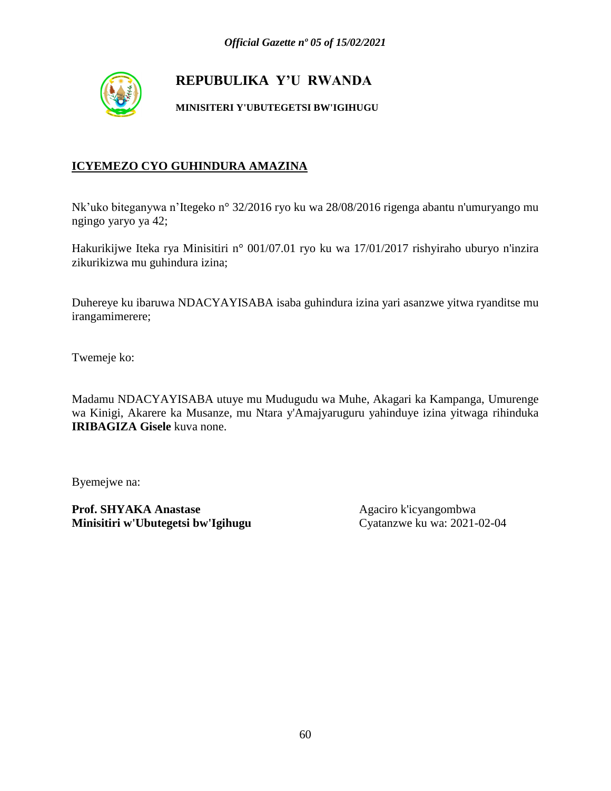

**MINISITERI Y'UBUTEGETSI BW'IGIHUGU**

### **ICYEMEZO CYO GUHINDURA AMAZINA**

Nk'uko biteganywa n'Itegeko n° 32/2016 ryo ku wa 28/08/2016 rigenga abantu n'umuryango mu ngingo yaryo ya 42;

Hakurikijwe Iteka rya Minisitiri n° 001/07.01 ryo ku wa 17/01/2017 rishyiraho uburyo n'inzira zikurikizwa mu guhindura izina;

Duhereye ku ibaruwa NDACYAYISABA isaba guhindura izina yari asanzwe yitwa ryanditse mu irangamimerere;

Twemeje ko:

Madamu NDACYAYISABA utuye mu Mudugudu wa Muhe, Akagari ka Kampanga, Umurenge wa Kinigi, Akarere ka Musanze, mu Ntara y'Amajyaruguru yahinduye izina yitwaga rihinduka **IRIBAGIZA Gisele** kuva none.

Byemejwe na: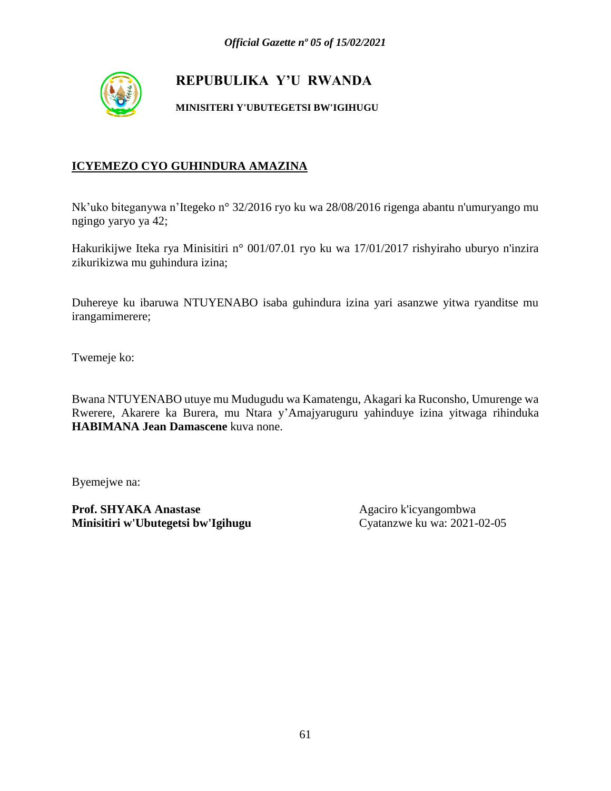

**MINISITERI Y'UBUTEGETSI BW'IGIHUGU**

### **ICYEMEZO CYO GUHINDURA AMAZINA**

Nk'uko biteganywa n'Itegeko n° 32/2016 ryo ku wa 28/08/2016 rigenga abantu n'umuryango mu ngingo yaryo ya 42;

Hakurikijwe Iteka rya Minisitiri n° 001/07.01 ryo ku wa 17/01/2017 rishyiraho uburyo n'inzira zikurikizwa mu guhindura izina;

Duhereye ku ibaruwa NTUYENABO isaba guhindura izina yari asanzwe yitwa ryanditse mu irangamimerere;

Twemeje ko:

Bwana NTUYENABO utuye mu Mudugudu wa Kamatengu, Akagari ka Ruconsho, Umurenge wa Rwerere, Akarere ka Burera, mu Ntara y'Amajyaruguru yahinduye izina yitwaga rihinduka **HABIMANA Jean Damascene** kuva none.

Byemejwe na: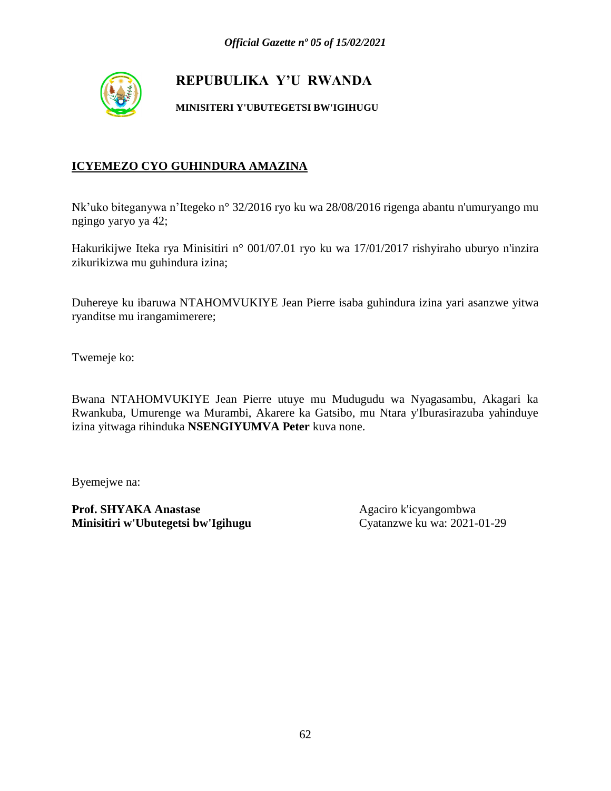

**MINISITERI Y'UBUTEGETSI BW'IGIHUGU**

### **ICYEMEZO CYO GUHINDURA AMAZINA**

Nk'uko biteganywa n'Itegeko n° 32/2016 ryo ku wa 28/08/2016 rigenga abantu n'umuryango mu ngingo yaryo ya 42;

Hakurikijwe Iteka rya Minisitiri n° 001/07.01 ryo ku wa 17/01/2017 rishyiraho uburyo n'inzira zikurikizwa mu guhindura izina;

Duhereye ku ibaruwa NTAHOMVUKIYE Jean Pierre isaba guhindura izina yari asanzwe yitwa ryanditse mu irangamimerere;

Twemeje ko:

Bwana NTAHOMVUKIYE Jean Pierre utuye mu Mudugudu wa Nyagasambu, Akagari ka Rwankuba, Umurenge wa Murambi, Akarere ka Gatsibo, mu Ntara y'Iburasirazuba yahinduye izina yitwaga rihinduka **NSENGIYUMVA Peter** kuva none.

Byemejwe na: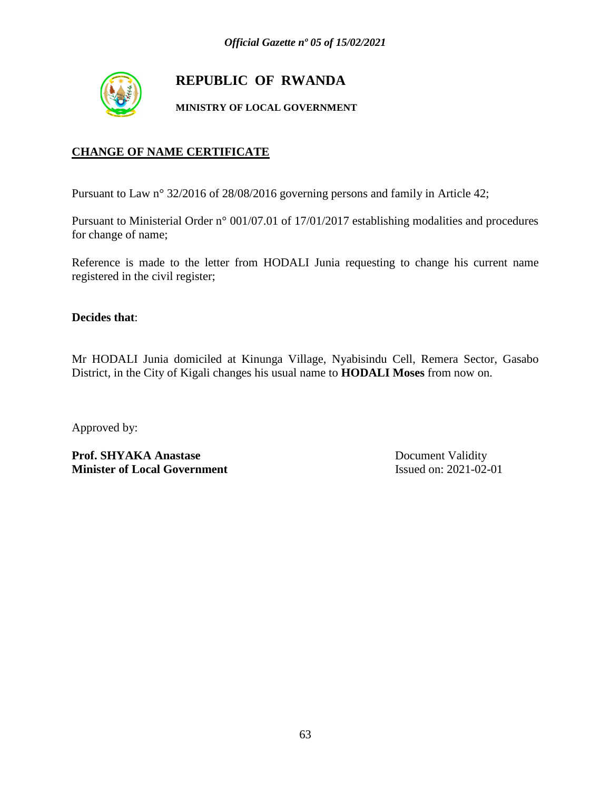

# **REPUBLIC OF RWANDA**

**MINISTRY OF LOCAL GOVERNMENT**

### **CHANGE OF NAME CERTIFICATE**

Pursuant to Law n° 32/2016 of 28/08/2016 governing persons and family in Article 42;

Pursuant to Ministerial Order n° 001/07.01 of 17/01/2017 establishing modalities and procedures for change of name;

Reference is made to the letter from HODALI Junia requesting to change his current name registered in the civil register;

**Decides that**:

Mr HODALI Junia domiciled at Kinunga Village, Nyabisindu Cell, Remera Sector, Gasabo District, in the City of Kigali changes his usual name to **HODALI Moses** from now on.

Approved by:

Prof. SHYAKA Anastase Document Validity **Minister of Local Government** Issued on: 2021-02-01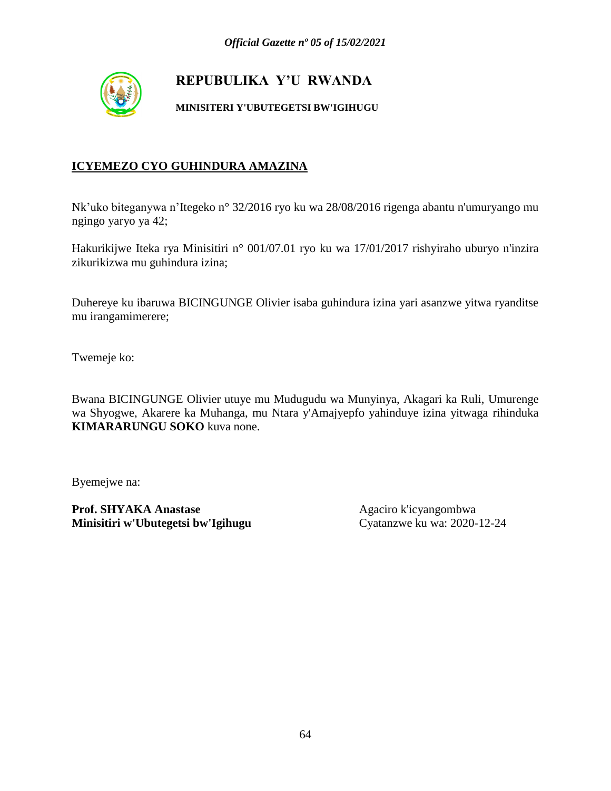

**MINISITERI Y'UBUTEGETSI BW'IGIHUGU**

### **ICYEMEZO CYO GUHINDURA AMAZINA**

Nk'uko biteganywa n'Itegeko n° 32/2016 ryo ku wa 28/08/2016 rigenga abantu n'umuryango mu ngingo yaryo ya 42;

Hakurikijwe Iteka rya Minisitiri n° 001/07.01 ryo ku wa 17/01/2017 rishyiraho uburyo n'inzira zikurikizwa mu guhindura izina;

Duhereye ku ibaruwa BICINGUNGE Olivier isaba guhindura izina yari asanzwe yitwa ryanditse mu irangamimerere;

Twemeje ko:

Bwana BICINGUNGE Olivier utuye mu Mudugudu wa Munyinya, Akagari ka Ruli, Umurenge wa Shyogwe, Akarere ka Muhanga, mu Ntara y'Amajyepfo yahinduye izina yitwaga rihinduka **KIMARARUNGU SOKO** kuva none.

Byemejwe na: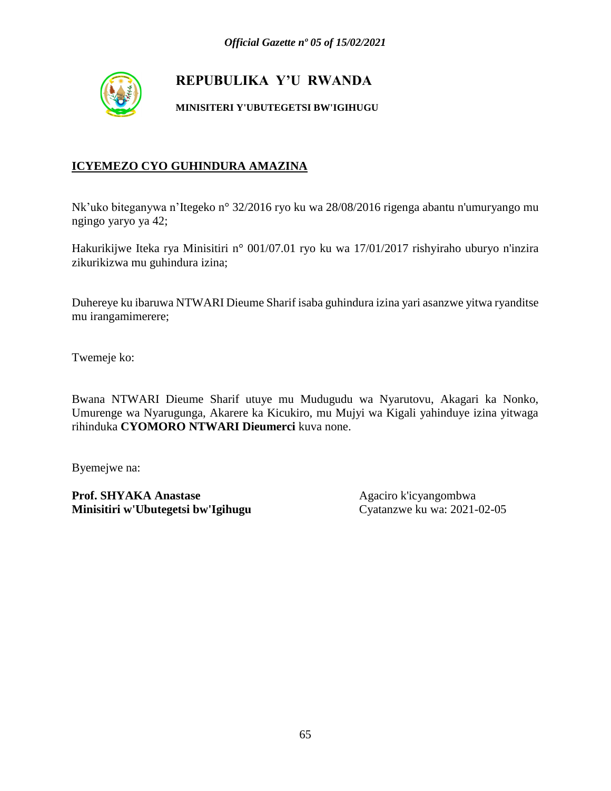

**MINISITERI Y'UBUTEGETSI BW'IGIHUGU**

### **ICYEMEZO CYO GUHINDURA AMAZINA**

Nk'uko biteganywa n'Itegeko n° 32/2016 ryo ku wa 28/08/2016 rigenga abantu n'umuryango mu ngingo yaryo ya 42;

Hakurikijwe Iteka rya Minisitiri n° 001/07.01 ryo ku wa 17/01/2017 rishyiraho uburyo n'inzira zikurikizwa mu guhindura izina;

Duhereye ku ibaruwa NTWARI Dieume Sharif isaba guhindura izina yari asanzwe yitwa ryanditse mu irangamimerere;

Twemeje ko:

Bwana NTWARI Dieume Sharif utuye mu Mudugudu wa Nyarutovu, Akagari ka Nonko, Umurenge wa Nyarugunga, Akarere ka Kicukiro, mu Mujyi wa Kigali yahinduye izina yitwaga rihinduka **CYOMORO NTWARI Dieumerci** kuva none.

Byemejwe na: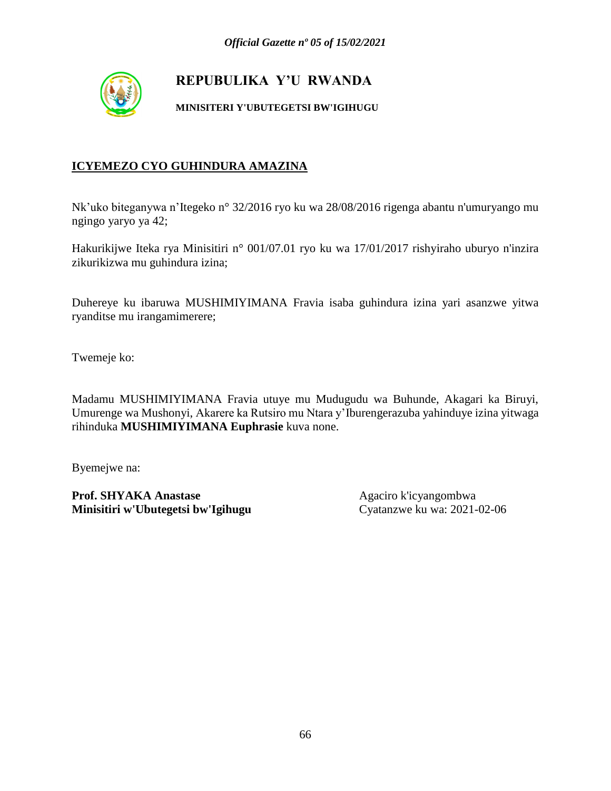

**MINISITERI Y'UBUTEGETSI BW'IGIHUGU**

### **ICYEMEZO CYO GUHINDURA AMAZINA**

Nk'uko biteganywa n'Itegeko n° 32/2016 ryo ku wa 28/08/2016 rigenga abantu n'umuryango mu ngingo yaryo ya 42;

Hakurikijwe Iteka rya Minisitiri n° 001/07.01 ryo ku wa 17/01/2017 rishyiraho uburyo n'inzira zikurikizwa mu guhindura izina;

Duhereye ku ibaruwa MUSHIMIYIMANA Fravia isaba guhindura izina yari asanzwe yitwa ryanditse mu irangamimerere;

Twemeje ko:

Madamu MUSHIMIYIMANA Fravia utuye mu Mudugudu wa Buhunde, Akagari ka Biruyi, Umurenge wa Mushonyi, Akarere ka Rutsiro mu Ntara y'Iburengerazuba yahinduye izina yitwaga rihinduka **MUSHIMIYIMANA Euphrasie** kuva none.

Byemejwe na: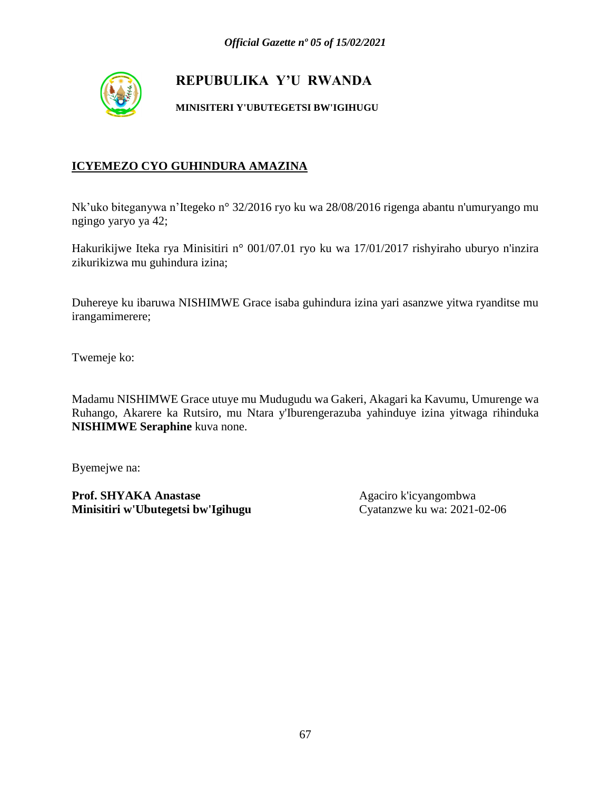

**MINISITERI Y'UBUTEGETSI BW'IGIHUGU**

### **ICYEMEZO CYO GUHINDURA AMAZINA**

Nk'uko biteganywa n'Itegeko n° 32/2016 ryo ku wa 28/08/2016 rigenga abantu n'umuryango mu ngingo yaryo ya 42;

Hakurikijwe Iteka rya Minisitiri n° 001/07.01 ryo ku wa 17/01/2017 rishyiraho uburyo n'inzira zikurikizwa mu guhindura izina;

Duhereye ku ibaruwa NISHIMWE Grace isaba guhindura izina yari asanzwe yitwa ryanditse mu irangamimerere;

Twemeje ko:

Madamu NISHIMWE Grace utuye mu Mudugudu wa Gakeri, Akagari ka Kavumu, Umurenge wa Ruhango, Akarere ka Rutsiro, mu Ntara y'Iburengerazuba yahinduye izina yitwaga rihinduka **NISHIMWE Seraphine** kuva none.

Byemejwe na: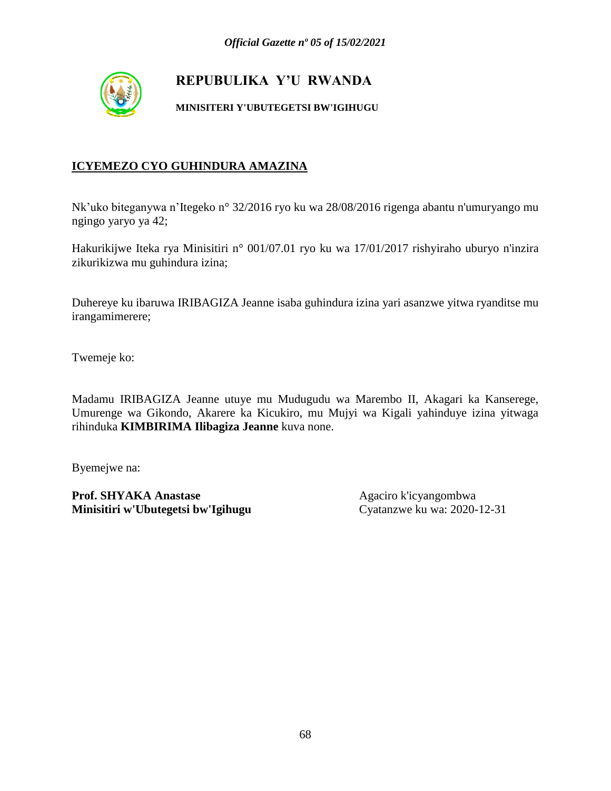

**MINISITERI Y'UBUTEGETSI BW'IGIHUGU**

### **ICYEMEZO CYO GUHINDURA AMAZINA**

Nk'uko biteganywa n'Itegeko n° 32/2016 ryo ku wa 28/08/2016 rigenga abantu n'umuryango mu ngingo yaryo ya 42;

Hakurikijwe Iteka rya Minisitiri n° 001/07.01 ryo ku wa 17/01/2017 rishyiraho uburyo n'inzira zikurikizwa mu guhindura izina;

Duhereye ku ibaruwa IRIBAGIZA Jeanne isaba guhindura izina yari asanzwe yitwa ryanditse mu irangamimerere;

Twemeje ko:

Madamu IRIBAGIZA Jeanne utuye mu Mudugudu wa Marembo II, Akagari ka Kanserege, Umurenge wa Gikondo, Akarere ka Kicukiro, mu Mujyi wa Kigali yahinduye izina yitwaga rihinduka **KIMBIRIMA Ilibagiza Jeanne** kuva none.

Byemejwe na: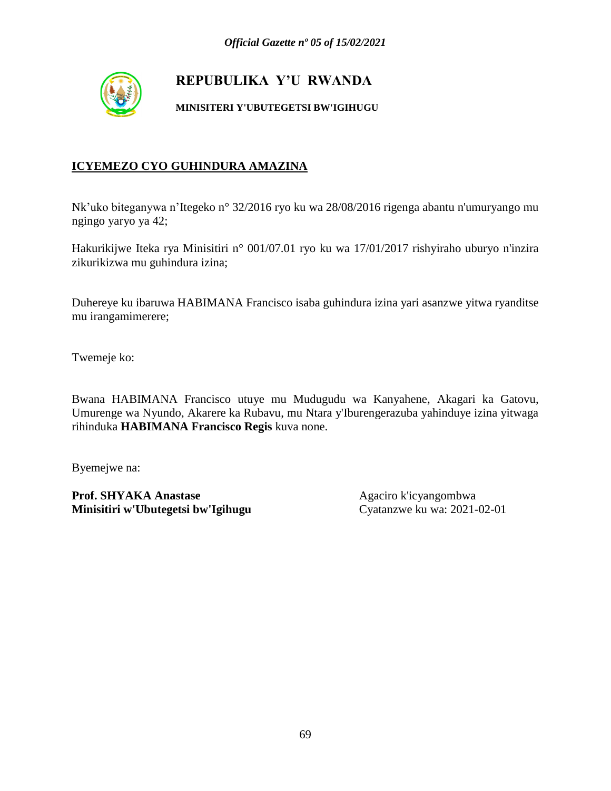

**MINISITERI Y'UBUTEGETSI BW'IGIHUGU**

### **ICYEMEZO CYO GUHINDURA AMAZINA**

Nk'uko biteganywa n'Itegeko n° 32/2016 ryo ku wa 28/08/2016 rigenga abantu n'umuryango mu ngingo yaryo ya 42;

Hakurikijwe Iteka rya Minisitiri n° 001/07.01 ryo ku wa 17/01/2017 rishyiraho uburyo n'inzira zikurikizwa mu guhindura izina;

Duhereye ku ibaruwa HABIMANA Francisco isaba guhindura izina yari asanzwe yitwa ryanditse mu irangamimerere;

Twemeje ko:

Bwana HABIMANA Francisco utuye mu Mudugudu wa Kanyahene, Akagari ka Gatovu, Umurenge wa Nyundo, Akarere ka Rubavu, mu Ntara y'Iburengerazuba yahinduye izina yitwaga rihinduka **HABIMANA Francisco Regis** kuva none.

Byemejwe na: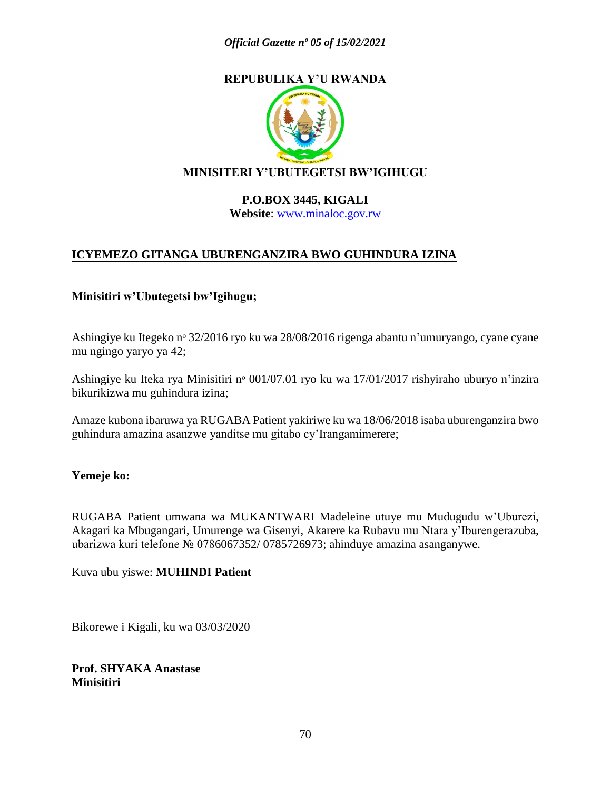

### **MINISITERI Y'UBUTEGETSI BW'IGIHUGU**

#### **P.O.BOX 3445, KIGALI Website**: [www.minaloc.gov.rw](http://www.minaloc.gov.rw/)

### **ICYEMEZO GITANGA UBURENGANZIRA BWO GUHINDURA IZINA**

#### **Minisitiri w'Ubutegetsi bw'Igihugu;**

Ashingiye ku Itegeko nº 32/2016 ryo ku wa 28/08/2016 rigenga abantu n'umuryango, cyane cyane mu ngingo yaryo ya 42;

Ashingiye ku Iteka rya Minisitiri nº 001/07.01 ryo ku wa 17/01/2017 rishyiraho uburyo n'inzira bikurikizwa mu guhindura izina;

Amaze kubona ibaruwa ya RUGABA Patient yakiriwe ku wa 18/06/2018 isaba uburenganzira bwo guhindura amazina asanzwe yanditse mu gitabo cy'Irangamimerere;

#### **Yemeje ko:**

RUGABA Patient umwana wa MUKANTWARI Madeleine utuye mu Mudugudu w'Uburezi, Akagari ka Mbugangari, Umurenge wa Gisenyi, Akarere ka Rubavu mu Ntara y'Iburengerazuba, ubarizwa kuri telefone № 0786067352/ 0785726973; ahinduye amazina asanganywe.

Kuva ubu yiswe: **MUHINDI Patient**

Bikorewe i Kigali, ku wa 03/03/2020

**Prof. SHYAKA Anastase Minisitiri**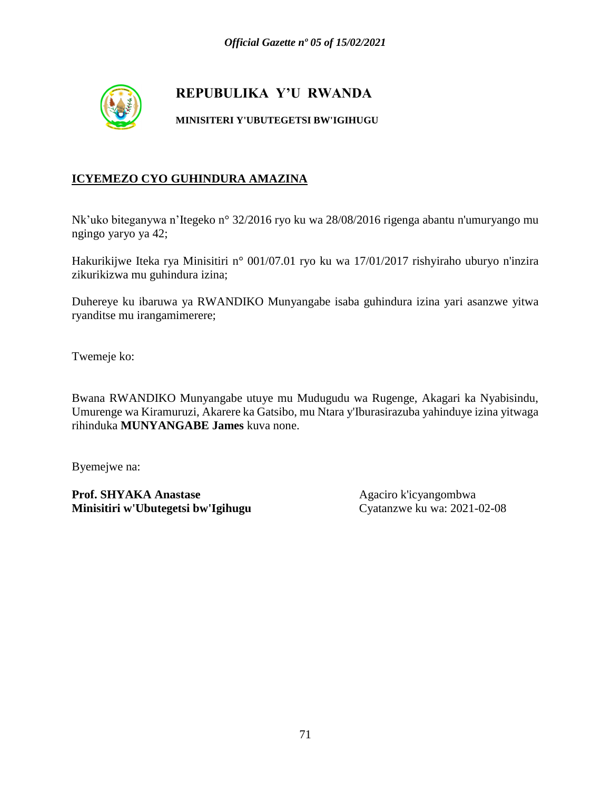

#### **MINISITERI Y'UBUTEGETSI BW'IGIHUGU**

#### **ICYEMEZO CYO GUHINDURA AMAZINA**

Nk'uko biteganywa n'Itegeko n° 32/2016 ryo ku wa 28/08/2016 rigenga abantu n'umuryango mu ngingo yaryo ya 42;

Hakurikijwe Iteka rya Minisitiri n° 001/07.01 ryo ku wa 17/01/2017 rishyiraho uburyo n'inzira zikurikizwa mu guhindura izina;

Duhereye ku ibaruwa ya RWANDIKO Munyangabe isaba guhindura izina yari asanzwe yitwa ryanditse mu irangamimerere;

Twemeje ko:

Bwana RWANDIKO Munyangabe utuye mu Mudugudu wa Rugenge, Akagari ka Nyabisindu, Umurenge wa Kiramuruzi, Akarere ka Gatsibo, mu Ntara y'Iburasirazuba yahinduye izina yitwaga rihinduka **MUNYANGABE James** kuva none.

Byemejwe na: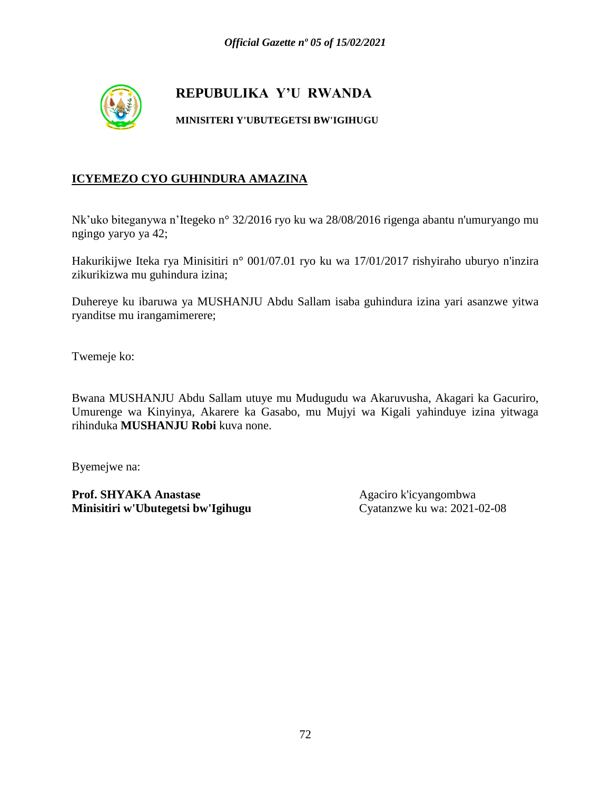

#### **MINISITERI Y'UBUTEGETSI BW'IGIHUGU**

#### **ICYEMEZO CYO GUHINDURA AMAZINA**

Nk'uko biteganywa n'Itegeko n° 32/2016 ryo ku wa 28/08/2016 rigenga abantu n'umuryango mu ngingo yaryo ya 42;

Hakurikijwe Iteka rya Minisitiri n° 001/07.01 ryo ku wa 17/01/2017 rishyiraho uburyo n'inzira zikurikizwa mu guhindura izina;

Duhereye ku ibaruwa ya MUSHANJU Abdu Sallam isaba guhindura izina yari asanzwe yitwa ryanditse mu irangamimerere;

Twemeje ko:

Bwana MUSHANJU Abdu Sallam utuye mu Mudugudu wa Akaruvusha, Akagari ka Gacuriro, Umurenge wa Kinyinya, Akarere ka Gasabo, mu Mujyi wa Kigali yahinduye izina yitwaga rihinduka **MUSHANJU Robi** kuva none.

Byemejwe na: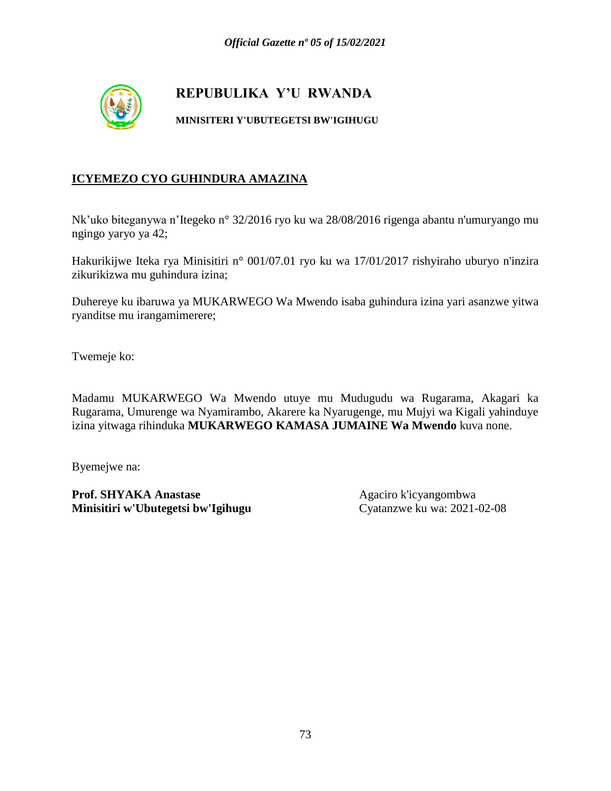

#### **MINISITERI Y'UBUTEGETSI BW'IGIHUGU**

### **ICYEMEZO CYO GUHINDURA AMAZINA**

Nk'uko biteganywa n'Itegeko n° 32/2016 ryo ku wa 28/08/2016 rigenga abantu n'umuryango mu ngingo yaryo ya 42;

Hakurikijwe Iteka rya Minisitiri n° 001/07.01 ryo ku wa 17/01/2017 rishyiraho uburyo n'inzira zikurikizwa mu guhindura izina;

Duhereye ku ibaruwa ya MUKARWEGO Wa Mwendo isaba guhindura izina yari asanzwe yitwa ryanditse mu irangamimerere;

Twemeje ko:

Madamu MUKARWEGO Wa Mwendo utuye mu Mudugudu wa Rugarama, Akagari ka Rugarama, Umurenge wa Nyamirambo, Akarere ka Nyarugenge, mu Mujyi wa Kigali yahinduye izina yitwaga rihinduka **MUKARWEGO KAMASA JUMAINE Wa Mwendo** kuva none.

Byemejwe na: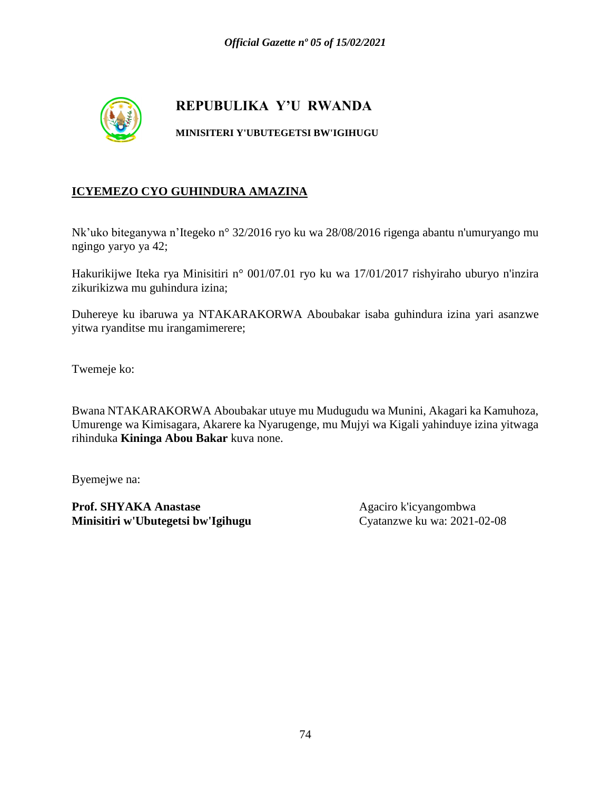

**MINISITERI Y'UBUTEGETSI BW'IGIHUGU**

### **ICYEMEZO CYO GUHINDURA AMAZINA**

Nk'uko biteganywa n'Itegeko n° 32/2016 ryo ku wa 28/08/2016 rigenga abantu n'umuryango mu ngingo yaryo ya 42;

Hakurikijwe Iteka rya Minisitiri n° 001/07.01 ryo ku wa 17/01/2017 rishyiraho uburyo n'inzira zikurikizwa mu guhindura izina;

Duhereye ku ibaruwa ya NTAKARAKORWA Aboubakar isaba guhindura izina yari asanzwe yitwa ryanditse mu irangamimerere;

Twemeje ko:

Bwana NTAKARAKORWA Aboubakar utuye mu Mudugudu wa Munini, Akagari ka Kamuhoza, Umurenge wa Kimisagara, Akarere ka Nyarugenge, mu Mujyi wa Kigali yahinduye izina yitwaga rihinduka **Kininga Abou Bakar** kuva none.

Byemejwe na: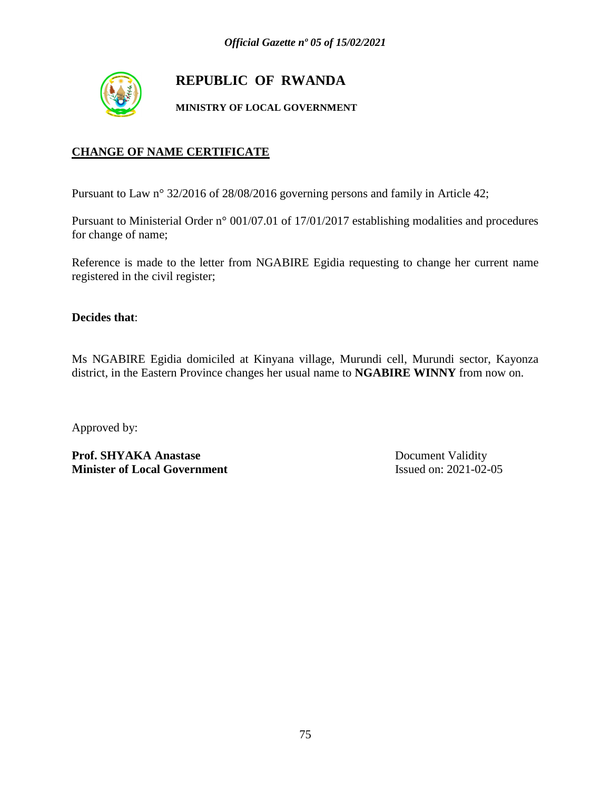

# **REPUBLIC OF RWANDA**

**MINISTRY OF LOCAL GOVERNMENT**

### **CHANGE OF NAME CERTIFICATE**

Pursuant to Law n° 32/2016 of 28/08/2016 governing persons and family in Article 42;

Pursuant to Ministerial Order n° 001/07.01 of 17/01/2017 establishing modalities and procedures for change of name;

Reference is made to the letter from NGABIRE Egidia requesting to change her current name registered in the civil register;

**Decides that**:

Ms NGABIRE Egidia domiciled at Kinyana village, Murundi cell, Murundi sector, Kayonza district, in the Eastern Province changes her usual name to **NGABIRE WINNY** from now on.

Approved by:

Prof. SHYAKA Anastase Document Validity **Minister of Local Government** Issued on: 2021-02-05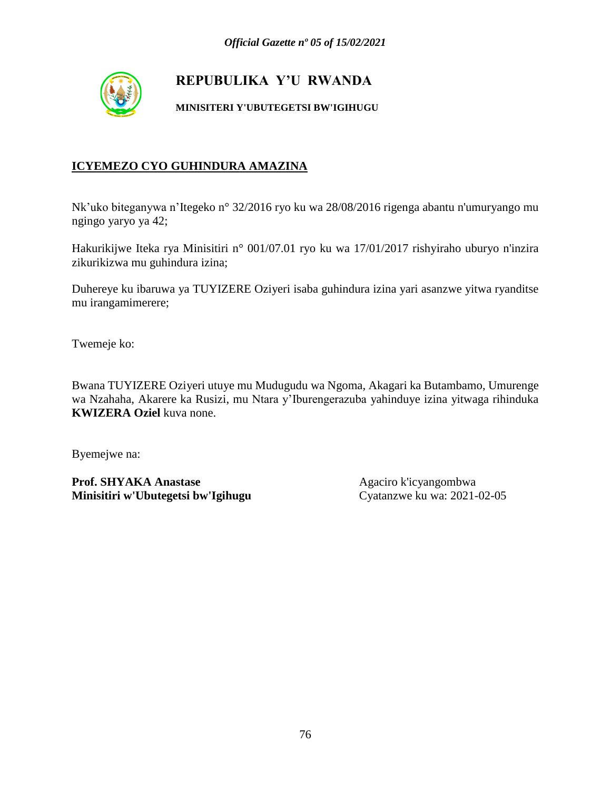

**MINISITERI Y'UBUTEGETSI BW'IGIHUGU**

### **ICYEMEZO CYO GUHINDURA AMAZINA**

Nk'uko biteganywa n'Itegeko n° 32/2016 ryo ku wa 28/08/2016 rigenga abantu n'umuryango mu ngingo yaryo ya 42;

Hakurikijwe Iteka rya Minisitiri n° 001/07.01 ryo ku wa 17/01/2017 rishyiraho uburyo n'inzira zikurikizwa mu guhindura izina;

Duhereye ku ibaruwa ya TUYIZERE Oziyeri isaba guhindura izina yari asanzwe yitwa ryanditse mu irangamimerere;

Twemeje ko:

Bwana TUYIZERE Oziyeri utuye mu Mudugudu wa Ngoma, Akagari ka Butambamo, Umurenge wa Nzahaha, Akarere ka Rusizi, mu Ntara y'Iburengerazuba yahinduye izina yitwaga rihinduka **KWIZERA Oziel** kuva none.

Byemejwe na:

**Prof. SHYAKA Anastase** Agaciro k'icyangombwa<br> **Minisitiri w'Ubutegetsi bw'Igihugu** Cyatanzwe ku wa: 2021-02-05 **Minisitiri w'Ubutegetsi bw'Igihugu**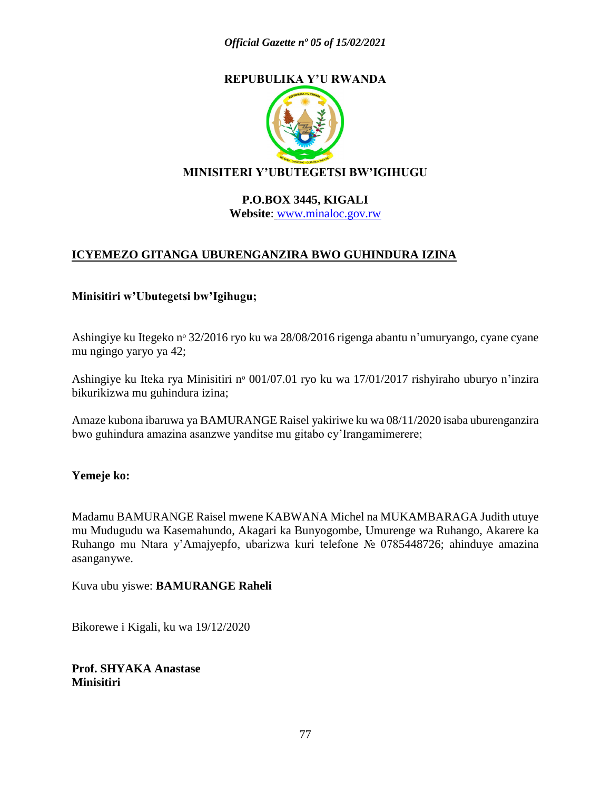

### **MINISITERI Y'UBUTEGETSI BW'IGIHUGU**

#### **P.O.BOX 3445, KIGALI Website**: [www.minaloc.gov.rw](http://www.minaloc.gov.rw/)

### **ICYEMEZO GITANGA UBURENGANZIRA BWO GUHINDURA IZINA**

### **Minisitiri w'Ubutegetsi bw'Igihugu;**

Ashingiye ku Itegeko nº 32/2016 ryo ku wa 28/08/2016 rigenga abantu n'umuryango, cyane cyane mu ngingo yaryo ya 42;

Ashingiye ku Iteka rya Minisitiri nº 001/07.01 ryo ku wa 17/01/2017 rishyiraho uburyo n'inzira bikurikizwa mu guhindura izina;

Amaze kubona ibaruwa ya BAMURANGE Raisel yakiriwe ku wa 08/11/2020 isaba uburenganzira bwo guhindura amazina asanzwe yanditse mu gitabo cy'Irangamimerere;

#### **Yemeje ko:**

Madamu BAMURANGE Raisel mwene KABWANA Michel na MUKAMBARAGA Judith utuye mu Mudugudu wa Kasemahundo, Akagari ka Bunyogombe, Umurenge wa Ruhango, Akarere ka Ruhango mu Ntara y'Amajyepfo, ubarizwa kuri telefone № 0785448726; ahinduye amazina asanganywe.

Kuva ubu yiswe: **BAMURANGE Raheli**

Bikorewe i Kigali, ku wa 19/12/2020

**Prof. SHYAKA Anastase Minisitiri**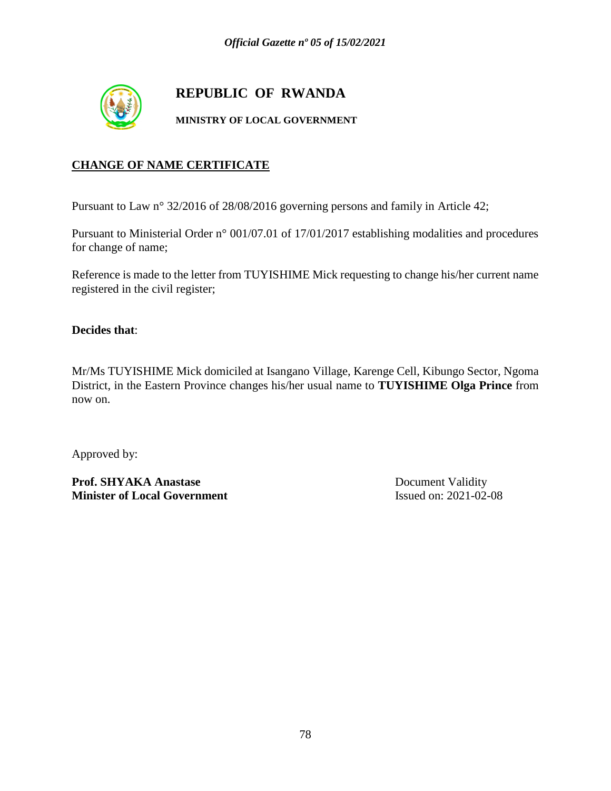

# **REPUBLIC OF RWANDA**

#### **MINISTRY OF LOCAL GOVERNMENT**

### **CHANGE OF NAME CERTIFICATE**

Pursuant to Law n° 32/2016 of 28/08/2016 governing persons and family in Article 42;

Pursuant to Ministerial Order n° 001/07.01 of 17/01/2017 establishing modalities and procedures for change of name;

Reference is made to the letter from TUYISHIME Mick requesting to change his/her current name registered in the civil register;

#### **Decides that**:

Mr/Ms TUYISHIME Mick domiciled at Isangano Village, Karenge Cell, Kibungo Sector, Ngoma District, in the Eastern Province changes his/her usual name to **TUYISHIME Olga Prince** from now on.

Approved by:

Prof. SHYAKA Anastase Document Validity **Minister of Local Government** Issued on: 2021-02-08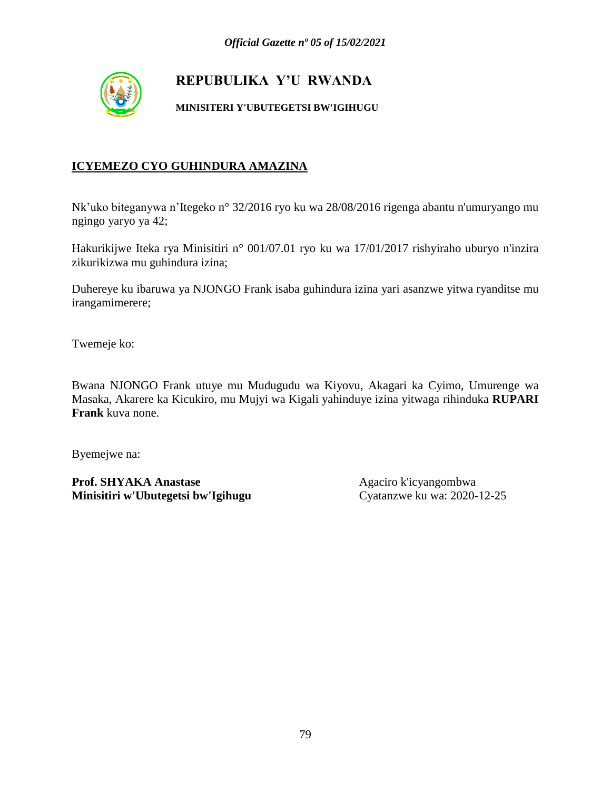

**MINISITERI Y'UBUTEGETSI BW'IGIHUGU**

### **ICYEMEZO CYO GUHINDURA AMAZINA**

Nk'uko biteganywa n'Itegeko n° 32/2016 ryo ku wa 28/08/2016 rigenga abantu n'umuryango mu ngingo yaryo ya 42;

Hakurikijwe Iteka rya Minisitiri n° 001/07.01 ryo ku wa 17/01/2017 rishyiraho uburyo n'inzira zikurikizwa mu guhindura izina;

Duhereye ku ibaruwa ya NJONGO Frank isaba guhindura izina yari asanzwe yitwa ryanditse mu irangamimerere;

Twemeje ko:

Bwana NJONGO Frank utuye mu Mudugudu wa Kiyovu, Akagari ka Cyimo, Umurenge wa Masaka, Akarere ka Kicukiro, mu Mujyi wa Kigali yahinduye izina yitwaga rihinduka **RUPARI Frank** kuva none.

Byemejwe na:

**Prof. SHYAKA Anastase** Agaciro k'icyangombwa<br> **Minisitiri w'Ubutegetsi bw'Igihugu** Cyatanzwe ku wa: 2020-12-25 **Minisitiri w'Ubutegetsi bw'Igihugu**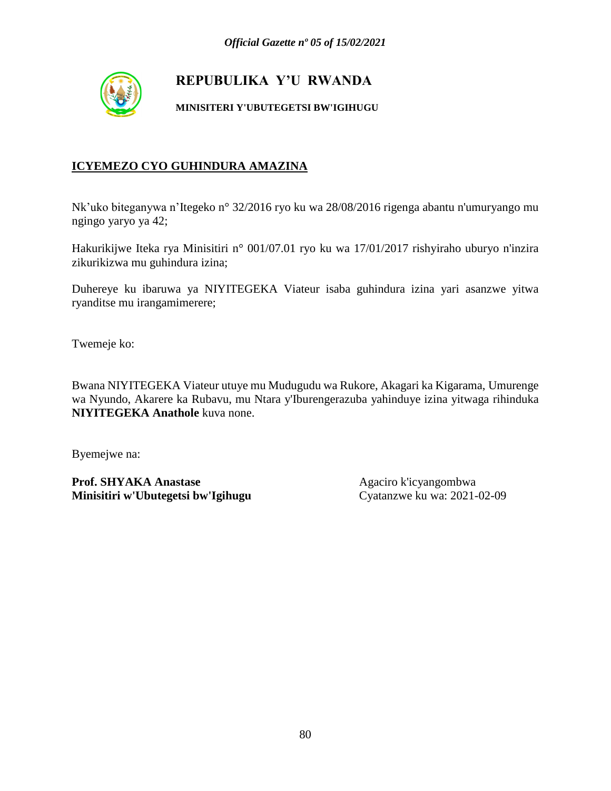

**MINISITERI Y'UBUTEGETSI BW'IGIHUGU**

### **ICYEMEZO CYO GUHINDURA AMAZINA**

Nk'uko biteganywa n'Itegeko n° 32/2016 ryo ku wa 28/08/2016 rigenga abantu n'umuryango mu ngingo yaryo ya 42;

Hakurikijwe Iteka rya Minisitiri n° 001/07.01 ryo ku wa 17/01/2017 rishyiraho uburyo n'inzira zikurikizwa mu guhindura izina;

Duhereye ku ibaruwa ya NIYITEGEKA Viateur isaba guhindura izina yari asanzwe yitwa ryanditse mu irangamimerere;

Twemeje ko:

Bwana NIYITEGEKA Viateur utuye mu Mudugudu wa Rukore, Akagari ka Kigarama, Umurenge wa Nyundo, Akarere ka Rubavu, mu Ntara y'Iburengerazuba yahinduye izina yitwaga rihinduka **NIYITEGEKA Anathole** kuva none.

Byemejwe na: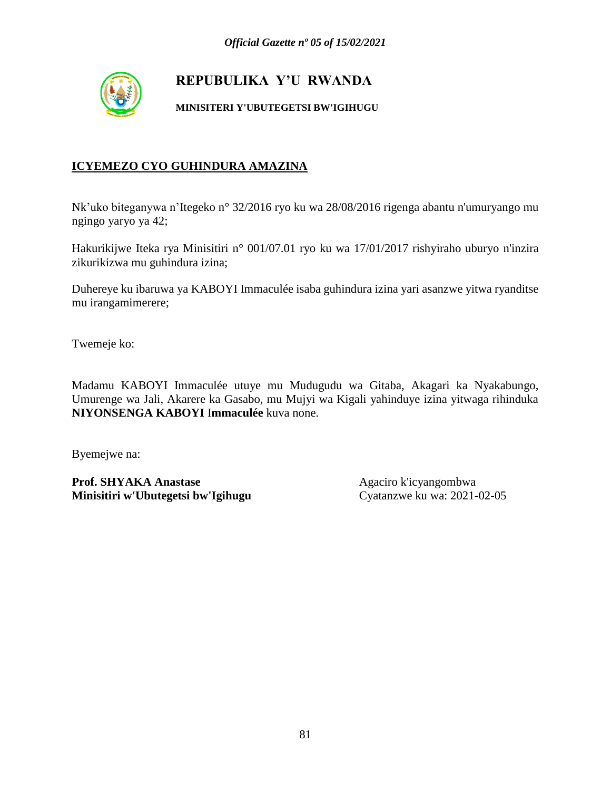

**MINISITERI Y'UBUTEGETSI BW'IGIHUGU**

### **ICYEMEZO CYO GUHINDURA AMAZINA**

Nk'uko biteganywa n'Itegeko n° 32/2016 ryo ku wa 28/08/2016 rigenga abantu n'umuryango mu ngingo yaryo ya 42;

Hakurikijwe Iteka rya Minisitiri n° 001/07.01 ryo ku wa 17/01/2017 rishyiraho uburyo n'inzira zikurikizwa mu guhindura izina;

Duhereye ku ibaruwa ya KABOYI Immaculée isaba guhindura izina yari asanzwe yitwa ryanditse mu irangamimerere;

Twemeje ko:

Madamu KABOYI Immaculée utuye mu Mudugudu wa Gitaba, Akagari ka Nyakabungo, Umurenge wa Jali, Akarere ka Gasabo, mu Mujyi wa Kigali yahinduye izina yitwaga rihinduka **NIYONSENGA KABOYI** I**mmaculée** kuva none.

Byemejwe na: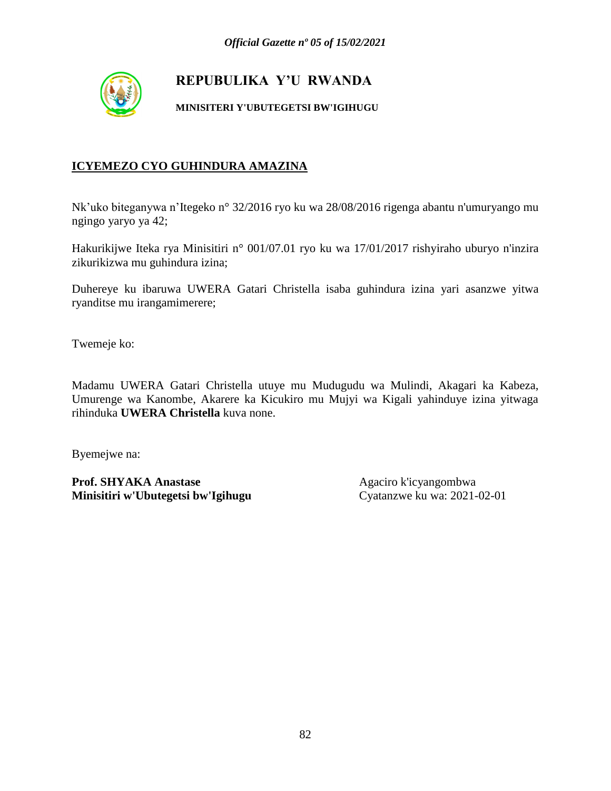

**MINISITERI Y'UBUTEGETSI BW'IGIHUGU**

### **ICYEMEZO CYO GUHINDURA AMAZINA**

Nk'uko biteganywa n'Itegeko n° 32/2016 ryo ku wa 28/08/2016 rigenga abantu n'umuryango mu ngingo yaryo ya 42;

Hakurikijwe Iteka rya Minisitiri n° 001/07.01 ryo ku wa 17/01/2017 rishyiraho uburyo n'inzira zikurikizwa mu guhindura izina;

Duhereye ku ibaruwa UWERA Gatari Christella isaba guhindura izina yari asanzwe yitwa ryanditse mu irangamimerere;

Twemeje ko:

Madamu UWERA Gatari Christella utuye mu Mudugudu wa Mulindi, Akagari ka Kabeza, Umurenge wa Kanombe, Akarere ka Kicukiro mu Mujyi wa Kigali yahinduye izina yitwaga rihinduka **UWERA Christella** kuva none.

Byemejwe na:

**Prof. SHYAKA Anastase** Agaciro k'icyangombwa<br> **Minisitiri w'Ubutegetsi bw'Igihugu** Cyatanzwe ku wa: 2021-02-01 **Minisitiri w'Ubutegetsi bw'Igihugu**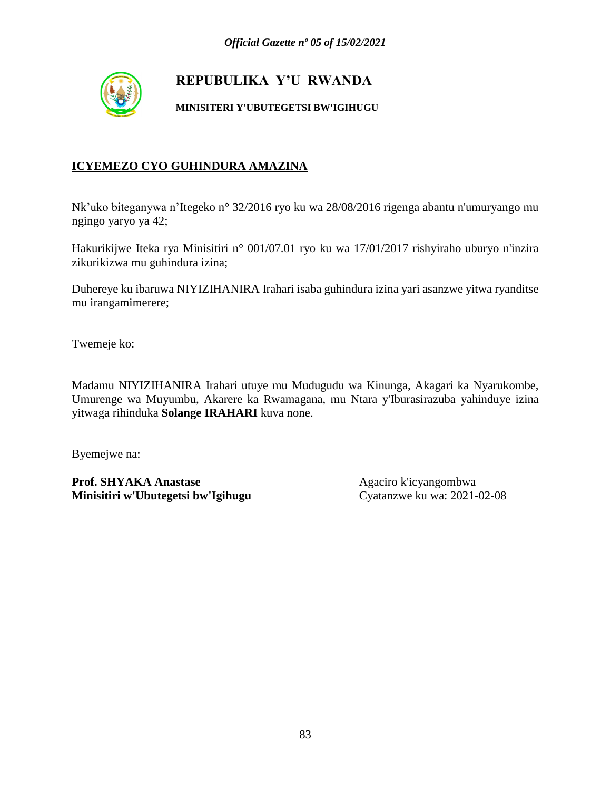

**MINISITERI Y'UBUTEGETSI BW'IGIHUGU**

### **ICYEMEZO CYO GUHINDURA AMAZINA**

Nk'uko biteganywa n'Itegeko n° 32/2016 ryo ku wa 28/08/2016 rigenga abantu n'umuryango mu ngingo yaryo ya 42;

Hakurikijwe Iteka rya Minisitiri n° 001/07.01 ryo ku wa 17/01/2017 rishyiraho uburyo n'inzira zikurikizwa mu guhindura izina;

Duhereye ku ibaruwa NIYIZIHANIRA Irahari isaba guhindura izina yari asanzwe yitwa ryanditse mu irangamimerere;

Twemeje ko:

Madamu NIYIZIHANIRA Irahari utuye mu Mudugudu wa Kinunga, Akagari ka Nyarukombe, Umurenge wa Muyumbu, Akarere ka Rwamagana, mu Ntara y'Iburasirazuba yahinduye izina yitwaga rihinduka **Solange IRAHARI** kuva none.

Byemejwe na:

**Prof. SHYAKA Anastase** Agaciro k'icyangombwa<br> **Minisitiri w'Ubutegetsi bw'Igihugu** Cyatanzwe ku wa: 2021-02-08 **Minisitiri w'Ubutegetsi bw'Igihugu**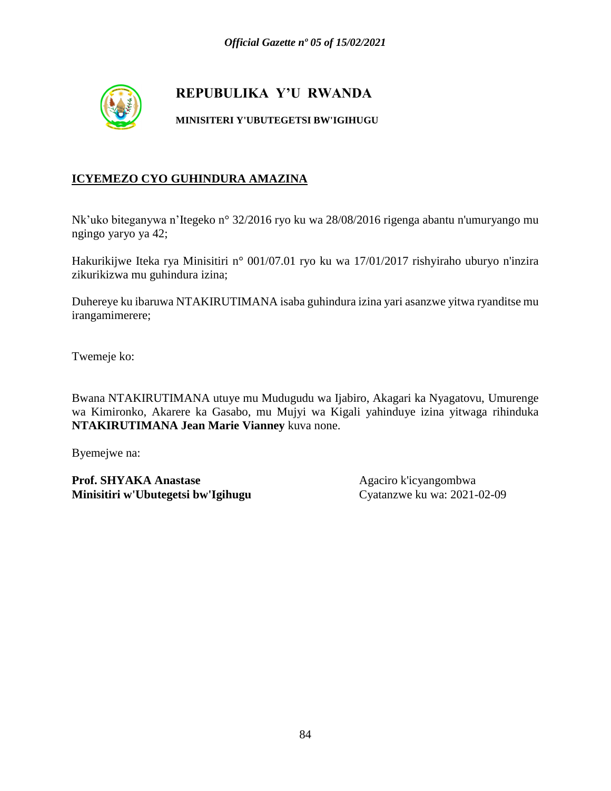

#### **MINISITERI Y'UBUTEGETSI BW'IGIHUGU**

### **ICYEMEZO CYO GUHINDURA AMAZINA**

Nk'uko biteganywa n'Itegeko n° 32/2016 ryo ku wa 28/08/2016 rigenga abantu n'umuryango mu ngingo yaryo ya 42;

Hakurikijwe Iteka rya Minisitiri n° 001/07.01 ryo ku wa 17/01/2017 rishyiraho uburyo n'inzira zikurikizwa mu guhindura izina;

Duhereye ku ibaruwa NTAKIRUTIMANA isaba guhindura izina yari asanzwe yitwa ryanditse mu irangamimerere;

Twemeje ko:

Bwana NTAKIRUTIMANA utuye mu Mudugudu wa Ijabiro, Akagari ka Nyagatovu, Umurenge wa Kimironko, Akarere ka Gasabo, mu Mujyi wa Kigali yahinduye izina yitwaga rihinduka **NTAKIRUTIMANA Jean Marie Vianney** kuva none.

Byemejwe na: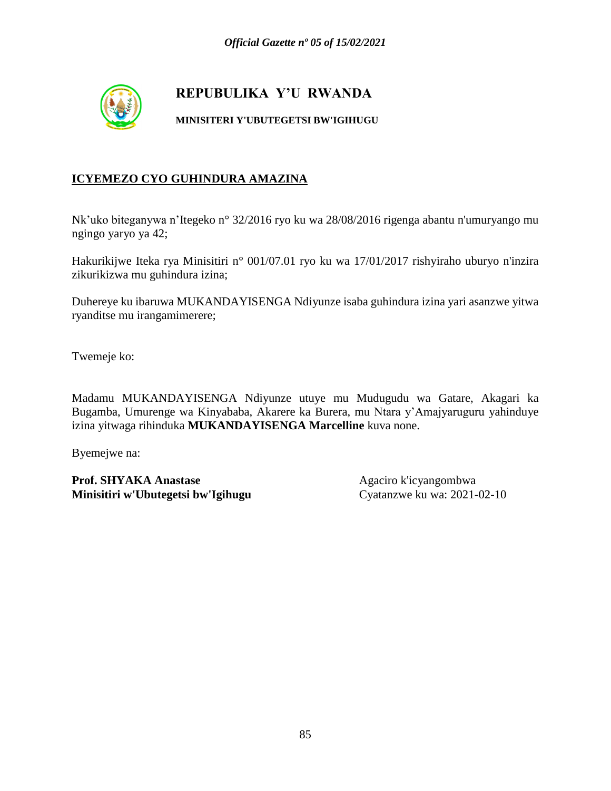

#### **MINISITERI Y'UBUTEGETSI BW'IGIHUGU**

### **ICYEMEZO CYO GUHINDURA AMAZINA**

Nk'uko biteganywa n'Itegeko n° 32/2016 ryo ku wa 28/08/2016 rigenga abantu n'umuryango mu ngingo yaryo ya 42;

Hakurikijwe Iteka rya Minisitiri n° 001/07.01 ryo ku wa 17/01/2017 rishyiraho uburyo n'inzira zikurikizwa mu guhindura izina;

Duhereye ku ibaruwa MUKANDAYISENGA Ndiyunze isaba guhindura izina yari asanzwe yitwa ryanditse mu irangamimerere;

Twemeje ko:

Madamu MUKANDAYISENGA Ndiyunze utuye mu Mudugudu wa Gatare, Akagari ka Bugamba, Umurenge wa Kinyababa, Akarere ka Burera, mu Ntara y'Amajyaruguru yahinduye izina yitwaga rihinduka **MUKANDAYISENGA Marcelline** kuva none.

Byemejwe na: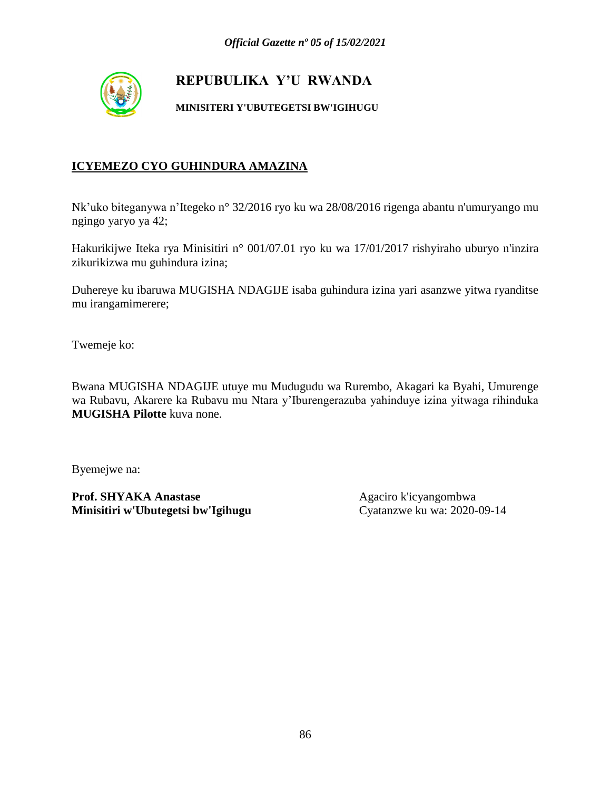

**MINISITERI Y'UBUTEGETSI BW'IGIHUGU**

### **ICYEMEZO CYO GUHINDURA AMAZINA**

Nk'uko biteganywa n'Itegeko n° 32/2016 ryo ku wa 28/08/2016 rigenga abantu n'umuryango mu ngingo yaryo ya 42;

Hakurikijwe Iteka rya Minisitiri n° 001/07.01 ryo ku wa 17/01/2017 rishyiraho uburyo n'inzira zikurikizwa mu guhindura izina;

Duhereye ku ibaruwa MUGISHA NDAGIJE isaba guhindura izina yari asanzwe yitwa ryanditse mu irangamimerere;

Twemeje ko:

Bwana MUGISHA NDAGIJE utuye mu Mudugudu wa Rurembo, Akagari ka Byahi, Umurenge wa Rubavu, Akarere ka Rubavu mu Ntara y'Iburengerazuba yahinduye izina yitwaga rihinduka **MUGISHA Pilotte** kuva none.

Byemejwe na: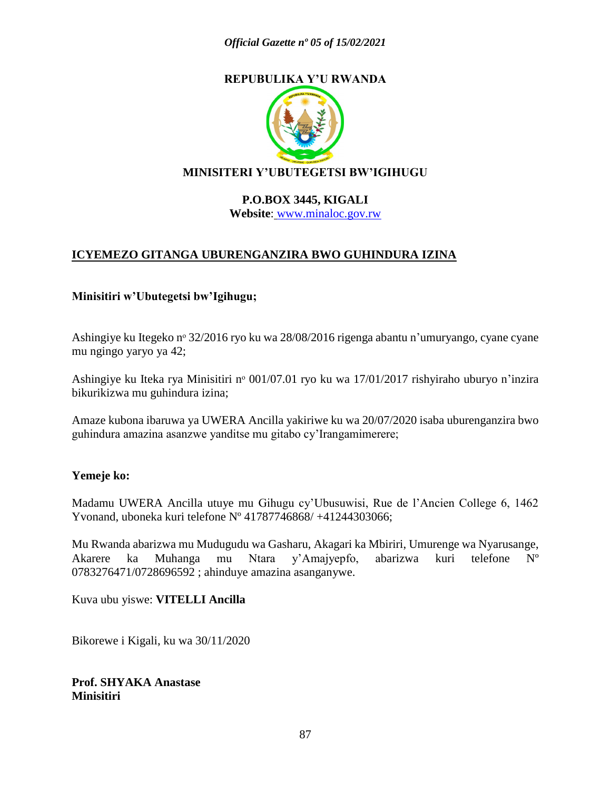

### **MINISITERI Y'UBUTEGETSI BW'IGIHUGU**

#### **P.O.BOX 3445, KIGALI Website**: [www.minaloc.gov.rw](http://www.minaloc.gov.rw/)

### **ICYEMEZO GITANGA UBURENGANZIRA BWO GUHINDURA IZINA**

#### **Minisitiri w'Ubutegetsi bw'Igihugu;**

Ashingiye ku Itegeko nᵒ 32/2016 ryo ku wa 28/08/2016 rigenga abantu n'umuryango, cyane cyane mu ngingo yaryo ya 42;

Ashingiye ku Iteka rya Minisitiri nº 001/07.01 ryo ku wa 17/01/2017 rishyiraho uburyo n'inzira bikurikizwa mu guhindura izina;

Amaze kubona ibaruwa ya UWERA Ancilla yakiriwe ku wa 20/07/2020 isaba uburenganzira bwo guhindura amazina asanzwe yanditse mu gitabo cy'Irangamimerere;

#### **Yemeje ko:**

Madamu UWERA Ancilla utuye mu Gihugu cy'Ubusuwisi, Rue de l'Ancien College 6, 1462 Yvonand, uboneka kuri telefone Nº 41787746868/ +41244303066;

Mu Rwanda abarizwa mu Mudugudu wa Gasharu, Akagari ka Mbiriri, Umurenge wa Nyarusange, Akarere ka Muhanga mu Ntara y'Amajyepfo, abarizwa kuri telefone Nº 0783276471/0728696592 ; ahinduye amazina asanganywe.

Kuva ubu yiswe: **VITELLI Ancilla**

Bikorewe i Kigali, ku wa 30/11/2020

**Prof. SHYAKA Anastase Minisitiri**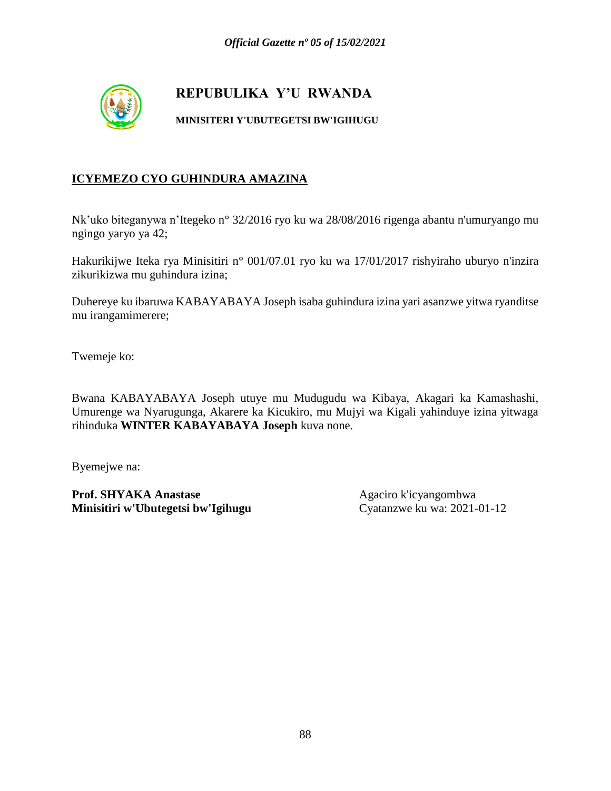

#### **MINISITERI Y'UBUTEGETSI BW'IGIHUGU**

### **ICYEMEZO CYO GUHINDURA AMAZINA**

Nk'uko biteganywa n'Itegeko n° 32/2016 ryo ku wa 28/08/2016 rigenga abantu n'umuryango mu ngingo yaryo ya 42;

Hakurikijwe Iteka rya Minisitiri n° 001/07.01 ryo ku wa 17/01/2017 rishyiraho uburyo n'inzira zikurikizwa mu guhindura izina;

Duhereye ku ibaruwa KABAYABAYA Joseph isaba guhindura izina yari asanzwe yitwa ryanditse mu irangamimerere;

Twemeje ko:

Bwana KABAYABAYA Joseph utuye mu Mudugudu wa Kibaya, Akagari ka Kamashashi, Umurenge wa Nyarugunga, Akarere ka Kicukiro, mu Mujyi wa Kigali yahinduye izina yitwaga rihinduka **WINTER KABAYABAYA Joseph** kuva none.

Byemejwe na: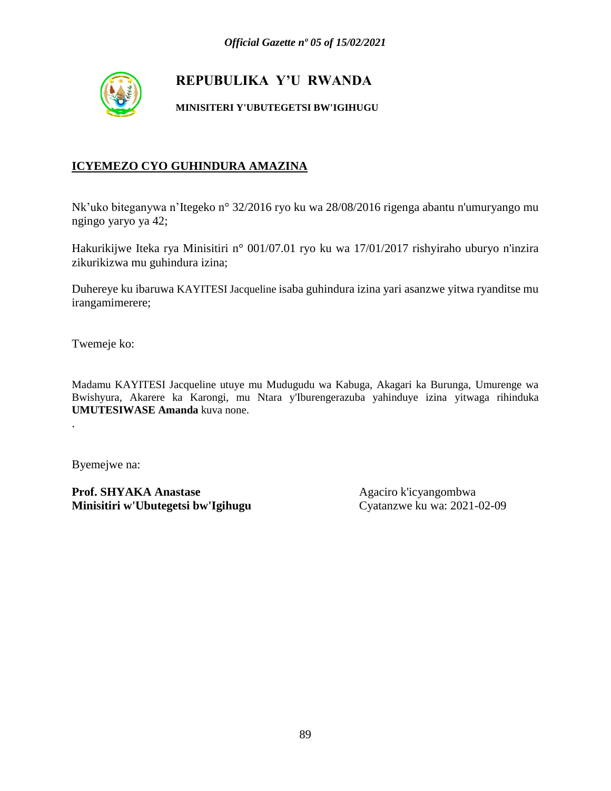

#### **MINISITERI Y'UBUTEGETSI BW'IGIHUGU**

### **ICYEMEZO CYO GUHINDURA AMAZINA**

Nk'uko biteganywa n'Itegeko n° 32/2016 ryo ku wa 28/08/2016 rigenga abantu n'umuryango mu ngingo yaryo ya 42;

Hakurikijwe Iteka rya Minisitiri n° 001/07.01 ryo ku wa 17/01/2017 rishyiraho uburyo n'inzira zikurikizwa mu guhindura izina;

Duhereye ku ibaruwa KAYITESI Jacqueline isaba guhindura izina yari asanzwe yitwa ryanditse mu irangamimerere;

Twemeje ko:

Madamu KAYITESI Jacqueline utuye mu Mudugudu wa Kabuga, Akagari ka Burunga, Umurenge wa Bwishyura, Akarere ka Karongi, mu Ntara y'Iburengerazuba yahinduye izina yitwaga rihinduka **UMUTESIWASE Amanda** kuva none.

Byemejwe na:

.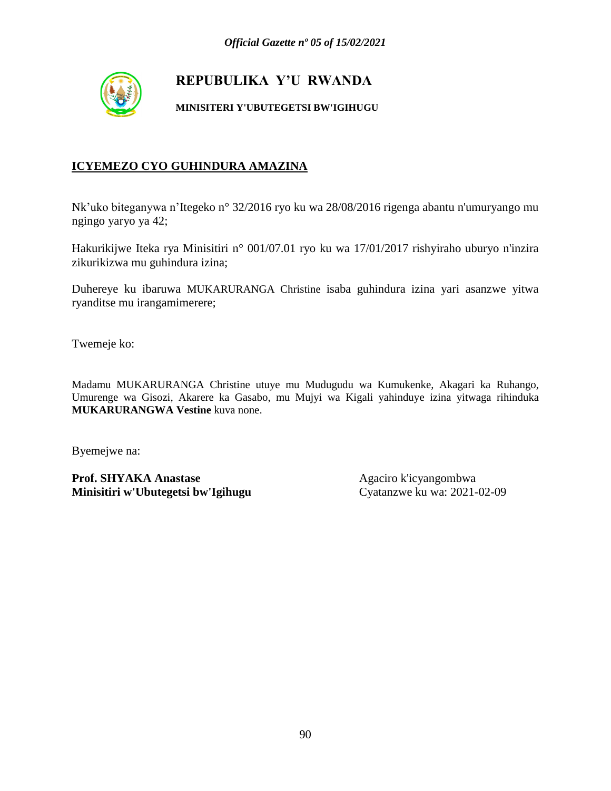

**MINISITERI Y'UBUTEGETSI BW'IGIHUGU**

### **ICYEMEZO CYO GUHINDURA AMAZINA**

Nk'uko biteganywa n'Itegeko n° 32/2016 ryo ku wa 28/08/2016 rigenga abantu n'umuryango mu ngingo yaryo ya 42;

Hakurikijwe Iteka rya Minisitiri n° 001/07.01 ryo ku wa 17/01/2017 rishyiraho uburyo n'inzira zikurikizwa mu guhindura izina;

Duhereye ku ibaruwa MUKARURANGA Christine isaba guhindura izina yari asanzwe yitwa ryanditse mu irangamimerere;

Twemeje ko:

Madamu MUKARURANGA Christine utuye mu Mudugudu wa Kumukenke, Akagari ka Ruhango, Umurenge wa Gisozi, Akarere ka Gasabo, mu Mujyi wa Kigali yahinduye izina yitwaga rihinduka **MUKARURANGWA Vestine** kuva none.

Byemejwe na: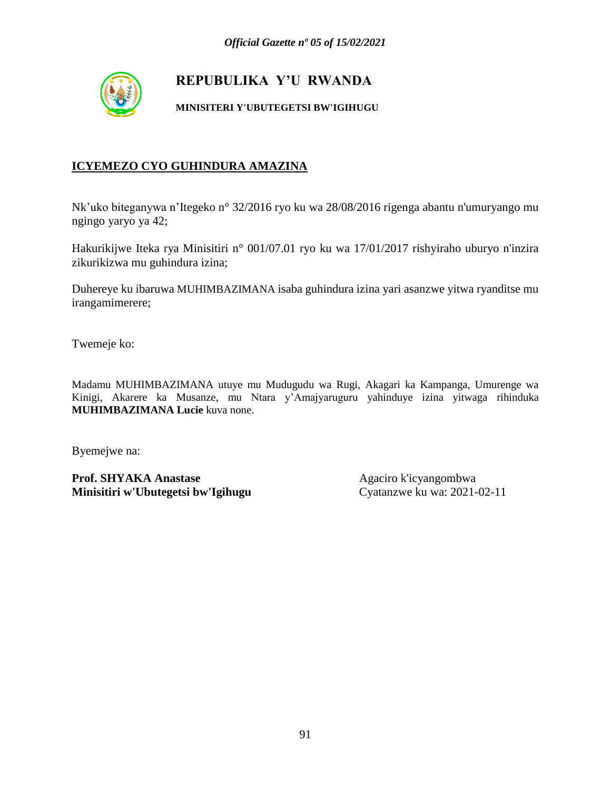

**MINISITERI Y'UBUTEGETSI BW'IGIHUGU**

### **ICYEMEZO CYO GUHINDURA AMAZINA**

Nk'uko biteganywa n'Itegeko n° 32/2016 ryo ku wa 28/08/2016 rigenga abantu n'umuryango mu ngingo yaryo ya 42;

Hakurikijwe Iteka rya Minisitiri n° 001/07.01 ryo ku wa 17/01/2017 rishyiraho uburyo n'inzira zikurikizwa mu guhindura izina;

Duhereye ku ibaruwa MUHIMBAZIMANA isaba guhindura izina yari asanzwe yitwa ryanditse mu irangamimerere;

Twemeje ko:

Madamu MUHIMBAZIMANA utuye mu Mudugudu wa Rugi, Akagari ka Kampanga, Umurenge wa Kinigi, Akarere ka Musanze, mu Ntara y'Amajyaruguru yahinduye izina yitwaga rihinduka **MUHIMBAZIMANA Lucie** kuva none.

Byemejwe na: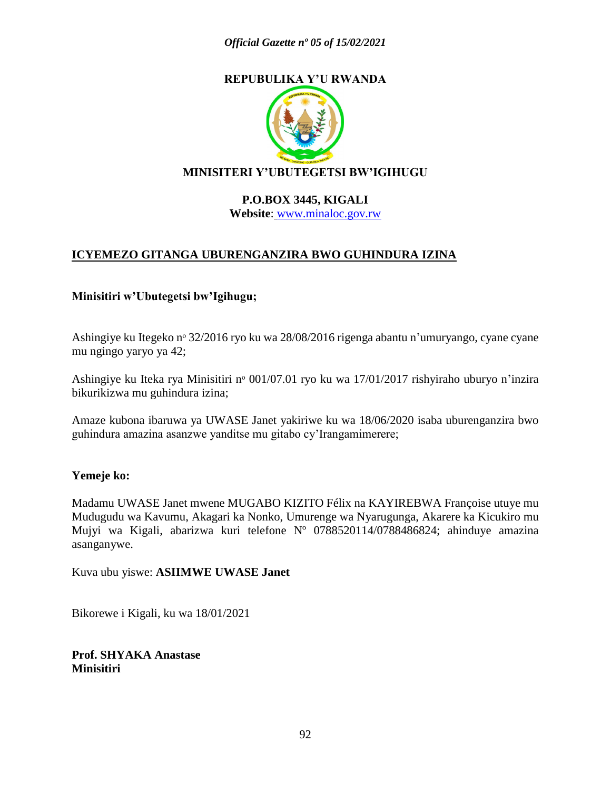

### **MINISITERI Y'UBUTEGETSI BW'IGIHUGU**

#### **P.O.BOX 3445, KIGALI Website**: [www.minaloc.gov.rw](http://www.minaloc.gov.rw/)

### **ICYEMEZO GITANGA UBURENGANZIRA BWO GUHINDURA IZINA**

#### **Minisitiri w'Ubutegetsi bw'Igihugu;**

Ashingiye ku Itegeko nº 32/2016 ryo ku wa 28/08/2016 rigenga abantu n'umuryango, cyane cyane mu ngingo yaryo ya 42;

Ashingiye ku Iteka rya Minisitiri nº 001/07.01 ryo ku wa 17/01/2017 rishyiraho uburyo n'inzira bikurikizwa mu guhindura izina;

Amaze kubona ibaruwa ya UWASE Janet yakiriwe ku wa 18/06/2020 isaba uburenganzira bwo guhindura amazina asanzwe yanditse mu gitabo cy'Irangamimerere;

#### **Yemeje ko:**

Madamu UWASE Janet mwene MUGABO KIZITO Félix na KAYIREBWA Françoise utuye mu Mudugudu wa Kavumu, Akagari ka Nonko, Umurenge wa Nyarugunga, Akarere ka Kicukiro mu Mujyi wa Kigali, abarizwa kuri telefone Nº 0788520114/0788486824; ahinduye amazina asanganywe.

Kuva ubu yiswe: **ASIIMWE UWASE Janet**

Bikorewe i Kigali, ku wa 18/01/2021

**Prof. SHYAKA Anastase Minisitiri**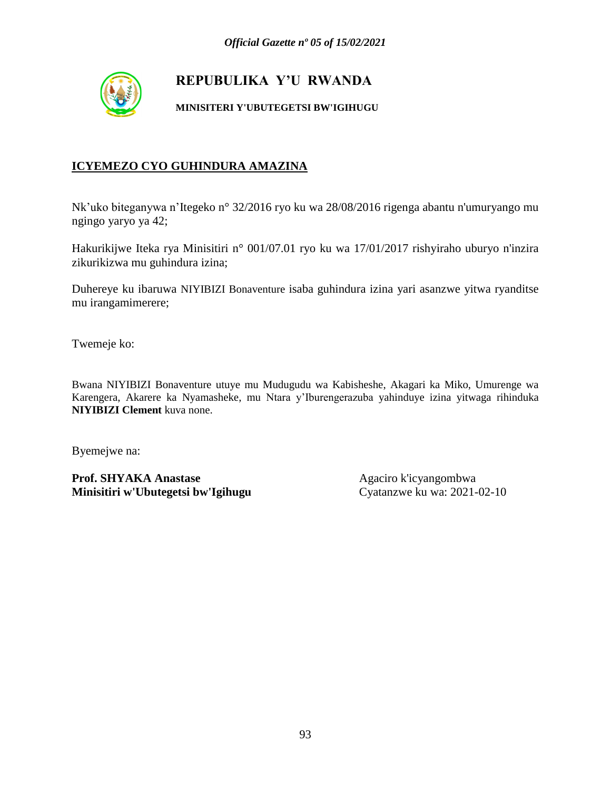

#### **MINISITERI Y'UBUTEGETSI BW'IGIHUGU**

### **ICYEMEZO CYO GUHINDURA AMAZINA**

Nk'uko biteganywa n'Itegeko n° 32/2016 ryo ku wa 28/08/2016 rigenga abantu n'umuryango mu ngingo yaryo ya 42;

Hakurikijwe Iteka rya Minisitiri n° 001/07.01 ryo ku wa 17/01/2017 rishyiraho uburyo n'inzira zikurikizwa mu guhindura izina;

Duhereye ku ibaruwa NIYIBIZI Bonaventure isaba guhindura izina yari asanzwe yitwa ryanditse mu irangamimerere;

Twemeje ko:

Bwana NIYIBIZI Bonaventure utuye mu Mudugudu wa Kabisheshe, Akagari ka Miko, Umurenge wa Karengera, Akarere ka Nyamasheke, mu Ntara y'Iburengerazuba yahinduye izina yitwaga rihinduka **NIYIBIZI Clement** kuva none.

Byemejwe na: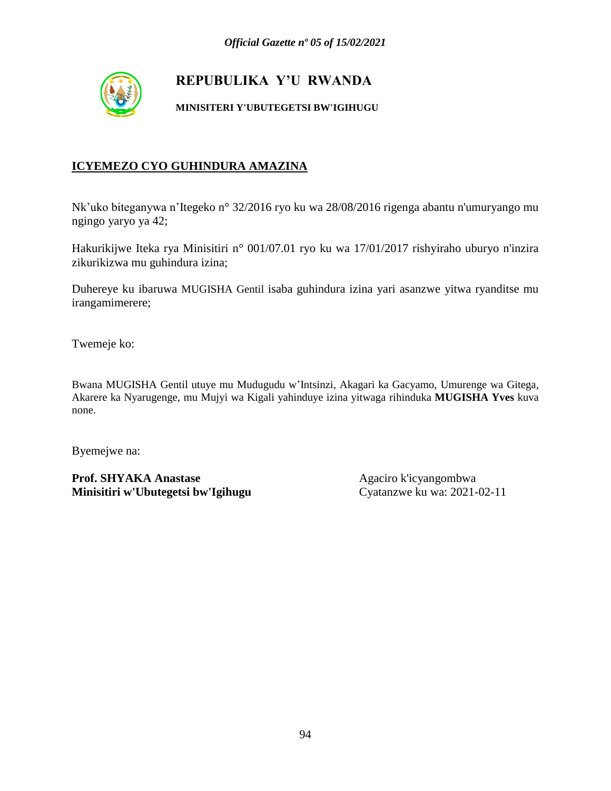

#### **MINISITERI Y'UBUTEGETSI BW'IGIHUGU**

### **ICYEMEZO CYO GUHINDURA AMAZINA**

Nk'uko biteganywa n'Itegeko n° 32/2016 ryo ku wa 28/08/2016 rigenga abantu n'umuryango mu ngingo yaryo ya 42;

Hakurikijwe Iteka rya Minisitiri n° 001/07.01 ryo ku wa 17/01/2017 rishyiraho uburyo n'inzira zikurikizwa mu guhindura izina;

Duhereye ku ibaruwa MUGISHA Gentil isaba guhindura izina yari asanzwe yitwa ryanditse mu irangamimerere;

Twemeje ko:

Bwana MUGISHA Gentil utuye mu Mudugudu w'Intsinzi, Akagari ka Gacyamo, Umurenge wa Gitega, Akarere ka Nyarugenge, mu Mujyi wa Kigali yahinduye izina yitwaga rihinduka **MUGISHA Yves** kuva none.

Byemejwe na: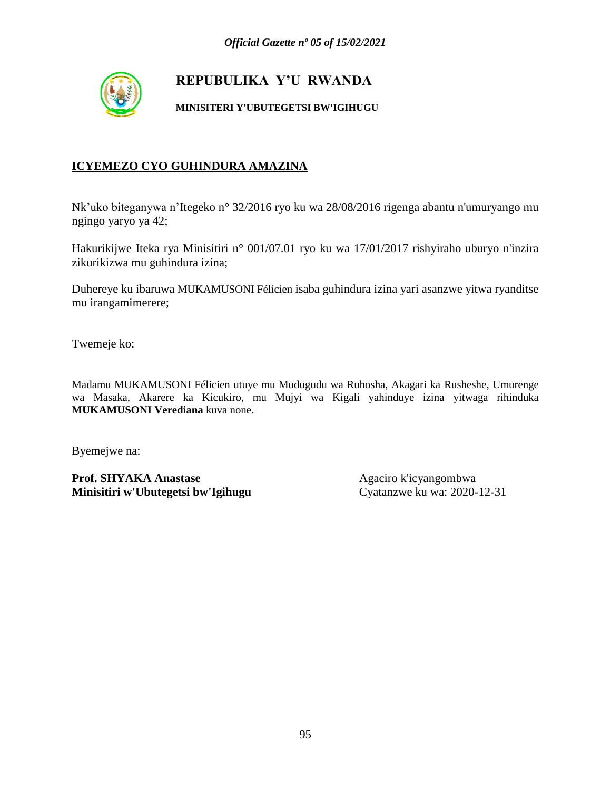

#### **MINISITERI Y'UBUTEGETSI BW'IGIHUGU**

### **ICYEMEZO CYO GUHINDURA AMAZINA**

Nk'uko biteganywa n'Itegeko n° 32/2016 ryo ku wa 28/08/2016 rigenga abantu n'umuryango mu ngingo yaryo ya 42;

Hakurikijwe Iteka rya Minisitiri n° 001/07.01 ryo ku wa 17/01/2017 rishyiraho uburyo n'inzira zikurikizwa mu guhindura izina;

Duhereye ku ibaruwa MUKAMUSONI Félicien isaba guhindura izina yari asanzwe yitwa ryanditse mu irangamimerere;

Twemeje ko:

Madamu MUKAMUSONI Félicien utuye mu Mudugudu wa Ruhosha, Akagari ka Rusheshe, Umurenge wa Masaka, Akarere ka Kicukiro, mu Mujyi wa Kigali yahinduye izina yitwaga rihinduka **MUKAMUSONI Verediana** kuva none.

Byemejwe na: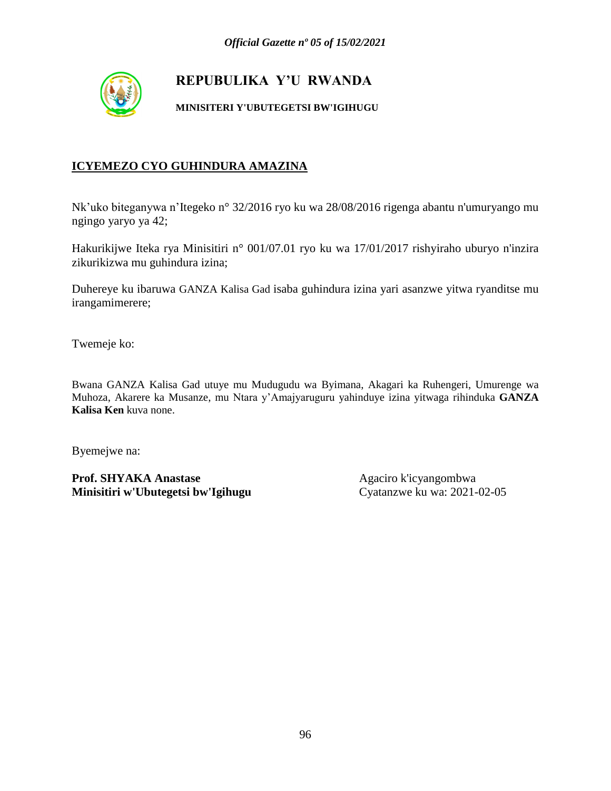

#### **MINISITERI Y'UBUTEGETSI BW'IGIHUGU**

### **ICYEMEZO CYO GUHINDURA AMAZINA**

Nk'uko biteganywa n'Itegeko n° 32/2016 ryo ku wa 28/08/2016 rigenga abantu n'umuryango mu ngingo yaryo ya 42;

Hakurikijwe Iteka rya Minisitiri n° 001/07.01 ryo ku wa 17/01/2017 rishyiraho uburyo n'inzira zikurikizwa mu guhindura izina;

Duhereye ku ibaruwa GANZA Kalisa Gad isaba guhindura izina yari asanzwe yitwa ryanditse mu irangamimerere;

Twemeje ko:

Bwana GANZA Kalisa Gad utuye mu Mudugudu wa Byimana, Akagari ka Ruhengeri, Umurenge wa Muhoza, Akarere ka Musanze, mu Ntara y'Amajyaruguru yahinduye izina yitwaga rihinduka **GANZA Kalisa Ken** kuva none.

Byemejwe na: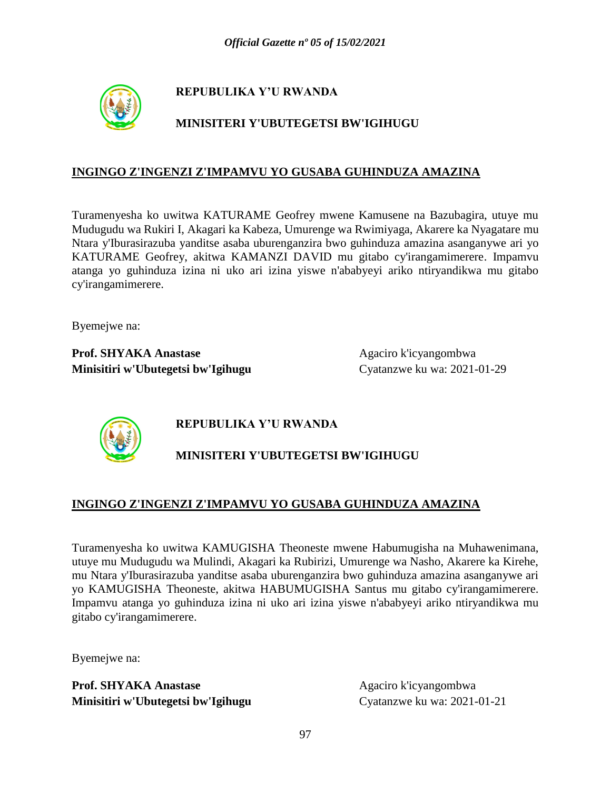

### **MINISITERI Y'UBUTEGETSI BW'IGIHUGU**

#### **INGINGO Z'INGENZI Z'IMPAMVU YO GUSABA GUHINDUZA AMAZINA**

Turamenyesha ko uwitwa KATURAME Geofrey mwene Kamusene na Bazubagira, utuye mu Mudugudu wa Rukiri I, Akagari ka Kabeza, Umurenge wa Rwimiyaga, Akarere ka Nyagatare mu Ntara y'Iburasirazuba yanditse asaba uburenganzira bwo guhinduza amazina asanganywe ari yo KATURAME Geofrey, akitwa KAMANZI DAVID mu gitabo cy'irangamimerere. Impamvu atanga yo guhinduza izina ni uko ari izina yiswe n'ababyeyi ariko ntiryandikwa mu gitabo cy'irangamimerere.

Byemejwe na:

**Prof. SHYAKA Anastase** Agaciro k'icyangombwa **Minisitiri w'Ubutegetsi bw'Igihugu** Cyatanzwe ku wa: 2021-01-29



# **REPUBULIKA Y'U RWANDA**

# **MINISITERI Y'UBUTEGETSI BW'IGIHUGU**

### **INGINGO Z'INGENZI Z'IMPAMVU YO GUSABA GUHINDUZA AMAZINA**

Turamenyesha ko uwitwa KAMUGISHA Theoneste mwene Habumugisha na Muhawenimana, utuye mu Mudugudu wa Mulindi, Akagari ka Rubirizi, Umurenge wa Nasho, Akarere ka Kirehe, mu Ntara y'Iburasirazuba yanditse asaba uburenganzira bwo guhinduza amazina asanganywe ari yo KAMUGISHA Theoneste, akitwa HABUMUGISHA Santus mu gitabo cy'irangamimerere. Impamvu atanga yo guhinduza izina ni uko ari izina yiswe n'ababyeyi ariko ntiryandikwa mu gitabo cy'irangamimerere.

Byemejwe na: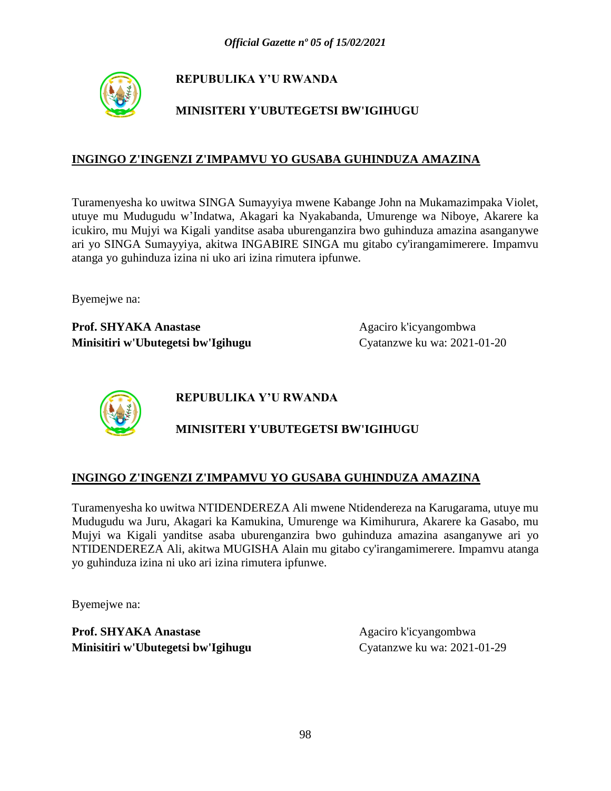

# **MINISITERI Y'UBUTEGETSI BW'IGIHUGU**

### **INGINGO Z'INGENZI Z'IMPAMVU YO GUSABA GUHINDUZA AMAZINA**

Turamenyesha ko uwitwa SINGA Sumayyiya mwene Kabange John na Mukamazimpaka Violet, utuye mu Mudugudu w'Indatwa, Akagari ka Nyakabanda, Umurenge wa Niboye, Akarere ka icukiro, mu Mujyi wa Kigali yanditse asaba uburenganzira bwo guhinduza amazina asanganywe ari yo SINGA Sumayyiya, akitwa INGABIRE SINGA mu gitabo cy'irangamimerere. Impamvu atanga yo guhinduza izina ni uko ari izina rimutera ipfunwe.

Byemejwe na:

Prof. SHYAKA Anastase Agaciro k'icyangombwa **Minisitiri w'Ubutegetsi bw'Igihugu** Cyatanzwe ku wa: 2021-01-20



**REPUBULIKA Y'U RWANDA**

### **MINISITERI Y'UBUTEGETSI BW'IGIHUGU**

#### **INGINGO Z'INGENZI Z'IMPAMVU YO GUSABA GUHINDUZA AMAZINA**

Turamenyesha ko uwitwa NTIDENDEREZA Ali mwene Ntidendereza na Karugarama, utuye mu Mudugudu wa Juru, Akagari ka Kamukina, Umurenge wa Kimihurura, Akarere ka Gasabo, mu Mujyi wa Kigali yanditse asaba uburenganzira bwo guhinduza amazina asanganywe ari yo NTIDENDEREZA Ali, akitwa MUGISHA Alain mu gitabo cy'irangamimerere. Impamvu atanga yo guhinduza izina ni uko ari izina rimutera ipfunwe.

Byemejwe na: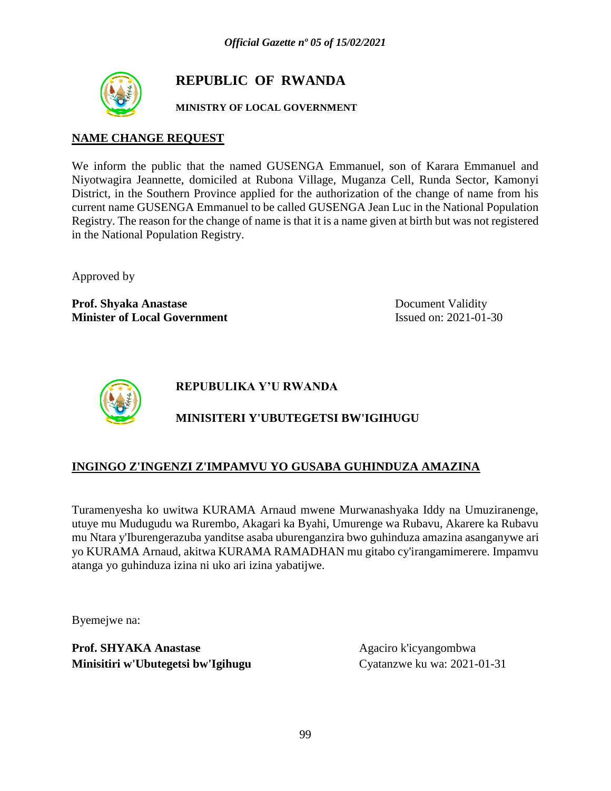

# **REPUBLIC OF RWANDA**

#### **MINISTRY OF LOCAL GOVERNMENT**

#### **NAME CHANGE REQUEST**

We inform the public that the named GUSENGA Emmanuel, son of Karara Emmanuel and Niyotwagira Jeannette, domiciled at Rubona Village, Muganza Cell, Runda Sector, Kamonyi District, in the Southern Province applied for the authorization of the change of name from his current name GUSENGA Emmanuel to be called GUSENGA Jean Luc in the National Population Registry. The reason for the change of name is that it is a name given at birth but was not registered in the National Population Registry.

Approved by

**Prof. Shyaka Anastase** Document Validity **Minister of Local Government** Issued on: 2021-01-30



**REPUBULIKA Y'U RWANDA**

# **MINISITERI Y'UBUTEGETSI BW'IGIHUGU**

### **INGINGO Z'INGENZI Z'IMPAMVU YO GUSABA GUHINDUZA AMAZINA**

Turamenyesha ko uwitwa KURAMA Arnaud mwene Murwanashyaka Iddy na Umuziranenge, utuye mu Mudugudu wa Rurembo, Akagari ka Byahi, Umurenge wa Rubavu, Akarere ka Rubavu mu Ntara y'Iburengerazuba yanditse asaba uburenganzira bwo guhinduza amazina asanganywe ari yo KURAMA Arnaud, akitwa KURAMA RAMADHAN mu gitabo cy'irangamimerere. Impamvu atanga yo guhinduza izina ni uko ari izina yabatijwe.

Byemejwe na: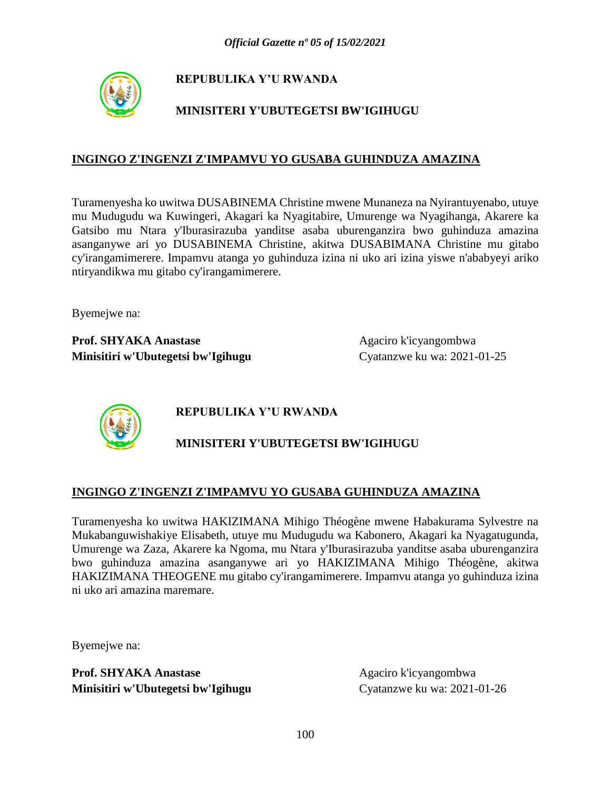

# **MINISITERI Y'UBUTEGETSI BW'IGIHUGU**

#### **INGINGO Z'INGENZI Z'IMPAMVU YO GUSABA GUHINDUZA AMAZINA**

Turamenyesha ko uwitwa DUSABINEMA Christine mwene Munaneza na Nyirantuyenabo, utuye mu Mudugudu wa Kuwingeri, Akagari ka Nyagitabire, Umurenge wa Nyagihanga, Akarere ka Gatsibo mu Ntara y'Iburasirazuba yanditse asaba uburenganzira bwo guhinduza amazina asanganywe ari yo DUSABINEMA Christine, akitwa DUSABIMANA Christine mu gitabo cy'irangamimerere. Impamvu atanga yo guhinduza izina ni uko ari izina yiswe n'ababyeyi ariko ntiryandikwa mu gitabo cy'irangamimerere.

Byemejwe na:

**Prof. SHYAKA Anastase** Agaciro k'icyangombwa **Minisitiri w'Ubutegetsi bw'Igihugu** Cyatanzwe ku wa: 2021-01-25



**REPUBULIKA Y'U RWANDA**

# **MINISITERI Y'UBUTEGETSI BW'IGIHUGU**

### **INGINGO Z'INGENZI Z'IMPAMVU YO GUSABA GUHINDUZA AMAZINA**

Turamenyesha ko uwitwa HAKIZIMANA Mihigo Théogène mwene Habakurama Sylvestre na Mukabanguwishakiye Elisabeth, utuye mu Mudugudu wa Kabonero, Akagari ka Nyagatugunda, Umurenge wa Zaza, Akarere ka Ngoma, mu Ntara y'Iburasirazuba yanditse asaba uburenganzira bwo guhinduza amazina asanganywe ari yo HAKIZIMANA Mihigo Théogène, akitwa HAKIZIMANA THEOGENE mu gitabo cy'irangamimerere. Impamvu atanga yo guhinduza izina ni uko ari amazina maremare.

Byemejwe na: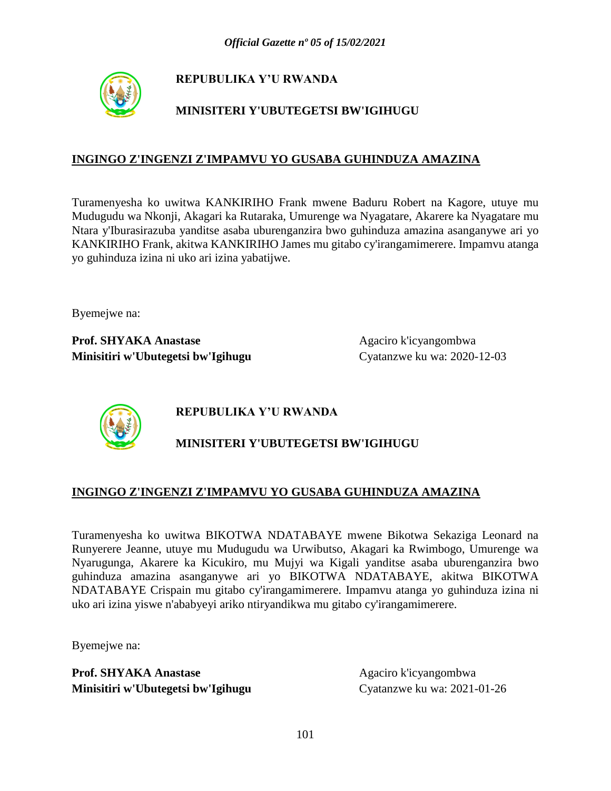

# **MINISITERI Y'UBUTEGETSI BW'IGIHUGU**

### **INGINGO Z'INGENZI Z'IMPAMVU YO GUSABA GUHINDUZA AMAZINA**

Turamenyesha ko uwitwa KANKIRIHO Frank mwene Baduru Robert na Kagore, utuye mu Mudugudu wa Nkonji, Akagari ka Rutaraka, Umurenge wa Nyagatare, Akarere ka Nyagatare mu Ntara y'Iburasirazuba yanditse asaba uburenganzira bwo guhinduza amazina asanganywe ari yo KANKIRIHO Frank, akitwa KANKIRIHO James mu gitabo cy'irangamimerere. Impamvu atanga yo guhinduza izina ni uko ari izina yabatijwe.

Byemejwe na:

**Prof. SHYAKA Anastase** Agaciro k'icyangombwa **Minisitiri w'Ubutegetsi bw'Igihugu** Cyatanzwe ku wa: 2020-12-03



**REPUBULIKA Y'U RWANDA**

# **MINISITERI Y'UBUTEGETSI BW'IGIHUGU**

### **INGINGO Z'INGENZI Z'IMPAMVU YO GUSABA GUHINDUZA AMAZINA**

Turamenyesha ko uwitwa BIKOTWA NDATABAYE mwene Bikotwa Sekaziga Leonard na Runyerere Jeanne, utuye mu Mudugudu wa Urwibutso, Akagari ka Rwimbogo, Umurenge wa Nyarugunga, Akarere ka Kicukiro, mu Mujyi wa Kigali yanditse asaba uburenganzira bwo guhinduza amazina asanganywe ari yo BIKOTWA NDATABAYE, akitwa BIKOTWA NDATABAYE Crispain mu gitabo cy'irangamimerere. Impamvu atanga yo guhinduza izina ni uko ari izina yiswe n'ababyeyi ariko ntiryandikwa mu gitabo cy'irangamimerere.

Byemejwe na: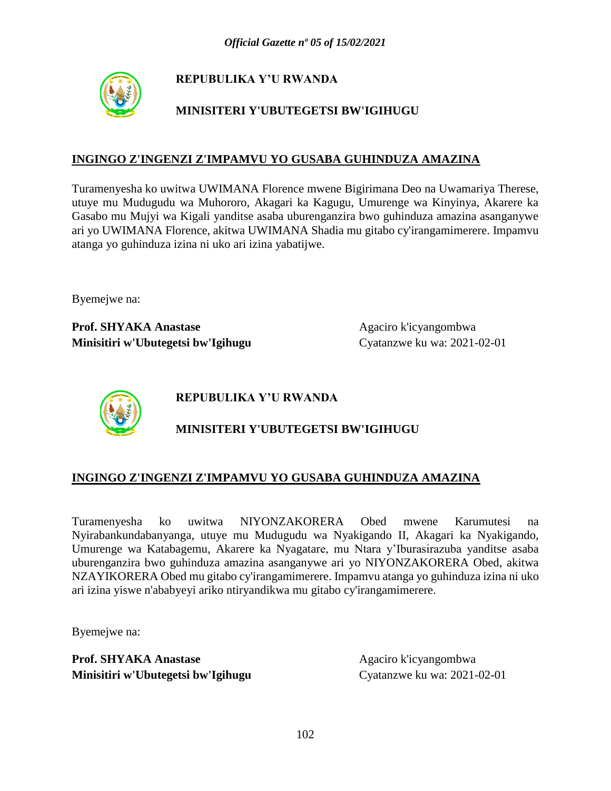

# **MINISITERI Y'UBUTEGETSI BW'IGIHUGU**

### **INGINGO Z'INGENZI Z'IMPAMVU YO GUSABA GUHINDUZA AMAZINA**

Turamenyesha ko uwitwa UWIMANA Florence mwene Bigirimana Deo na Uwamariya Therese, utuye mu Mudugudu wa Muhororo, Akagari ka Kagugu, Umurenge wa Kinyinya, Akarere ka Gasabo mu Mujyi wa Kigali yanditse asaba uburenganzira bwo guhinduza amazina asanganywe ari yo UWIMANA Florence, akitwa UWIMANA Shadia mu gitabo cy'irangamimerere. Impamvu atanga yo guhinduza izina ni uko ari izina yabatijwe.

Byemejwe na:

**Prof. SHYAKA Anastase** Agaciro k'icyangombwa **Minisitiri w'Ubutegetsi bw'Igihugu** Cyatanzwe ku wa: 2021-02-01



**REPUBULIKA Y'U RWANDA**

### **MINISITERI Y'UBUTEGETSI BW'IGIHUGU**

#### **INGINGO Z'INGENZI Z'IMPAMVU YO GUSABA GUHINDUZA AMAZINA**

Turamenyesha ko uwitwa NIYONZAKORERA Obed mwene Karumutesi na Nyirabankundabanyanga, utuye mu Mudugudu wa Nyakigando II, Akagari ka Nyakigando, Umurenge wa Katabagemu, Akarere ka Nyagatare, mu Ntara y'Iburasirazuba yanditse asaba uburenganzira bwo guhinduza amazina asanganywe ari yo NIYONZAKORERA Obed, akitwa NZAYIKORERA Obed mu gitabo cy'irangamimerere. Impamvu atanga yo guhinduza izina ni uko ari izina yiswe n'ababyeyi ariko ntiryandikwa mu gitabo cy'irangamimerere.

Byemejwe na: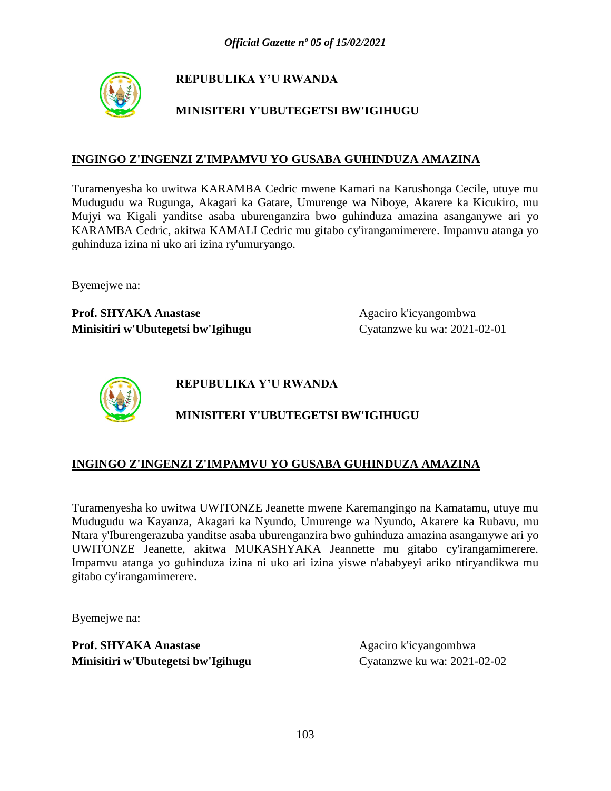

# **MINISITERI Y'UBUTEGETSI BW'IGIHUGU**

#### **INGINGO Z'INGENZI Z'IMPAMVU YO GUSABA GUHINDUZA AMAZINA**

Turamenyesha ko uwitwa KARAMBA Cedric mwene Kamari na Karushonga Cecile, utuye mu Mudugudu wa Rugunga, Akagari ka Gatare, Umurenge wa Niboye, Akarere ka Kicukiro, mu Mujyi wa Kigali yanditse asaba uburenganzira bwo guhinduza amazina asanganywe ari yo KARAMBA Cedric, akitwa KAMALI Cedric mu gitabo cy'irangamimerere. Impamvu atanga yo guhinduza izina ni uko ari izina ry'umuryango.

Byemejwe na:

Prof. SHYAKA Anastase Agaciro k'icyangombwa **Minisitiri w'Ubutegetsi bw'Igihugu** Cyatanzwe ku wa: 2021-02-01



**REPUBULIKA Y'U RWANDA**

# **MINISITERI Y'UBUTEGETSI BW'IGIHUGU**

### **INGINGO Z'INGENZI Z'IMPAMVU YO GUSABA GUHINDUZA AMAZINA**

Turamenyesha ko uwitwa UWITONZE Jeanette mwene Karemangingo na Kamatamu, utuye mu Mudugudu wa Kayanza, Akagari ka Nyundo, Umurenge wa Nyundo, Akarere ka Rubavu, mu Ntara y'Iburengerazuba yanditse asaba uburenganzira bwo guhinduza amazina asanganywe ari yo UWITONZE Jeanette, akitwa MUKASHYAKA Jeannette mu gitabo cy'irangamimerere. Impamvu atanga yo guhinduza izina ni uko ari izina yiswe n'ababyeyi ariko ntiryandikwa mu gitabo cy'irangamimerere.

Byemejwe na: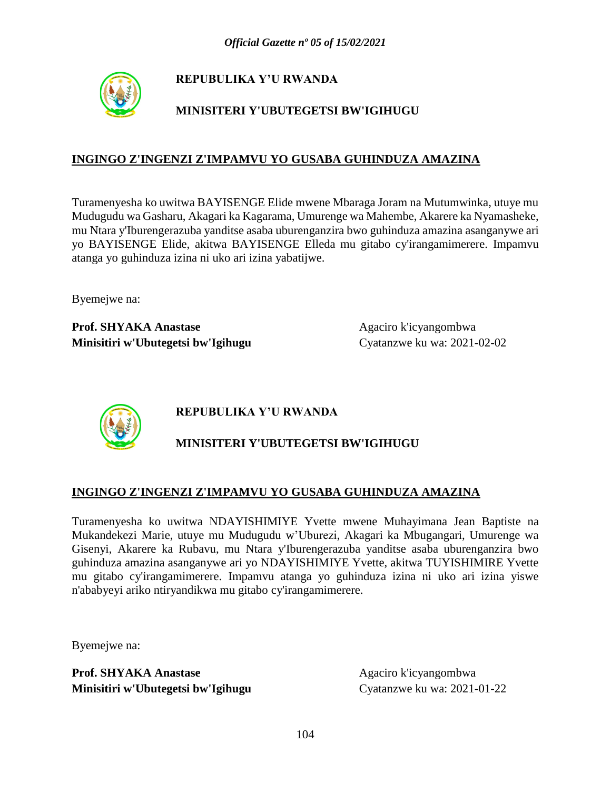

# **MINISITERI Y'UBUTEGETSI BW'IGIHUGU**

### **INGINGO Z'INGENZI Z'IMPAMVU YO GUSABA GUHINDUZA AMAZINA**

Turamenyesha ko uwitwa BAYISENGE Elide mwene Mbaraga Joram na Mutumwinka, utuye mu Mudugudu wa Gasharu, Akagari ka Kagarama, Umurenge wa Mahembe, Akarere ka Nyamasheke, mu Ntara y'Iburengerazuba yanditse asaba uburenganzira bwo guhinduza amazina asanganywe ari yo BAYISENGE Elide, akitwa BAYISENGE Elleda mu gitabo cy'irangamimerere. Impamvu atanga yo guhinduza izina ni uko ari izina yabatijwe.

Byemejwe na:

**Prof. SHYAKA Anastase** Agaciro k'icyangombwa **Minisitiri w'Ubutegetsi bw'Igihugu** Cyatanzwe ku wa: 2021-02-02



**REPUBULIKA Y'U RWANDA**

# **MINISITERI Y'UBUTEGETSI BW'IGIHUGU**

#### **INGINGO Z'INGENZI Z'IMPAMVU YO GUSABA GUHINDUZA AMAZINA**

Turamenyesha ko uwitwa NDAYISHIMIYE Yvette mwene Muhayimana Jean Baptiste na Mukandekezi Marie, utuye mu Mudugudu w'Uburezi, Akagari ka Mbugangari, Umurenge wa Gisenyi, Akarere ka Rubavu, mu Ntara y'Iburengerazuba yanditse asaba uburenganzira bwo guhinduza amazina asanganywe ari yo NDAYISHIMIYE Yvette, akitwa TUYISHIMIRE Yvette mu gitabo cy'irangamimerere. Impamvu atanga yo guhinduza izina ni uko ari izina yiswe n'ababyeyi ariko ntiryandikwa mu gitabo cy'irangamimerere.

Byemejwe na: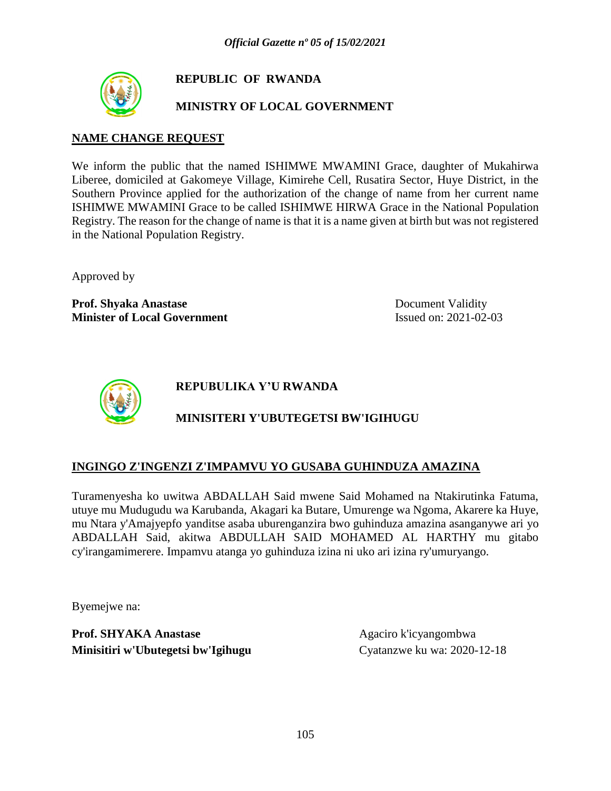

### **REPUBLIC OF RWANDA**

### **MINISTRY OF LOCAL GOVERNMENT**

#### **NAME CHANGE REQUEST**

We inform the public that the named ISHIMWE MWAMINI Grace, daughter of Mukahirwa Liberee, domiciled at Gakomeye Village, Kimirehe Cell, Rusatira Sector, Huye District, in the Southern Province applied for the authorization of the change of name from her current name ISHIMWE MWAMINI Grace to be called ISHIMWE HIRWA Grace in the National Population Registry. The reason for the change of name is that it is a name given at birth but was not registered in the National Population Registry.

Approved by

**Prof. Shyaka Anastase** Document Validity **Minister of Local Government** Issued on: 2021-02-03



**REPUBULIKA Y'U RWANDA**

# **MINISITERI Y'UBUTEGETSI BW'IGIHUGU**

### **INGINGO Z'INGENZI Z'IMPAMVU YO GUSABA GUHINDUZA AMAZINA**

Turamenyesha ko uwitwa ABDALLAH Said mwene Said Mohamed na Ntakirutinka Fatuma, utuye mu Mudugudu wa Karubanda, Akagari ka Butare, Umurenge wa Ngoma, Akarere ka Huye, mu Ntara y'Amajyepfo yanditse asaba uburenganzira bwo guhinduza amazina asanganywe ari yo ABDALLAH Said, akitwa ABDULLAH SAID MOHAMED AL HARTHY mu gitabo cy'irangamimerere. Impamvu atanga yo guhinduza izina ni uko ari izina ry'umuryango.

Byemejwe na: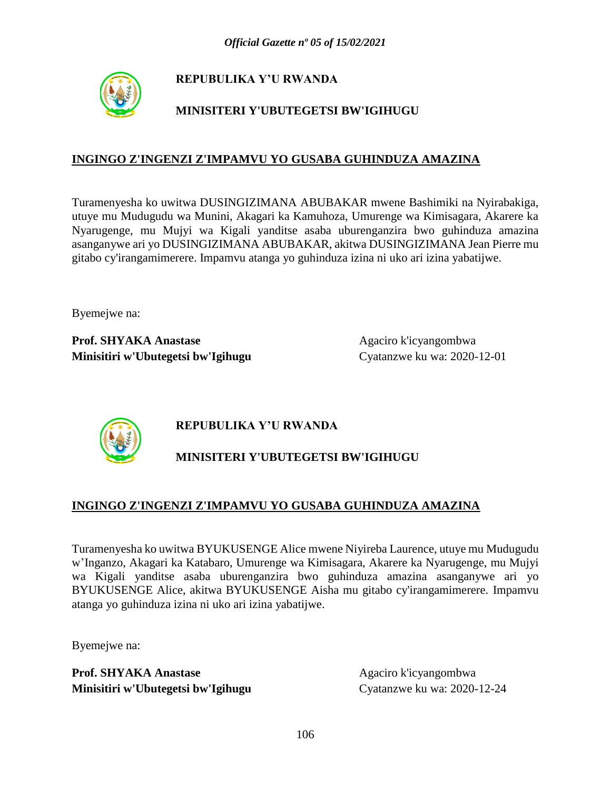

# **MINISITERI Y'UBUTEGETSI BW'IGIHUGU**

#### **INGINGO Z'INGENZI Z'IMPAMVU YO GUSABA GUHINDUZA AMAZINA**

Turamenyesha ko uwitwa DUSINGIZIMANA ABUBAKAR mwene Bashimiki na Nyirabakiga, utuye mu Mudugudu wa Munini, Akagari ka Kamuhoza, Umurenge wa Kimisagara, Akarere ka Nyarugenge, mu Mujyi wa Kigali yanditse asaba uburenganzira bwo guhinduza amazina asanganywe ari yo DUSINGIZIMANA ABUBAKAR, akitwa DUSINGIZIMANA Jean Pierre mu gitabo cy'irangamimerere. Impamvu atanga yo guhinduza izina ni uko ari izina yabatijwe.

Byemejwe na:

**Prof. SHYAKA Anastase** Agaciro k'icyangombwa **Minisitiri w'Ubutegetsi bw'Igihugu** Cyatanzwe ku wa: 2020-12-01



# **REPUBULIKA Y'U RWANDA**

# **MINISITERI Y'UBUTEGETSI BW'IGIHUGU**

### **INGINGO Z'INGENZI Z'IMPAMVU YO GUSABA GUHINDUZA AMAZINA**

Turamenyesha ko uwitwa BYUKUSENGE Alice mwene Niyireba Laurence, utuye mu Mudugudu w'Inganzo, Akagari ka Katabaro, Umurenge wa Kimisagara, Akarere ka Nyarugenge, mu Mujyi wa Kigali yanditse asaba uburenganzira bwo guhinduza amazina asanganywe ari yo BYUKUSENGE Alice, akitwa BYUKUSENGE Aisha mu gitabo cy'irangamimerere. Impamvu atanga yo guhinduza izina ni uko ari izina yabatijwe.

Byemejwe na: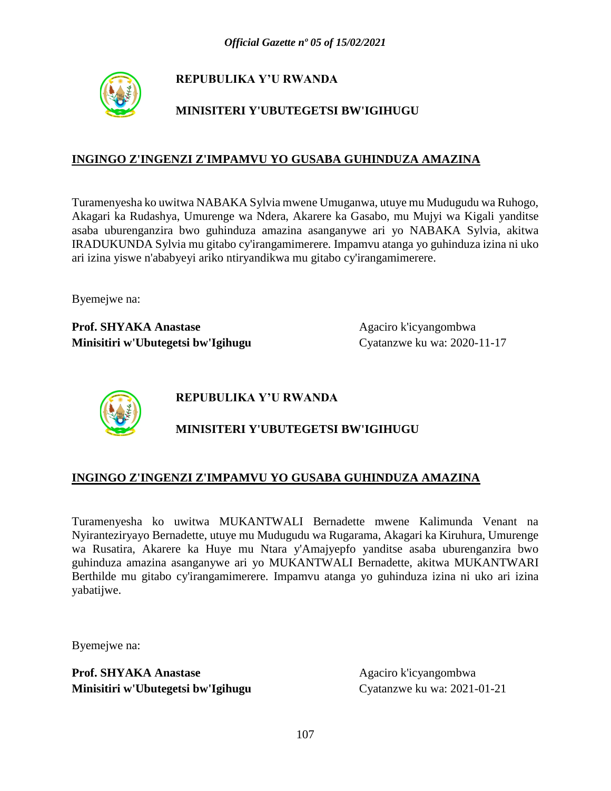

# **MINISITERI Y'UBUTEGETSI BW'IGIHUGU**

#### **INGINGO Z'INGENZI Z'IMPAMVU YO GUSABA GUHINDUZA AMAZINA**

Turamenyesha ko uwitwa NABAKA Sylvia mwene Umuganwa, utuye mu Mudugudu wa Ruhogo, Akagari ka Rudashya, Umurenge wa Ndera, Akarere ka Gasabo, mu Mujyi wa Kigali yanditse asaba uburenganzira bwo guhinduza amazina asanganywe ari yo NABAKA Sylvia, akitwa IRADUKUNDA Sylvia mu gitabo cy'irangamimerere. Impamvu atanga yo guhinduza izina ni uko ari izina yiswe n'ababyeyi ariko ntiryandikwa mu gitabo cy'irangamimerere.

Byemejwe na:

**Prof. SHYAKA Anastase** Agaciro k'icyangombwa **Minisitiri w'Ubutegetsi bw'Igihugu** Cyatanzwe ku wa: 2020-11-17



**REPUBULIKA Y'U RWANDA**

### **MINISITERI Y'UBUTEGETSI BW'IGIHUGU**

#### **INGINGO Z'INGENZI Z'IMPAMVU YO GUSABA GUHINDUZA AMAZINA**

Turamenyesha ko uwitwa MUKANTWALI Bernadette mwene Kalimunda Venant na Nyiranteziryayo Bernadette, utuye mu Mudugudu wa Rugarama, Akagari ka Kiruhura, Umurenge wa Rusatira, Akarere ka Huye mu Ntara y'Amajyepfo yanditse asaba uburenganzira bwo guhinduza amazina asanganywe ari yo MUKANTWALI Bernadette, akitwa MUKANTWARI Berthilde mu gitabo cy'irangamimerere. Impamvu atanga yo guhinduza izina ni uko ari izina yabatijwe.

Byemejwe na: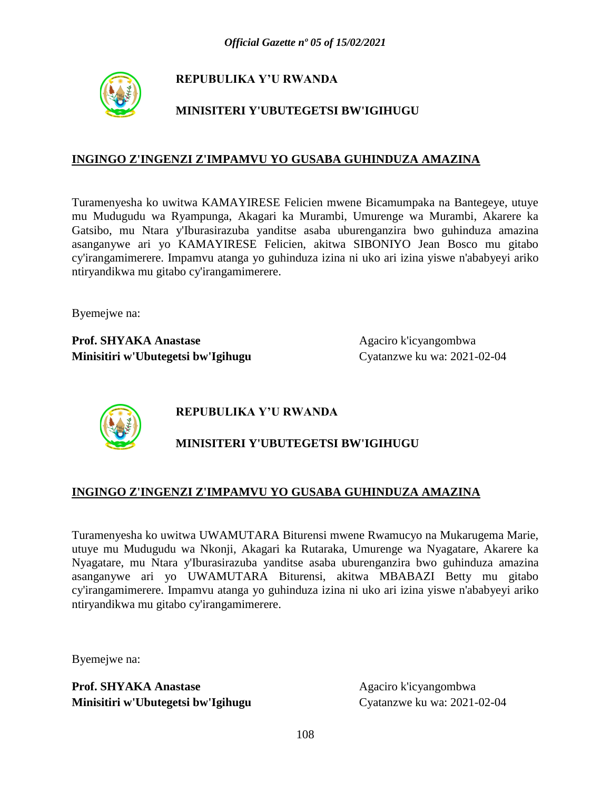

# **MINISITERI Y'UBUTEGETSI BW'IGIHUGU**

#### **INGINGO Z'INGENZI Z'IMPAMVU YO GUSABA GUHINDUZA AMAZINA**

Turamenyesha ko uwitwa KAMAYIRESE Felicien mwene Bicamumpaka na Bantegeye, utuye mu Mudugudu wa Ryampunga, Akagari ka Murambi, Umurenge wa Murambi, Akarere ka Gatsibo, mu Ntara y'Iburasirazuba yanditse asaba uburenganzira bwo guhinduza amazina asanganywe ari yo KAMAYIRESE Felicien, akitwa SIBONIYO Jean Bosco mu gitabo cy'irangamimerere. Impamvu atanga yo guhinduza izina ni uko ari izina yiswe n'ababyeyi ariko ntiryandikwa mu gitabo cy'irangamimerere.

Byemejwe na:

**Prof. SHYAKA Anastase** Agaciro k'icyangombwa **Minisitiri w'Ubutegetsi bw'Igihugu** Cyatanzwe ku wa: 2021-02-04



**REPUBULIKA Y'U RWANDA**

# **MINISITERI Y'UBUTEGETSI BW'IGIHUGU**

### **INGINGO Z'INGENZI Z'IMPAMVU YO GUSABA GUHINDUZA AMAZINA**

Turamenyesha ko uwitwa UWAMUTARA Biturensi mwene Rwamucyo na Mukarugema Marie, utuye mu Mudugudu wa Nkonji, Akagari ka Rutaraka, Umurenge wa Nyagatare, Akarere ka Nyagatare, mu Ntara y'Iburasirazuba yanditse asaba uburenganzira bwo guhinduza amazina asanganywe ari yo UWAMUTARA Biturensi, akitwa MBABAZI Betty mu gitabo cy'irangamimerere. Impamvu atanga yo guhinduza izina ni uko ari izina yiswe n'ababyeyi ariko ntiryandikwa mu gitabo cy'irangamimerere.

Byemejwe na: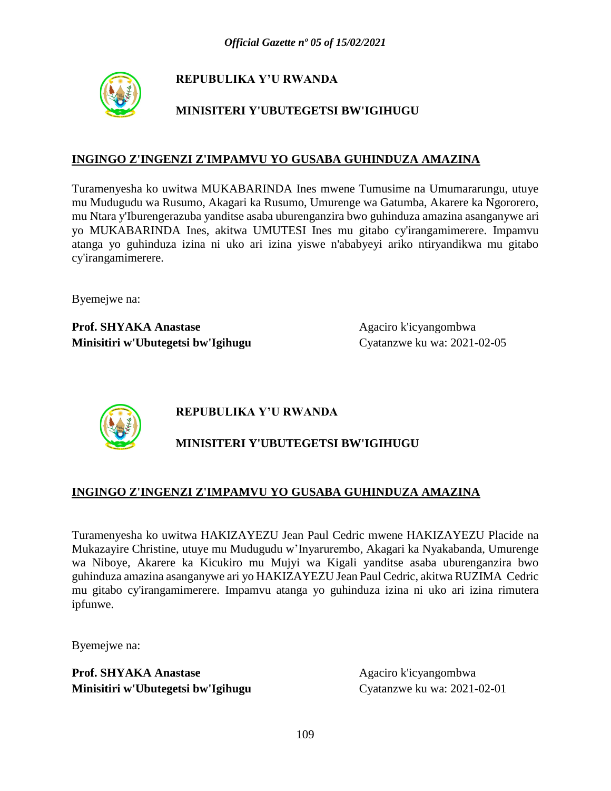

# **MINISITERI Y'UBUTEGETSI BW'IGIHUGU**

### **INGINGO Z'INGENZI Z'IMPAMVU YO GUSABA GUHINDUZA AMAZINA**

Turamenyesha ko uwitwa MUKABARINDA Ines mwene Tumusime na Umumararungu, utuye mu Mudugudu wa Rusumo, Akagari ka Rusumo, Umurenge wa Gatumba, Akarere ka Ngororero, mu Ntara y'Iburengerazuba yanditse asaba uburenganzira bwo guhinduza amazina asanganywe ari yo MUKABARINDA Ines, akitwa UMUTESI Ines mu gitabo cy'irangamimerere. Impamvu atanga yo guhinduza izina ni uko ari izina yiswe n'ababyeyi ariko ntiryandikwa mu gitabo cy'irangamimerere.

Byemejwe na:

**Prof. SHYAKA Anastase** Agaciro k'icyangombwa **Minisitiri w'Ubutegetsi bw'Igihugu** Cyatanzwe ku wa: 2021-02-05



**REPUBULIKA Y'U RWANDA**

## **MINISITERI Y'UBUTEGETSI BW'IGIHUGU**

### **INGINGO Z'INGENZI Z'IMPAMVU YO GUSABA GUHINDUZA AMAZINA**

Turamenyesha ko uwitwa HAKIZAYEZU Jean Paul Cedric mwene HAKIZAYEZU Placide na Mukazayire Christine, utuye mu Mudugudu w'Inyarurembo, Akagari ka Nyakabanda, Umurenge wa Niboye, Akarere ka Kicukiro mu Mujyi wa Kigali yanditse asaba uburenganzira bwo guhinduza amazina asanganywe ari yo HAKIZAYEZU Jean Paul Cedric, akitwa RUZIMA Cedric mu gitabo cy'irangamimerere. Impamvu atanga yo guhinduza izina ni uko ari izina rimutera ipfunwe.

Byemejwe na: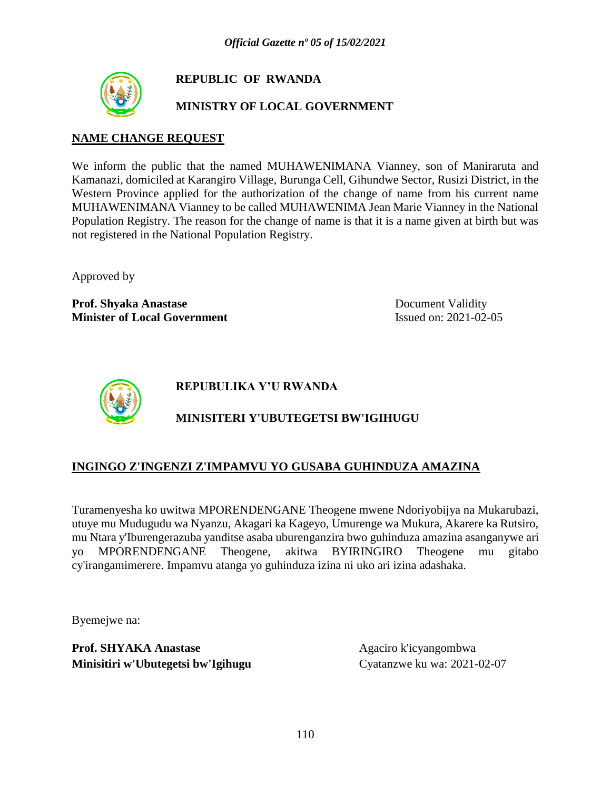

## **REPUBLIC OF RWANDA**

## **MINISTRY OF LOCAL GOVERNMENT**

### **NAME CHANGE REQUEST**

We inform the public that the named MUHAWENIMANA Vianney, son of Maniraruta and Kamanazi, domiciled at Karangiro Village, Burunga Cell, Gihundwe Sector, Rusizi District, in the Western Province applied for the authorization of the change of name from his current name MUHAWENIMANA Vianney to be called MUHAWENIMA Jean Marie Vianney in the National Population Registry. The reason for the change of name is that it is a name given at birth but was not registered in the National Population Registry.

Approved by

**Prof. Shyaka Anastase** Document Validity **Minister of Local Government** Issued on: 2021-02-05



**REPUBULIKA Y'U RWANDA**

# **MINISITERI Y'UBUTEGETSI BW'IGIHUGU**

## **INGINGO Z'INGENZI Z'IMPAMVU YO GUSABA GUHINDUZA AMAZINA**

Turamenyesha ko uwitwa MPORENDENGANE Theogene mwene Ndoriyobijya na Mukarubazi, utuye mu Mudugudu wa Nyanzu, Akagari ka Kageyo, Umurenge wa Mukura, Akarere ka Rutsiro, mu Ntara y'Iburengerazuba yanditse asaba uburenganzira bwo guhinduza amazina asanganywe ari yo MPORENDENGANE Theogene, akitwa BYIRINGIRO Theogene mu gitabo cy'irangamimerere. Impamvu atanga yo guhinduza izina ni uko ari izina adashaka.

Byemejwe na: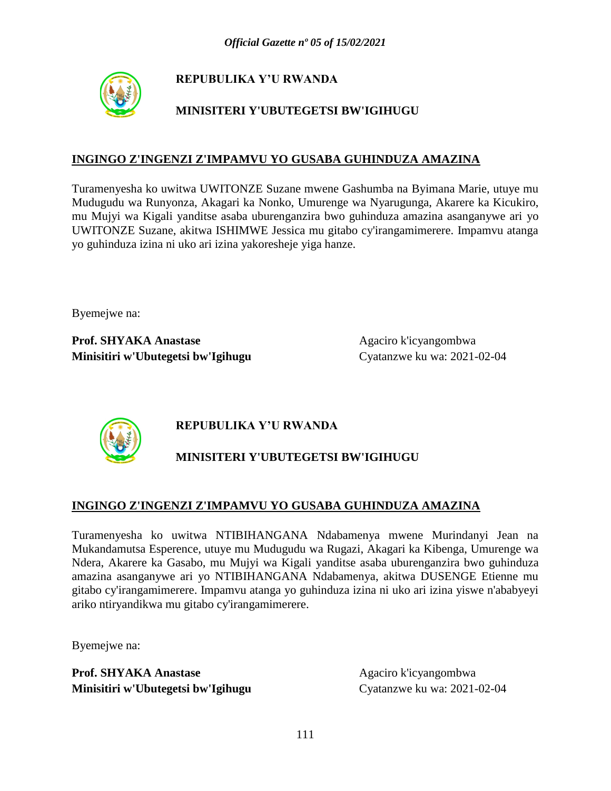

# **MINISITERI Y'UBUTEGETSI BW'IGIHUGU**

### **INGINGO Z'INGENZI Z'IMPAMVU YO GUSABA GUHINDUZA AMAZINA**

Turamenyesha ko uwitwa UWITONZE Suzane mwene Gashumba na Byimana Marie, utuye mu Mudugudu wa Runyonza, Akagari ka Nonko, Umurenge wa Nyarugunga, Akarere ka Kicukiro, mu Mujyi wa Kigali yanditse asaba uburenganzira bwo guhinduza amazina asanganywe ari yo UWITONZE Suzane, akitwa ISHIMWE Jessica mu gitabo cy'irangamimerere. Impamvu atanga yo guhinduza izina ni uko ari izina yakoresheje yiga hanze.

Byemejwe na:

**Prof. SHYAKA Anastase** Agaciro k'icyangombwa **Minisitiri w'Ubutegetsi bw'Igihugu** Cyatanzwe ku wa: 2021-02-04



# **REPUBULIKA Y'U RWANDA**

# **MINISITERI Y'UBUTEGETSI BW'IGIHUGU**

## **INGINGO Z'INGENZI Z'IMPAMVU YO GUSABA GUHINDUZA AMAZINA**

Turamenyesha ko uwitwa NTIBIHANGANA Ndabamenya mwene Murindanyi Jean na Mukandamutsa Esperence, utuye mu Mudugudu wa Rugazi, Akagari ka Kibenga, Umurenge wa Ndera, Akarere ka Gasabo, mu Mujyi wa Kigali yanditse asaba uburenganzira bwo guhinduza amazina asanganywe ari yo NTIBIHANGANA Ndabamenya, akitwa DUSENGE Etienne mu gitabo cy'irangamimerere. Impamvu atanga yo guhinduza izina ni uko ari izina yiswe n'ababyeyi ariko ntiryandikwa mu gitabo cy'irangamimerere.

Byemejwe na: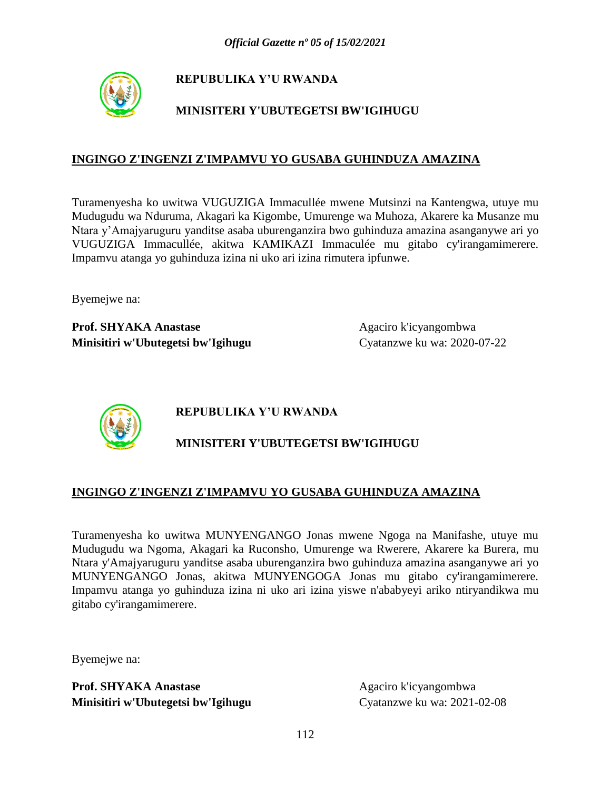

# **MINISITERI Y'UBUTEGETSI BW'IGIHUGU**

### **INGINGO Z'INGENZI Z'IMPAMVU YO GUSABA GUHINDUZA AMAZINA**

Turamenyesha ko uwitwa VUGUZIGA Immacullée mwene Mutsinzi na Kantengwa, utuye mu Mudugudu wa Nduruma, Akagari ka Kigombe, Umurenge wa Muhoza, Akarere ka Musanze mu Ntara y'Amajyaruguru yanditse asaba uburenganzira bwo guhinduza amazina asanganywe ari yo VUGUZIGA Immacullée, akitwa KAMIKAZI Immaculée mu gitabo cy'irangamimerere. Impamvu atanga yo guhinduza izina ni uko ari izina rimutera ipfunwe.

Byemejwe na:

**Prof. SHYAKA Anastase** Agaciro k'icyangombwa **Minisitiri w'Ubutegetsi bw'Igihugu** Cyatanzwe ku wa: 2020-07-22



**REPUBULIKA Y'U RWANDA**

# **MINISITERI Y'UBUTEGETSI BW'IGIHUGU**

### **INGINGO Z'INGENZI Z'IMPAMVU YO GUSABA GUHINDUZA AMAZINA**

Turamenyesha ko uwitwa MUNYENGANGO Jonas mwene Ngoga na Manifashe, utuye mu Mudugudu wa Ngoma, Akagari ka Ruconsho, Umurenge wa Rwerere, Akarere ka Burera, mu Ntara y'Amajyaruguru yanditse asaba uburenganzira bwo guhinduza amazina asanganywe ari yo MUNYENGANGO Jonas, akitwa MUNYENGOGA Jonas mu gitabo cy'irangamimerere. Impamvu atanga yo guhinduza izina ni uko ari izina yiswe n'ababyeyi ariko ntiryandikwa mu gitabo cy'irangamimerere.

Byemejwe na: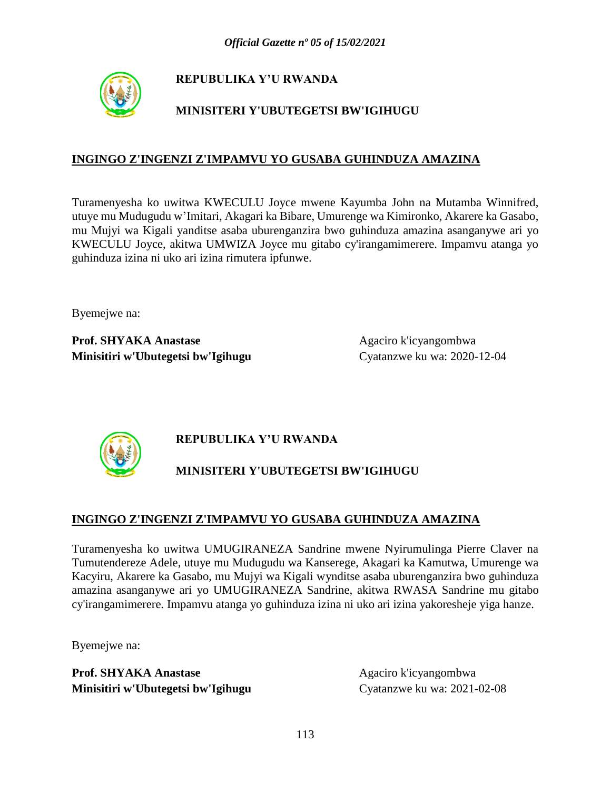

# **MINISITERI Y'UBUTEGETSI BW'IGIHUGU**

### **INGINGO Z'INGENZI Z'IMPAMVU YO GUSABA GUHINDUZA AMAZINA**

Turamenyesha ko uwitwa KWECULU Joyce mwene Kayumba John na Mutamba Winnifred, utuye mu Mudugudu w'Imitari, Akagari ka Bibare, Umurenge wa Kimironko, Akarere ka Gasabo, mu Mujyi wa Kigali yanditse asaba uburenganzira bwo guhinduza amazina asanganywe ari yo KWECULU Joyce, akitwa UMWIZA Joyce mu gitabo cy'irangamimerere. Impamvu atanga yo guhinduza izina ni uko ari izina rimutera ipfunwe.

Byemejwe na:

**Prof. SHYAKA Anastase** Agaciro k'icyangombwa **Minisitiri w'Ubutegetsi bw'Igihugu** Cyatanzwe ku wa: 2020-12-04



# **REPUBULIKA Y'U RWANDA**

# **MINISITERI Y'UBUTEGETSI BW'IGIHUGU**

### **INGINGO Z'INGENZI Z'IMPAMVU YO GUSABA GUHINDUZA AMAZINA**

Turamenyesha ko uwitwa UMUGIRANEZA Sandrine mwene Nyirumulinga Pierre Claver na Tumutendereze Adele, utuye mu Mudugudu wa Kanserege, Akagari ka Kamutwa, Umurenge wa Kacyiru, Akarere ka Gasabo, mu Mujyi wa Kigali wynditse asaba uburenganzira bwo guhinduza amazina asanganywe ari yo UMUGIRANEZA Sandrine, akitwa RWASA Sandrine mu gitabo cy'irangamimerere. Impamvu atanga yo guhinduza izina ni uko ari izina yakoresheje yiga hanze.

Byemejwe na: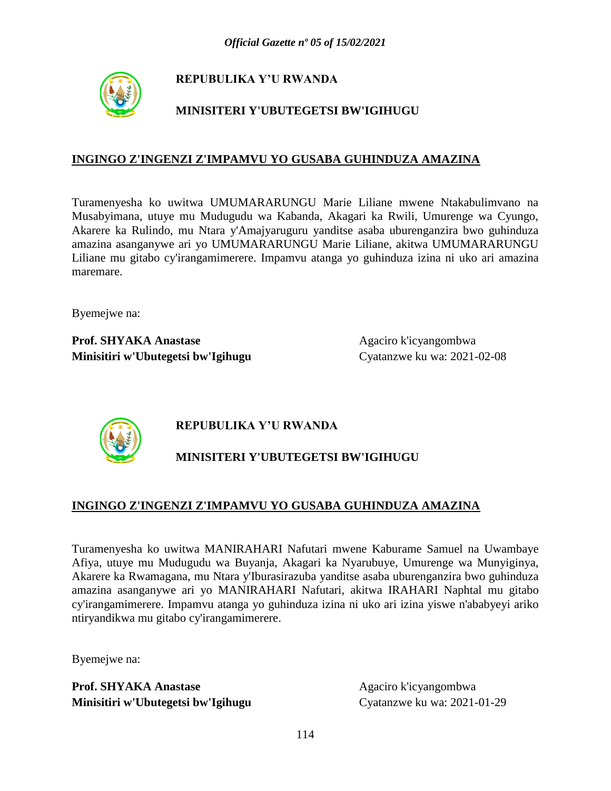

# **MINISITERI Y'UBUTEGETSI BW'IGIHUGU**

### **INGINGO Z'INGENZI Z'IMPAMVU YO GUSABA GUHINDUZA AMAZINA**

Turamenyesha ko uwitwa UMUMARARUNGU Marie Liliane mwene Ntakabulimvano na Musabyimana, utuye mu Mudugudu wa Kabanda, Akagari ka Rwili, Umurenge wa Cyungo, Akarere ka Rulindo, mu Ntara y'Amajyaruguru yanditse asaba uburenganzira bwo guhinduza amazina asanganywe ari yo UMUMARARUNGU Marie Liliane, akitwa UMUMARARUNGU Liliane mu gitabo cy'irangamimerere. Impamvu atanga yo guhinduza izina ni uko ari amazina maremare.

Byemejwe na:

**Prof. SHYAKA Anastase** Agaciro k'icyangombwa **Minisitiri w'Ubutegetsi bw'Igihugu** Cyatanzwe ku wa: 2021-02-08



**REPUBULIKA Y'U RWANDA**

# **MINISITERI Y'UBUTEGETSI BW'IGIHUGU**

## **INGINGO Z'INGENZI Z'IMPAMVU YO GUSABA GUHINDUZA AMAZINA**

Turamenyesha ko uwitwa MANIRAHARI Nafutari mwene Kaburame Samuel na Uwambaye Afiya, utuye mu Mudugudu wa Buyanja, Akagari ka Nyarubuye, Umurenge wa Munyiginya, Akarere ka Rwamagana, mu Ntara y'Iburasirazuba yanditse asaba uburenganzira bwo guhinduza amazina asanganywe ari yo MANIRAHARI Nafutari, akitwa IRAHARI Naphtal mu gitabo cy'irangamimerere. Impamvu atanga yo guhinduza izina ni uko ari izina yiswe n'ababyeyi ariko ntiryandikwa mu gitabo cy'irangamimerere.

Byemejwe na: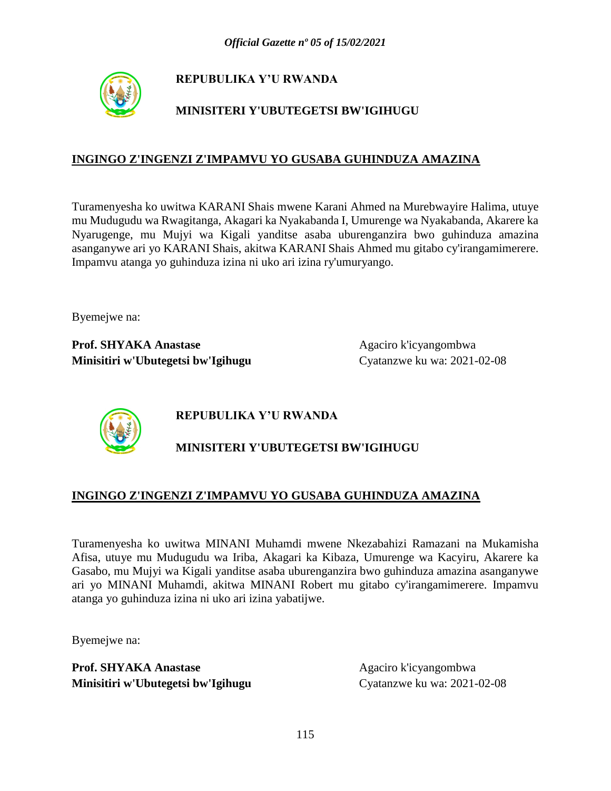

# **MINISITERI Y'UBUTEGETSI BW'IGIHUGU**

### **INGINGO Z'INGENZI Z'IMPAMVU YO GUSABA GUHINDUZA AMAZINA**

Turamenyesha ko uwitwa KARANI Shais mwene Karani Ahmed na Murebwayire Halima, utuye mu Mudugudu wa Rwagitanga, Akagari ka Nyakabanda I, Umurenge wa Nyakabanda, Akarere ka Nyarugenge, mu Mujyi wa Kigali yanditse asaba uburenganzira bwo guhinduza amazina asanganywe ari yo KARANI Shais, akitwa KARANI Shais Ahmed mu gitabo cy'irangamimerere. Impamvu atanga yo guhinduza izina ni uko ari izina ry'umuryango.

Byemejwe na:

Prof. SHYAKA Anastase **Agaciro k'icyangombwa Minisitiri w'Ubutegetsi bw'Igihugu** Cyatanzwe ku wa: 2021-02-08



# **REPUBULIKA Y'U RWANDA**

# **MINISITERI Y'UBUTEGETSI BW'IGIHUGU**

### **INGINGO Z'INGENZI Z'IMPAMVU YO GUSABA GUHINDUZA AMAZINA**

Turamenyesha ko uwitwa MINANI Muhamdi mwene Nkezabahizi Ramazani na Mukamisha Afisa, utuye mu Mudugudu wa Iriba, Akagari ka Kibaza, Umurenge wa Kacyiru, Akarere ka Gasabo, mu Mujyi wa Kigali yanditse asaba uburenganzira bwo guhinduza amazina asanganywe ari yo MINANI Muhamdi, akitwa MINANI Robert mu gitabo cy'irangamimerere. Impamvu atanga yo guhinduza izina ni uko ari izina yabatijwe.

Byemejwe na: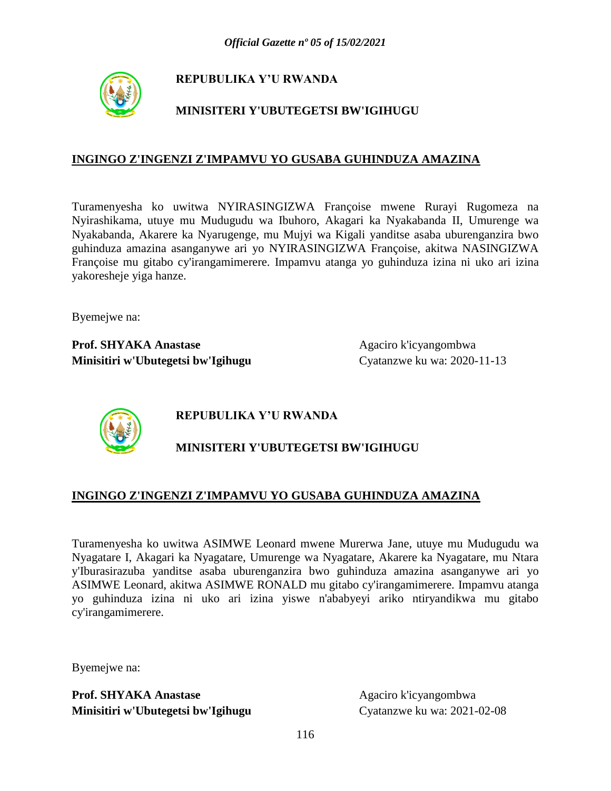

## **MINISITERI Y'UBUTEGETSI BW'IGIHUGU**

### **INGINGO Z'INGENZI Z'IMPAMVU YO GUSABA GUHINDUZA AMAZINA**

Turamenyesha ko uwitwa NYIRASINGIZWA Françoise mwene Rurayi Rugomeza na Nyirashikama, utuye mu Mudugudu wa Ibuhoro, Akagari ka Nyakabanda II, Umurenge wa Nyakabanda, Akarere ka Nyarugenge, mu Mujyi wa Kigali yanditse asaba uburenganzira bwo guhinduza amazina asanganywe ari yo NYIRASINGIZWA Françoise, akitwa NASINGIZWA Françoise mu gitabo cy'irangamimerere. Impamvu atanga yo guhinduza izina ni uko ari izina yakoresheje yiga hanze.

Byemejwe na:

**Prof. SHYAKA Anastase** Agaciro k'icyangombwa **Minisitiri w'Ubutegetsi bw'Igihugu** Cyatanzwe ku wa: 2020-11-13



## **REPUBULIKA Y'U RWANDA**

## **MINISITERI Y'UBUTEGETSI BW'IGIHUGU**

#### **INGINGO Z'INGENZI Z'IMPAMVU YO GUSABA GUHINDUZA AMAZINA**

Turamenyesha ko uwitwa ASIMWE Leonard mwene Murerwa Jane, utuye mu Mudugudu wa Nyagatare I, Akagari ka Nyagatare, Umurenge wa Nyagatare, Akarere ka Nyagatare, mu Ntara y'Iburasirazuba yanditse asaba uburenganzira bwo guhinduza amazina asanganywe ari yo ASIMWE Leonard, akitwa ASIMWE RONALD mu gitabo cy'irangamimerere. Impamvu atanga yo guhinduza izina ni uko ari izina yiswe n'ababyeyi ariko ntiryandikwa mu gitabo cy'irangamimerere.

Byemejwe na: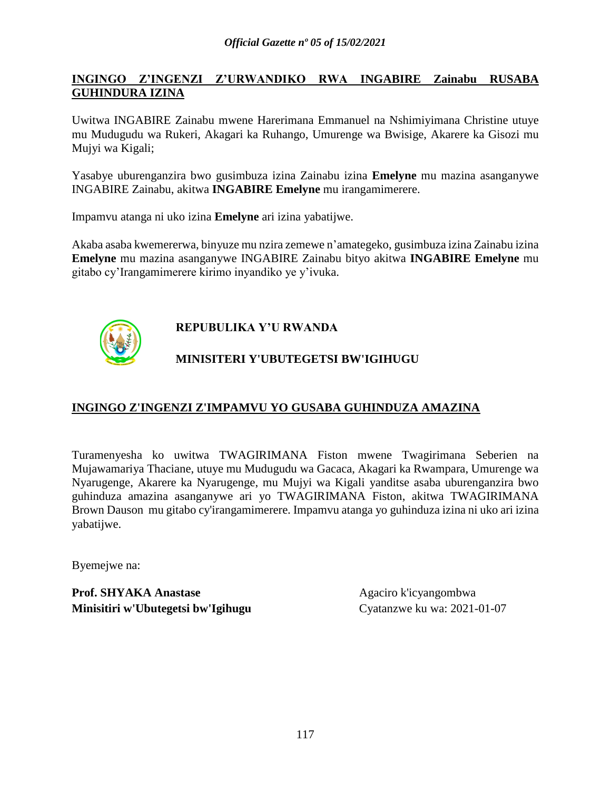### **INGINGO Z'INGENZI Z'URWANDIKO RWA INGABIRE Zainabu RUSABA GUHINDURA IZINA**

Uwitwa INGABIRE Zainabu mwene Harerimana Emmanuel na Nshimiyimana Christine utuye mu Mudugudu wa Rukeri, Akagari ka Ruhango, Umurenge wa Bwisige, Akarere ka Gisozi mu Mujyi wa Kigali;

Yasabye uburenganzira bwo gusimbuza izina Zainabu izina **Emelyne** mu mazina asanganywe INGABIRE Zainabu, akitwa **INGABIRE Emelyne** mu irangamimerere.

Impamvu atanga ni uko izina **Emelyne** ari izina yabatijwe.

Akaba asaba kwemererwa, binyuze mu nzira zemewe n'amategeko, gusimbuza izina Zainabu izina **Emelyne** mu mazina asanganywe INGABIRE Zainabu bityo akitwa **INGABIRE Emelyne** mu gitabo cy'Irangamimerere kirimo inyandiko ye y'ivuka.



# **REPUBULIKA Y'U RWANDA**

## **MINISITERI Y'UBUTEGETSI BW'IGIHUGU**

### **INGINGO Z'INGENZI Z'IMPAMVU YO GUSABA GUHINDUZA AMAZINA**

Turamenyesha ko uwitwa TWAGIRIMANA Fiston mwene Twagirimana Seberien na Mujawamariya Thaciane, utuye mu Mudugudu wa Gacaca, Akagari ka Rwampara, Umurenge wa Nyarugenge, Akarere ka Nyarugenge, mu Mujyi wa Kigali yanditse asaba uburenganzira bwo guhinduza amazina asanganywe ari yo TWAGIRIMANA Fiston, akitwa TWAGIRIMANA Brown Dauson mu gitabo cy'irangamimerere. Impamvu atanga yo guhinduza izina ni uko ari izina yabatijwe.

Byemejwe na: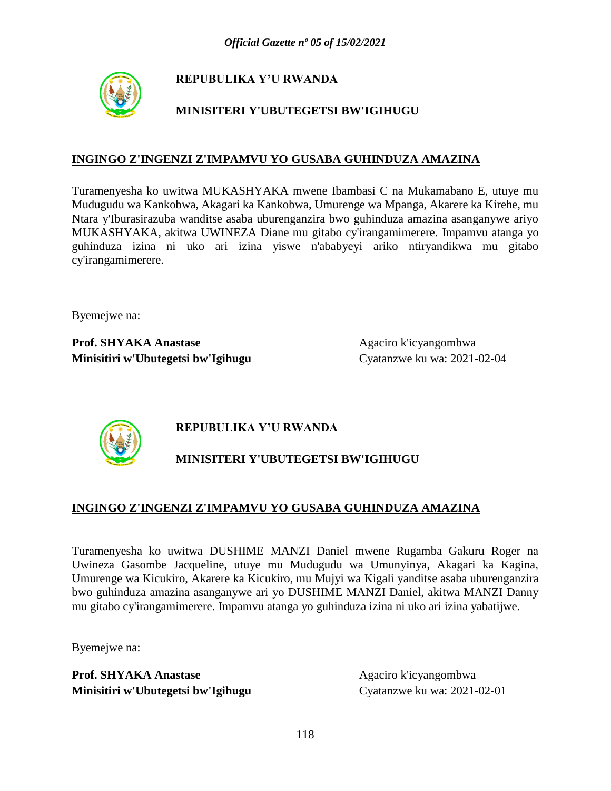

## **MINISITERI Y'UBUTEGETSI BW'IGIHUGU**

### **INGINGO Z'INGENZI Z'IMPAMVU YO GUSABA GUHINDUZA AMAZINA**

Turamenyesha ko uwitwa MUKASHYAKA mwene Ibambasi C na Mukamabano E, utuye mu Mudugudu wa Kankobwa, Akagari ka Kankobwa, Umurenge wa Mpanga, Akarere ka Kirehe, mu Ntara y'Iburasirazuba wanditse asaba uburenganzira bwo guhinduza amazina asanganywe ariyo MUKASHYAKA, akitwa UWINEZA Diane mu gitabo cy'irangamimerere. Impamvu atanga yo guhinduza izina ni uko ari izina yiswe n'ababyeyi ariko ntiryandikwa mu gitabo cy'irangamimerere.

Byemejwe na:

**Prof. SHYAKA Anastase** Agaciro k'icyangombwa **Minisitiri w'Ubutegetsi bw'Igihugu** Cyatanzwe ku wa: 2021-02-04



## **REPUBULIKA Y'U RWANDA**

## **MINISITERI Y'UBUTEGETSI BW'IGIHUGU**

### **INGINGO Z'INGENZI Z'IMPAMVU YO GUSABA GUHINDUZA AMAZINA**

Turamenyesha ko uwitwa DUSHIME MANZI Daniel mwene Rugamba Gakuru Roger na Uwineza Gasombe Jacqueline, utuye mu Mudugudu wa Umunyinya, Akagari ka Kagina, Umurenge wa Kicukiro, Akarere ka Kicukiro, mu Mujyi wa Kigali yanditse asaba uburenganzira bwo guhinduza amazina asanganywe ari yo DUSHIME MANZI Daniel, akitwa MANZI Danny mu gitabo cy'irangamimerere. Impamvu atanga yo guhinduza izina ni uko ari izina yabatijwe.

Byemejwe na: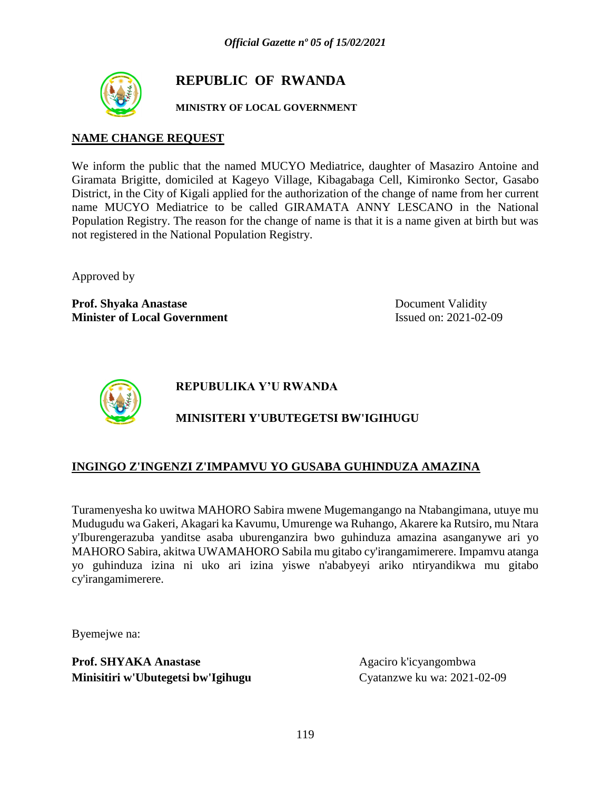

# **REPUBLIC OF RWANDA**

### **MINISTRY OF LOCAL GOVERNMENT**

### **NAME CHANGE REQUEST**

We inform the public that the named MUCYO Mediatrice, daughter of Masaziro Antoine and Giramata Brigitte, domiciled at Kageyo Village, Kibagabaga Cell, Kimironko Sector, Gasabo District, in the City of Kigali applied for the authorization of the change of name from her current name MUCYO Mediatrice to be called GIRAMATA ANNY LESCANO in the National Population Registry. The reason for the change of name is that it is a name given at birth but was not registered in the National Population Registry.

Approved by

**Prof. Shyaka Anastase** Document Validity **Minister of Local Government** Issued on: 2021-02-09



**REPUBULIKA Y'U RWANDA**

# **MINISITERI Y'UBUTEGETSI BW'IGIHUGU**

## **INGINGO Z'INGENZI Z'IMPAMVU YO GUSABA GUHINDUZA AMAZINA**

Turamenyesha ko uwitwa MAHORO Sabira mwene Mugemangango na Ntabangimana, utuye mu Mudugudu wa Gakeri, Akagari ka Kavumu, Umurenge wa Ruhango, Akarere ka Rutsiro, mu Ntara y'Iburengerazuba yanditse asaba uburenganzira bwo guhinduza amazina asanganywe ari yo MAHORO Sabira, akitwa UWAMAHORO Sabila mu gitabo cy'irangamimerere. Impamvu atanga yo guhinduza izina ni uko ari izina yiswe n'ababyeyi ariko ntiryandikwa mu gitabo cy'irangamimerere.

Byemejwe na: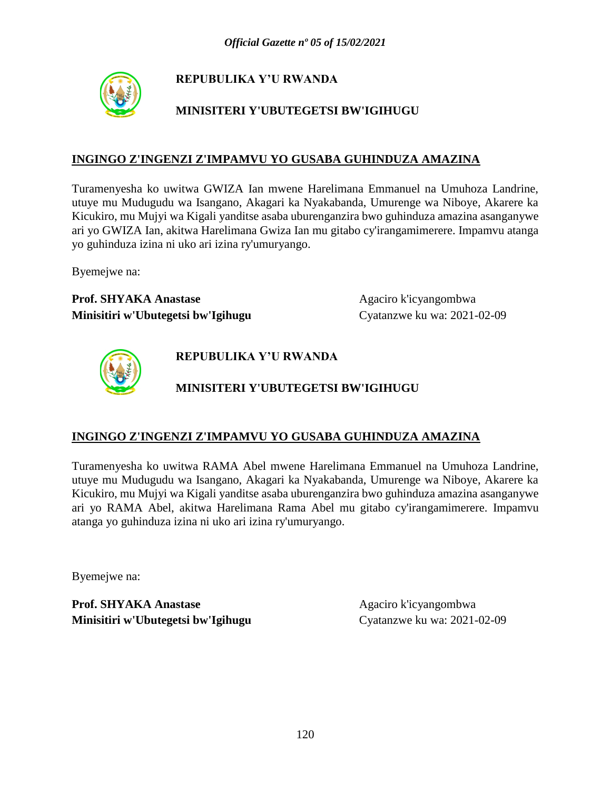

# **MINISITERI Y'UBUTEGETSI BW'IGIHUGU**

### **INGINGO Z'INGENZI Z'IMPAMVU YO GUSABA GUHINDUZA AMAZINA**

Turamenyesha ko uwitwa GWIZA Ian mwene Harelimana Emmanuel na Umuhoza Landrine, utuye mu Mudugudu wa Isangano, Akagari ka Nyakabanda, Umurenge wa Niboye, Akarere ka Kicukiro, mu Mujyi wa Kigali yanditse asaba uburenganzira bwo guhinduza amazina asanganywe ari yo GWIZA Ian, akitwa Harelimana Gwiza Ian mu gitabo cy'irangamimerere. Impamvu atanga yo guhinduza izina ni uko ari izina ry'umuryango.

Byemejwe na:

**Prof. SHYAKA Anastase** Agaciro k'icyangombwa **Minisitiri w'Ubutegetsi bw'Igihugu** Cyatanzwe ku wa: 2021-02-09



**REPUBULIKA Y'U RWANDA**

## **MINISITERI Y'UBUTEGETSI BW'IGIHUGU**

### **INGINGO Z'INGENZI Z'IMPAMVU YO GUSABA GUHINDUZA AMAZINA**

Turamenyesha ko uwitwa RAMA Abel mwene Harelimana Emmanuel na Umuhoza Landrine, utuye mu Mudugudu wa Isangano, Akagari ka Nyakabanda, Umurenge wa Niboye, Akarere ka Kicukiro, mu Mujyi wa Kigali yanditse asaba uburenganzira bwo guhinduza amazina asanganywe ari yo RAMA Abel, akitwa Harelimana Rama Abel mu gitabo cy'irangamimerere. Impamvu atanga yo guhinduza izina ni uko ari izina ry'umuryango.

Byemejwe na: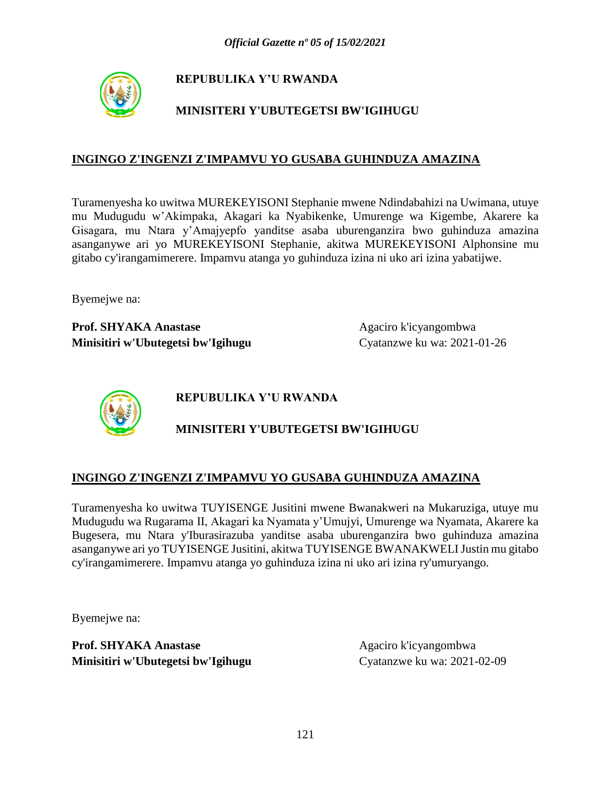

# **MINISITERI Y'UBUTEGETSI BW'IGIHUGU**

### **INGINGO Z'INGENZI Z'IMPAMVU YO GUSABA GUHINDUZA AMAZINA**

Turamenyesha ko uwitwa MUREKEYISONI Stephanie mwene Ndindabahizi na Uwimana, utuye mu Mudugudu w'Akimpaka, Akagari ka Nyabikenke, Umurenge wa Kigembe, Akarere ka Gisagara, mu Ntara y'Amajyepfo yanditse asaba uburenganzira bwo guhinduza amazina asanganywe ari yo MUREKEYISONI Stephanie, akitwa MUREKEYISONI Alphonsine mu gitabo cy'irangamimerere. Impamvu atanga yo guhinduza izina ni uko ari izina yabatijwe.

Byemejwe na:

**Prof. SHYAKA Anastase** Agaciro k'icyangombwa **Minisitiri w'Ubutegetsi bw'Igihugu** Cyatanzwe ku wa: 2021-01-26



**REPUBULIKA Y'U RWANDA**

## **MINISITERI Y'UBUTEGETSI BW'IGIHUGU**

### **INGINGO Z'INGENZI Z'IMPAMVU YO GUSABA GUHINDUZA AMAZINA**

Turamenyesha ko uwitwa TUYISENGE Jusitini mwene Bwanakweri na Mukaruziga, utuye mu Mudugudu wa Rugarama II, Akagari ka Nyamata y'Umujyi, Umurenge wa Nyamata, Akarere ka Bugesera, mu Ntara y'Iburasirazuba yanditse asaba uburenganzira bwo guhinduza amazina asanganywe ari yo TUYISENGE Jusitini, akitwa TUYISENGE BWANAKWELI Justin mu gitabo cy'irangamimerere. Impamvu atanga yo guhinduza izina ni uko ari izina ry'umuryango.

Byemejwe na: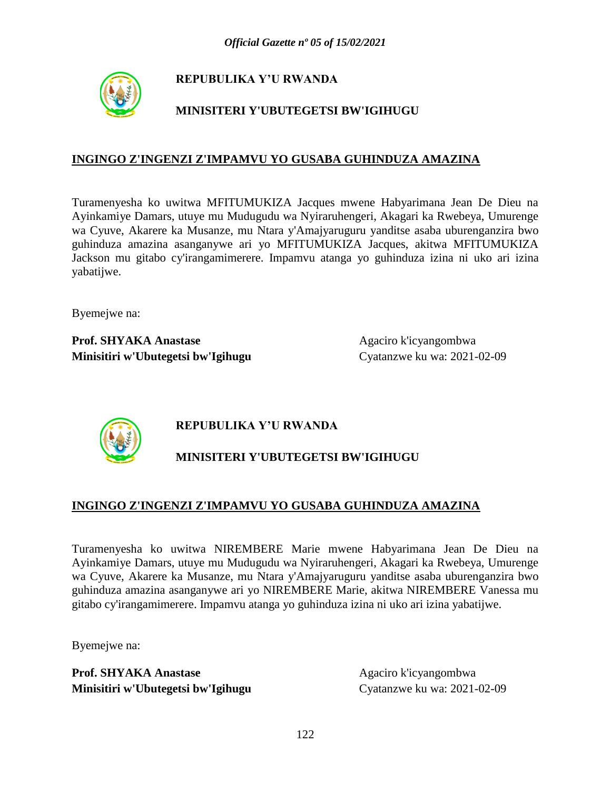

# **MINISITERI Y'UBUTEGETSI BW'IGIHUGU**

### **INGINGO Z'INGENZI Z'IMPAMVU YO GUSABA GUHINDUZA AMAZINA**

Turamenyesha ko uwitwa MFITUMUKIZA Jacques mwene Habyarimana Jean De Dieu na Ayinkamiye Damars, utuye mu Mudugudu wa Nyiraruhengeri, Akagari ka Rwebeya, Umurenge wa Cyuve, Akarere ka Musanze, mu Ntara y'Amajyaruguru yanditse asaba uburenganzira bwo guhinduza amazina asanganywe ari yo MFITUMUKIZA Jacques, akitwa MFITUMUKIZA Jackson mu gitabo cy'irangamimerere. Impamvu atanga yo guhinduza izina ni uko ari izina yabatijwe.

Byemejwe na:

**Prof. SHYAKA Anastase** Agaciro k'icyangombwa **Minisitiri w'Ubutegetsi bw'Igihugu** Cyatanzwe ku wa: 2021-02-09



## **REPUBULIKA Y'U RWANDA**

# **MINISITERI Y'UBUTEGETSI BW'IGIHUGU**

## **INGINGO Z'INGENZI Z'IMPAMVU YO GUSABA GUHINDUZA AMAZINA**

Turamenyesha ko uwitwa NIREMBERE Marie mwene Habyarimana Jean De Dieu na Ayinkamiye Damars, utuye mu Mudugudu wa Nyiraruhengeri, Akagari ka Rwebeya, Umurenge wa Cyuve, Akarere ka Musanze, mu Ntara y'Amajyaruguru yanditse asaba uburenganzira bwo guhinduza amazina asanganywe ari yo NIREMBERE Marie, akitwa NIREMBERE Vanessa mu gitabo cy'irangamimerere. Impamvu atanga yo guhinduza izina ni uko ari izina yabatijwe.

Byemejwe na: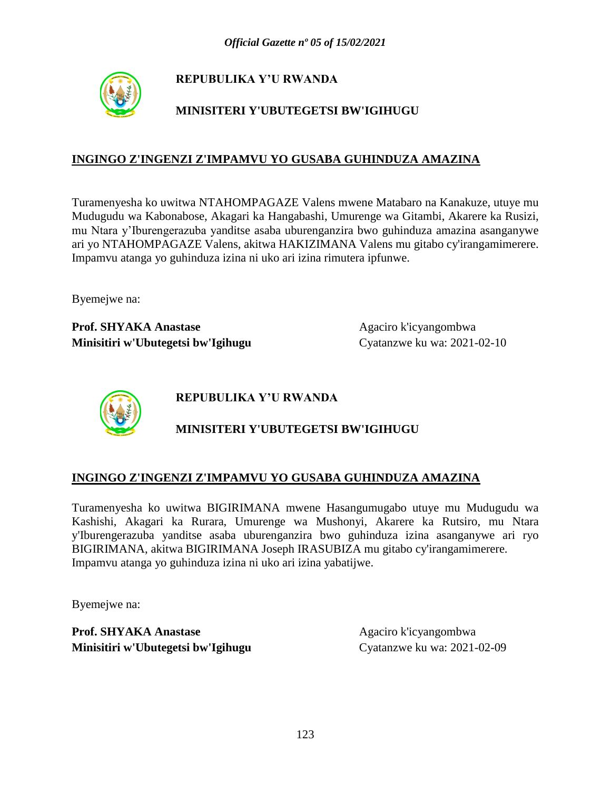

# **MINISITERI Y'UBUTEGETSI BW'IGIHUGU**

### **INGINGO Z'INGENZI Z'IMPAMVU YO GUSABA GUHINDUZA AMAZINA**

Turamenyesha ko uwitwa NTAHOMPAGAZE Valens mwene Matabaro na Kanakuze, utuye mu Mudugudu wa Kabonabose, Akagari ka Hangabashi, Umurenge wa Gitambi, Akarere ka Rusizi, mu Ntara y'Iburengerazuba yanditse asaba uburenganzira bwo guhinduza amazina asanganywe ari yo NTAHOMPAGAZE Valens, akitwa HAKIZIMANA Valens mu gitabo cy'irangamimerere. Impamvu atanga yo guhinduza izina ni uko ari izina rimutera ipfunwe.

Byemejwe na:

Prof. SHYAKA Anastase Agaciro k'icyangombwa **Minisitiri w'Ubutegetsi bw'Igihugu** Cyatanzwe ku wa: 2021-02-10



**REPUBULIKA Y'U RWANDA**

# **MINISITERI Y'UBUTEGETSI BW'IGIHUGU**

### **INGINGO Z'INGENZI Z'IMPAMVU YO GUSABA GUHINDUZA AMAZINA**

Turamenyesha ko uwitwa BIGIRIMANA mwene Hasangumugabo utuye mu Mudugudu wa Kashishi, Akagari ka Rurara, Umurenge wa Mushonyi, Akarere ka Rutsiro, mu Ntara y'Iburengerazuba yanditse asaba uburenganzira bwo guhinduza izina asanganywe ari ryo BIGIRIMANA, akitwa BIGIRIMANA Joseph IRASUBIZA mu gitabo cy'irangamimerere. Impamvu atanga yo guhinduza izina ni uko ari izina yabatijwe.

Byemejwe na: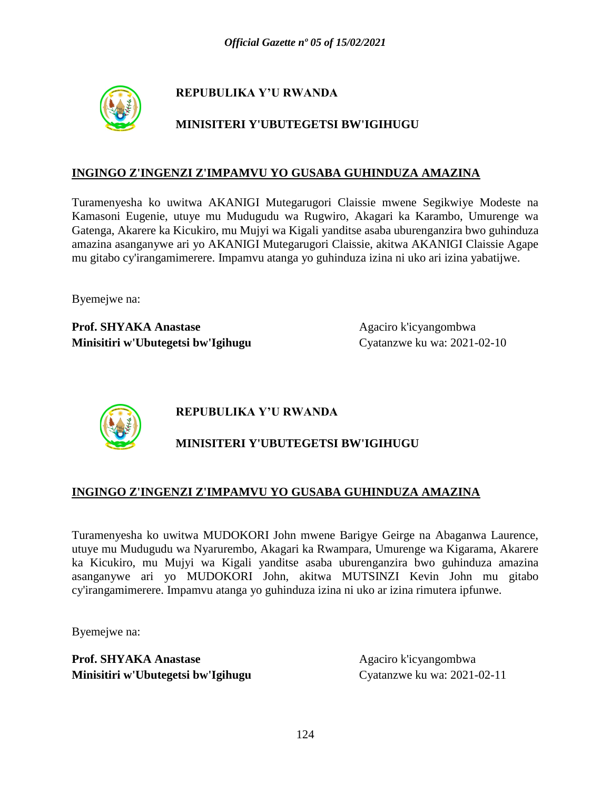

## **MINISITERI Y'UBUTEGETSI BW'IGIHUGU**

### **INGINGO Z'INGENZI Z'IMPAMVU YO GUSABA GUHINDUZA AMAZINA**

Turamenyesha ko uwitwa AKANIGI Mutegarugori Claissie mwene Segikwiye Modeste na Kamasoni Eugenie, utuye mu Mudugudu wa Rugwiro, Akagari ka Karambo, Umurenge wa Gatenga, Akarere ka Kicukiro, mu Mujyi wa Kigali yanditse asaba uburenganzira bwo guhinduza amazina asanganywe ari yo AKANIGI Mutegarugori Claissie, akitwa AKANIGI Claissie Agape mu gitabo cy'irangamimerere. Impamvu atanga yo guhinduza izina ni uko ari izina yabatijwe.

Byemejwe na:

**Prof. SHYAKA Anastase** Agaciro k'icyangombwa **Minisitiri w'Ubutegetsi bw'Igihugu** Cyatanzwe ku wa: 2021-02-10



**REPUBULIKA Y'U RWANDA**

# **MINISITERI Y'UBUTEGETSI BW'IGIHUGU**

### **INGINGO Z'INGENZI Z'IMPAMVU YO GUSABA GUHINDUZA AMAZINA**

Turamenyesha ko uwitwa MUDOKORI John mwene Barigye Geirge na Abaganwa Laurence, utuye mu Mudugudu wa Nyarurembo, Akagari ka Rwampara, Umurenge wa Kigarama, Akarere ka Kicukiro, mu Mujyi wa Kigali yanditse asaba uburenganzira bwo guhinduza amazina asanganywe ari yo MUDOKORI John, akitwa MUTSINZI Kevin John mu gitabo cy'irangamimerere. Impamvu atanga yo guhinduza izina ni uko ar izina rimutera ipfunwe.

Byemejwe na: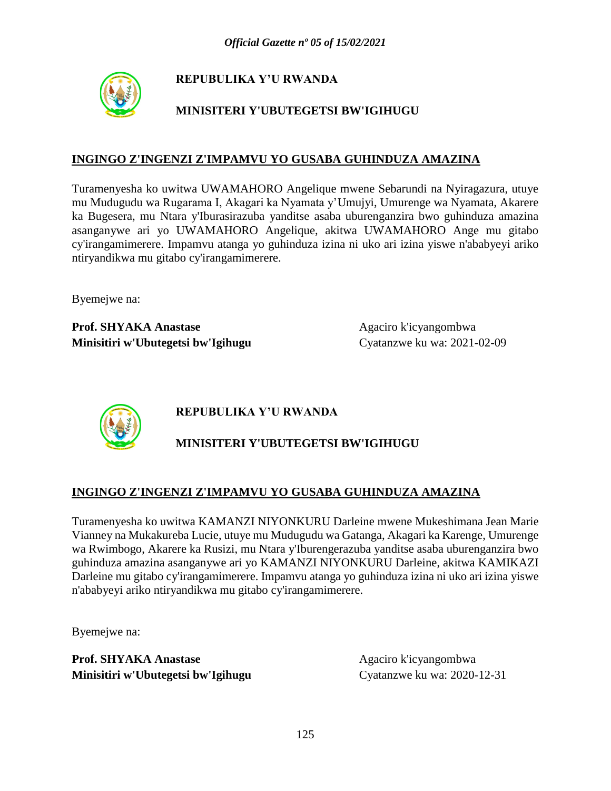

# **MINISITERI Y'UBUTEGETSI BW'IGIHUGU**

### **INGINGO Z'INGENZI Z'IMPAMVU YO GUSABA GUHINDUZA AMAZINA**

Turamenyesha ko uwitwa UWAMAHORO Angelique mwene Sebarundi na Nyiragazura, utuye mu Mudugudu wa Rugarama I, Akagari ka Nyamata y'Umujyi, Umurenge wa Nyamata, Akarere ka Bugesera, mu Ntara y'Iburasirazuba yanditse asaba uburenganzira bwo guhinduza amazina asanganywe ari yo UWAMAHORO Angelique, akitwa UWAMAHORO Ange mu gitabo cy'irangamimerere. Impamvu atanga yo guhinduza izina ni uko ari izina yiswe n'ababyeyi ariko ntiryandikwa mu gitabo cy'irangamimerere.

Byemejwe na:

**Prof. SHYAKA Anastase** Agaciro k'icyangombwa **Minisitiri w'Ubutegetsi bw'Igihugu** Cyatanzwe ku wa: 2021-02-09



**REPUBULIKA Y'U RWANDA**

# **MINISITERI Y'UBUTEGETSI BW'IGIHUGU**

## **INGINGO Z'INGENZI Z'IMPAMVU YO GUSABA GUHINDUZA AMAZINA**

Turamenyesha ko uwitwa KAMANZI NIYONKURU Darleine mwene Mukeshimana Jean Marie Vianney na Mukakureba Lucie, utuye mu Mudugudu wa Gatanga, Akagari ka Karenge, Umurenge wa Rwimbogo, Akarere ka Rusizi, mu Ntara y'Iburengerazuba yanditse asaba uburenganzira bwo guhinduza amazina asanganywe ari yo KAMANZI NIYONKURU Darleine, akitwa KAMIKAZI Darleine mu gitabo cy'irangamimerere. Impamvu atanga yo guhinduza izina ni uko ari izina yiswe n'ababyeyi ariko ntiryandikwa mu gitabo cy'irangamimerere.

Byemejwe na: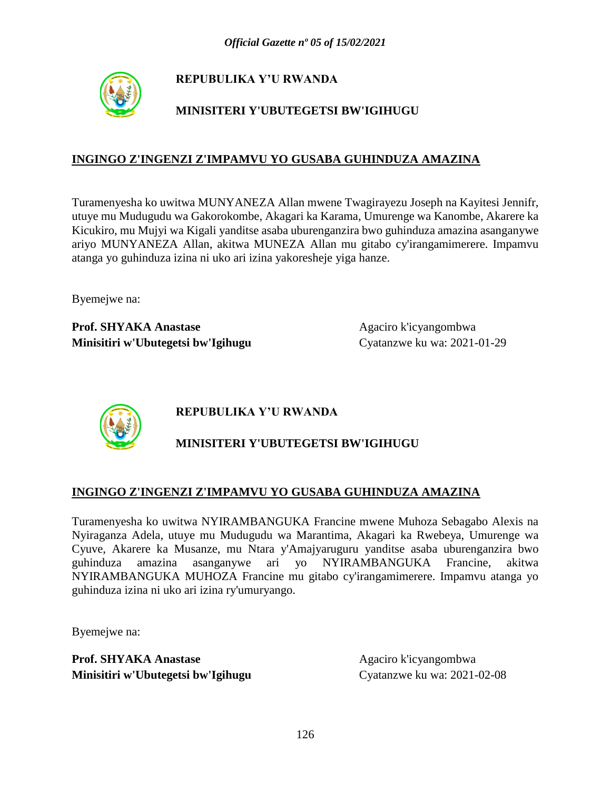

# **MINISITERI Y'UBUTEGETSI BW'IGIHUGU**

### **INGINGO Z'INGENZI Z'IMPAMVU YO GUSABA GUHINDUZA AMAZINA**

Turamenyesha ko uwitwa MUNYANEZA Allan mwene Twagirayezu Joseph na Kayitesi Jennifr, utuye mu Mudugudu wa Gakorokombe, Akagari ka Karama, Umurenge wa Kanombe, Akarere ka Kicukiro, mu Mujyi wa Kigali yanditse asaba uburenganzira bwo guhinduza amazina asanganywe ariyo MUNYANEZA Allan, akitwa MUNEZA Allan mu gitabo cy'irangamimerere. Impamvu atanga yo guhinduza izina ni uko ari izina yakoresheje yiga hanze.

Byemejwe na:

Prof. SHYAKA Anastase Agaciro k'icyangombwa **Minisitiri w'Ubutegetsi bw'Igihugu** Cyatanzwe ku wa: 2021-01-29



# **REPUBULIKA Y'U RWANDA**

# **MINISITERI Y'UBUTEGETSI BW'IGIHUGU**

### **INGINGO Z'INGENZI Z'IMPAMVU YO GUSABA GUHINDUZA AMAZINA**

Turamenyesha ko uwitwa NYIRAMBANGUKA Francine mwene Muhoza Sebagabo Alexis na Nyiraganza Adela, utuye mu Mudugudu wa Marantima, Akagari ka Rwebeya, Umurenge wa Cyuve, Akarere ka Musanze, mu Ntara y'Amajyaruguru yanditse asaba uburenganzira bwo guhinduza amazina asanganywe ari yo NYIRAMBANGUKA Francine, akitwa NYIRAMBANGUKA MUHOZA Francine mu gitabo cy'irangamimerere. Impamvu atanga yo guhinduza izina ni uko ari izina ry'umuryango.

Byemejwe na: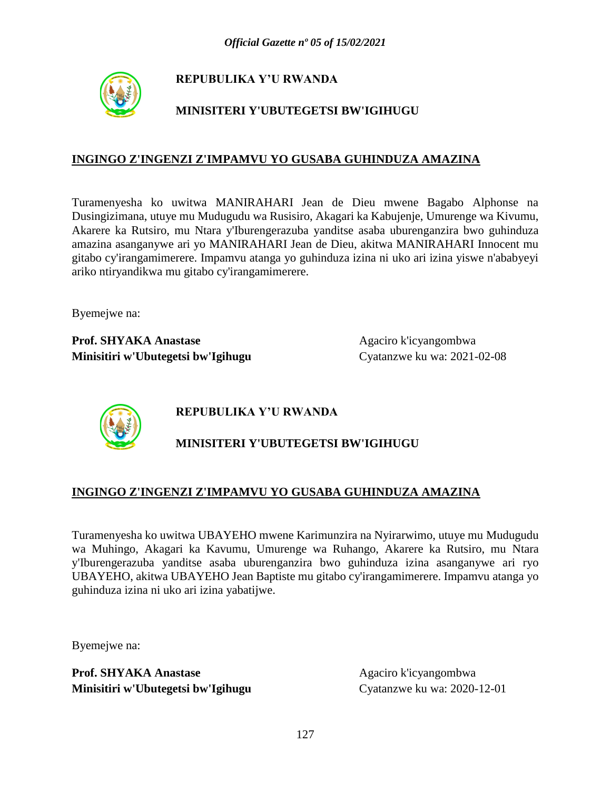

# **MINISITERI Y'UBUTEGETSI BW'IGIHUGU**

### **INGINGO Z'INGENZI Z'IMPAMVU YO GUSABA GUHINDUZA AMAZINA**

Turamenyesha ko uwitwa MANIRAHARI Jean de Dieu mwene Bagabo Alphonse na Dusingizimana, utuye mu Mudugudu wa Rusisiro, Akagari ka Kabujenje, Umurenge wa Kivumu, Akarere ka Rutsiro, mu Ntara y'Iburengerazuba yanditse asaba uburenganzira bwo guhinduza amazina asanganywe ari yo MANIRAHARI Jean de Dieu, akitwa MANIRAHARI Innocent mu gitabo cy'irangamimerere. Impamvu atanga yo guhinduza izina ni uko ari izina yiswe n'ababyeyi ariko ntiryandikwa mu gitabo cy'irangamimerere.

Byemejwe na:

**Prof. SHYAKA Anastase** Agaciro k'icyangombwa **Minisitiri w'Ubutegetsi bw'Igihugu** Cyatanzwe ku wa: 2021-02-08



**REPUBULIKA Y'U RWANDA**

# **MINISITERI Y'UBUTEGETSI BW'IGIHUGU**

### **INGINGO Z'INGENZI Z'IMPAMVU YO GUSABA GUHINDUZA AMAZINA**

Turamenyesha ko uwitwa UBAYEHO mwene Karimunzira na Nyirarwimo, utuye mu Mudugudu wa Muhingo, Akagari ka Kavumu, Umurenge wa Ruhango, Akarere ka Rutsiro, mu Ntara y'Iburengerazuba yanditse asaba uburenganzira bwo guhinduza izina asanganywe ari ryo UBAYEHO, akitwa UBAYEHO Jean Baptiste mu gitabo cy'irangamimerere. Impamvu atanga yo guhinduza izina ni uko ari izina yabatijwe.

Byemejwe na: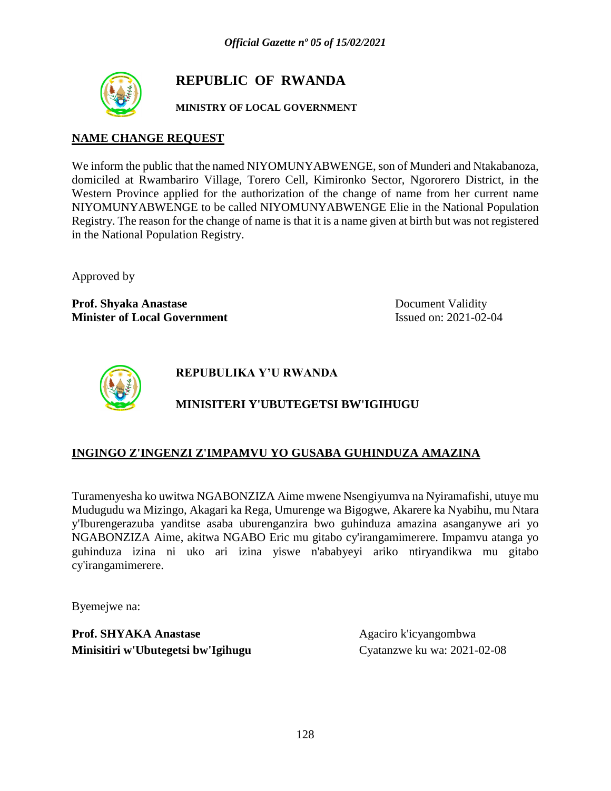

# **REPUBLIC OF RWANDA**

### **MINISTRY OF LOCAL GOVERNMENT**

### **NAME CHANGE REQUEST**

We inform the public that the named NIYOMUNYABWENGE, son of Munderi and Ntakabanoza, domiciled at Rwambariro Village, Torero Cell, Kimironko Sector, Ngororero District, in the Western Province applied for the authorization of the change of name from her current name NIYOMUNYABWENGE to be called NIYOMUNYABWENGE Elie in the National Population Registry. The reason for the change of name is that it is a name given at birth but was not registered in the National Population Registry.

Approved by

**Prof. Shyaka Anastase** Document Validity **Minister of Local Government** Issued on: 2021-02-04



**REPUBULIKA Y'U RWANDA**

## **MINISITERI Y'UBUTEGETSI BW'IGIHUGU**

### **INGINGO Z'INGENZI Z'IMPAMVU YO GUSABA GUHINDUZA AMAZINA**

Turamenyesha ko uwitwa NGABONZIZA Aime mwene Nsengiyumva na Nyiramafishi, utuye mu Mudugudu wa Mizingo, Akagari ka Rega, Umurenge wa Bigogwe, Akarere ka Nyabihu, mu Ntara y'Iburengerazuba yanditse asaba uburenganzira bwo guhinduza amazina asanganywe ari yo NGABONZIZA Aime, akitwa NGABO Eric mu gitabo cy'irangamimerere. Impamvu atanga yo guhinduza izina ni uko ari izina yiswe n'ababyeyi ariko ntiryandikwa mu gitabo cy'irangamimerere.

Byemejwe na: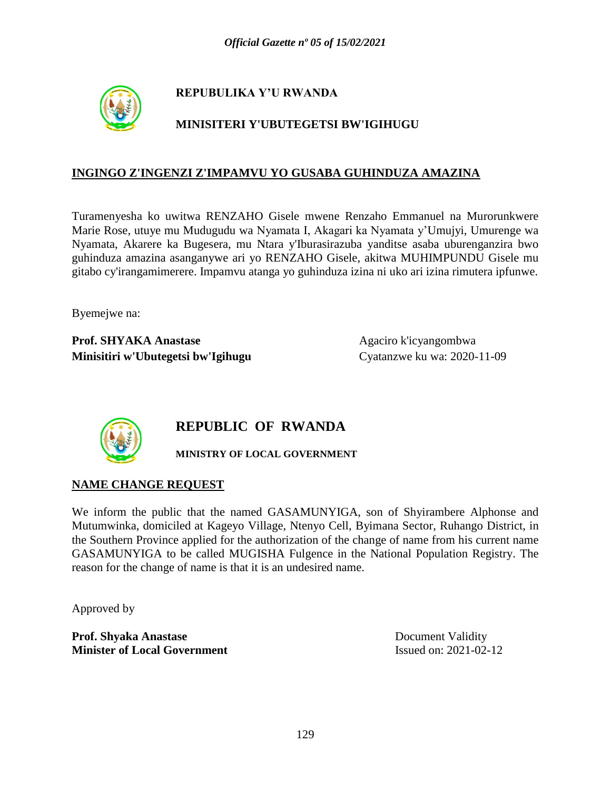

## **MINISITERI Y'UBUTEGETSI BW'IGIHUGU**

### **INGINGO Z'INGENZI Z'IMPAMVU YO GUSABA GUHINDUZA AMAZINA**

Turamenyesha ko uwitwa RENZAHO Gisele mwene Renzaho Emmanuel na Murorunkwere Marie Rose, utuye mu Mudugudu wa Nyamata I, Akagari ka Nyamata y'Umujyi, Umurenge wa Nyamata, Akarere ka Bugesera, mu Ntara y'Iburasirazuba yanditse asaba uburenganzira bwo guhinduza amazina asanganywe ari yo RENZAHO Gisele, akitwa MUHIMPUNDU Gisele mu gitabo cy'irangamimerere. Impamvu atanga yo guhinduza izina ni uko ari izina rimutera ipfunwe.

Byemejwe na:

**Prof. SHYAKA Anastase** Agaciro k'icyangombwa **Minisitiri w'Ubutegetsi bw'Igihugu** Cyatanzwe ku wa: 2020-11-09



# **REPUBLIC OF RWANDA**

**MINISTRY OF LOCAL GOVERNMENT**

## **NAME CHANGE REQUEST**

We inform the public that the named GASAMUNYIGA, son of Shyirambere Alphonse and Mutumwinka, domiciled at Kageyo Village, Ntenyo Cell, Byimana Sector, Ruhango District, in the Southern Province applied for the authorization of the change of name from his current name GASAMUNYIGA to be called MUGISHA Fulgence in the National Population Registry. The reason for the change of name is that it is an undesired name.

Approved by

**Prof. Shyaka Anastase** Document Validity **Minister of Local Government** Issued on: 2021-02-12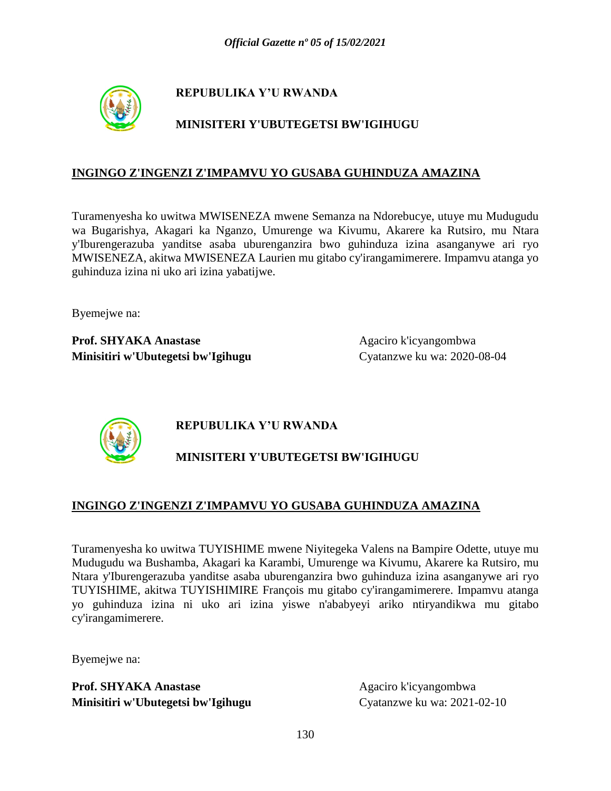

## **MINISITERI Y'UBUTEGETSI BW'IGIHUGU**

### **INGINGO Z'INGENZI Z'IMPAMVU YO GUSABA GUHINDUZA AMAZINA**

Turamenyesha ko uwitwa MWISENEZA mwene Semanza na Ndorebucye, utuye mu Mudugudu wa Bugarishya, Akagari ka Nganzo, Umurenge wa Kivumu, Akarere ka Rutsiro, mu Ntara y'Iburengerazuba yanditse asaba uburenganzira bwo guhinduza izina asanganywe ari ryo MWISENEZA, akitwa MWISENEZA Laurien mu gitabo cy'irangamimerere. Impamvu atanga yo guhinduza izina ni uko ari izina yabatijwe.

Byemejwe na:

**Prof. SHYAKA Anastase** Agaciro k'icyangombwa **Minisitiri w'Ubutegetsi bw'Igihugu** Cyatanzwe ku wa: 2020-08-04



## **REPUBULIKA Y'U RWANDA**

# **MINISITERI Y'UBUTEGETSI BW'IGIHUGU**

### **INGINGO Z'INGENZI Z'IMPAMVU YO GUSABA GUHINDUZA AMAZINA**

Turamenyesha ko uwitwa TUYISHIME mwene Niyitegeka Valens na Bampire Odette, utuye mu Mudugudu wa Bushamba, Akagari ka Karambi, Umurenge wa Kivumu, Akarere ka Rutsiro, mu Ntara y'Iburengerazuba yanditse asaba uburenganzira bwo guhinduza izina asanganywe ari ryo TUYISHIME, akitwa TUYISHIMIRE François mu gitabo cy'irangamimerere. Impamvu atanga yo guhinduza izina ni uko ari izina yiswe n'ababyeyi ariko ntiryandikwa mu gitabo cy'irangamimerere.

Byemejwe na: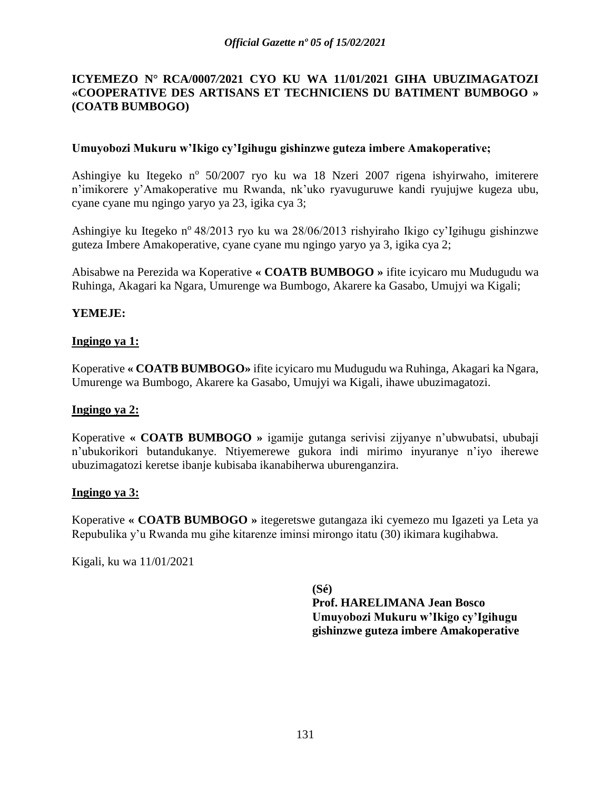### **ICYEMEZO N° RCA/0007***/***2021 CYO KU WA 11/01/2021 GIHA UBUZIMAGATOZI «COOPERATIVE DES ARTISANS ET TECHNICIENS DU BATIMENT BUMBOGO » (COATB BUMBOGO)**

#### **Umuyobozi Mukuru w'Ikigo cy'Igihugu gishinzwe guteza imbere Amakoperative;**

Ashingiye ku Itegeko nº 50/2007 ryo ku wa 18 Nzeri 2007 rigena ishyirwaho, imiterere n'imikorere y'Amakoperative mu Rwanda, nk'uko ryavuguruwe kandi ryujujwe kugeza ubu, cyane cyane mu ngingo yaryo ya 23, igika cya 3;

Ashingiye ku Itegeko n<sup>o</sup> 48/2013 ryo ku wa 28/06/2013 rishyiraho Ikigo cy'Igihugu gishinzwe guteza Imbere Amakoperative, cyane cyane mu ngingo yaryo ya 3, igika cya 2;

Abisabwe na Perezida wa Koperative **« COATB BUMBOGO »** ifite icyicaro mu Mudugudu wa Ruhinga, Akagari ka Ngara, Umurenge wa Bumbogo, Akarere ka Gasabo, Umujyi wa Kigali;

### **YEMEJE:**

#### **Ingingo ya 1:**

Koperative **« COATB BUMBOGO»** ifite icyicaro mu Mudugudu wa Ruhinga, Akagari ka Ngara, Umurenge wa Bumbogo, Akarere ka Gasabo, Umujyi wa Kigali, ihawe ubuzimagatozi.

#### **Ingingo ya 2:**

Koperative **« COATB BUMBOGO »** igamije gutanga serivisi zijyanye n'ubwubatsi, ububaji n'ubukorikori butandukanye. Ntiyemerewe gukora indi mirimo inyuranye n'iyo iherewe ubuzimagatozi keretse ibanje kubisaba ikanabiherwa uburenganzira.

#### **Ingingo ya 3:**

Koperative **« COATB BUMBOGO »** itegeretswe gutangaza iki cyemezo mu Igazeti ya Leta ya Repubulika y'u Rwanda mu gihe kitarenze iminsi mirongo itatu (30) ikimara kugihabwa.

Kigali, ku wa 11/01/2021

**(Sé) Prof. HARELIMANA Jean Bosco Umuyobozi Mukuru w'Ikigo cy'Igihugu gishinzwe guteza imbere Amakoperative**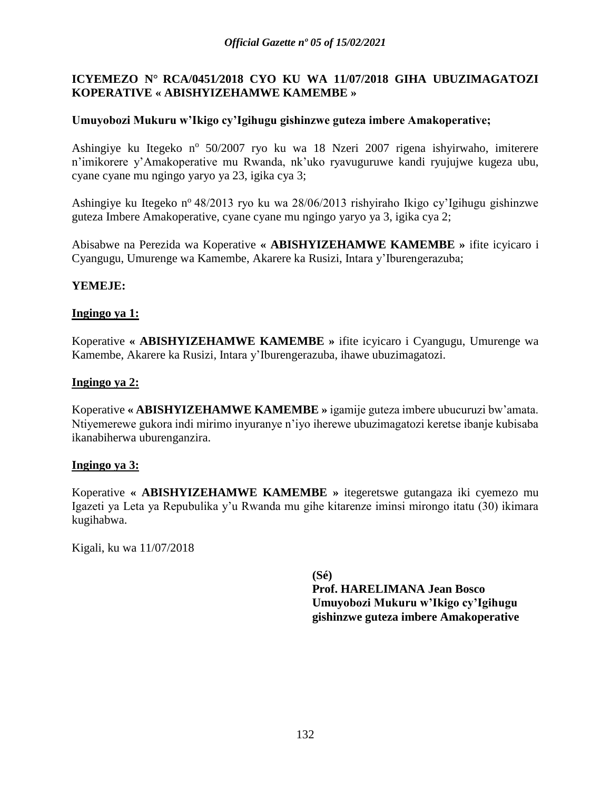### **ICYEMEZO N° RCA/0451***/***2018 CYO KU WA 11/07/2018 GIHA UBUZIMAGATOZI KOPERATIVE « ABISHYIZEHAMWE KAMEMBE »**

#### **Umuyobozi Mukuru w'Ikigo cy'Igihugu gishinzwe guteza imbere Amakoperative;**

Ashingiye ku Itegeko nº 50/2007 ryo ku wa 18 Nzeri 2007 rigena ishyirwaho, imiterere n'imikorere y'Amakoperative mu Rwanda, nk'uko ryavuguruwe kandi ryujujwe kugeza ubu, cyane cyane mu ngingo yaryo ya 23, igika cya 3;

Ashingiye ku Itegeko n<sup>o</sup> 48/2013 ryo ku wa 28/06/2013 rishyiraho Ikigo cy'Igihugu gishinzwe guteza Imbere Amakoperative, cyane cyane mu ngingo yaryo ya 3, igika cya 2;

Abisabwe na Perezida wa Koperative **« ABISHYIZEHAMWE KAMEMBE »** ifite icyicaro i Cyangugu, Umurenge wa Kamembe, Akarere ka Rusizi, Intara y'Iburengerazuba;

#### **YEMEJE:**

#### **Ingingo ya 1:**

Koperative **« ABISHYIZEHAMWE KAMEMBE »** ifite icyicaro i Cyangugu, Umurenge wa Kamembe, Akarere ka Rusizi, Intara y'Iburengerazuba, ihawe ubuzimagatozi.

#### **Ingingo ya 2:**

Koperative **« ABISHYIZEHAMWE KAMEMBE »** igamije guteza imbere ubucuruzi bw'amata. Ntiyemerewe gukora indi mirimo inyuranye n'iyo iherewe ubuzimagatozi keretse ibanje kubisaba ikanabiherwa uburenganzira.

#### **Ingingo ya 3:**

Koperative **« ABISHYIZEHAMWE KAMEMBE »** itegeretswe gutangaza iki cyemezo mu Igazeti ya Leta ya Repubulika y'u Rwanda mu gihe kitarenze iminsi mirongo itatu (30) ikimara kugihabwa.

Kigali, ku wa 11/07/2018

**(Sé) Prof. HARELIMANA Jean Bosco Umuyobozi Mukuru w'Ikigo cy'Igihugu gishinzwe guteza imbere Amakoperative**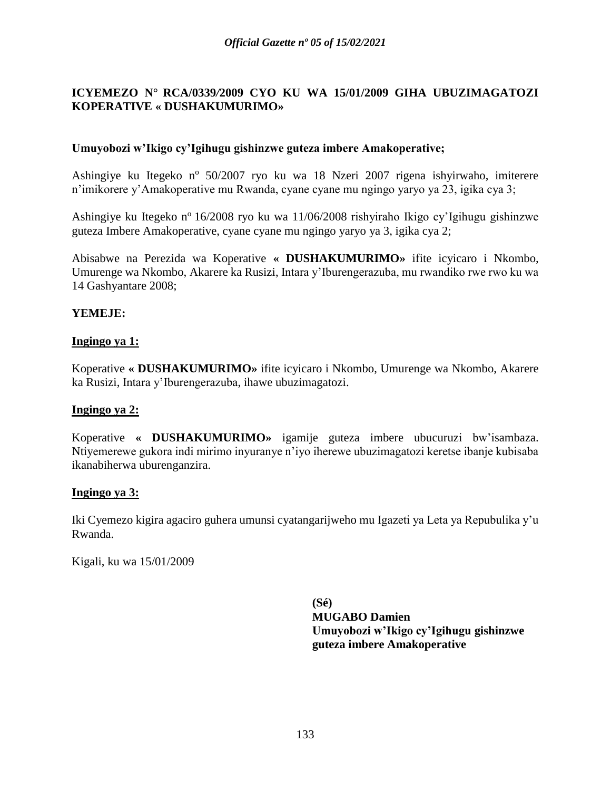### **ICYEMEZO N° RCA/0339***/***2009 CYO KU WA 15/01/2009 GIHA UBUZIMAGATOZI KOPERATIVE « DUSHAKUMURIMO»**

### **Umuyobozi w'Ikigo cy'Igihugu gishinzwe guteza imbere Amakoperative;**

Ashingiye ku Itegeko nº 50/2007 ryo ku wa 18 Nzeri 2007 rigena ishyirwaho, imiterere n'imikorere y'Amakoperative mu Rwanda, cyane cyane mu ngingo yaryo ya 23, igika cya 3;

Ashingiye ku Itegeko n<sup>o</sup> 16/2008 ryo ku wa 11/06/2008 rishyiraho Ikigo cy'Igihugu gishinzwe guteza Imbere Amakoperative, cyane cyane mu ngingo yaryo ya 3, igika cya 2;

Abisabwe na Perezida wa Koperative **« DUSHAKUMURIMO»** ifite icyicaro i Nkombo, Umurenge wa Nkombo, Akarere ka Rusizi, Intara y'Iburengerazuba, mu rwandiko rwe rwo ku wa 14 Gashyantare 2008;

#### **YEMEJE:**

#### **Ingingo ya 1:**

Koperative **« DUSHAKUMURIMO»** ifite icyicaro i Nkombo, Umurenge wa Nkombo, Akarere ka Rusizi, Intara y'Iburengerazuba, ihawe ubuzimagatozi.

#### **Ingingo ya 2:**

Koperative **« DUSHAKUMURIMO»** igamije guteza imbere ubucuruzi bw'isambaza. Ntiyemerewe gukora indi mirimo inyuranye n'iyo iherewe ubuzimagatozi keretse ibanje kubisaba ikanabiherwa uburenganzira.

#### **Ingingo ya 3:**

Iki Cyemezo kigira agaciro guhera umunsi cyatangarijweho mu Igazeti ya Leta ya Repubulika y'u Rwanda.

Kigali, ku wa 15/01/2009

**(Sé) MUGABO Damien Umuyobozi w'Ikigo cy'Igihugu gishinzwe guteza imbere Amakoperative**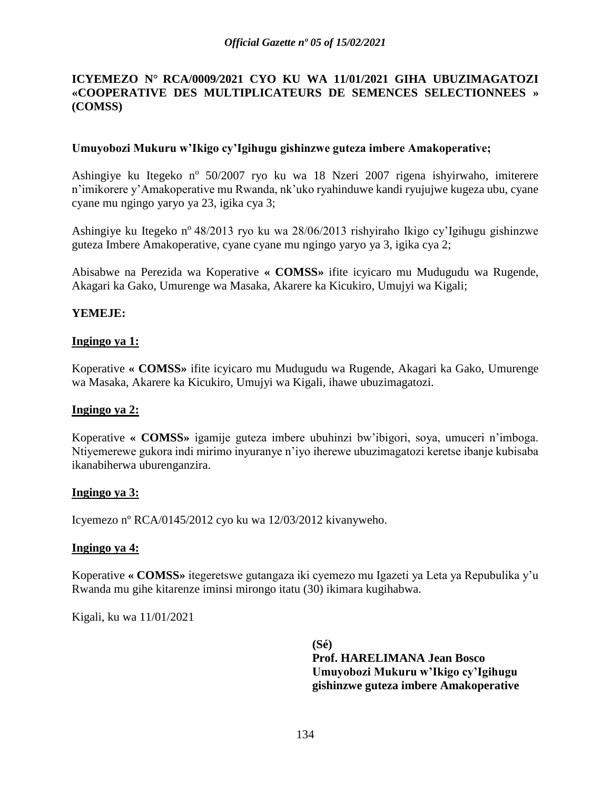### **ICYEMEZO N° RCA/0009***/***2021 CYO KU WA 11/01/2021 GIHA UBUZIMAGATOZI «COOPERATIVE DES MULTIPLICATEURS DE SEMENCES SELECTIONNEES » (COMSS)**

#### **Umuyobozi Mukuru w'Ikigo cy'Igihugu gishinzwe guteza imbere Amakoperative;**

Ashingiye ku Itegeko nº 50/2007 ryo ku wa 18 Nzeri 2007 rigena ishyirwaho, imiterere n'imikorere y'Amakoperative mu Rwanda, nk'uko ryahinduwe kandi ryujujwe kugeza ubu, cyane cyane mu ngingo yaryo ya 23, igika cya 3;

Ashingiye ku Itegeko n<sup>o</sup> 48/2013 ryo ku wa 28/06/2013 rishyiraho Ikigo cy'Igihugu gishinzwe guteza Imbere Amakoperative, cyane cyane mu ngingo yaryo ya 3, igika cya 2;

Abisabwe na Perezida wa Koperative **« COMSS»** ifite icyicaro mu Mudugudu wa Rugende, Akagari ka Gako, Umurenge wa Masaka, Akarere ka Kicukiro, Umujyi wa Kigali;

#### **YEMEJE:**

#### **Ingingo ya 1:**

Koperative **« COMSS»** ifite icyicaro mu Mudugudu wa Rugende, Akagari ka Gako, Umurenge wa Masaka, Akarere ka Kicukiro, Umujyi wa Kigali, ihawe ubuzimagatozi.

#### **Ingingo ya 2:**

Koperative **« COMSS»** igamije guteza imbere ubuhinzi bw'ibigori, soya, umuceri n'imboga. Ntiyemerewe gukora indi mirimo inyuranye n'iyo iherewe ubuzimagatozi keretse ibanje kubisaba ikanabiherwa uburenganzira.

#### **Ingingo ya 3:**

Icyemezo nº RCA/0145/2012 cyo ku wa 12/03/2012 kivanyweho.

#### **Ingingo ya 4:**

Koperative **« COMSS»** itegeretswe gutangaza iki cyemezo mu Igazeti ya Leta ya Repubulika y'u Rwanda mu gihe kitarenze iminsi mirongo itatu (30) ikimara kugihabwa.

Kigali, ku wa 11/01/2021

**(Sé) Prof. HARELIMANA Jean Bosco Umuyobozi Mukuru w'Ikigo cy'Igihugu gishinzwe guteza imbere Amakoperative**